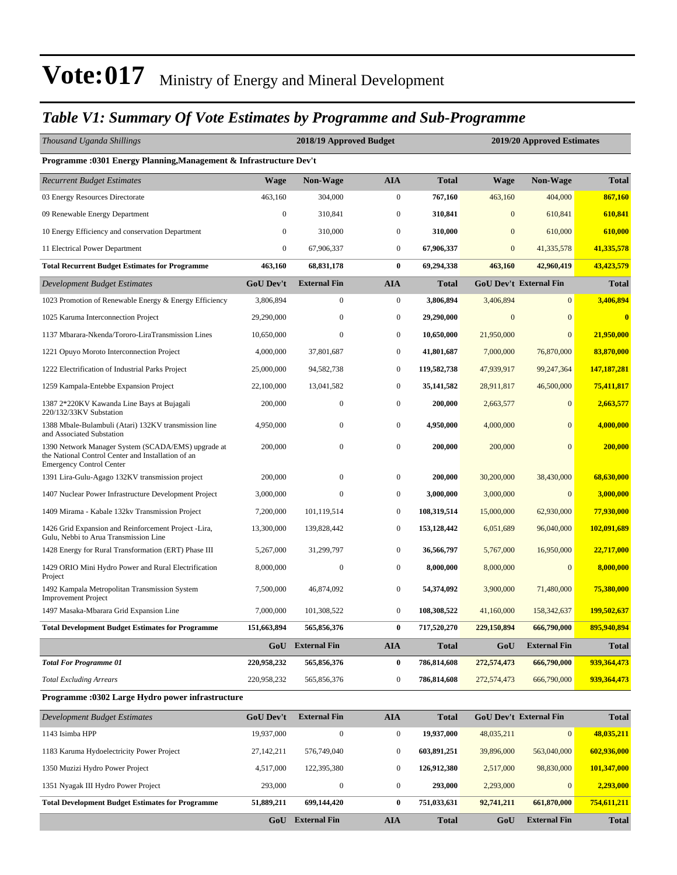#### *Table V1: Summary Of Vote Estimates by Programme and Sub-Programme*

| Thousand Uganda Shillings                                                                                                                   |                  | 2018/19 Approved Budget |                  |              | 2019/20 Approved Estimates |                               |                         |  |
|---------------------------------------------------------------------------------------------------------------------------------------------|------------------|-------------------------|------------------|--------------|----------------------------|-------------------------------|-------------------------|--|
| Programme : 0301 Energy Planning, Management & Infrastructure Dev't                                                                         |                  |                         |                  |              |                            |                               |                         |  |
| <b>Recurrent Budget Estimates</b>                                                                                                           | <b>Wage</b>      | Non-Wage                | <b>AIA</b>       | <b>Total</b> | <b>Wage</b>                | Non-Wage                      | <b>Total</b>            |  |
| 03 Energy Resources Directorate                                                                                                             | 463,160          | 304,000                 | $\boldsymbol{0}$ | 767,160      | 463,160                    | 404,000                       | 867,160                 |  |
| 09 Renewable Energy Department                                                                                                              | $\boldsymbol{0}$ | 310,841                 | $\mathbf{0}$     | 310,841      | $\mathbf{0}$               | 610,841                       | 610,841                 |  |
| 10 Energy Efficiency and conservation Department                                                                                            | $\mathbf{0}$     | 310,000                 | $\mathbf{0}$     | 310,000      | $\overline{0}$             | 610,000                       | 610,000                 |  |
| 11 Electrical Power Department                                                                                                              | $\boldsymbol{0}$ | 67,906,337              | $\mathbf{0}$     | 67,906,337   | $\mathbf{0}$               | 41,335,578                    | 41,335,578              |  |
| <b>Total Recurrent Budget Estimates for Programme</b>                                                                                       | 463,160          | 68,831,178              | $\bf{0}$         | 69,294,338   | 463,160                    | 42,960,419                    | 43,423,579              |  |
| Development Budget Estimates                                                                                                                | <b>GoU Dev't</b> | <b>External Fin</b>     | <b>AIA</b>       | <b>Total</b> |                            | <b>GoU Dev't External Fin</b> | <b>Total</b>            |  |
| 1023 Promotion of Renewable Energy & Energy Efficiency                                                                                      | 3,806,894        | 0                       | $\mathbf{0}$     | 3,806,894    | 3,406,894                  | $\mathbf{0}$                  | 3,406,894               |  |
| 1025 Karuma Interconnection Project                                                                                                         | 29,290,000       | $\boldsymbol{0}$        | $\mathbf{0}$     | 29,290,000   | $\mathbf{0}$               | $\overline{0}$                | $\overline{\mathbf{0}}$ |  |
| 1137 Mbarara-Nkenda/Tororo-LiraTransmission Lines                                                                                           | 10,650,000       | $\mathbf{0}$            | $\boldsymbol{0}$ | 10,650,000   | 21,950,000                 | $\overline{0}$                | 21,950,000              |  |
| 1221 Opuyo Moroto Interconnection Project                                                                                                   | 4,000,000        | 37,801,687              | $\mathbf{0}$     | 41,801,687   | 7,000,000                  | 76,870,000                    | 83,870,000              |  |
| 1222 Electrification of Industrial Parks Project                                                                                            | 25,000,000       | 94,582,738              | $\mathbf{0}$     | 119,582,738  | 47,939,917                 | 99,247,364                    | 147, 187, 281           |  |
| 1259 Kampala-Entebbe Expansion Project                                                                                                      | 22,100,000       | 13,041,582              | $\mathbf{0}$     | 35, 141, 582 | 28,911,817                 | 46,500,000                    | 75,411,817              |  |
| 1387 2*220KV Kawanda Line Bays at Bujagali<br>220/132/33KV Substation                                                                       | 200,000          | $\mathbf{0}$            | $\mathbf{0}$     | 200,000      | 2,663,577                  | $\mathbf{0}$                  | 2,663,577               |  |
| 1388 Mbale-Bulambuli (Atari) 132KV transmission line<br>and Associated Substation                                                           | 4,950,000        | 0                       | $\mathbf{0}$     | 4,950,000    | 4,000,000                  | $\overline{0}$                | 4,000,000               |  |
| 1390 Network Manager System (SCADA/EMS) upgrade at<br>the National Control Center and Installation of an<br><b>Emergency Control Center</b> | 200,000          | $\boldsymbol{0}$        | $\boldsymbol{0}$ | 200,000      | 200,000                    | $\mathbf{0}$                  | 200,000                 |  |
| 1391 Lira-Gulu-Agago 132KV transmission project                                                                                             | 200,000          | $\mathbf{0}$            | $\mathbf{0}$     | 200,000      | 30,200,000                 | 38,430,000                    | 68,630,000              |  |
| 1407 Nuclear Power Infrastructure Development Project                                                                                       | 3,000,000        | $\mathbf{0}$            | $\mathbf{0}$     | 3,000,000    | 3,000,000                  | $\overline{0}$                | 3,000,000               |  |
| 1409 Mirama - Kabale 132kv Transmission Project                                                                                             | 7,200,000        | 101,119,514             | $\mathbf{0}$     | 108,319,514  | 15,000,000                 | 62,930,000                    | 77,930,000              |  |
| 1426 Grid Expansion and Reinforcement Project -Lira,<br>Gulu, Nebbi to Arua Transmission Line                                               | 13,300,000       | 139,828,442             | $\mathbf{0}$     | 153,128,442  | 6,051,689                  | 96,040,000                    | 102,091,689             |  |
| 1428 Energy for Rural Transformation (ERT) Phase III                                                                                        | 5,267,000        | 31,299,797              | $\boldsymbol{0}$ | 36,566,797   | 5,767,000                  | 16,950,000                    | 22,717,000              |  |
| 1429 ORIO Mini Hydro Power and Rural Electrification<br>Project                                                                             | 8,000,000        | $\boldsymbol{0}$        | $\mathbf{0}$     | 8,000,000    | 8,000,000                  | $\mathbf{0}$                  | 8,000,000               |  |
| 1492 Kampala Metropolitan Transmission System<br><b>Improvement Project</b>                                                                 | 7,500,000        | 46,874,092              | $\mathbf{0}$     | 54,374,092   | 3,900,000                  | 71,480,000                    | 75,380,000              |  |
| 1497 Masaka-Mbarara Grid Expansion Line                                                                                                     | 7,000,000        | 101,308,522             | $\mathbf{0}$     | 108,308,522  | 41,160,000                 | 158,342,637                   | 199,502,637             |  |
| Total Development Budget Estimates for Programme                                                                                            | 151,663,894      | 565,856,376             | $\bf{0}$         | 717,520,270  | 229,150,894                | 666,790,000                   | 895,940,894             |  |
|                                                                                                                                             |                  | <b>GoU</b> External Fin | <b>AIA</b>       | <b>Total</b> | GoU                        | <b>External Fin</b>           | <b>Total</b>            |  |
| <b>Total For Programme 01</b>                                                                                                               | 220,958,232      | 565,856,376             | $\bf{0}$         | 786,814,608  | 272,574,473                | 666,790,000                   | 939,364,473             |  |
| <b>Total Excluding Arrears</b>                                                                                                              | 220,958,232      | 565,856,376             | $\boldsymbol{0}$ | 786,814,608  | 272,574,473                | 666,790,000                   | 939, 364, 473           |  |
| Programme: 0302 Large Hydro power infrastructure                                                                                            |                  |                         |                  |              |                            |                               |                         |  |
| <b>Development Budget Estimates</b>                                                                                                         | <b>GoU Dev't</b> | <b>External Fin</b>     | <b>AIA</b>       | <b>Total</b> |                            | GoU Dev't External Fin        | <b>Total</b>            |  |
| 1143 Isimba HPP                                                                                                                             | 19,937,000       | $\boldsymbol{0}$        | $\boldsymbol{0}$ | 19,937,000   | 48,035,211                 | $\vert 0 \vert$               | 48,035,211              |  |
| 1183 Karuma Hydoelectricity Power Project                                                                                                   | 27, 142, 211     | 576,749,040             | $\boldsymbol{0}$ | 603,891,251  | 39,896,000                 | 563,040,000                   | 602,936,000             |  |
| 1350 Muzizi Hydro Power Project                                                                                                             | 4,517,000        | 122,395,380             | $\boldsymbol{0}$ | 126,912,380  | 2,517,000                  | 98,830,000                    | 101,347,000             |  |
| 1351 Nyagak III Hydro Power Project                                                                                                         | 293,000          | $\boldsymbol{0}$        | $\boldsymbol{0}$ | 293,000      | 2,293,000                  | $\boldsymbol{0}$              | 2,293,000               |  |
| <b>Total Development Budget Estimates for Programme</b>                                                                                     | 51,889,211       | 699,144,420             | $\bf{0}$         | 751,033,631  | 92,741,211                 | 661,870,000                   | 754,611,211             |  |

**GoU External Fin AIA Total GoU External Fin Total**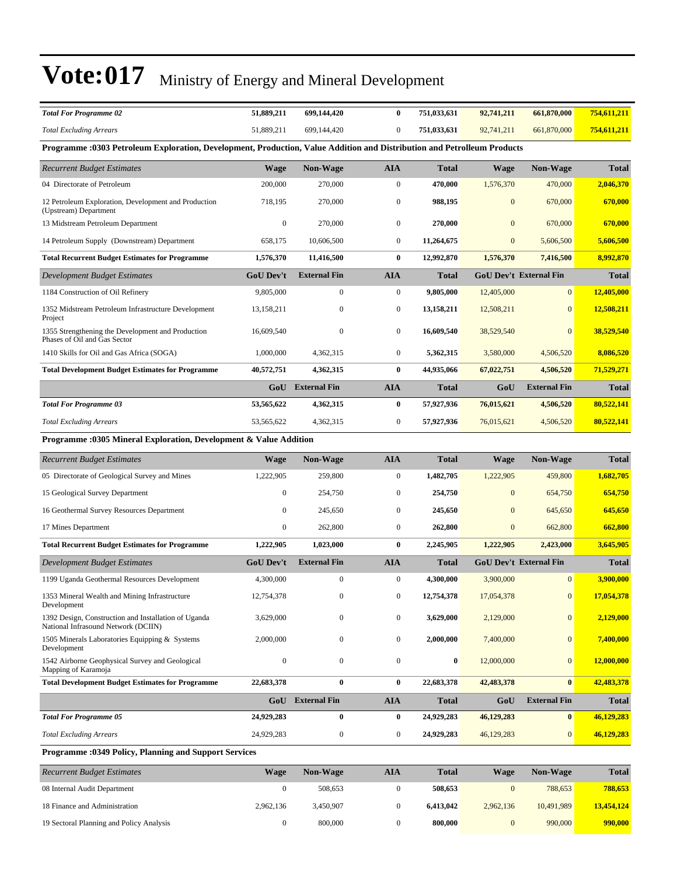| <b>Total For Programme 02</b>                                                                                           | 51,889,211       | 699,144,420             | $\bf{0}$         | 751,033,631  | 92,741,211   | 661,870,000                   | 754,611,211  |
|-------------------------------------------------------------------------------------------------------------------------|------------------|-------------------------|------------------|--------------|--------------|-------------------------------|--------------|
| <b>Total Excluding Arrears</b>                                                                                          | 51,889,211       | 699,144,420             | $\boldsymbol{0}$ | 751,033,631  | 92,741,211   | 661,870,000                   | 754,611,211  |
| Programme :0303 Petroleum Exploration, Development, Production, Value Addition and Distribution and Petrolleum Products |                  |                         |                  |              |              |                               |              |
| <b>Recurrent Budget Estimates</b>                                                                                       | <b>Wage</b>      | Non-Wage                | <b>AIA</b>       | <b>Total</b> | <b>Wage</b>  | <b>Non-Wage</b>               | <b>Total</b> |
| 04 Directorate of Petroleum                                                                                             | 200,000          | 270,000                 | $\boldsymbol{0}$ | 470,000      | 1,576,370    | 470,000                       | 2,046,370    |
| 12 Petroleum Exploration, Development and Production<br>(Upstream) Department                                           | 718,195          | 270,000                 | $\boldsymbol{0}$ | 988,195      | $\mathbf{0}$ | 670,000                       | 670,000      |
| 13 Midstream Petroleum Department                                                                                       | $\boldsymbol{0}$ | 270,000                 | $\boldsymbol{0}$ | 270,000      | $\mathbf{0}$ | 670,000                       | 670,000      |
| 14 Petroleum Supply (Downstream) Department                                                                             | 658,175          | 10,606,500              | $\boldsymbol{0}$ | 11,264,675   | $\mathbf{0}$ | 5,606,500                     | 5,606,500    |
| <b>Total Recurrent Budget Estimates for Programme</b>                                                                   | 1,576,370        | 11,416,500              | $\bf{0}$         | 12,992,870   | 1,576,370    | 7,416,500                     | 8,992,870    |
| Development Budget Estimates                                                                                            | <b>GoU Dev't</b> | <b>External Fin</b>     | <b>AIA</b>       | <b>Total</b> |              | <b>GoU Dev't External Fin</b> | <b>Total</b> |
| 1184 Construction of Oil Refinery                                                                                       | 9,805,000        | $\boldsymbol{0}$        | $\boldsymbol{0}$ | 9,805,000    | 12,405,000   | $\mathbf{0}$                  | 12,405,000   |
| 1352 Midstream Petroleum Infrastructure Development<br>Project                                                          | 13,158,211       | 0                       | $\boldsymbol{0}$ | 13,158,211   | 12,508,211   | $\mathbf{0}$                  | 12,508,211   |
| 1355 Strengthening the Development and Production<br>Phases of Oil and Gas Sector                                       | 16,609,540       | $\boldsymbol{0}$        | $\boldsymbol{0}$ | 16,609,540   | 38,529,540   | $\mathbf{0}$                  | 38,529,540   |
| 1410 Skills for Oil and Gas Africa (SOGA)                                                                               | 1,000,000        | 4,362,315               | $\mathbf{0}$     | 5,362,315    | 3,580,000    | 4,506,520                     | 8,086,520    |
| <b>Total Development Budget Estimates for Programme</b>                                                                 | 40,572,751       | 4,362,315               | $\bf{0}$         | 44,935,066   | 67,022,751   | 4,506,520                     | 71,529,271   |
|                                                                                                                         |                  | <b>GoU</b> External Fin | <b>AIA</b>       | <b>Total</b> | GoU          | <b>External Fin</b>           | <b>Total</b> |
| <b>Total For Programme 03</b>                                                                                           | 53,565,622       | 4,362,315               | $\bf{0}$         | 57,927,936   | 76,015,621   | 4,506,520                     | 80,522,141   |
| <b>Total Excluding Arrears</b>                                                                                          | 53,565,622       | 4,362,315               | $\boldsymbol{0}$ | 57,927,936   | 76,015,621   | 4,506,520                     | 80,522,141   |
| Programme: 0305 Mineral Exploration, Development & Value Addition                                                       |                  |                         |                  |              |              |                               |              |
| <b>Recurrent Budget Estimates</b>                                                                                       | <b>Wage</b>      | Non-Wage                | <b>AIA</b>       | <b>Total</b> | <b>Wage</b>  | Non-Wage                      | <b>Total</b> |
| 05 Directorate of Geological Survey and Mines                                                                           | 1,222,905        | 259,800                 | $\boldsymbol{0}$ | 1,482,705    | 1,222,905    | 459,800                       | 1,682,705    |
| 15 Geological Survey Department                                                                                         | $\boldsymbol{0}$ | 254,750                 | $\mathbf{0}$     | 254,750      | $\mathbf{0}$ | 654,750                       | 654,750      |
| 16 Geothermal Survey Resources Department                                                                               | $\mathbf{0}$     | 245,650                 | $\boldsymbol{0}$ | 245,650      | $\mathbf{0}$ | 645,650                       | 645,650      |
| 17 Mines Department                                                                                                     | $\boldsymbol{0}$ | 262,800                 | $\boldsymbol{0}$ | 262,800      | $\mathbf{0}$ | 662,800                       | 662,800      |
| <b>Total Recurrent Budget Estimates for Programme</b>                                                                   | 1,222,905        | 1,023,000               | $\bf{0}$         | 2,245,905    | 1,222,905    | 2,423,000                     | 3,645,905    |
| Development Budget Estimates                                                                                            | <b>GoU Dev't</b> | <b>External Fin</b>     | <b>AIA</b>       | <b>Total</b> |              | <b>GoU Dev't External Fin</b> | <b>Total</b> |
| 1199 Uganda Geothermal Resources Development                                                                            | 4,300,000        | 0                       | $\boldsymbol{0}$ | 4,300,000    | 3,900,000    | $\mathbf{0}$                  | 3,900,000    |
| 1353 Mineral Wealth and Mining Infrastructure<br>Development                                                            | 12.754.378       | 0                       | $\boldsymbol{0}$ | 12,754,378   | 17,054,378   | $\mathbf{0}$                  | 17,054,378   |
| 1392 Design, Construction and Installation of Uganda<br>National Infrasound Network (DCIIN)                             | 3,629,000        | $\boldsymbol{0}$        | $\boldsymbol{0}$ | 3,629,000    | 2,129,000    | $\mathbf{0}$                  | 2,129,000    |
| 1505 Minerals Laboratories Equipping & Systems<br>Development                                                           | 2,000,000        | $\boldsymbol{0}$        | $\mathbf{0}$     | 2,000,000    | 7,400,000    | $\mathbf{0}$                  | 7,400,000    |
| 1542 Airborne Geophysical Survey and Geological<br>Mapping of Karamoja                                                  | $\boldsymbol{0}$ | $\boldsymbol{0}$        | $\boldsymbol{0}$ | $\bf{0}$     | 12,000,000   | $\mathbf{0}$                  | 12,000,000   |
|                                                                                                                         |                  |                         |                  |              |              |                               |              |
| <b>Total Development Budget Estimates for Programme</b>                                                                 | 22,683,378       | $\bf{0}$                | $\bf{0}$         | 22,683,378   | 42,483,378   | $\bf{0}$                      | 42,483,378   |
|                                                                                                                         |                  | GoU External Fin        | <b>AIA</b>       | <b>Total</b> | GoU          | <b>External Fin</b>           | <b>Total</b> |
| <b>Total For Programme 05</b>                                                                                           | 24,929,283       | $\bf{0}$                | $\bf{0}$         | 24,929,283   | 46,129,283   | $\bf{0}$                      | 46,129,283   |
| <b>Total Excluding Arrears</b>                                                                                          | 24,929,283       | $\boldsymbol{0}$        | $\mathbf{0}$     | 24,929,283   | 46,129,283   | $\mathbf{0}$                  | 46,129,283   |

| <b>Recurrent Budget Estimates</b>        | <b>Wage</b> | <b>Non-Wage</b> | AIA | <b>Total</b> | Wage      | <b>Non-Wage</b> | Total      |
|------------------------------------------|-------------|-----------------|-----|--------------|-----------|-----------------|------------|
| 08 Internal Audit Department             |             | 508.653         |     | 508,653      |           | 788.653         | 788,653    |
| 18 Finance and Administration            | 2.962.136   | 3.450.907       |     | 6.413,042    | 2,962,136 | 10.491.989      | 13,454,124 |
| 19 Sectoral Planning and Policy Analysis |             | 800,000         |     | 800,000      |           | 990,000         | 990,000    |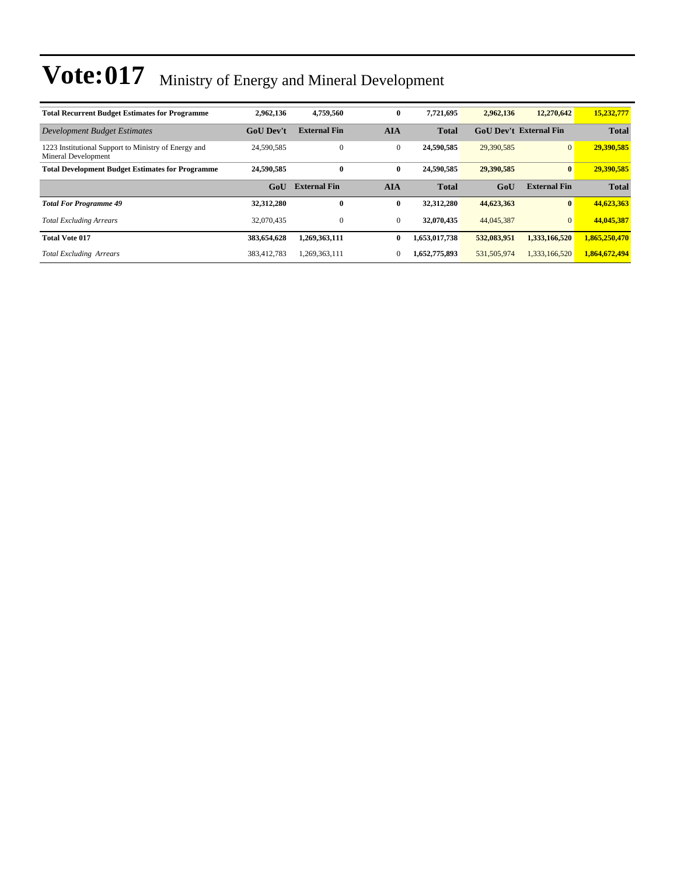| <b>Total Recurrent Budget Estimates for Programme</b>                       | 2,962,136        | 4,759,560           | $\bf{0}$     | 7,721,695     | 2.962.136   | 12,270,642                    | 15,232,777    |
|-----------------------------------------------------------------------------|------------------|---------------------|--------------|---------------|-------------|-------------------------------|---------------|
| Development Budget Estimates                                                | <b>GoU</b> Dev't | <b>External Fin</b> | <b>AIA</b>   | <b>Total</b>  |             | <b>GoU Dev't External Fin</b> | <b>Total</b>  |
| 1223 Institutional Support to Ministry of Energy and<br>Mineral Development | 24,590,585       | $\mathbf{0}$        | $\mathbf{0}$ | 24,590,585    | 29,390,585  | $\overline{0}$                | 29,390,585    |
| <b>Total Development Budget Estimates for Programme</b>                     | 24,590,585       | $\bf{0}$            | $\bf{0}$     | 24,590,585    | 29,390,585  | $\mathbf{0}$                  | 29,390,585    |
|                                                                             | GoU              | <b>External Fin</b> | <b>AIA</b>   | <b>Total</b>  | GoU         | <b>External Fin</b>           | <b>Total</b>  |
| <b>Total For Programme 49</b>                                               | 32,312,280       | $\bf{0}$            | $\bf{0}$     | 32,312,280    | 44,623,363  | $\mathbf{0}$                  | 44,623,363    |
| <b>Total Excluding Arrears</b>                                              | 32,070,435       | $\overline{0}$      | $\mathbf{0}$ | 32,070,435    | 44,045,387  | $\mathbf{0}$                  | 44,045,387    |
| <b>Total Vote 017</b>                                                       | 383,654,628      | 1,269,363,111       | $\bf{0}$     | 1,653,017,738 | 532,083,951 | 1,333,166,520                 | 1,865,250,470 |
| <b>Total Excluding Arrears</b>                                              | 383.412.783      | 1,269,363,111       | 0            | 1,652,775,893 | 531,505,974 | 1,333,166,520                 | 1,864,672,494 |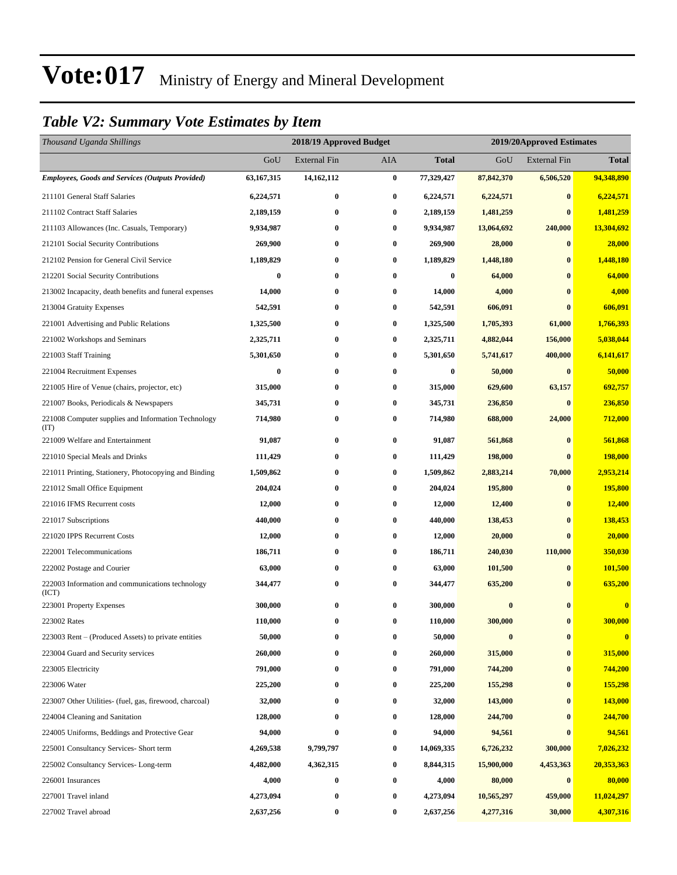#### *Table V2: Summary Vote Estimates by Item*

| Thousand Uganda Shillings                                   |                  | 2018/19 Approved Budget |            | 2019/20Approved Estimates |            |                     |              |
|-------------------------------------------------------------|------------------|-------------------------|------------|---------------------------|------------|---------------------|--------------|
|                                                             | GoU              | <b>External Fin</b>     | <b>AIA</b> | <b>Total</b>              | GoU        | <b>External Fin</b> | <b>Total</b> |
| <b>Employees, Goods and Services (Outputs Provided)</b>     | 63,167,315       | 14,162,112              | $\bf{0}$   | 77,329,427                | 87,842,370 | 6,506,520           | 94,348,890   |
| 211101 General Staff Salaries                               | 6,224,571        | $\bf{0}$                | $\bf{0}$   | 6,224,571                 | 6,224,571  | $\bf{0}$            | 6,224,571    |
| 211102 Contract Staff Salaries                              | 2,189,159        | 0                       | $\bf{0}$   | 2,189,159                 | 1,481,259  | $\bf{0}$            | 1,481,259    |
| 211103 Allowances (Inc. Casuals, Temporary)                 | 9,934,987        | $\bf{0}$                | $\bf{0}$   | 9,934,987                 | 13,064,692 | 240,000             | 13,304,692   |
| 212101 Social Security Contributions                        | 269,900          | $\bf{0}$                | $\bf{0}$   | 269,900                   | 28,000     | $\bf{0}$            | 28,000       |
| 212102 Pension for General Civil Service                    | 1,189,829        | $\bf{0}$                | $\bf{0}$   | 1,189,829                 | 1,448,180  | $\bf{0}$            | 1,448,180    |
| 212201 Social Security Contributions                        | $\bf{0}$         | $\bf{0}$                | $\bf{0}$   | $\bf{0}$                  | 64,000     | $\bf{0}$            | 64,000       |
| 213002 Incapacity, death benefits and funeral expenses      | 14,000           | 0                       | $\bf{0}$   | 14,000                    | 4,000      | $\bf{0}$            | 4,000        |
| 213004 Gratuity Expenses                                    | 542,591          | $\boldsymbol{0}$        | $\bf{0}$   | 542,591                   | 606,091    | $\bf{0}$            | 606,091      |
| 221001 Advertising and Public Relations                     | 1,325,500        | $\bf{0}$                | $\bf{0}$   | 1,325,500                 | 1,705,393  | 61,000              | 1,766,393    |
| 221002 Workshops and Seminars                               | 2,325,711        | $\bf{0}$                | $\bf{0}$   | 2,325,711                 | 4,882,044  | 156,000             | 5,038,044    |
| 221003 Staff Training                                       | 5,301,650        | 0                       | $\bf{0}$   | 5,301,650                 | 5,741,617  | 400,000             | 6,141,617    |
| 221004 Recruitment Expenses                                 | $\boldsymbol{0}$ | 0                       | $\bf{0}$   | $\boldsymbol{0}$          | 50,000     | $\bf{0}$            | 50,000       |
| 221005 Hire of Venue (chairs, projector, etc)               | 315,000          | $\bf{0}$                | $\bf{0}$   | 315,000                   | 629,600    | 63,157              | 692,757      |
| 221007 Books, Periodicals & Newspapers                      | 345,731          | $\bf{0}$                | $\bf{0}$   | 345,731                   | 236,850    | $\bf{0}$            | 236,850      |
| 221008 Computer supplies and Information Technology<br>(TT) | 714,980          | $\bf{0}$                | $\bf{0}$   | 714,980                   | 688,000    | 24,000              | 712,000      |
| 221009 Welfare and Entertainment                            | 91,087           | $\boldsymbol{0}$        | $\bf{0}$   | 91,087                    | 561,868    | $\bf{0}$            | 561,868      |
| 221010 Special Meals and Drinks                             | 111,429          | $\bf{0}$                | $\bf{0}$   | 111,429                   | 198,000    | $\bf{0}$            | 198,000      |
| 221011 Printing, Stationery, Photocopying and Binding       | 1,509,862        | 0                       | $\bf{0}$   | 1,509,862                 | 2,883,214  | 70,000              | 2,953,214    |
| 221012 Small Office Equipment                               | 204,024          | $\boldsymbol{0}$        | $\bf{0}$   | 204,024                   | 195,800    | $\bf{0}$            | 195,800      |
| 221016 IFMS Recurrent costs                                 | 12,000           | 0                       | $\bf{0}$   | 12,000                    | 12,400     | $\bf{0}$            | 12,400       |
| 221017 Subscriptions                                        | 440,000          | $\boldsymbol{0}$        | $\bf{0}$   | 440,000                   | 138,453    | $\bf{0}$            | 138,453      |
| 221020 IPPS Recurrent Costs                                 | 12,000           | $\bf{0}$                | $\bf{0}$   | 12,000                    | 20,000     | $\bf{0}$            | 20,000       |
| 222001 Telecommunications                                   | 186,711          | 0                       | $\bf{0}$   | 186,711                   | 240,030    | 110,000             | 350,030      |
| 222002 Postage and Courier                                  | 63,000           | $\boldsymbol{0}$        | $\bf{0}$   | 63,000                    | 101,500    | $\bf{0}$            | 101,500      |
| 222003 Information and communications technology<br>(ICT)   | 344,477          | 0                       | $\bf{0}$   | 344,477                   | 635,200    | $\bf{0}$            | 635,200      |
| 223001 Property Expenses                                    | 300,000          | 0                       | $\bf{0}$   | 300,000                   | $\bf{0}$   | $\bf{0}$            | $\bf{0}$     |
| 223002 Rates                                                | 110,000          | $\bf{0}$                | $\bf{0}$   | 110,000                   | 300,000    | $\bf{0}$            | 300,000      |
| 223003 Rent – (Produced Assets) to private entities         | 50,000           | 0                       | $\bf{0}$   | 50,000                    | $\bf{0}$   | $\boldsymbol{0}$    | $\bf{0}$     |
| 223004 Guard and Security services                          | 260,000          | 0                       | $\bf{0}$   | 260,000                   | 315,000    | $\bf{0}$            | 315,000      |
| 223005 Electricity                                          | 791,000          | $\boldsymbol{0}$        | $\bf{0}$   | 791,000                   | 744,200    | $\boldsymbol{0}$    | 744,200      |
| 223006 Water                                                | 225,200          | 0                       | $\bf{0}$   | 225,200                   | 155,298    | $\bf{0}$            | 155,298      |
| 223007 Other Utilities- (fuel, gas, firewood, charcoal)     | 32,000           | $\bf{0}$                | $\bf{0}$   | 32,000                    | 143,000    | $\bf{0}$            | 143,000      |
| 224004 Cleaning and Sanitation                              | 128,000          | 0                       | $\bf{0}$   | 128,000                   | 244,700    | $\bf{0}$            | 244,700      |
| 224005 Uniforms, Beddings and Protective Gear               | 94,000           | 0                       | $\bf{0}$   | 94,000                    | 94,561     | $\bf{0}$            | 94,561       |
| 225001 Consultancy Services- Short term                     | 4,269,538        | 9,799,797               | $\bf{0}$   | 14,069,335                | 6,726,232  | 300,000             | 7,026,232    |
| 225002 Consultancy Services-Long-term                       | 4,482,000        | 4,362,315               | $\bf{0}$   | 8,844,315                 | 15,900,000 | 4,453,363           | 20,353,363   |
| 226001 Insurances                                           | 4,000            | $\boldsymbol{0}$        | $\bf{0}$   | 4,000                     | 80,000     | $\boldsymbol{0}$    | 80,000       |
| 227001 Travel inland                                        | 4,273,094        | 0                       | $\bf{0}$   | 4,273,094                 | 10,565,297 | 459,000             | 11,024,297   |
| 227002 Travel abroad                                        | 2,637,256        | 0                       | $\bf{0}$   | 2,637,256                 | 4,277,316  | 30,000              | 4,307,316    |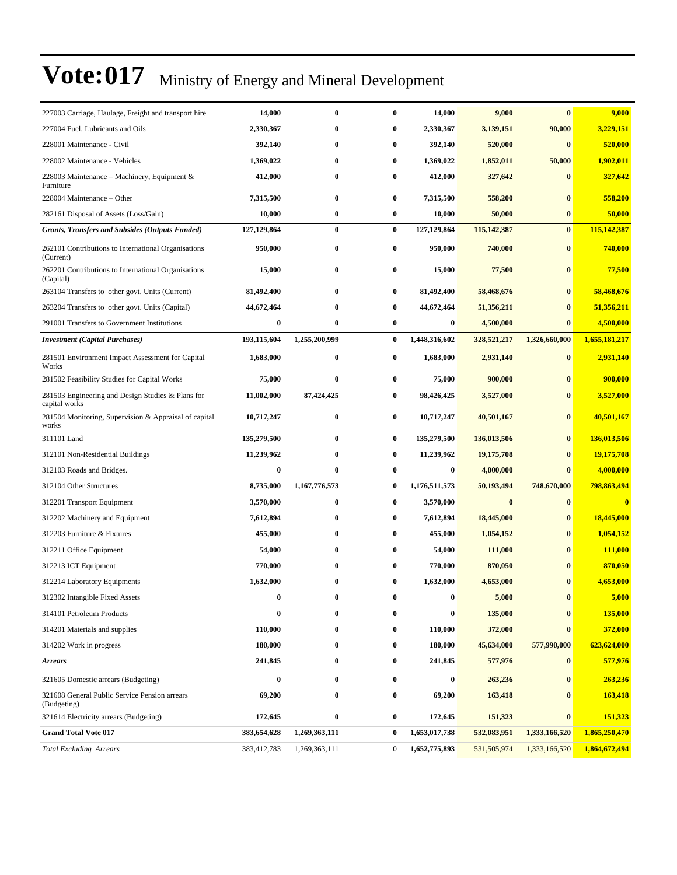| 227003 Carriage, Haulage, Freight and transport hire               | 14,000       | $\bf{0}$      | $\bf{0}$         | 14,000           | 9,000         | $\bf{0}$      | 9,000         |
|--------------------------------------------------------------------|--------------|---------------|------------------|------------------|---------------|---------------|---------------|
| 227004 Fuel, Lubricants and Oils                                   | 2,330,367    | $\bf{0}$      | 0                | 2,330,367        | 3,139,151     | 90,000        | 3,229,151     |
| 228001 Maintenance - Civil                                         | 392,140      | $\bf{0}$      | $\bf{0}$         | 392,140          | 520,000       | $\bf{0}$      | 520,000       |
| 228002 Maintenance - Vehicles                                      | 1,369,022    | $\bf{0}$      | 0                | 1,369,022        | 1,852,011     | 50,000        | 1,902,011     |
| 228003 Maintenance - Machinery, Equipment &<br>Furniture           | 412,000      | $\bf{0}$      | 0                | 412,000          | 327,642       | $\bf{0}$      | 327,642       |
| 228004 Maintenance – Other                                         | 7,315,500    | $\bf{0}$      | 0                | 7,315,500        | 558,200       | $\bf{0}$      | 558,200       |
| 282161 Disposal of Assets (Loss/Gain)                              | 10,000       | $\bf{0}$      | $\bf{0}$         | 10,000           | 50,000        | $\bf{0}$      | 50,000        |
| <b>Grants, Transfers and Subsides (Outputs Funded)</b>             | 127,129,864  | $\bf{0}$      | $\bf{0}$         | 127,129,864      | 115, 142, 387 | $\bf{0}$      | 115,142,387   |
| 262101 Contributions to International Organisations<br>(Current)   | 950,000      | $\bf{0}$      | 0                | 950,000          | 740,000       | $\bf{0}$      | 740,000       |
| 262201 Contributions to International Organisations<br>(Capital)   | 15,000       | $\bf{0}$      | $\bf{0}$         | 15,000           | 77,500        | $\bf{0}$      | 77,500        |
| 263104 Transfers to other govt. Units (Current)                    | 81,492,400   | $\bf{0}$      | 0                | 81,492,400       | 58,468,676    | $\bf{0}$      | 58,468,676    |
| 263204 Transfers to other govt. Units (Capital)                    | 44,672,464   | $\bf{0}$      | 0                | 44,672,464       | 51,356,211    | $\bf{0}$      | 51,356,211    |
| 291001 Transfers to Government Institutions                        | 0            | $\bf{0}$      | 0                | $\bf{0}$         | 4,500,000     | $\bf{0}$      | 4,500,000     |
| <b>Investment</b> (Capital Purchases)                              | 193,115,604  | 1,255,200,999 | $\bf{0}$         | 1,448,316,602    | 328,521,217   | 1,326,660,000 | 1,655,181,217 |
| 281501 Environment Impact Assessment for Capital<br>Works          | 1,683,000    | $\bf{0}$      | $\bf{0}$         | 1,683,000        | 2,931,140     | $\bf{0}$      | 2,931,140     |
| 281502 Feasibility Studies for Capital Works                       | 75,000       | $\bf{0}$      | 0                | 75,000           | 900,000       | $\bf{0}$      | 900,000       |
| 281503 Engineering and Design Studies & Plans for<br>capital works | 11,002,000   | 87,424,425    | 0                | 98,426,425       | 3,527,000     | $\bf{0}$      | 3,527,000     |
| 281504 Monitoring, Supervision & Appraisal of capital<br>works     | 10,717,247   | $\bf{0}$      | $\bf{0}$         | 10,717,247       | 40,501,167    | $\bf{0}$      | 40,501,167    |
| 311101 Land                                                        | 135,279,500  | $\bf{0}$      | $\bf{0}$         | 135,279,500      | 136,013,506   | $\bf{0}$      | 136,013,506   |
| 312101 Non-Residential Buildings                                   | 11,239,962   | $\bf{0}$      | 0                | 11,239,962       | 19,175,708    | $\bf{0}$      | 19,175,708    |
| 312103 Roads and Bridges.                                          | 0            | $\bf{0}$      | $\bf{0}$         | $\bf{0}$         | 4,000,000     | $\bf{0}$      | 4,000,000     |
| 312104 Other Structures                                            | 8,735,000    | 1,167,776,573 | 0                | 1,176,511,573    | 50,193,494    | 748,670,000   | 798,863,494   |
| 312201 Transport Equipment                                         | 3,570,000    | $\bf{0}$      | 0                | 3,570,000        | $\bf{0}$      | $\bf{0}$      | $\bf{0}$      |
| 312202 Machinery and Equipment                                     | 7,612,894    | $\bf{0}$      | 0                | 7,612,894        | 18,445,000    | $\bf{0}$      | 18,445,000    |
| 312203 Furniture & Fixtures                                        | 455,000      | $\bf{0}$      | $\bf{0}$         | 455,000          | 1,054,152     | $\bf{0}$      | 1,054,152     |
| 312211 Office Equipment                                            | 54,000       | $\bf{0}$      | 0                | 54,000           | 111,000       | $\mathbf{0}$  | 111,000       |
| 312213 ICT Equipment                                               | 770,000      | $\bf{0}$      | 0                | 770,000          | 870,050       |               | 870,050       |
| 312214 Laboratory Equipments                                       | 1,632,000    | $\bf{0}$      | 0                | 1,632,000        | 4,653,000     | $\bf{0}$      | 4,653,000     |
| 312302 Intangible Fixed Assets                                     | $\mathbf{0}$ | 0             | 0                | $\mathbf{0}$     | 5,000         |               | 5,000         |
| 314101 Petroleum Products                                          | 0            | $\bf{0}$      | $\bf{0}$         | $\boldsymbol{0}$ | 135,000       | $\pmb{0}$     | 135,000       |
| 314201 Materials and supplies                                      | 110,000      | $\bf{0}$      | 0                | 110,000          | 372,000       | $\bf{0}$      | 372,000       |
| 314202 Work in progress                                            | 180,000      | $\bf{0}$      | $\bf{0}$         | 180,000          | 45,634,000    | 577,990,000   | 623,624,000   |
| <b>Arrears</b>                                                     | 241,845      | $\bf{0}$      | $\bf{0}$         | 241,845          | 577,976       | $\bf{0}$      | 577,976       |
| 321605 Domestic arrears (Budgeting)                                | 0            | $\bf{0}$      | 0                | $\bf{0}$         | 263,236       | $\pmb{0}$     | 263,236       |
| 321608 General Public Service Pension arrears<br>(Budgeting)       | 69,200       | $\bf{0}$      | 0                | 69,200           | 163,418       | $\bf{0}$      | 163,418       |
| 321614 Electricity arrears (Budgeting)                             | 172,645      | $\bf{0}$      | 0                | 172,645          | 151,323       | $\bf{0}$      | 151,323       |
| <b>Grand Total Vote 017</b>                                        | 383,654,628  | 1,269,363,111 | $\bf{0}$         | 1,653,017,738    | 532,083,951   | 1,333,166,520 | 1,865,250,470 |
| <b>Total Excluding Arrears</b>                                     | 383,412,783  | 1,269,363,111 | $\boldsymbol{0}$ | 1,652,775,893    | 531,505,974   | 1,333,166,520 | 1,864,672,494 |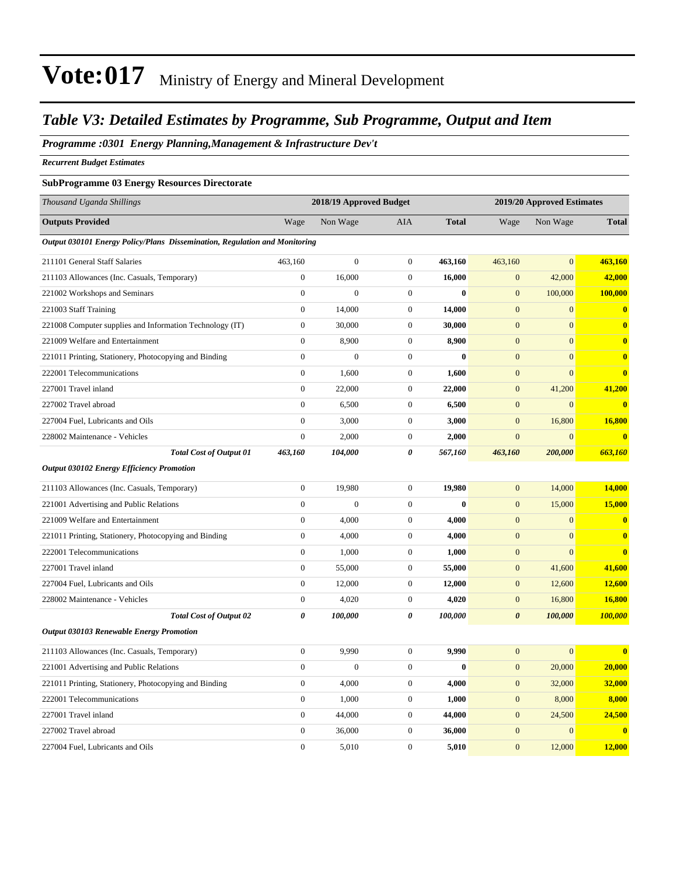#### *Table V3: Detailed Estimates by Programme, Sub Programme, Output and Item*

#### *Programme :0301 Energy Planning,Management & Infrastructure Dev't*

*Recurrent Budget Estimates*

#### **SubProgramme 03 Energy Resources Directorate**

| Thousand Uganda Shillings                                                  |                  | 2018/19 Approved Budget |                  |              |                       | 2019/20 Approved Estimates |               |
|----------------------------------------------------------------------------|------------------|-------------------------|------------------|--------------|-----------------------|----------------------------|---------------|
| <b>Outputs Provided</b>                                                    | Wage             | Non Wage                | <b>AIA</b>       | <b>Total</b> | Wage                  | Non Wage                   | <b>Total</b>  |
| Output 030101 Energy Policy/Plans Dissemination, Regulation and Monitoring |                  |                         |                  |              |                       |                            |               |
| 211101 General Staff Salaries                                              | 463,160          | $\boldsymbol{0}$        | $\boldsymbol{0}$ | 463,160      | 463,160               | $\overline{0}$             | 463,160       |
| 211103 Allowances (Inc. Casuals, Temporary)                                | $\overline{0}$   | 16,000                  | $\mathbf{0}$     | 16,000       | $\mathbf{0}$          | 42,000                     | 42,000        |
| 221002 Workshops and Seminars                                              | $\boldsymbol{0}$ | $\Omega$                | $\boldsymbol{0}$ | $\bf{0}$     | $\boldsymbol{0}$      | 100,000                    | 100,000       |
| 221003 Staff Training                                                      | $\boldsymbol{0}$ | 14,000                  | $\mathbf{0}$     | 14,000       | $\mathbf{0}$          | $\mathbf{0}$               | $\bf{0}$      |
| 221008 Computer supplies and Information Technology (IT)                   | $\boldsymbol{0}$ | 30,000                  | $\mathbf{0}$     | 30,000       | $\mathbf{0}$          | $\mathbf{0}$               | $\bf{0}$      |
| 221009 Welfare and Entertainment                                           | $\overline{0}$   | 8,900                   | $\mathbf{0}$     | 8,900        | $\mathbf{0}$          | $\overline{0}$             | $\bf{0}$      |
| 221011 Printing, Stationery, Photocopying and Binding                      | $\boldsymbol{0}$ | $\boldsymbol{0}$        | $\boldsymbol{0}$ | $\bf{0}$     | $\boldsymbol{0}$      | $\boldsymbol{0}$           | $\bf{0}$      |
| 222001 Telecommunications                                                  | $\boldsymbol{0}$ | 1,600                   | $\boldsymbol{0}$ | 1,600        | $\boldsymbol{0}$      | $\overline{0}$             | $\bf{0}$      |
| 227001 Travel inland                                                       | $\boldsymbol{0}$ | 22,000                  | $\boldsymbol{0}$ | 22,000       | $\mathbf{0}$          | 41,200                     | 41,200        |
| 227002 Travel abroad                                                       | $\overline{0}$   | 6,500                   | $\boldsymbol{0}$ | 6,500        | $\boldsymbol{0}$      | $\overline{0}$             | $\bf{0}$      |
| 227004 Fuel, Lubricants and Oils                                           | $\boldsymbol{0}$ | 3,000                   | $\mathbf{0}$     | 3,000        | $\mathbf{0}$          | 16,800                     | 16,800        |
| 228002 Maintenance - Vehicles                                              | $\boldsymbol{0}$ | 2,000                   | $\mathbf{0}$     | 2,000        | $\mathbf{0}$          | $\overline{0}$             | $\bf{0}$      |
| <b>Total Cost of Output 01</b>                                             | 463,160          | 104,000                 | 0                | 567,160      | 463,160               | 200,000                    | 663,160       |
| <b>Output 030102 Energy Efficiency Promotion</b>                           |                  |                         |                  |              |                       |                            |               |
| 211103 Allowances (Inc. Casuals, Temporary)                                | $\boldsymbol{0}$ | 19,980                  | $\mathbf{0}$     | 19,980       | $\mathbf{0}$          | 14,000                     | 14,000        |
| 221001 Advertising and Public Relations                                    | $\boldsymbol{0}$ | $\boldsymbol{0}$        | $\boldsymbol{0}$ | $\bf{0}$     | $\mathbf{0}$          | 15,000                     | 15,000        |
| 221009 Welfare and Entertainment                                           | $\boldsymbol{0}$ | 4,000                   | $\mathbf{0}$     | 4,000        | $\mathbf{0}$          | $\overline{0}$             | $\bf{0}$      |
| 221011 Printing, Stationery, Photocopying and Binding                      | $\boldsymbol{0}$ | 4,000                   | $\boldsymbol{0}$ | 4,000        | $\boldsymbol{0}$      | $\overline{0}$             | $\bf{0}$      |
| 222001 Telecommunications                                                  | $\boldsymbol{0}$ | 1,000                   | $\boldsymbol{0}$ | 1,000        | $\boldsymbol{0}$      | $\overline{0}$             | $\bf{0}$      |
| 227001 Travel inland                                                       | $\boldsymbol{0}$ | 55,000                  | $\mathbf{0}$     | 55,000       | $\mathbf{0}$          | 41,600                     | 41,600        |
| 227004 Fuel, Lubricants and Oils                                           | $\mathbf{0}$     | 12,000                  | $\boldsymbol{0}$ | 12,000       | $\boldsymbol{0}$      | 12,600                     | <b>12,600</b> |
| 228002 Maintenance - Vehicles                                              | $\boldsymbol{0}$ | 4,020                   | $\mathbf{0}$     | 4,020        | $\boldsymbol{0}$      | 16,800                     | 16,800        |
| <b>Total Cost of Output 02</b>                                             | 0                | 100,000                 | $\pmb{\theta}$   | 100,000      | $\boldsymbol{\theta}$ | 100,000                    | 100,000       |
| <b>Output 030103 Renewable Energy Promotion</b>                            |                  |                         |                  |              |                       |                            |               |
| 211103 Allowances (Inc. Casuals, Temporary)                                | $\boldsymbol{0}$ | 9,990                   | $\boldsymbol{0}$ | 9,990        | $\mathbf{0}$          | $\mathbf{0}$               | $\mathbf{0}$  |
| 221001 Advertising and Public Relations                                    | $\boldsymbol{0}$ | $\boldsymbol{0}$        | $\mathbf{0}$     | $\bf{0}$     | $\mathbf{0}$          | 20,000                     | 20,000        |
| 221011 Printing, Stationery, Photocopying and Binding                      | $\boldsymbol{0}$ | 4,000                   | $\mathbf{0}$     | 4,000        | $\mathbf{0}$          | 32,000                     | 32,000        |
| 222001 Telecommunications                                                  | $\overline{0}$   | 1,000                   | $\mathbf{0}$     | 1,000        | $\mathbf{0}$          | 8,000                      | 8,000         |
| 227001 Travel inland                                                       | $\boldsymbol{0}$ | 44,000                  | $\boldsymbol{0}$ | 44,000       | $\boldsymbol{0}$      | 24,500                     | 24,500        |
| 227002 Travel abroad                                                       | $\boldsymbol{0}$ | 36,000                  | $\boldsymbol{0}$ | 36,000       | $\boldsymbol{0}$      | $\boldsymbol{0}$           | $\bf{0}$      |
| 227004 Fuel, Lubricants and Oils                                           | $\overline{0}$   | 5,010                   | $\mathbf{0}$     | 5,010        | $\mathbf{0}$          | 12,000                     | 12,000        |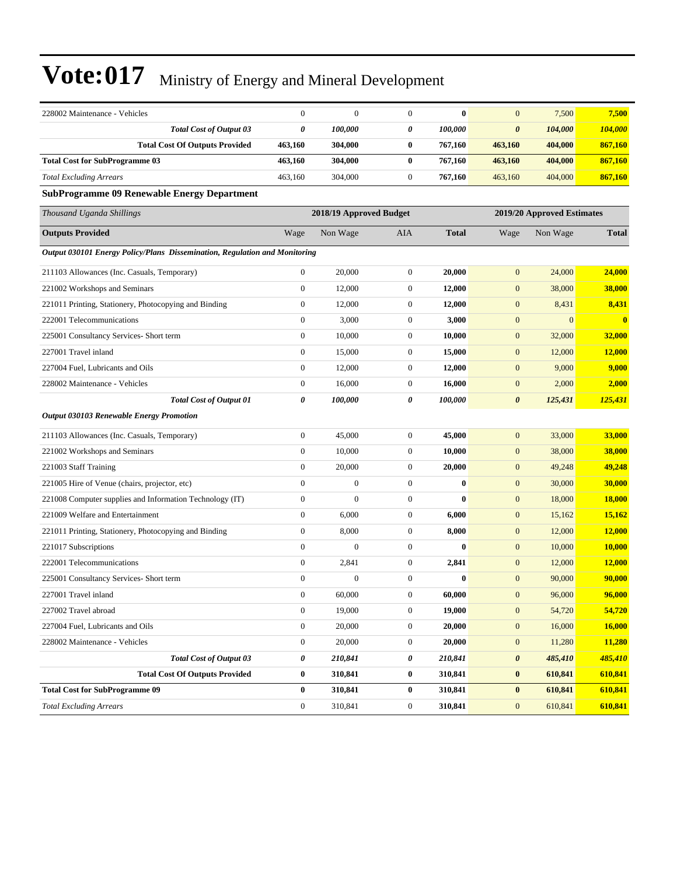| 228002 Maintenance - Vehicles                                              | $\mathbf{0}$                                          | $\mathbf{0}$   | $\boldsymbol{0}$ | $\bf{0}$     | $\mathbf{0}$          | 7,500        | 7,500                   |
|----------------------------------------------------------------------------|-------------------------------------------------------|----------------|------------------|--------------|-----------------------|--------------|-------------------------|
| <b>Total Cost of Output 03</b>                                             | 0                                                     | 100,000        | 0                | 100,000      | 0                     | 104,000      | 104,000                 |
| <b>Total Cost Of Outputs Provided</b>                                      | 463,160                                               | 304,000        | $\bf{0}$         | 767,160      | 463,160               | 404,000      | 867,160                 |
| <b>Total Cost for SubProgramme 03</b>                                      | 463,160                                               | 304,000        | $\bf{0}$         | 767,160      | 463,160               | 404,000      | 867,160                 |
| <b>Total Excluding Arrears</b>                                             | 463,160                                               | 304,000        | $\boldsymbol{0}$ | 767,160      | 463,160               | 404,000      | 867,160                 |
| <b>SubProgramme 09 Renewable Energy Department</b>                         |                                                       |                |                  |              |                       |              |                         |
| Thousand Uganda Shillings                                                  | 2018/19 Approved Budget<br>2019/20 Approved Estimates |                |                  |              |                       |              |                         |
| <b>Outputs Provided</b>                                                    | Wage                                                  | Non Wage       | AIA              | <b>Total</b> | Wage                  | Non Wage     | <b>Total</b>            |
| Output 030101 Energy Policy/Plans Dissemination, Regulation and Monitoring |                                                       |                |                  |              |                       |              |                         |
| 211103 Allowances (Inc. Casuals, Temporary)                                | $\boldsymbol{0}$                                      | 20,000         | $\boldsymbol{0}$ | 20,000       | $\mathbf{0}$          | 24,000       | 24,000                  |
| 221002 Workshops and Seminars                                              | $\boldsymbol{0}$                                      | 12,000         | $\boldsymbol{0}$ | 12,000       | $\mathbf{0}$          | 38,000       | 38,000                  |
| 221011 Printing, Stationery, Photocopying and Binding                      | $\mathbf{0}$                                          | 12,000         | $\boldsymbol{0}$ | 12,000       | $\boldsymbol{0}$      | 8,431        | 8,431                   |
| 222001 Telecommunications                                                  | $\mathbf{0}$                                          | 3,000          | $\boldsymbol{0}$ | 3,000        | $\boldsymbol{0}$      | $\mathbf{0}$ | $\overline{\mathbf{0}}$ |
| 225001 Consultancy Services- Short term                                    | $\boldsymbol{0}$                                      | 10,000         | $\boldsymbol{0}$ | 10,000       | $\mathbf{0}$          | 32,000       | 32,000                  |
| 227001 Travel inland                                                       | $\boldsymbol{0}$                                      | 15,000         | $\boldsymbol{0}$ | 15,000       | $\boldsymbol{0}$      | 12,000       | 12,000                  |
| 227004 Fuel, Lubricants and Oils                                           | $\boldsymbol{0}$                                      | 12,000         | $\boldsymbol{0}$ | 12,000       | $\mathbf{0}$          | 9,000        | 9,000                   |
| 228002 Maintenance - Vehicles                                              | $\boldsymbol{0}$                                      | 16,000         | $\boldsymbol{0}$ | 16,000       | $\boldsymbol{0}$      | 2,000        | 2,000                   |
| <b>Total Cost of Output 01</b>                                             | 0                                                     | 100,000        | 0                | 100,000      | $\boldsymbol{\theta}$ | 125,431      | 125,431                 |
| <b>Output 030103 Renewable Energy Promotion</b>                            |                                                       |                |                  |              |                       |              |                         |
| 211103 Allowances (Inc. Casuals, Temporary)                                | $\boldsymbol{0}$                                      | 45,000         | $\boldsymbol{0}$ | 45,000       | $\mathbf{0}$          | 33,000       | 33,000                  |
| 221002 Workshops and Seminars                                              | $\boldsymbol{0}$                                      | 10,000         | $\boldsymbol{0}$ | 10,000       | $\boldsymbol{0}$      | 38,000       | 38,000                  |
| 221003 Staff Training                                                      | $\mathbf{0}$                                          | 20,000         | $\boldsymbol{0}$ | 20,000       | $\mathbf{0}$          | 49,248       | 49,248                  |
| 221005 Hire of Venue (chairs, projector, etc)                              | $\mathbf{0}$                                          | $\mathbf{0}$   | $\boldsymbol{0}$ | $\bf{0}$     | $\mathbf{0}$          | 30,000       | 30,000                  |
| 221008 Computer supplies and Information Technology (IT)                   | $\mathbf{0}$                                          | $\overline{0}$ | $\mathbf{0}$     | $\bf{0}$     | $\boldsymbol{0}$      | 18,000       | <b>18,000</b>           |
| 221009 Welfare and Entertainment                                           | $\mathbf{0}$                                          | 6,000          | $\boldsymbol{0}$ | 6,000        | $\boldsymbol{0}$      | 15,162       | 15,162                  |
| 221011 Printing, Stationery, Photocopying and Binding                      | $\boldsymbol{0}$                                      | 8,000          | $\boldsymbol{0}$ | 8,000        | $\boldsymbol{0}$      | 12,000       | 12,000                  |
| 221017 Subscriptions                                                       | $\mathbf{0}$                                          | $\mathbf{0}$   | $\boldsymbol{0}$ | $\bf{0}$     | $\boldsymbol{0}$      | 10,000       | 10,000                  |
| 222001 Telecommunications                                                  | $\boldsymbol{0}$                                      | 2,841          | $\boldsymbol{0}$ | 2,841        | $\mathbf{0}$          | 12,000       | 12,000                  |
| 225001 Consultancy Services- Short term                                    | $\mathbf{0}$                                          | $\overline{0}$ | $\boldsymbol{0}$ | $\bf{0}$     | $\mathbf{0}$          | 90,000       | 90,000                  |
| 227001 Travel inland                                                       | $\mathbf{0}$                                          | 60,000         | $\overline{0}$   | 60,000       | $\overline{0}$        | 96,000       | 96,000                  |
| 227002 Travel abroad                                                       | $\boldsymbol{0}$                                      | 19,000         | $\boldsymbol{0}$ | 19,000       | $\mathbf{0}$          | 54,720       | 54,720                  |
| 227004 Fuel, Lubricants and Oils                                           | $\boldsymbol{0}$                                      | 20,000         | $\boldsymbol{0}$ | 20,000       | $\boldsymbol{0}$      | 16,000       | 16,000                  |
| 228002 Maintenance - Vehicles                                              | $\boldsymbol{0}$                                      | 20,000         | $\boldsymbol{0}$ | 20,000       | $\mathbf{0}$          | 11,280       | 11,280                  |
| <b>Total Cost of Output 03</b>                                             | $\pmb{\theta}$                                        | 210,841        | 0                | 210,841      | $\pmb{\theta}$        | 485,410      | 485,410                 |
| <b>Total Cost Of Outputs Provided</b>                                      | $\bf{0}$                                              | 310,841        | $\bf{0}$         | 310,841      | $\bf{0}$              | 610,841      | 610,841                 |
| <b>Total Cost for SubProgramme 09</b>                                      | $\bf{0}$                                              | 310,841        | $\bf{0}$         | 310,841      | $\bf{0}$              | 610,841      | 610,841                 |
| <b>Total Excluding Arrears</b>                                             | $\boldsymbol{0}$                                      | 310,841        | $\boldsymbol{0}$ | 310,841      | $\mathbf{0}$          | 610,841      | 610,841                 |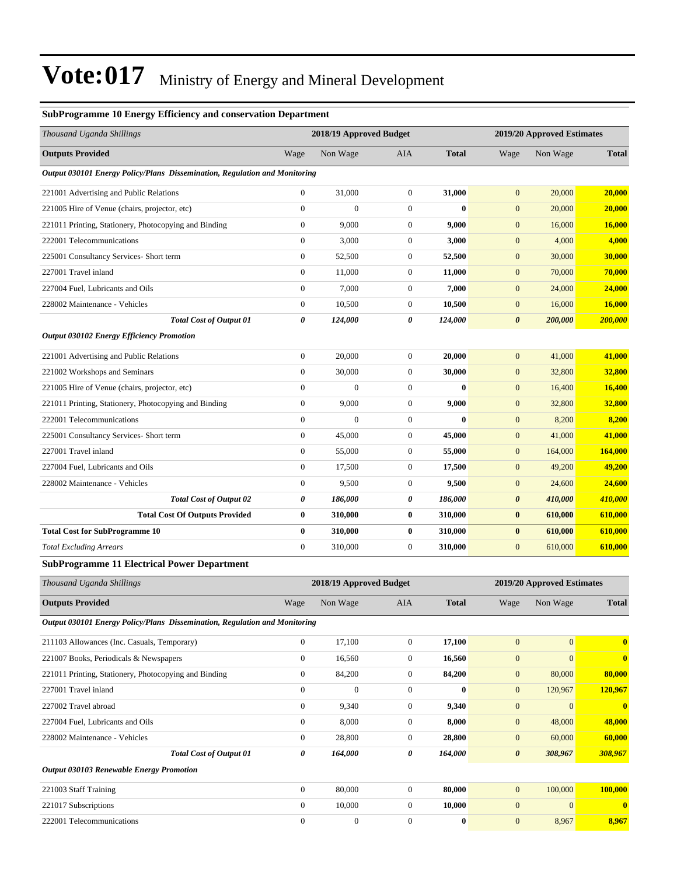#### **SubProgramme 10 Energy Efficiency and conservation Department**

| Thousand Uganda Shillings                                                  |                  | 2018/19 Approved Budget |                  |              |                       | 2019/20 Approved Estimates |                         |
|----------------------------------------------------------------------------|------------------|-------------------------|------------------|--------------|-----------------------|----------------------------|-------------------------|
| <b>Outputs Provided</b>                                                    | Wage             | Non Wage                | AIA              | <b>Total</b> | Wage                  | Non Wage                   | <b>Total</b>            |
| Output 030101 Energy Policy/Plans Dissemination, Regulation and Monitoring |                  |                         |                  |              |                       |                            |                         |
| 221001 Advertising and Public Relations                                    | $\boldsymbol{0}$ | 31,000                  | $\mathbf{0}$     | 31,000       | $\mathbf{0}$          | 20,000                     | 20,000                  |
| 221005 Hire of Venue (chairs, projector, etc)                              | $\boldsymbol{0}$ | $\theta$                | 0                | $\bf{0}$     | $\mathbf{0}$          | 20,000                     | 20,000                  |
| 221011 Printing, Stationery, Photocopying and Binding                      | $\boldsymbol{0}$ | 9,000                   | 0                | 9,000        | $\mathbf{0}$          | 16,000                     | 16,000                  |
| 222001 Telecommunications                                                  | $\boldsymbol{0}$ | 3,000                   | $\mathbf{0}$     | 3,000        | $\mathbf{0}$          | 4,000                      | 4,000                   |
| 225001 Consultancy Services- Short term                                    | $\boldsymbol{0}$ | 52,500                  | $\mathbf{0}$     | 52,500       | $\mathbf{0}$          | 30,000                     | 30,000                  |
| 227001 Travel inland                                                       | $\boldsymbol{0}$ | 11,000                  | $\mathbf{0}$     | 11,000       | $\mathbf{0}$          | 70,000                     | 70,000                  |
| 227004 Fuel, Lubricants and Oils                                           | $\mathbf{0}$     | 7,000                   | $\mathbf{0}$     | 7,000        | $\mathbf{0}$          | 24,000                     | 24,000                  |
| 228002 Maintenance - Vehicles                                              | $\boldsymbol{0}$ | 10,500                  | 0                | 10,500       | $\mathbf{0}$          | 16,000                     | 16,000                  |
| Total Cost of Output 01                                                    | 0                | 124,000                 | 0                | 124,000      | $\boldsymbol{\theta}$ | 200,000                    | 200,000                 |
| <b>Output 030102 Energy Efficiency Promotion</b>                           |                  |                         |                  |              |                       |                            |                         |
| 221001 Advertising and Public Relations                                    | $\boldsymbol{0}$ | 20,000                  | $\mathbf{0}$     | 20,000       | $\mathbf{0}$          | 41,000                     | 41,000                  |
| 221002 Workshops and Seminars                                              | $\boldsymbol{0}$ | 30,000                  | $\mathbf{0}$     | 30,000       | $\mathbf{0}$          | 32,800                     | 32,800                  |
| 221005 Hire of Venue (chairs, projector, etc)                              | $\boldsymbol{0}$ | $\overline{0}$          | $\mathbf{0}$     | $\bf{0}$     | $\mathbf{0}$          | 16,400                     | 16,400                  |
| 221011 Printing, Stationery, Photocopying and Binding                      | $\boldsymbol{0}$ | 9,000                   | 0                | 9,000        | $\mathbf{0}$          | 32,800                     | 32,800                  |
| 222001 Telecommunications                                                  | $\mathbf{0}$     | $\overline{0}$          | $\mathbf{0}$     | $\bf{0}$     | $\mathbf{0}$          | 8,200                      | 8,200                   |
| 225001 Consultancy Services- Short term                                    | $\boldsymbol{0}$ | 45,000                  | $\mathbf{0}$     | 45,000       | $\mathbf{0}$          | 41,000                     | 41,000                  |
| 227001 Travel inland                                                       | $\boldsymbol{0}$ | 55,000                  | $\mathbf{0}$     | 55,000       | $\mathbf{0}$          | 164,000                    | <b>164,000</b>          |
| 227004 Fuel, Lubricants and Oils                                           | $\mathbf{0}$     | 17,500                  | $\mathbf{0}$     | 17,500       | $\mathbf{0}$          | 49,200                     | 49,200                  |
| 228002 Maintenance - Vehicles                                              | $\boldsymbol{0}$ | 9,500                   | 0                | 9,500        | $\mathbf{0}$          | 24,600                     | 24,600                  |
| <b>Total Cost of Output 02</b>                                             | 0                | 186,000                 | 0                | 186,000      | $\boldsymbol{\theta}$ | 410,000                    | 410,000                 |
| <b>Total Cost Of Outputs Provided</b>                                      | $\bf{0}$         | 310,000                 | 0                | 310,000      | $\bf{0}$              | 610,000                    | 610,000                 |
| <b>Total Cost for SubProgramme 10</b>                                      | $\bf{0}$         | 310,000                 | 0                | 310,000      | $\bf{0}$              | 610,000                    | 610,000                 |
| <b>Total Excluding Arrears</b>                                             | $\boldsymbol{0}$ | 310,000                 | $\mathbf{0}$     | 310,000      | $\mathbf{0}$          | 610,000                    | 610,000                 |
| <b>SubProgramme 11 Electrical Power Department</b>                         |                  |                         |                  |              |                       |                            |                         |
| Thousand Uganda Shillings                                                  |                  | 2018/19 Approved Budget |                  |              |                       | 2019/20 Approved Estimates |                         |
| <b>Outputs Provided</b>                                                    | Wage             | Non Wage                | AIA              | <b>Total</b> | Wage                  | Non Wage                   | <b>Total</b>            |
| Output 030101 Energy Policy/Plans Dissemination, Regulation and Monitoring |                  |                         |                  |              |                       |                            |                         |
| 211103 Allowances (Inc. Casuals, Temporary)                                | $\boldsymbol{0}$ | 17,100                  | $\boldsymbol{0}$ | 17,100       | $\mathbf{0}$          | $\overline{0}$             | $\overline{\mathbf{0}}$ |
| 221007 Books, Periodicals & Newspapers                                     | $\boldsymbol{0}$ | 16,560                  | $\boldsymbol{0}$ | 16,560       | $\mathbf{0}$          | $\overline{0}$             | $\mathbf{0}$            |
| 221011 Printing, Stationery, Photocopying and Binding                      | $\boldsymbol{0}$ | 84,200                  | $\boldsymbol{0}$ | 84,200       | $\mathbf{0}$          | 80,000                     | 80,000                  |
| 227001 Travel inland                                                       | $\boldsymbol{0}$ | $\boldsymbol{0}$        | $\boldsymbol{0}$ | $\bf{0}$     | $\boldsymbol{0}$      | 120,967                    | 120,967                 |
| 227002 Travel abroad                                                       | $\boldsymbol{0}$ | 9,340                   | $\boldsymbol{0}$ | 9,340        | $\mathbf{0}$          | $\overline{0}$             | $\bf{0}$                |
| 227004 Fuel, Lubricants and Oils                                           | $\boldsymbol{0}$ | 8,000                   | 0                | 8,000        | $\mathbf{0}$          | 48,000                     | 48,000                  |
| 228002 Maintenance - Vehicles                                              | $\boldsymbol{0}$ | 28,800                  | $\boldsymbol{0}$ | 28,800       | $\mathbf{0}$          | 60,000                     | 60,000                  |
| <b>Total Cost of Output 01</b>                                             | 0                | 164,000                 | 0                | 164,000      | $\boldsymbol{\theta}$ | 308,967                    | 308,967                 |
| <b>Output 030103 Renewable Energy Promotion</b>                            |                  |                         |                  |              |                       |                            |                         |
| 221003 Staff Training                                                      | $\boldsymbol{0}$ | 80,000                  | $\mathbf{0}$     | 80,000       | $\mathbf{0}$          | 100,000                    | 100,000                 |
| 221017 Subscriptions                                                       | $\boldsymbol{0}$ | 10,000                  | $\boldsymbol{0}$ | 10,000       | $\mathbf{0}$          | $\boldsymbol{0}$           | $\mathbf{0}$            |
| 222001 Telecommunications                                                  | $\boldsymbol{0}$ | $\boldsymbol{0}$        | $\boldsymbol{0}$ | $\bf{0}$     | $\boldsymbol{0}$      | 8,967                      | 8,967                   |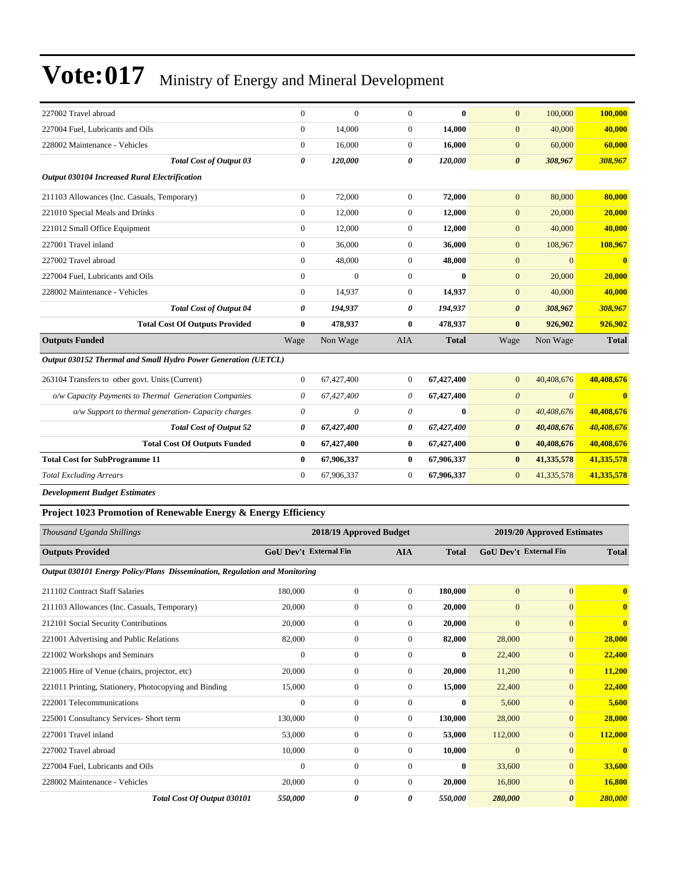| 227002 Travel abroad                                                       | $\mathbf{0}$                  | $\mathbf{0}$            | $\overline{0}$   | $\mathbf{0}$ | $\mathbf{0}$                  | 100,000                    | 100,000                 |
|----------------------------------------------------------------------------|-------------------------------|-------------------------|------------------|--------------|-------------------------------|----------------------------|-------------------------|
| 227004 Fuel, Lubricants and Oils                                           | $\mathbf{0}$                  | 14,000                  | $\boldsymbol{0}$ | 14,000       | $\mathbf{0}$                  | 40,000                     | 40,000                  |
| 228002 Maintenance - Vehicles                                              | $\mathbf{0}$                  | 16,000                  | $\overline{0}$   | 16,000       | $\mathbf{0}$                  | 60,000                     | 60,000                  |
| <b>Total Cost of Output 03</b>                                             | $\boldsymbol{\theta}$         | 120,000                 | 0                | 120,000      | $\boldsymbol{\theta}$         | 308,967                    | 308,967                 |
| Output 030104 Increased Rural Electrification                              |                               |                         |                  |              |                               |                            |                         |
| 211103 Allowances (Inc. Casuals, Temporary)                                | $\mathbf{0}$                  | 72,000                  | $\overline{0}$   | 72,000       | $\mathbf{0}$                  | 80,000                     | 80,000                  |
| 221010 Special Meals and Drinks                                            | $\mathbf{0}$                  | 12,000                  | $\overline{0}$   | 12,000       | $\mathbf{0}$                  | 20,000                     | 20,000                  |
| 221012 Small Office Equipment                                              | $\theta$                      | 12,000                  | $\overline{0}$   | 12,000       | $\mathbf{0}$                  | 40,000                     | 40,000                  |
| 227001 Travel inland                                                       | $\mathbf{0}$                  | 36,000                  | $\overline{0}$   | 36,000       | $\mathbf{0}$                  | 108,967                    | 108,967                 |
| 227002 Travel abroad                                                       | $\theta$                      | 48,000                  | $\overline{0}$   | 48,000       | $\mathbf{0}$                  | $\Omega$                   | $\overline{\mathbf{0}}$ |
| 227004 Fuel, Lubricants and Oils                                           | $\mathbf{0}$                  | $\theta$                | $\overline{0}$   | 0            | $\mathbf{0}$                  | 20,000                     | 20,000                  |
| 228002 Maintenance - Vehicles                                              | $\boldsymbol{0}$              | 14,937                  | $\boldsymbol{0}$ | 14,937       | $\mathbf{0}$                  | 40,000                     | 40,000                  |
| <b>Total Cost of Output 04</b>                                             | 0                             | 194,937                 | 0                | 194,937      | $\boldsymbol{\theta}$         | 308,967                    | 308,967                 |
| <b>Total Cost Of Outputs Provided</b>                                      | $\bf{0}$                      | 478,937                 | $\bf{0}$         | 478,937      | $\bf{0}$                      | 926,902                    | 926,902                 |
| <b>Outputs Funded</b>                                                      | Wage                          | Non Wage                | <b>AIA</b>       | <b>Total</b> | Wage                          | Non Wage                   | <b>Total</b>            |
| Output 030152 Thermal and Small Hydro Power Generation (UETCL)             |                               |                         |                  |              |                               |                            |                         |
| 263104 Transfers to other govt. Units (Current)                            | $\mathbf{0}$                  | 67,427,400              | $\overline{0}$   | 67,427,400   | $\mathbf{0}$                  | 40,408,676                 | 40,408,676              |
| o/w Capacity Payments to Thermal Generation Companies                      | $\theta$                      | 67,427,400              | 0                | 67,427,400   | $\boldsymbol{0}$              | $\boldsymbol{\theta}$      | $\overline{\mathbf{0}}$ |
| o/w Support to thermal generation- Capacity charges                        | $\theta$                      | $\theta$                | $\theta$         | $\mathbf{0}$ | $\boldsymbol{\theta}$         | 40,408,676                 | 40,408,676              |
| <b>Total Cost of Output 52</b>                                             | $\boldsymbol{\theta}$         | 67,427,400              | 0                | 67,427,400   | $\boldsymbol{\theta}$         | 40,408,676                 | 40,408,676              |
| <b>Total Cost Of Outputs Funded</b>                                        | $\bf{0}$                      | 67,427,400              | $\bf{0}$         | 67,427,400   | $\bf{0}$                      | 40,408,676                 | 40,408,676              |
| <b>Total Cost for SubProgramme 11</b>                                      | $\bf{0}$                      | 67,906,337              | $\bf{0}$         | 67,906,337   | $\bf{0}$                      | 41,335,578                 | 41,335,578              |
| <b>Total Excluding Arrears</b>                                             | $\Omega$                      | 67,906,337              | $\overline{0}$   | 67,906,337   | $\mathbf{0}$                  | 41,335,578                 | 41,335,578              |
| <b>Development Budget Estimates</b>                                        |                               |                         |                  |              |                               |                            |                         |
| Project 1023 Promotion of Renewable Energy & Energy Efficiency             |                               |                         |                  |              |                               |                            |                         |
| Thousand Uganda Shillings                                                  |                               | 2018/19 Approved Budget |                  |              |                               | 2019/20 Approved Estimates |                         |
| <b>Outputs Provided</b>                                                    | <b>GoU Dev't External Fin</b> |                         | <b>AIA</b>       | <b>Total</b> | <b>GoU Dev't External Fin</b> |                            | <b>Total</b>            |
| Output 030101 Energy Policy/Plans Dissemination, Regulation and Monitoring |                               |                         |                  |              |                               |                            |                         |

| 211102 Contract Staff Salaries                        | 180,000      | $\mathbf{0}$     | $\overline{0}$ | 180,000      | $\overline{0}$ | $\overline{0}$        | $\mathbf{0}$ |
|-------------------------------------------------------|--------------|------------------|----------------|--------------|----------------|-----------------------|--------------|
| 211103 Allowances (Inc. Casuals, Temporary)           | 20,000       | $\mathbf{0}$     | $\Omega$       | 20,000       | $\mathbf{0}$   | $\mathbf{0}$          | $\mathbf{0}$ |
| 212101 Social Security Contributions                  | 20,000       | $\mathbf{0}$     | $\overline{0}$ | 20,000       | $\mathbf{0}$   | $\mathbf{0}$          | $\bf{0}$     |
| 221001 Advertising and Public Relations               | 82,000       | $\boldsymbol{0}$ | $\overline{0}$ | 82,000       | 28,000         | $\overline{0}$        | 28,000       |
| 221002 Workshops and Seminars                         | $\mathbf{0}$ | $\boldsymbol{0}$ | $\mathbf{0}$   | $\bf{0}$     | 22,400         | $\mathbf{0}$          | 22,400       |
| 221005 Hire of Venue (chairs, projector, etc)         | 20,000       | $\boldsymbol{0}$ | $\overline{0}$ | 20,000       | 11,200         | $\mathbf{0}$          | 11,200       |
| 221011 Printing, Stationery, Photocopying and Binding | 15,000       | $\mathbf{0}$     | $\overline{0}$ | 15,000       | 22,400         | $\mathbf{0}$          | 22,400       |
| 222001 Telecommunications                             | $\mathbf{0}$ | $\mathbf{0}$     | $\Omega$       | $\mathbf{0}$ | 5,600          | $\mathbf{0}$          | 5,600        |
| 225001 Consultancy Services- Short term               | 130,000      | $\boldsymbol{0}$ | $\overline{0}$ | 130,000      | 28,000         | $\mathbf{0}$          | 28,000       |
| 227001 Travel inland                                  | 53,000       | $\boldsymbol{0}$ | $\overline{0}$ | 53,000       | 112,000        | $\mathbf{0}$          | 112,000      |
| 227002 Travel abroad                                  | 10,000       | $\boldsymbol{0}$ | $\overline{0}$ | 10,000       | $\overline{0}$ | $\mathbf{0}$          | $\mathbf{0}$ |
| 227004 Fuel, Lubricants and Oils                      | $\mathbf{0}$ | $\boldsymbol{0}$ | $\Omega$       | $\bf{0}$     | 33,600         | $\overline{0}$        | 33,600       |
| 228002 Maintenance - Vehicles                         | 20,000       | $\mathbf{0}$     | $\overline{0}$ | 20,000       | 16,800         | $\mathbf{0}$          | 16,800       |
| Total Cost Of Output 030101                           | 550,000      | 0                | 0              | 550,000      | 280,000        | $\boldsymbol{\theta}$ | 280,000      |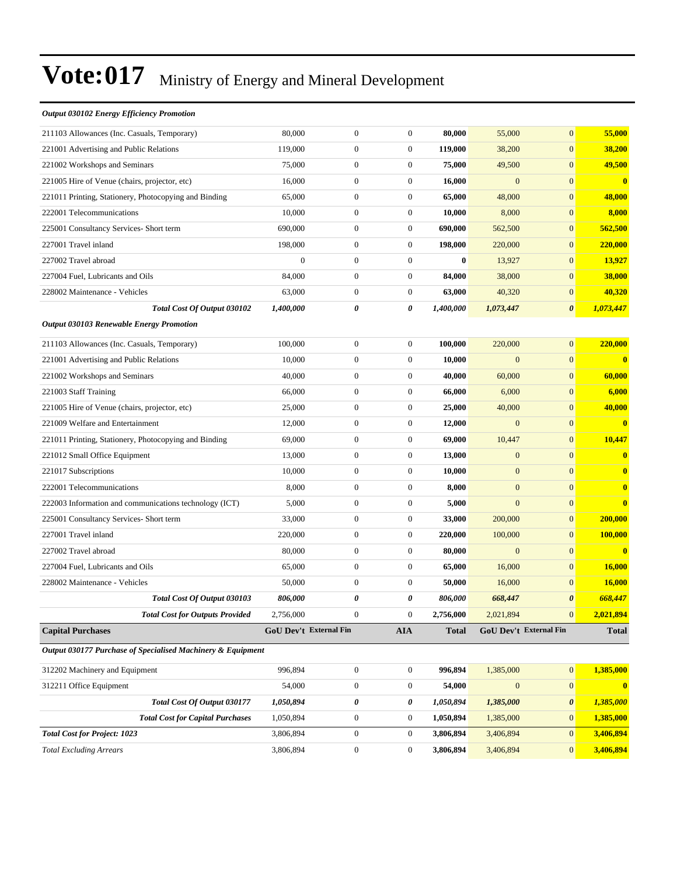#### *Output 030102 Energy Efficiency Promotion*

| 211103 Allowances (Inc. Casuals, Temporary)                 | 80,000                 | $\mathbf{0}$     | $\mathbf{0}$     | 80,000       | 55,000       | $\mathbf{0}$           | 55,000                  |
|-------------------------------------------------------------|------------------------|------------------|------------------|--------------|--------------|------------------------|-------------------------|
| 221001 Advertising and Public Relations                     | 119,000                | $\boldsymbol{0}$ | $\boldsymbol{0}$ | 119,000      | 38,200       | $\boldsymbol{0}$       | 38,200                  |
| 221002 Workshops and Seminars                               | 75,000                 | $\mathbf{0}$     | $\boldsymbol{0}$ | 75,000       | 49,500       | $\mathbf{0}$           | 49,500                  |
| 221005 Hire of Venue (chairs, projector, etc)               | 16,000                 | $\mathbf{0}$     | $\boldsymbol{0}$ | 16,000       | $\mathbf{0}$ | $\mathbf{0}$           | $\overline{\mathbf{0}}$ |
| 221011 Printing, Stationery, Photocopying and Binding       | 65,000                 | $\mathbf{0}$     | $\boldsymbol{0}$ | 65,000       | 48,000       | $\mathbf{0}$           | 48,000                  |
| 222001 Telecommunications                                   | 10,000                 | $\boldsymbol{0}$ | $\boldsymbol{0}$ | 10,000       | 8,000        | $\mathbf{0}$           | 8,000                   |
| 225001 Consultancy Services- Short term                     | 690,000                | $\boldsymbol{0}$ | $\boldsymbol{0}$ | 690,000      | 562,500      | $\mathbf{0}$           | 562,500                 |
| 227001 Travel inland                                        | 198,000                | $\mathbf{0}$     | $\boldsymbol{0}$ | 198,000      | 220,000      | $\mathbf{0}$           | 220,000                 |
| 227002 Travel abroad                                        | $\boldsymbol{0}$       | $\mathbf{0}$     | $\boldsymbol{0}$ | $\bf{0}$     | 13,927       | $\mathbf{0}$           | 13,927                  |
| 227004 Fuel, Lubricants and Oils                            | 84,000                 | $\mathbf{0}$     | $\boldsymbol{0}$ | 84,000       | 38,000       | $\mathbf{0}$           | 38,000                  |
| 228002 Maintenance - Vehicles                               | 63,000                 | $\mathbf{0}$     | $\overline{0}$   | 63,000       | 40,320       | $\mathbf{0}$           | 40,320                  |
| Total Cost Of Output 030102                                 | 1,400,000              | 0                | 0                | 1,400,000    | 1,073,447    | $\boldsymbol{\theta}$  | 1,073,447               |
| <b>Output 030103 Renewable Energy Promotion</b>             |                        |                  |                  |              |              |                        |                         |
| 211103 Allowances (Inc. Casuals, Temporary)                 | 100,000                | $\mathbf{0}$     | $\boldsymbol{0}$ | 100,000      | 220,000      | $\mathbf{0}$           | 220,000                 |
| 221001 Advertising and Public Relations                     | 10,000                 | $\boldsymbol{0}$ | $\boldsymbol{0}$ | 10,000       | $\mathbf{0}$ | $\mathbf{0}$           | $\bf{0}$                |
| 221002 Workshops and Seminars                               | 40,000                 | $\mathbf{0}$     | $\boldsymbol{0}$ | 40,000       | 60,000       | $\mathbf{0}$           | 60,000                  |
| 221003 Staff Training                                       | 66,000                 | $\boldsymbol{0}$ | $\boldsymbol{0}$ | 66,000       | 6,000        | $\mathbf{0}$           | 6,000                   |
| 221005 Hire of Venue (chairs, projector, etc)               | 25,000                 | $\boldsymbol{0}$ | $\boldsymbol{0}$ | 25,000       | 40,000       | $\mathbf{0}$           | 40,000                  |
| 221009 Welfare and Entertainment                            | 12,000                 | $\mathbf{0}$     | $\boldsymbol{0}$ | 12,000       | $\mathbf{0}$ | $\mathbf{0}$           | $\mathbf{0}$            |
| 221011 Printing, Stationery, Photocopying and Binding       | 69,000                 | $\mathbf{0}$     | $\boldsymbol{0}$ | 69,000       | 10,447       | $\mathbf{0}$           | 10,447                  |
| 221012 Small Office Equipment                               | 13,000                 | $\mathbf{0}$     | $\boldsymbol{0}$ | 13,000       | $\mathbf{0}$ | $\mathbf{0}$           | $\bf{0}$                |
| 221017 Subscriptions                                        | 10,000                 | $\boldsymbol{0}$ | $\boldsymbol{0}$ | 10,000       | $\mathbf{0}$ | $\mathbf{0}$           | $\bf{0}$                |
| 222001 Telecommunications                                   | 8,000                  | $\boldsymbol{0}$ | $\boldsymbol{0}$ | 8,000        | $\mathbf{0}$ | $\mathbf{0}$           | $\bf{0}$                |
| 222003 Information and communications technology (ICT)      | 5,000                  | $\mathbf{0}$     | $\boldsymbol{0}$ | 5,000        | $\mathbf{0}$ | $\mathbf{0}$           | $\bf{0}$                |
| 225001 Consultancy Services- Short term                     | 33,000                 | $\mathbf{0}$     | $\boldsymbol{0}$ | 33,000       | 200,000      | $\mathbf{0}$           | 200,000                 |
| 227001 Travel inland                                        | 220,000                | $\mathbf{0}$     | $\boldsymbol{0}$ | 220,000      | 100,000      | $\mathbf{0}$           | 100,000                 |
| 227002 Travel abroad                                        | 80,000                 | $\boldsymbol{0}$ | $\boldsymbol{0}$ | 80,000       | $\mathbf{0}$ | $\mathbf{0}$           | $\mathbf{0}$            |
| 227004 Fuel, Lubricants and Oils                            | 65,000                 | $\boldsymbol{0}$ | $\boldsymbol{0}$ | 65,000       | 16,000       | $\mathbf{0}$           | <b>16,000</b>           |
| 228002 Maintenance - Vehicles                               | 50,000                 | $\mathbf{0}$     | $\boldsymbol{0}$ | 50,000       | 16,000       | $\mathbf{0}$           | 16,000                  |
| Total Cost Of Output 030103                                 | 806,000                | 0                | 0                | 806,000      | 668,447      | $\boldsymbol{\theta}$  | 668,447                 |
| <b>Total Cost for Outputs Provided</b>                      | 2.756,000              | $\mathbf{0}$     | $\theta$         | 2,756,000    | 2,021,894    | $\mathbf{0}$           | 2,021,894               |
| <b>Capital Purchases</b>                                    | GoU Dev't External Fin |                  | <b>AIA</b>       | <b>Total</b> |              | GoU Dev't External Fin | <b>Total</b>            |
| Output 030177 Purchase of Specialised Machinery & Equipment |                        |                  |                  |              |              |                        |                         |
| 312202 Machinery and Equipment                              | 996,894                | $\boldsymbol{0}$ | $\mathbf{0}$     | 996,894      | 1,385,000    | $\mathbf{0}$           | 1,385,000               |
| 312211 Office Equipment                                     | 54,000                 | $\boldsymbol{0}$ | $\boldsymbol{0}$ | 54,000       | $\mathbf{0}$ | $\boldsymbol{0}$       | $\mathbf{0}$            |
| Total Cost Of Output 030177                                 | 1,050,894              | 0                | 0                | 1,050,894    | 1,385,000    | 0                      | 1,385,000               |
| <b>Total Cost for Capital Purchases</b>                     | 1,050,894              | $\boldsymbol{0}$ | $\overline{0}$   | 1,050,894    | 1,385,000    | $\mathbf{0}$           | 1,385,000               |
| <b>Total Cost for Project: 1023</b>                         | 3,806,894              | $\boldsymbol{0}$ | $\boldsymbol{0}$ | 3,806,894    | 3,406,894    | $\boldsymbol{0}$       | 3,406,894               |
| <b>Total Excluding Arrears</b>                              | 3,806,894              | $\boldsymbol{0}$ | $\overline{0}$   | 3,806,894    | 3,406,894    | $\mathbf{0}$           | 3,406,894               |
|                                                             |                        |                  |                  |              |              |                        |                         |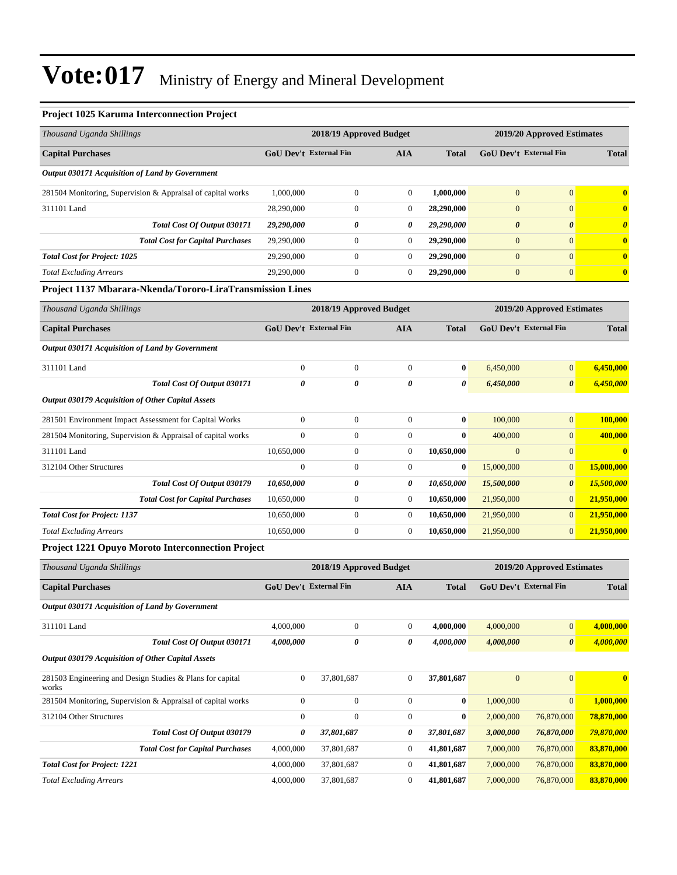#### **Project 1025 Karuma Interconnection Project**

| Thousand Uganda Shillings                                   |                               | 2018/19 Approved Budget | 2019/20 Approved Estimates |              |                               |                       |                       |
|-------------------------------------------------------------|-------------------------------|-------------------------|----------------------------|--------------|-------------------------------|-----------------------|-----------------------|
| <b>Capital Purchases</b>                                    | <b>GoU Dev't External Fin</b> |                         | <b>AIA</b>                 | <b>Total</b> | <b>GoU Dev't External Fin</b> |                       | <b>Total</b>          |
| Output 030171 Acquisition of Land by Government             |                               |                         |                            |              |                               |                       |                       |
| 281504 Monitoring, Supervision & Appraisal of capital works | 1,000,000                     | $\Omega$                | $\overline{0}$             | 1,000,000    | $\overline{0}$                | $\mathbf{0}$          | $\mathbf{0}$          |
| 311101 Land                                                 | 28,290,000                    | $\mathbf{0}$            | $\overline{0}$             | 28,290,000   | $\overline{0}$                | $\mathbf{0}$          | $\bf{0}$              |
| <b>Total Cost Of Output 030171</b>                          | 29,290,000                    | 0                       | 0                          | 29,290,000   | $\boldsymbol{\theta}$         | $\boldsymbol{\theta}$ | $\boldsymbol{\theta}$ |
| <b>Total Cost for Capital Purchases</b>                     | 29,290,000                    | $\Omega$                | $\overline{0}$             | 29,290,000   | $\mathbf{0}$                  | $\Omega$              | $\mathbf{0}$          |
| <b>Total Cost for Project: 1025</b>                         | 29,290,000                    | $\Omega$                | $\overline{0}$             | 29,290,000   | $\overline{0}$                | $\Omega$              | $\mathbf{0}$          |
| <b>Total Excluding Arrears</b>                              | 29,290,000                    | $\mathbf{0}$            | $\overline{0}$             | 29,290,000   | $\overline{0}$                | $\Omega$              | $\mathbf{0}$          |
| Project 1137 Mbarara-Nkenda/Tororo-LiraTransmission Lines   |                               |                         |                            |              |                               |                       |                       |
| Thousand Uganda Shillings                                   |                               | 2018/19 Approved Budget |                            |              | 2019/20 Approved Estimates    |                       |                       |

| Thousana Ogania Shuungs                                     |                               | 2010/12 Αρριστιά Duugtt |                | 2012/20 Approved Estimates |                               |                       |              |
|-------------------------------------------------------------|-------------------------------|-------------------------|----------------|----------------------------|-------------------------------|-----------------------|--------------|
| <b>Capital Purchases</b>                                    | <b>GoU Dev't External Fin</b> |                         | <b>AIA</b>     | <b>Total</b>               | <b>GoU Dev't External Fin</b> |                       | <b>Total</b> |
| Output 030171 Acquisition of Land by Government             |                               |                         |                |                            |                               |                       |              |
| 311101 Land                                                 | $\mathbf{0}$                  | $\mathbf{0}$            | $\mathbf{0}$   | $\bf{0}$                   | 6,450,000                     | $\mathbf{0}$          | 6,450,000    |
| Total Cost Of Output 030171                                 | 0                             | 0                       | 0              | 0                          | 6,450,000                     | $\boldsymbol{\theta}$ | 6,450,000    |
| Output 030179 Acquisition of Other Capital Assets           |                               |                         |                |                            |                               |                       |              |
| 281501 Environment Impact Assessment for Capital Works      | $\mathbf{0}$                  | $\boldsymbol{0}$        | $\mathbf{0}$   | $\bf{0}$                   | 100,000                       | $\mathbf{0}$          | 100,000      |
| 281504 Monitoring, Supervision & Appraisal of capital works | $\Omega$                      | $\mathbf{0}$            | $\Omega$       | $\mathbf{0}$               | 400,000                       | $\mathbf{0}$          | 400,000      |
| 311101 Land                                                 | 10,650,000                    | $\bf{0}$                | $\overline{0}$ | 10,650,000                 | $\mathbf{0}$                  | $\mathbf{0}$          | $\mathbf{0}$ |
| 312104 Other Structures                                     | $\mathbf{0}$                  | $\mathbf{0}$            | $\Omega$       | $\bf{0}$                   | 15,000,000                    | $\mathbf{0}$          | 15,000,000   |
| Total Cost Of Output 030179                                 | 10,650,000                    | 0                       | 0              | 10,650,000                 | 15,500,000                    | $\boldsymbol{\theta}$ | 15,500,000   |
| <b>Total Cost for Capital Purchases</b>                     | 10,650,000                    | $\boldsymbol{0}$        | $\overline{0}$ | 10,650,000                 | 21,950,000                    | $\overline{0}$        | 21,950,000   |
| <b>Total Cost for Project: 1137</b>                         | 10,650,000                    | $\mathbf{0}$            | $\overline{0}$ | 10,650,000                 | 21,950,000                    | $\overline{0}$        | 21,950,000   |
| <b>Total Excluding Arrears</b>                              | 10,650,000                    | $\mathbf{0}$            | $\overline{0}$ | 10,650,000                 | 21,950,000                    | $\mathbf{0}$          | 21,950,000   |
|                                                             |                               |                         |                |                            |                               |                       |              |

#### **Project 1221 Opuyo Moroto Interconnection Project**

| Thousand Uganda Shillings                                          |                                             | 2018/19 Approved Budget |              |                               |                | 2019/20 Approved Estimates |              |  |
|--------------------------------------------------------------------|---------------------------------------------|-------------------------|--------------|-------------------------------|----------------|----------------------------|--------------|--|
| <b>Capital Purchases</b>                                           | <b>GoU Dev't External Fin</b><br><b>AIA</b> |                         | <b>Total</b> | <b>GoU Dev't External Fin</b> |                | <b>Total</b>               |              |  |
| Output 030171 Acquisition of Land by Government                    |                                             |                         |              |                               |                |                            |              |  |
| 311101 Land                                                        | 4,000,000                                   | $\mathbf{0}$            | $\mathbf{0}$ | 4,000,000                     | 4,000,000      | $\mathbf{0}$               | 4,000,000    |  |
| Total Cost Of Output 030171                                        | 4,000,000                                   | 0                       | 0            | 4,000,000                     | 4,000,000      | $\boldsymbol{\theta}$      | 4,000,000    |  |
| <b>Output 030179 Acquisition of Other Capital Assets</b>           |                                             |                         |              |                               |                |                            |              |  |
| 281503 Engineering and Design Studies & Plans for capital<br>works | $\boldsymbol{0}$                            | 37,801,687              | $\mathbf{0}$ | 37,801,687                    | $\overline{0}$ | $\overline{0}$             | $\mathbf{0}$ |  |
| 281504 Monitoring, Supervision & Appraisal of capital works        | $\mathbf{0}$                                | $\mathbf{0}$            | $\Omega$     | $\mathbf{0}$                  | 1,000,000      | $\overline{0}$             | 1,000,000    |  |
| 312104 Other Structures                                            | $\mathbf{0}$                                | $\mathbf{0}$            | $\Omega$     | $\mathbf{0}$                  | 2,000,000      | 76,870,000                 | 78,870,000   |  |
| Total Cost Of Output 030179                                        | 0                                           | 37,801,687              | 0            | 37,801,687                    | 3,000,000      | 76,870,000                 | 79,870,000   |  |
| <b>Total Cost for Capital Purchases</b>                            | 4,000,000                                   | 37,801,687              | 0            | 41,801,687                    | 7,000,000      | 76,870,000                 | 83,870,000   |  |
| <b>Total Cost for Project: 1221</b>                                | 4,000,000                                   | 37,801,687              | 0            | 41,801,687                    | 7,000,000      | 76,870,000                 | 83,870,000   |  |
| <b>Total Excluding Arrears</b>                                     | 4,000,000                                   | 37,801,687              | $\mathbf{0}$ | 41,801,687                    | 7,000,000      | 76,870,000                 | 83,870,000   |  |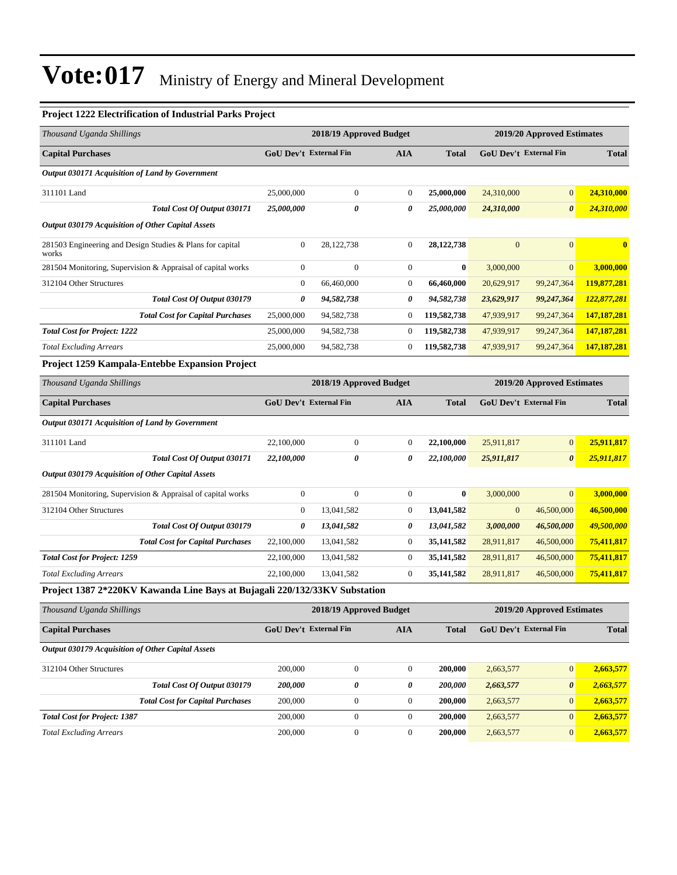#### **Project 1222 Electrification of Industrial Parks Project**

|                                                       | <b>GoU Dev't External Fin</b> | <b>AIA</b>                    | <b>Total</b> | <b>GoU Dev't External Fin</b> |                       | <b>Total</b>                  |
|-------------------------------------------------------|-------------------------------|-------------------------------|--------------|-------------------------------|-----------------------|-------------------------------|
|                                                       |                               |                               |              |                               |                       |                               |
| 25,000,000                                            | $\mathbf{0}$                  | $\overline{0}$                | 25,000,000   | 24,310,000                    | $\overline{0}$        | 24,310,000                    |
| 25,000,000                                            | $\theta$                      | $\boldsymbol{\theta}$         | 25,000,000   | 24,310,000                    | $\boldsymbol{\theta}$ | 24,310,000                    |
|                                                       |                               |                               |              |                               |                       |                               |
| $\overline{0}$                                        | 28,122,738                    | $\overline{0}$                | 28,122,738   | $\overline{0}$                | $\overline{0}$        | $\mathbf{0}$                  |
| $\overline{0}$                                        | $\mathbf{0}$                  | $\boldsymbol{0}$              | $\bf{0}$     | 3,000,000                     | $\mathbf{0}$          | 3,000,000                     |
| $\overline{0}$                                        | 66,460,000                    | $\boldsymbol{0}$              | 66,460,000   | 20,629,917                    | 99,247,364            | 119,877,281                   |
| 0                                                     | 94,582,738                    | 0                             | 94,582,738   | 23,629,917                    | 99,247,364            | 122,877,281                   |
| 25,000,000                                            | 94,582,738                    | $\mathbf{0}$                  | 119,582,738  | 47,939,917                    | 99,247,364            | 147, 187, 281                 |
| 25,000,000                                            | 94,582,738                    | $\boldsymbol{0}$              | 119,582,738  | 47,939,917                    | 99,247,364            | 147, 187, 281                 |
| 25,000,000                                            | 94,582,738                    | $\boldsymbol{0}$              | 119,582,738  | 47,939,917                    | 99,247,364            | 147,187,281                   |
|                                                       |                               |                               |              |                               |                       |                               |
| 2018/19 Approved Budget<br>2019/20 Approved Estimates |                               |                               |              |                               |                       |                               |
|                                                       |                               | <b>AIA</b>                    | <b>Total</b> |                               |                       | <b>Total</b>                  |
|                                                       |                               |                               |              |                               |                       |                               |
| 22,100,000                                            | $\boldsymbol{0}$              | $\overline{0}$                | 22,100,000   | 25,911,817                    | $\mathbf{0}$          | 25,911,817                    |
| 22,100,000                                            | $\theta$                      | $\boldsymbol{\theta}$         | 22,100,000   | 25,911,817                    | $\boldsymbol{\theta}$ | 25,911,817                    |
|                                                       |                               |                               |              |                               |                       |                               |
| $\boldsymbol{0}$                                      | $\mathbf{0}$                  | $\boldsymbol{0}$              | $\bf{0}$     | 3,000,000                     | $\overline{0}$        | 3,000,000                     |
| $\boldsymbol{0}$                                      | 13,041,582                    | $\boldsymbol{0}$              | 13,041,582   | $\mathbf{0}$                  | 46,500,000            | 46,500,000                    |
| 0                                                     | 13,041,582                    | 0                             | 13,041,582   | 3,000,000                     | 46,500,000            | 49,500,000                    |
| 22,100,000                                            | 13,041,582                    | $\boldsymbol{0}$              | 35,141,582   | 28,911,817                    | 46,500,000            | 75,411,817                    |
| 22,100,000                                            | 13,041,582                    | $\boldsymbol{0}$              | 35,141,582   | 28,911,817                    | 46,500,000            | 75,411,817                    |
| 22,100,000                                            | 13,041,582                    | $\mathbf{0}$                  | 35, 141, 582 | 28,911,817                    | 46,500,000            | 75,411,817                    |
|                                                       |                               | <b>GoU Dev't External Fin</b> |              |                               |                       | <b>GoU Dev't External Fin</b> |

| Thousand Uganda Shillings                         |                               | 2018/19 Approved Budget | 2019/20 Approved Estimates |              |                               |                       |              |
|---------------------------------------------------|-------------------------------|-------------------------|----------------------------|--------------|-------------------------------|-----------------------|--------------|
| <b>Capital Purchases</b>                          | <b>GoU</b> Dev't External Fin |                         | AIA                        | <b>Total</b> | <b>GoU</b> Dev't External Fin |                       | <b>Total</b> |
| Output 030179 Acquisition of Other Capital Assets |                               |                         |                            |              |                               |                       |              |
| 312104 Other Structures                           | 200,000                       | $\Omega$                | $\theta$                   | 200,000      | 2,663,577                     | $\overline{0}$        | 2,663,577    |
| Total Cost Of Output 030179                       | 200.000                       | 0                       | 0                          | 200,000      | 2,663,577                     | $\boldsymbol{\theta}$ | 2,663,577    |
| <b>Total Cost for Capital Purchases</b>           | 200,000                       | $\boldsymbol{0}$        | $\theta$                   | 200,000      | 2,663,577                     | $\mathbf{0}$          | 2,663,577    |
| <b>Total Cost for Project: 1387</b>               | 200,000                       | $\mathbf{0}$            | $\theta$                   | 200,000      | 2,663,577                     | $\overline{0}$        | 2,663,577    |
| <b>Total Excluding Arrears</b>                    | 200,000                       | $\mathbf{0}$            | $\theta$                   | 200,000      | 2,663,577                     | $\mathbf{0}$          | 2,663,577    |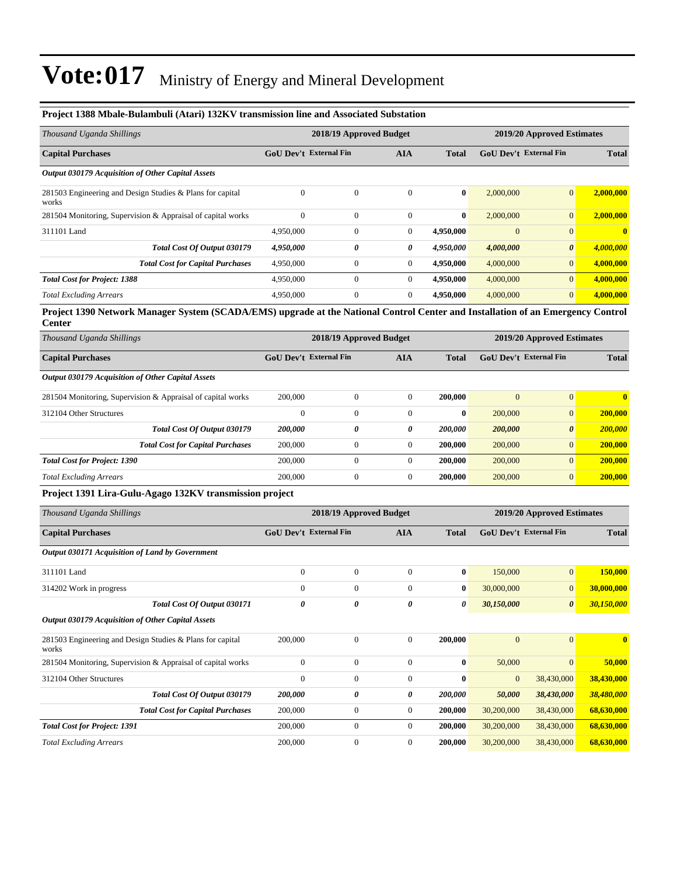| Project 1388 Mbale-Bulambuli (Atari) 132KV transmission line and Associated Substation                                                    |                               |                         |                  |              |                               |                            |              |
|-------------------------------------------------------------------------------------------------------------------------------------------|-------------------------------|-------------------------|------------------|--------------|-------------------------------|----------------------------|--------------|
| Thousand Uganda Shillings                                                                                                                 |                               | 2018/19 Approved Budget |                  |              |                               | 2019/20 Approved Estimates |              |
| <b>Capital Purchases</b>                                                                                                                  | GoU Dev't External Fin        |                         | <b>AIA</b>       | <b>Total</b> | <b>GoU Dev't External Fin</b> |                            | <b>Total</b> |
| Output 030179 Acquisition of Other Capital Assets                                                                                         |                               |                         |                  |              |                               |                            |              |
| 281503 Engineering and Design Studies & Plans for capital<br>works                                                                        | $\mathbf{0}$                  | $\mathbf{0}$            | $\mathbf{0}$     | $\bf{0}$     | 2,000,000                     | $\mathbf{0}$               | 2,000,000    |
| 281504 Monitoring, Supervision & Appraisal of capital works                                                                               | $\theta$                      | $\boldsymbol{0}$        | $\boldsymbol{0}$ | $\bf{0}$     | 2,000,000                     | $\mathbf{0}$               | 2,000,000    |
| 311101 Land                                                                                                                               | 4,950,000                     | 0                       | 0                | 4,950,000    | $\overline{0}$                | $\mathbf{0}$               | $\mathbf{0}$ |
| Total Cost Of Output 030179                                                                                                               | 4,950,000                     | 0                       | 0                | 4,950,000    | 4,000,000                     | $\boldsymbol{\theta}$      | 4,000,000    |
| <b>Total Cost for Capital Purchases</b>                                                                                                   | 4,950,000                     | $\boldsymbol{0}$        | $\mathbf{0}$     | 4,950,000    | 4,000,000                     | $\mathbf{0}$               | 4,000,000    |
| <b>Total Cost for Project: 1388</b>                                                                                                       | 4,950,000                     | $\boldsymbol{0}$        | $\boldsymbol{0}$ | 4,950,000    | 4,000,000                     | $\mathbf{0}$               | 4,000,000    |
| <b>Total Excluding Arrears</b>                                                                                                            | 4,950,000                     | $\boldsymbol{0}$        | $\overline{0}$   | 4,950,000    | 4,000,000                     | $\mathbf{0}$               | 4,000,000    |
| Project 1390 Network Manager System (SCADA/EMS) upgrade at the National Control Center and Installation of an Emergency Control<br>Center |                               |                         |                  |              |                               |                            |              |
| Thousand Uganda Shillings                                                                                                                 |                               | 2018/19 Approved Budget |                  |              |                               | 2019/20 Approved Estimates |              |
| <b>Capital Purchases</b>                                                                                                                  | <b>GoU Dev't External Fin</b> |                         | AIA              | <b>Total</b> | <b>GoU Dev't External Fin</b> |                            | <b>Total</b> |
| <b>Output 030179 Acquisition of Other Capital Assets</b>                                                                                  |                               |                         |                  |              |                               |                            |              |
| 281504 Monitoring, Supervision & Appraisal of capital works                                                                               | 200,000                       | $\boldsymbol{0}$        | $\boldsymbol{0}$ | 200,000      | $\boldsymbol{0}$              | $\boldsymbol{0}$           | $\mathbf{0}$ |
| 312104 Other Structures                                                                                                                   | $\mathbf{0}$                  | $\overline{0}$          | $\boldsymbol{0}$ | $\bf{0}$     | 200,000                       | $\mathbf{0}$               | 200,000      |
| Total Cost Of Output 030179                                                                                                               | 200,000                       | 0                       | 0                | 200,000      | 200,000                       | $\boldsymbol{\theta}$      | 200,000      |
| <b>Total Cost for Capital Purchases</b>                                                                                                   | 200,000                       | $\boldsymbol{0}$        | $\boldsymbol{0}$ | 200,000      | 200,000                       | $\mathbf{0}$               | 200,000      |
| <b>Total Cost for Project: 1390</b>                                                                                                       | 200,000                       | $\boldsymbol{0}$        | $\boldsymbol{0}$ | 200,000      | 200,000                       | $\mathbf{0}$               | 200,000      |
| <b>Total Excluding Arrears</b>                                                                                                            | 200,000                       | $\boldsymbol{0}$        | $\mathbf{0}$     | 200,000      | 200,000                       | $\mathbf{0}$               | 200,000      |
| Project 1391 Lira-Gulu-Agago 132KV transmission project                                                                                   |                               |                         |                  |              |                               |                            |              |
| Thousand Uganda Shillings                                                                                                                 |                               | 2018/19 Approved Budget |                  |              | 2019/20 Approved Estimates    |                            |              |
| <b>Capital Purchases</b>                                                                                                                  | <b>GoU Dev't External Fin</b> |                         | AIA              | <b>Total</b> | GoU Dev't External Fin        |                            | <b>Total</b> |
| Output 030171 Acquisition of Land by Government                                                                                           |                               |                         |                  |              |                               |                            |              |
| 311101 Land                                                                                                                               | $\mathbf{0}$                  | $\boldsymbol{0}$        | $\boldsymbol{0}$ | $\bf{0}$     | 150,000                       | $\mathbf{0}$               | 150,000      |
| 314202 Work in progress                                                                                                                   | $\boldsymbol{0}$              | $\boldsymbol{0}$        | $\boldsymbol{0}$ | $\bf{0}$     | 30,000,000                    | $\mathbf{0}$               | 30,000,000   |
| Total Cost Of Output 030171                                                                                                               | $\pmb{\theta}$                | 0                       | 0                | 0            | 30,150,000                    | 0                          | 30,150,000   |
| <b>Output 030179 Acquisition of Other Capital Assets</b>                                                                                  |                               |                         |                  |              |                               |                            |              |
| 281503 Engineering and Design Studies & Plans for capital<br>works                                                                        | 200,000                       | $\boldsymbol{0}$        | $\boldsymbol{0}$ | 200,000      | $\mathbf{0}$                  | $\boldsymbol{0}$           | $\bf{0}$     |
| 281504 Monitoring, Supervision & Appraisal of capital works                                                                               | $\boldsymbol{0}$              | $\boldsymbol{0}$        | $\mathbf{0}$     | $\bf{0}$     | 50,000                        | $\mathbf{0}$               | 50,000       |
| 312104 Other Structures                                                                                                                   | $\boldsymbol{0}$              | $\boldsymbol{0}$        | $\boldsymbol{0}$ | $\bf{0}$     | $\mathbf{0}$                  | 38,430,000                 | 38,430,000   |
| Total Cost Of Output 030179                                                                                                               | 200,000                       | 0                       | 0                | 200,000      | 50,000                        | 38,430,000                 | 38,480,000   |
| <b>Total Cost for Capital Purchases</b>                                                                                                   | 200,000                       | $\boldsymbol{0}$        | $\boldsymbol{0}$ | 200,000      | 30,200,000                    | 38,430,000                 | 68,630,000   |
| <b>Total Cost for Project: 1391</b>                                                                                                       | 200,000                       | $\boldsymbol{0}$        | $\boldsymbol{0}$ | 200,000      | 30,200,000                    | 38,430,000                 | 68,630,000   |
| <b>Total Excluding Arrears</b>                                                                                                            | 200,000                       | $\boldsymbol{0}$        | $\boldsymbol{0}$ | 200,000      | 30,200,000                    | 38,430,000                 | 68,630,000   |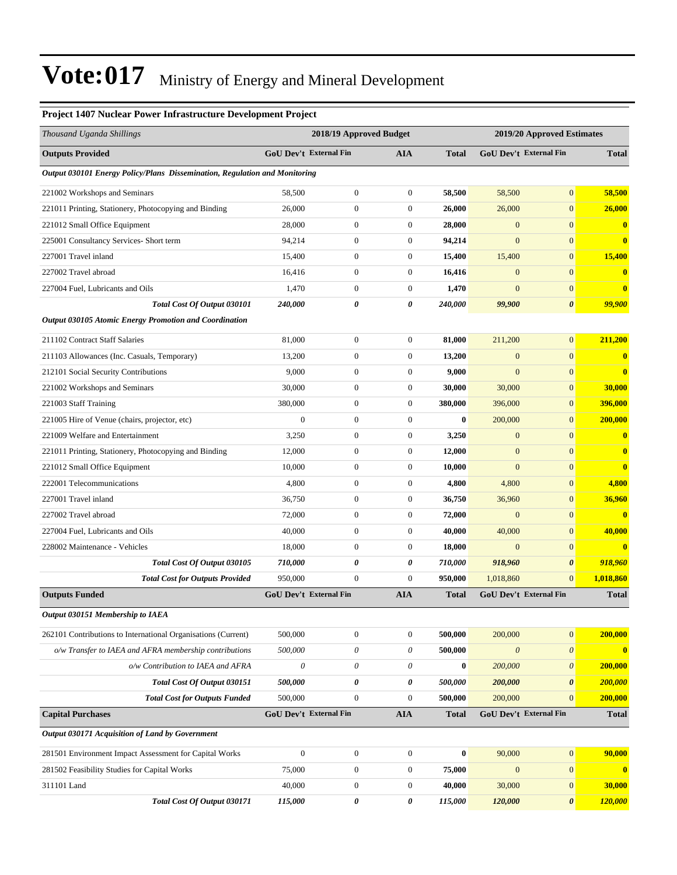#### **Project 1407 Nuclear Power Infrastructure Development Project**

| Thousand Uganda Shillings                                                         |                               | 2018/19 Approved Budget |                  |              |                       | 2019/20 Approved Estimates    |               |
|-----------------------------------------------------------------------------------|-------------------------------|-------------------------|------------------|--------------|-----------------------|-------------------------------|---------------|
| <b>Outputs Provided</b>                                                           | GoU Dev't External Fin        |                         | AIA              | <b>Total</b> |                       | GoU Dev't External Fin        | <b>Total</b>  |
| <b>Output 030101 Energy Policy/Plans Dissemination, Regulation and Monitoring</b> |                               |                         |                  |              |                       |                               |               |
| 221002 Workshops and Seminars                                                     | 58,500                        | $\boldsymbol{0}$        | $\mathbf{0}$     | 58,500       | 58,500                | $\mathbf{0}$                  | 58,500        |
| 221011 Printing, Stationery, Photocopying and Binding                             | 26,000                        | $\boldsymbol{0}$        | $\boldsymbol{0}$ | 26,000       | 26,000                | $\mathbf{0}$                  | 26,000        |
| 221012 Small Office Equipment                                                     | 28,000                        | $\boldsymbol{0}$        | $\boldsymbol{0}$ | 28,000       | $\mathbf{0}$          | $\mathbf{0}$                  | $\bf{0}$      |
| 225001 Consultancy Services- Short term                                           | 94,214                        | $\boldsymbol{0}$        | $\boldsymbol{0}$ | 94,214       | $\mathbf{0}$          | $\mathbf{0}$                  | $\bf{0}$      |
| 227001 Travel inland                                                              | 15,400                        | $\boldsymbol{0}$        | $\boldsymbol{0}$ | 15,400       | 15,400                | $\mathbf{0}$                  | 15,400        |
| 227002 Travel abroad                                                              | 16,416                        | $\boldsymbol{0}$        | 0                | 16,416       | $\mathbf{0}$          | $\mathbf{0}$                  | $\bf{0}$      |
| 227004 Fuel, Lubricants and Oils                                                  | 1,470                         | $\boldsymbol{0}$        | $\boldsymbol{0}$ | 1,470        | $\mathbf{0}$          | $\mathbf{0}$                  | $\bf{0}$      |
| Total Cost Of Output 030101                                                       | 240,000                       | 0                       | 0                | 240,000      | 99,900                | $\boldsymbol{\theta}$         | <b>99,900</b> |
| <b>Output 030105 Atomic Energy Promotion and Coordination</b>                     |                               |                         |                  |              |                       |                               |               |
| 211102 Contract Staff Salaries                                                    | 81,000                        | $\boldsymbol{0}$        | $\boldsymbol{0}$ | 81,000       | 211,200               | $\mathbf{0}$                  | 211.200       |
| 211103 Allowances (Inc. Casuals, Temporary)                                       | 13,200                        | $\boldsymbol{0}$        | $\boldsymbol{0}$ | 13,200       | $\mathbf{0}$          | $\mathbf{0}$                  | $\bf{0}$      |
| 212101 Social Security Contributions                                              | 9,000                         | $\boldsymbol{0}$        | $\boldsymbol{0}$ | 9,000        | $\mathbf{0}$          | $\mathbf{0}$                  | $\bf{0}$      |
| 221002 Workshops and Seminars                                                     | 30,000                        | $\boldsymbol{0}$        | $\boldsymbol{0}$ | 30,000       | 30,000                | $\mathbf{0}$                  | 30,000        |
| 221003 Staff Training                                                             | 380,000                       | $\boldsymbol{0}$        | $\boldsymbol{0}$ | 380,000      | 396,000               | $\mathbf{0}$                  | 396,000       |
| 221005 Hire of Venue (chairs, projector, etc)                                     | $\mathbf{0}$                  | $\boldsymbol{0}$        | $\boldsymbol{0}$ | $\bf{0}$     | 200,000               | $\mathbf{0}$                  | 200,000       |
| 221009 Welfare and Entertainment                                                  | 3,250                         | $\boldsymbol{0}$        | $\boldsymbol{0}$ | 3,250        | $\mathbf{0}$          | $\mathbf{0}$                  | $\bf{0}$      |
| 221011 Printing, Stationery, Photocopying and Binding                             | 12,000                        | $\boldsymbol{0}$        | $\boldsymbol{0}$ | 12,000       | $\boldsymbol{0}$      | $\mathbf{0}$                  | $\bf{0}$      |
| 221012 Small Office Equipment                                                     | 10,000                        | $\boldsymbol{0}$        | $\boldsymbol{0}$ | 10,000       | $\mathbf{0}$          | $\mathbf{0}$                  | $\bf{0}$      |
| 222001 Telecommunications                                                         | 4,800                         | $\boldsymbol{0}$        | $\boldsymbol{0}$ | 4,800        | 4,800                 | $\mathbf{0}$                  | 4,800         |
| 227001 Travel inland                                                              | 36,750                        | $\boldsymbol{0}$        | $\boldsymbol{0}$ | 36,750       | 36,960                | $\mathbf{0}$                  | 36,960        |
| 227002 Travel abroad                                                              | 72,000                        | $\boldsymbol{0}$        | $\boldsymbol{0}$ | 72,000       | $\mathbf{0}$          | $\mathbf{0}$                  | $\bf{0}$      |
| 227004 Fuel, Lubricants and Oils                                                  | 40,000                        | $\boldsymbol{0}$        | $\boldsymbol{0}$ | 40,000       | 40,000                | $\mathbf{0}$                  | 40,000        |
| 228002 Maintenance - Vehicles                                                     | 18,000                        | $\boldsymbol{0}$        | $\boldsymbol{0}$ | 18,000       | $\mathbf{0}$          | $\mathbf{0}$                  | $\bf{0}$      |
| Total Cost Of Output 030105                                                       | 710,000                       | 0                       | 0                | 710,000      | 918,960               | $\boldsymbol{\theta}$         | 918,960       |
| <b>Total Cost for Outputs Provided</b>                                            | 950,000                       | $\boldsymbol{0}$        | $\overline{0}$   | 950,000      | 1,018,860             | $\mathbf{0}$                  | 1,018,860     |
| <b>Outputs Funded</b>                                                             | <b>GoU Dev't External Fin</b> |                         | <b>AIA</b>       | <b>Total</b> |                       | <b>GoU Dev't External Fin</b> | <b>Total</b>  |
| Output 030151 Membership to IAEA                                                  |                               |                         |                  |              |                       |                               |               |
| 262101 Contributions to International Organisations (Current)                     | 500,000                       | $\boldsymbol{0}$        | $\boldsymbol{0}$ | 500,000      | 200,000               | $\mathbf{0}$                  | 200,000       |
| o/w Transfer to IAEA and AFRA membership contributions                            | 500,000                       | 0                       | 0                | 500,000      | $\boldsymbol{\theta}$ | $\boldsymbol{\theta}$         | $\mathbf{0}$  |
| o/w Contribution to IAEA and AFRA                                                 | $\boldsymbol{\mathit{0}}$     | 0                       | 0                | $\bf{0}$     | 200,000               | $\boldsymbol{\theta}$         | 200,000       |
| Total Cost Of Output 030151                                                       | 500,000                       | 0                       | 0                | 500,000      | 200,000               | $\boldsymbol{\theta}$         | 200,000       |
| <b>Total Cost for Outputs Funded</b>                                              | 500,000                       | $\boldsymbol{0}$        | $\boldsymbol{0}$ | 500,000      | 200,000               | $\mathbf{0}$                  | 200,000       |
| <b>Capital Purchases</b>                                                          | <b>GoU Dev't External Fin</b> |                         | <b>AIA</b>       | <b>Total</b> |                       | GoU Dev't External Fin        | <b>Total</b>  |
| Output 030171 Acquisition of Land by Government                                   |                               |                         |                  |              |                       |                               |               |
| 281501 Environment Impact Assessment for Capital Works                            | $\boldsymbol{0}$              | $\boldsymbol{0}$        | $\boldsymbol{0}$ | $\bf{0}$     | 90,000                | $\boldsymbol{0}$              | 90,000        |
| 281502 Feasibility Studies for Capital Works                                      | 75,000                        | $\boldsymbol{0}$        | $\boldsymbol{0}$ | 75,000       | $\mathbf{0}$          | $\mathbf{0}$                  | $\mathbf{0}$  |
| 311101 Land                                                                       | 40,000                        | $\boldsymbol{0}$        | 0                | 40,000       | 30,000                | $\mathbf{0}$                  | 30,000        |
| Total Cost Of Output 030171                                                       | 115,000                       | 0                       | 0                | 115,000      | 120,000               | $\boldsymbol{\theta}$         | 120,000       |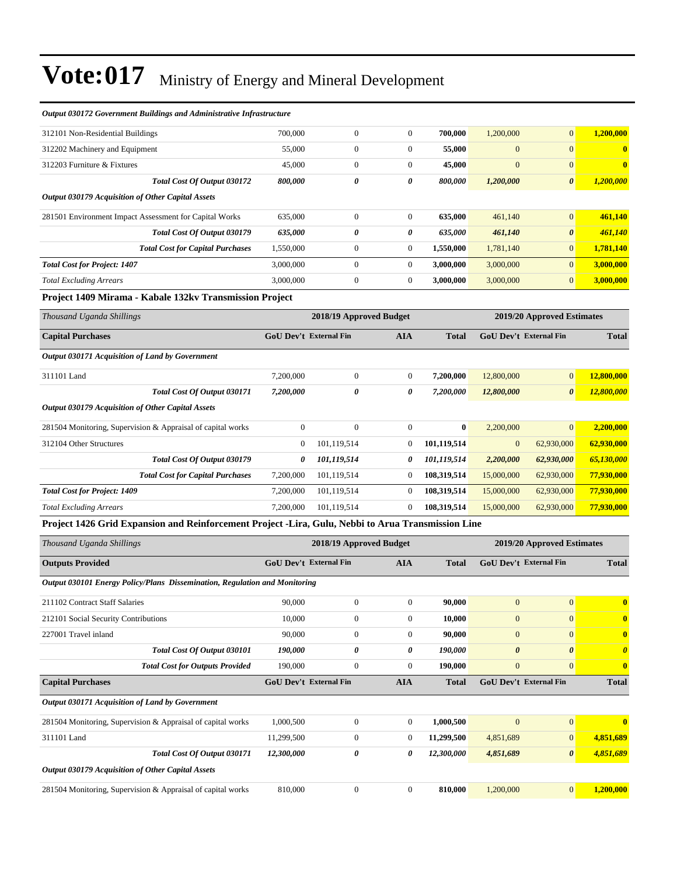| Output 030172 Government Buildings and Administrative Infrastructure                               |                        |                         |                  |              |                            |                            |                       |
|----------------------------------------------------------------------------------------------------|------------------------|-------------------------|------------------|--------------|----------------------------|----------------------------|-----------------------|
| 312101 Non-Residential Buildings                                                                   | 700,000                | $\boldsymbol{0}$        | $\mathbf{0}$     | 700,000      | 1,200,000                  | $\mathbf{0}$               | 1,200,000             |
| 312202 Machinery and Equipment                                                                     | 55,000                 | $\boldsymbol{0}$        | 0                | 55,000       | $\overline{0}$             | $\mathbf{0}$               | $\bf{0}$              |
| 312203 Furniture & Fixtures                                                                        | 45,000                 | $\boldsymbol{0}$        | $\mathbf{0}$     | 45,000       | $\mathbf{0}$               | $\boldsymbol{0}$           | $\bf{0}$              |
| Total Cost Of Output 030172                                                                        | 800,000                | 0                       | 0                | 800,000      | 1,200,000                  | $\boldsymbol{\theta}$      | 1,200,000             |
| <b>Output 030179 Acquisition of Other Capital Assets</b>                                           |                        |                         |                  |              |                            |                            |                       |
| 281501 Environment Impact Assessment for Capital Works                                             | 635,000                | $\boldsymbol{0}$        | 0                | 635,000      | 461,140                    | $\mathbf{0}$               | 461,140               |
| Total Cost Of Output 030179                                                                        | 635,000                | 0                       | 0                | 635,000      | 461,140                    | $\boldsymbol{\theta}$      | 461,140               |
| <b>Total Cost for Capital Purchases</b>                                                            | 1,550,000              | $\boldsymbol{0}$        | 0                | 1,550,000    | 1,781,140                  | $\mathbf{0}$               | 1,781,140             |
| <b>Total Cost for Project: 1407</b>                                                                | 3,000,000              | $\boldsymbol{0}$        | $\mathbf{0}$     | 3,000,000    | 3,000,000                  | $\boldsymbol{0}$           | 3,000,000             |
| <b>Total Excluding Arrears</b>                                                                     | 3,000,000              | $\boldsymbol{0}$        | 0                | 3,000,000    | 3,000,000                  | $\mathbf{0}$               | 3,000,000             |
| Project 1409 Mirama - Kabale 132kv Transmission Project                                            |                        |                         |                  |              |                            |                            |                       |
| Thousand Uganda Shillings                                                                          |                        | 2018/19 Approved Budget |                  |              |                            | 2019/20 Approved Estimates |                       |
| <b>Capital Purchases</b>                                                                           |                        | GoU Dev't External Fin  | AIA              | <b>Total</b> |                            | GoU Dev't External Fin     | Total                 |
| Output 030171 Acquisition of Land by Government                                                    |                        |                         |                  |              |                            |                            |                       |
| 311101 Land                                                                                        | 7,200,000              | $\mathbf{0}$            | 0                | 7,200,000    | 12,800,000                 | $\mathbf{0}$               | 12,800,000            |
| Total Cost Of Output 030171                                                                        | 7,200,000              | 0                       | 0                | 7,200,000    | 12,800,000                 | $\boldsymbol{\theta}$      | 12,800,000            |
| Output 030179 Acquisition of Other Capital Assets                                                  |                        |                         |                  |              |                            |                            |                       |
| 281504 Monitoring, Supervision & Appraisal of capital works                                        | $\mathbf{0}$           | $\mathbf{0}$            | $\boldsymbol{0}$ | $\bf{0}$     | 2,200,000                  | $\mathbf{0}$               | 2,200,000             |
| 312104 Other Structures                                                                            | $\mathbf{0}$           | 101,119,514             | 0                | 101,119,514  | $\mathbf{0}$               | 62,930,000                 | 62,930,000            |
| Total Cost Of Output 030179                                                                        | 0                      | 101,119,514             | 0                | 101,119,514  | 2,200,000                  | 62,930,000                 | 65,130,000            |
| <b>Total Cost for Capital Purchases</b>                                                            | 7,200,000              | 101,119,514             | $\boldsymbol{0}$ | 108,319,514  | 15,000,000                 | 62,930,000                 | 77,930,000            |
| <b>Total Cost for Project: 1409</b>                                                                | 7,200,000              | 101,119,514             | 0                | 108,319,514  | 15,000,000                 | 62,930,000                 | 77,930,000            |
| <b>Total Excluding Arrears</b>                                                                     | 7,200,000              | 101,119,514             | $\boldsymbol{0}$ | 108,319,514  | 15,000,000                 | 62,930,000                 | 77,930,000            |
| Project 1426 Grid Expansion and Reinforcement Project -Lira, Gulu, Nebbi to Arua Transmission Line |                        |                         |                  |              |                            |                            |                       |
| Thousand Uganda Shillings                                                                          |                        | 2018/19 Approved Budget |                  |              | 2019/20 Approved Estimates |                            |                       |
| <b>Outputs Provided</b>                                                                            | GoU Dev't External Fin |                         | AIA              | <b>Total</b> | GoU Dev't External Fin     |                            | <b>Total</b>          |
| Output 030101 Energy Policy/Plans Dissemination, Regulation and Monitoring                         |                        |                         |                  |              |                            |                            |                       |
| 211102 Contract Staff Salaries                                                                     | 90,000                 | $\boldsymbol{0}$        | $\boldsymbol{0}$ | 90,000       | $\mathbf{0}$               | 0                          |                       |
| 212101 Social Security Contributions                                                               | 10,000                 | $\boldsymbol{0}$        | 0                | 10,000       | $\mathbf{0}$               | $\mathbf{0}$               | $\bf{0}$              |
| 227001 Travel inland                                                                               | 90,000                 | $\boldsymbol{0}$        | $\boldsymbol{0}$ | 90,000       | $\mathbf{0}$               | $\mathbf{0}$               | $\bf{0}$              |
| Total Cost Of Output 030101                                                                        | 190,000                | 0                       | 0                | 190,000      | $\boldsymbol{\theta}$      | $\pmb{\theta}$             | $\boldsymbol{\theta}$ |
| <b>Total Cost for Outputs Provided</b>                                                             | 190,000                | $\boldsymbol{0}$        | $\boldsymbol{0}$ | 190,000      | $\mathbf{0}$               | $\mathbf{0}$               | $\bf{0}$              |
| <b>Capital Purchases</b>                                                                           | GoU Dev't External Fin |                         | AIA              | <b>Total</b> | GoU Dev't External Fin     |                            | <b>Total</b>          |
| Output 030171 Acquisition of Land by Government                                                    |                        |                         |                  |              |                            |                            |                       |
| 281504 Monitoring, Supervision & Appraisal of capital works                                        | 1,000,500              | $\boldsymbol{0}$        | $\boldsymbol{0}$ | 1,000,500    | $\boldsymbol{0}$           | $\boldsymbol{0}$           | $\bf{0}$              |
| 311101 Land                                                                                        | 11,299,500             | $\boldsymbol{0}$        | 0                | 11,299,500   | 4,851,689                  | $\mathbf{0}$               | 4,851,689             |
| Total Cost Of Output 030171                                                                        | 12,300,000             | 0                       | 0                | 12,300,000   | 4,851,689                  | $\boldsymbol{\theta}$      | 4,851,689             |
| Output 030179 Acquisition of Other Capital Assets                                                  |                        |                         |                  |              |                            |                            |                       |
| 281504 Monitoring, Supervision & Appraisal of capital works                                        | 810,000                | $\boldsymbol{0}$        | $\boldsymbol{0}$ | 810,000      | 1,200,000                  | $\mathbf{0}$               | 1,200,000             |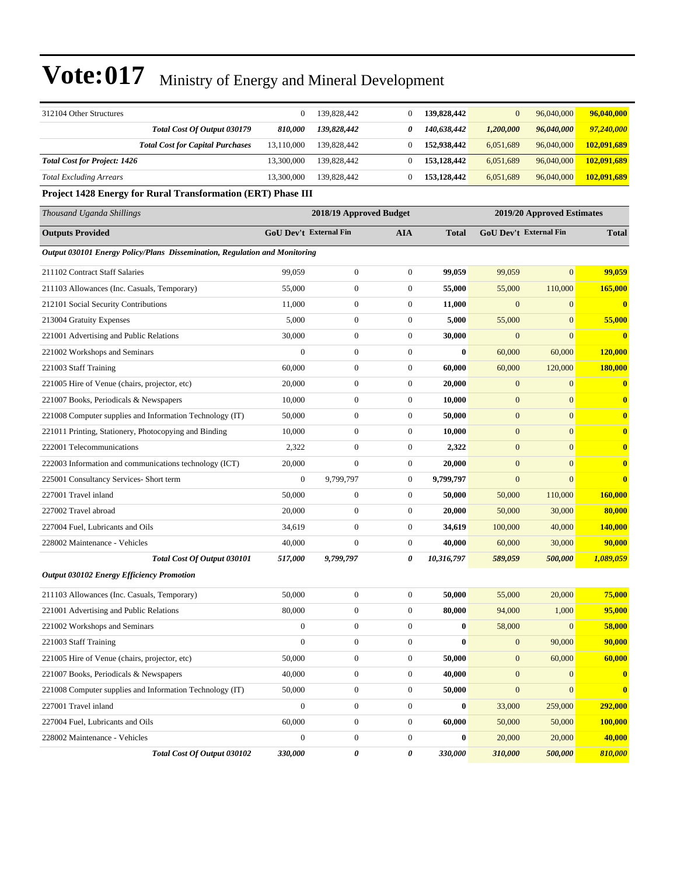| 312104 Other Structures                                                    | $\mathbf{0}$                  | 139,828,442             | $\boldsymbol{0}$ | 139,828,442  | $\mathbf{0}$     | 96,040,000                 | 96,040,000   |
|----------------------------------------------------------------------------|-------------------------------|-------------------------|------------------|--------------|------------------|----------------------------|--------------|
| Total Cost Of Output 030179                                                | 810,000                       | 139,828,442             | 0                | 140,638,442  | 1,200,000        | 96,040,000                 | 97,240,000   |
| <b>Total Cost for Capital Purchases</b>                                    | 13,110,000                    | 139,828,442             | $\boldsymbol{0}$ | 152,938,442  | 6,051,689        | 96,040,000                 | 102,091,689  |
| <b>Total Cost for Project: 1426</b>                                        | 13,300,000                    | 139,828,442             | $\boldsymbol{0}$ | 153,128,442  | 6,051,689        | 96,040,000                 | 102,091,689  |
| <b>Total Excluding Arrears</b>                                             | 13,300,000                    | 139,828,442             | $\boldsymbol{0}$ | 153,128,442  | 6,051,689        | 96,040,000                 | 102,091,689  |
| Project 1428 Energy for Rural Transformation (ERT) Phase III               |                               |                         |                  |              |                  |                            |              |
| Thousand Uganda Shillings                                                  |                               | 2018/19 Approved Budget |                  |              |                  | 2019/20 Approved Estimates |              |
| <b>Outputs Provided</b>                                                    | <b>GoU Dev't External Fin</b> |                         | <b>AIA</b>       | <b>Total</b> |                  | GoU Dev't External Fin     |              |
| Output 030101 Energy Policy/Plans Dissemination, Regulation and Monitoring |                               |                         |                  |              |                  |                            |              |
| 211102 Contract Staff Salaries                                             | 99,059                        | $\boldsymbol{0}$        | $\boldsymbol{0}$ | 99,059       | 99,059           | $\mathbf{0}$               | 99,059       |
| 211103 Allowances (Inc. Casuals, Temporary)                                | 55,000                        | $\boldsymbol{0}$        | 0                | 55,000       | 55,000           | 110,000                    | 165,000      |
| 212101 Social Security Contributions                                       | 11,000                        | $\boldsymbol{0}$        | $\boldsymbol{0}$ | 11,000       | $\mathbf{0}$     | $\boldsymbol{0}$           | $\bf{0}$     |
| 213004 Gratuity Expenses                                                   | 5,000                         | $\boldsymbol{0}$        | $\boldsymbol{0}$ | 5,000        | 55,000           | $\mathbf{0}$               | 55,000       |
| 221001 Advertising and Public Relations                                    | 30,000                        | $\boldsymbol{0}$        | $\boldsymbol{0}$ | 30,000       | $\mathbf{0}$     | $\mathbf{0}$               | $\bf{0}$     |
| 221002 Workshops and Seminars                                              | $\theta$                      | $\boldsymbol{0}$        | $\boldsymbol{0}$ | $\bf{0}$     | 60,000           | 60,000                     | 120,000      |
| 221003 Staff Training                                                      | 60,000                        | $\boldsymbol{0}$        | 0                | 60,000       | 60,000           | 120,000                    | 180,000      |
| 221005 Hire of Venue (chairs, projector, etc)                              | 20,000                        | $\boldsymbol{0}$        | $\boldsymbol{0}$ | 20,000       | $\boldsymbol{0}$ | $\boldsymbol{0}$           | $\bf{0}$     |
| 221007 Books, Periodicals & Newspapers                                     | 10,000                        | $\boldsymbol{0}$        | $\boldsymbol{0}$ | 10,000       | $\boldsymbol{0}$ | $\mathbf{0}$               | $\mathbf{0}$ |
| 221008 Computer supplies and Information Technology (IT)                   | 50,000                        | $\boldsymbol{0}$        | $\boldsymbol{0}$ | 50,000       | $\mathbf{0}$     | $\mathbf{0}$               | $\mathbf{0}$ |
| 221011 Printing, Stationery, Photocopying and Binding                      | 10,000                        | $\boldsymbol{0}$        | $\boldsymbol{0}$ | 10,000       | $\mathbf{0}$     | $\mathbf{0}$               | $\bf{0}$     |
| 222001 Telecommunications                                                  | 2,322                         | $\boldsymbol{0}$        | 0                | 2,322        | $\mathbf{0}$     | $\mathbf{0}$               | $\bf{0}$     |
| 222003 Information and communications technology (ICT)                     | 20,000                        | $\boldsymbol{0}$        | $\boldsymbol{0}$ | 20,000       | $\boldsymbol{0}$ | $\mathbf{0}$               | $\bf{0}$     |
| 225001 Consultancy Services- Short term                                    | $\mathbf{0}$                  | 9,799,797               | $\boldsymbol{0}$ | 9,799,797    | $\boldsymbol{0}$ | $\overline{0}$             | $\mathbf{0}$ |
| 227001 Travel inland                                                       | 50,000                        | $\boldsymbol{0}$        | $\boldsymbol{0}$ | 50,000       | 50,000           | 110,000                    | 160,000      |
| 227002 Travel abroad                                                       | 20,000                        | $\boldsymbol{0}$        | $\boldsymbol{0}$ | 20,000       | 50,000           | 30,000                     | 80,000       |
| 227004 Fuel, Lubricants and Oils                                           | 34,619                        | 0                       | 0                | 34,619       | 100,000          | 40,000                     | 140,000      |
| 228002 Maintenance - Vehicles                                              | 40,000                        | $\boldsymbol{0}$        | $\boldsymbol{0}$ | 40,000       | 60,000           | 30,000                     | 90,000       |
| Total Cost Of Output 030101                                                | <i><b>517,000</b></i>         | 9,799,797               | 0                | 10,316,797   | 589,059          | 500,000                    | 1,089,059    |
| <b>Output 030102 Energy Efficiency Promotion</b>                           |                               |                         |                  |              |                  |                            |              |
| 211103 Allowances (Inc. Casuals, Temporary)                                | 50,000                        | $\boldsymbol{0}$        | $\boldsymbol{0}$ | 50,000       | 55,000           | 20,000                     | 75,000       |
| 221001 Advertising and Public Relations                                    | 80,000                        | $\boldsymbol{0}$        | $\boldsymbol{0}$ | 80,000       | 94,000           | 1,000                      | 95,000       |
| 221002 Workshops and Seminars                                              | $\boldsymbol{0}$              | $\overline{0}$          | $\boldsymbol{0}$ | $\bf{0}$     | 58,000           | $\mathbf{0}$               | 58,000       |
| 221003 Staff Training                                                      | $\boldsymbol{0}$              | $\boldsymbol{0}$        | $\boldsymbol{0}$ | $\bf{0}$     | $\mathbf{0}$     | 90,000                     | 90,000       |
| 221005 Hire of Venue (chairs, projector, etc)                              | 50,000                        | $\boldsymbol{0}$        | $\boldsymbol{0}$ | 50,000       | $\boldsymbol{0}$ | 60,000                     | 60,000       |
| 221007 Books, Periodicals & Newspapers                                     | 40,000                        | $\boldsymbol{0}$        | $\boldsymbol{0}$ | 40,000       | $\mathbf{0}$     | $\mathbf{0}$               | $\bullet$    |
| 221008 Computer supplies and Information Technology (IT)                   | 50,000                        | $\boldsymbol{0}$        | $\boldsymbol{0}$ | 50,000       | $\boldsymbol{0}$ | $\mathbf{0}$               | $\mathbf{0}$ |
| 227001 Travel inland                                                       | $\mathbf{0}$                  | $\boldsymbol{0}$        | 0                | $\bf{0}$     | 33,000           | 259,000                    | 292,000      |
| 227004 Fuel, Lubricants and Oils                                           | 60,000                        | $\boldsymbol{0}$        | $\boldsymbol{0}$ | 60,000       | 50,000           | 50,000                     | 100,000      |
| 228002 Maintenance - Vehicles                                              | $\boldsymbol{0}$              | $\boldsymbol{0}$        | $\boldsymbol{0}$ | $\bf{0}$     | 20,000           | 20,000                     | 40,000       |
| Total Cost Of Output 030102                                                | 330,000                       | 0                       | 0                | 330,000      | 310,000          | 500,000                    | 810,000      |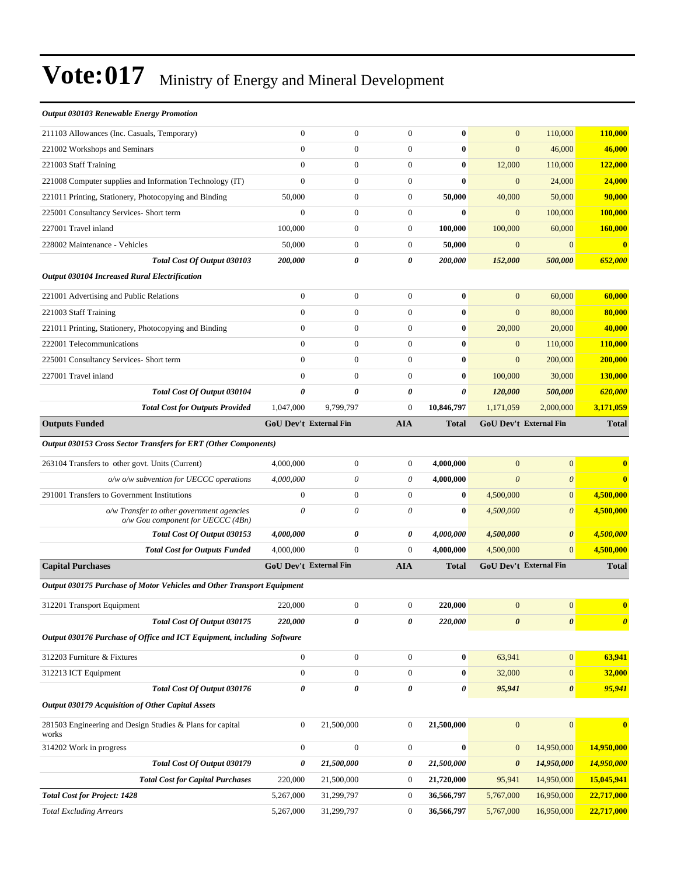| <b>Output 030103 Renewable Energy Promotion</b>                        |                               |                  |                  |                       |                       |                               |                       |
|------------------------------------------------------------------------|-------------------------------|------------------|------------------|-----------------------|-----------------------|-------------------------------|-----------------------|
| 211103 Allowances (Inc. Casuals, Temporary)                            | $\overline{0}$                | $\boldsymbol{0}$ | $\boldsymbol{0}$ | $\bf{0}$              | $\mathbf{0}$          | 110,000                       | 110,000               |
| 221002 Workshops and Seminars                                          | $\overline{0}$                | $\overline{0}$   | $\mathbf{0}$     | $\bf{0}$              | $\overline{0}$        | 46,000                        | 46,000                |
| 221003 Staff Training                                                  | $\overline{0}$                | $\boldsymbol{0}$ | $\theta$         | $\bf{0}$              | 12,000                | 110,000                       | 122,000               |
| 221008 Computer supplies and Information Technology (IT)               | $\overline{0}$                | $\boldsymbol{0}$ | $\mathbf{0}$     | $\bf{0}$              | $\overline{0}$        | 24,000                        | 24,000                |
| 221011 Printing, Stationery, Photocopying and Binding                  | 50,000                        | $\boldsymbol{0}$ | $\boldsymbol{0}$ | 50,000                | 40,000                | 50,000                        | 90,000                |
| 225001 Consultancy Services- Short term                                | $\mathbf{0}$                  | $\boldsymbol{0}$ | $\boldsymbol{0}$ | 0                     | $\mathbf{0}$          | 100,000                       | <b>100,000</b>        |
| 227001 Travel inland                                                   | 100,000                       | $\boldsymbol{0}$ | $\boldsymbol{0}$ | 100,000               | 100,000               | 60,000                        | 160,000               |
| 228002 Maintenance - Vehicles                                          | 50,000                        | $\boldsymbol{0}$ | $\boldsymbol{0}$ | 50,000                | $\overline{0}$        | $\mathbf{0}$                  | $\bf{0}$              |
| Total Cost Of Output 030103                                            | 200,000                       | 0                | 0                | 200,000               | 152,000               | 500,000                       | 652,000               |
| Output 030104 Increased Rural Electrification                          |                               |                  |                  |                       |                       |                               |                       |
| 221001 Advertising and Public Relations                                | $\boldsymbol{0}$              | $\boldsymbol{0}$ | $\boldsymbol{0}$ | $\bf{0}$              | $\mathbf{0}$          | 60,000                        | 60,000                |
| 221003 Staff Training                                                  | $\overline{0}$                | $\boldsymbol{0}$ | $\mathbf{0}$     | $\bf{0}$              | $\overline{0}$        | 80,000                        | 80,000                |
| 221011 Printing, Stationery, Photocopying and Binding                  | $\overline{0}$                | $\mathbf{0}$     | $\boldsymbol{0}$ | $\bf{0}$              | 20,000                | 20,000                        | 40,000                |
| 222001 Telecommunications                                              | $\overline{0}$                | $\overline{0}$   | $\theta$         | $\bf{0}$              | $\mathbf{0}$          | 110,000                       | 110,000               |
| 225001 Consultancy Services- Short term                                | $\overline{0}$                | $\boldsymbol{0}$ | $\boldsymbol{0}$ | $\bf{0}$              | $\overline{0}$        | 200,000                       | 200,000               |
| 227001 Travel inland                                                   | $\mathbf{0}$                  | $\boldsymbol{0}$ | $\boldsymbol{0}$ | $\bf{0}$              | 100,000               | 30,000                        | 130,000               |
| Total Cost Of Output 030104                                            | 0                             | 0                | 0                | 0                     | 120,000               | 500,000                       | 620,000               |
| <b>Total Cost for Outputs Provided</b>                                 | 1,047,000                     | 9,799,797        | $\theta$         | 10,846,797            | 1,171,059             | 2,000,000                     | 3,171,059             |
| <b>Outputs Funded</b>                                                  | <b>GoU Dev't External Fin</b> |                  | <b>AIA</b>       | Total                 |                       | <b>GoU Dev't External Fin</b> | <b>Total</b>          |
| Output 030153 Cross Sector Transfers for ERT (Other Components)        |                               |                  |                  |                       |                       |                               |                       |
| 263104 Transfers to other govt. Units (Current)                        | 4,000,000                     | $\boldsymbol{0}$ | $\boldsymbol{0}$ | 4,000,000             | $\overline{0}$        | $\mathbf{0}$                  | $\bf{0}$              |
| $o/w$ $o/w$ subvention for UECCC operations                            | 4,000,000                     | 0                | 0                | 4,000,000             | $\theta$              | $\boldsymbol{\theta}$         | $\bf{0}$              |
| 291001 Transfers to Government Institutions                            | $\boldsymbol{0}$              | $\boldsymbol{0}$ | $\boldsymbol{0}$ | $\bf{0}$              | 4,500,000             | $\mathbf{0}$                  | 4,500,000             |
| o/w Transfer to other government agencies                              | 0                             | 0                | 0                | $\bf{0}$              | 4,500,000             | $\boldsymbol{\theta}$         | 4,500,000             |
| o/w Gou component for UECCC (4Bn)<br>Total Cost Of Output 030153       | 4,000,000                     | 0                | 0                | 4,000,000             | 4,500,000             | $\boldsymbol{\theta}$         | 4,500,000             |
| <b>Total Cost for Outputs Funded</b>                                   | 4,000,000                     | $\overline{0}$   | $\theta$         | 4,000,000             | 4,500,000             | $\Omega$                      | 4,500,000             |
| <b>Capital Purchases</b>                                               | GoU Dev't External Fin        |                  | <b>AIA</b>       | <b>Total</b>          |                       | GoU Dev't External Fin        | <b>Total</b>          |
|                                                                        |                               |                  |                  |                       |                       |                               |                       |
| Output 030175 Purchase of Motor Vehicles and Other Transport Equipment |                               |                  |                  |                       |                       |                               |                       |
| 312201 Transport Equipment                                             | 220,000                       | $\boldsymbol{0}$ | $\boldsymbol{0}$ | 220,000               | $\overline{0}$        | $\boldsymbol{0}$              | $\bf{0}$              |
| Total Cost Of Output 030175                                            | 220,000                       | 0                | 0                | 220,000               | $\boldsymbol{\theta}$ | $\boldsymbol{\theta}$         | $\boldsymbol{\theta}$ |
| Output 030176 Purchase of Office and ICT Equipment, including Software |                               |                  |                  |                       |                       |                               |                       |
| 312203 Furniture & Fixtures                                            | $\boldsymbol{0}$              | $\boldsymbol{0}$ | $\boldsymbol{0}$ | $\boldsymbol{0}$      | 63,941                | $\boldsymbol{0}$              | 63,941                |
| 312213 ICT Equipment                                                   | $\boldsymbol{0}$              | $\boldsymbol{0}$ | $\boldsymbol{0}$ | 0                     | 32,000                | $\mathbf{0}$                  | 32,000                |
| Total Cost Of Output 030176                                            | 0                             | 0                | 0                | $\boldsymbol{\theta}$ | 95,941                | $\pmb{\theta}$                | 95,941                |
| Output 030179 Acquisition of Other Capital Assets                      |                               |                  |                  |                       |                       |                               |                       |
| 281503 Engineering and Design Studies & Plans for capital<br>works     | $\mathbf{0}$                  | 21,500,000       | $\boldsymbol{0}$ | 21,500,000            | $\boldsymbol{0}$      | $\boldsymbol{0}$              | $\bf{0}$              |
| 314202 Work in progress                                                | $\boldsymbol{0}$              | $\boldsymbol{0}$ | $\boldsymbol{0}$ | $\bf{0}$              | $\boldsymbol{0}$      | 14,950,000                    | 14,950,000            |
| Total Cost Of Output 030179                                            | 0                             | 21,500,000       | 0                | 21,500,000            | $\boldsymbol{\theta}$ | 14,950,000                    | 14,950,000            |
| <b>Total Cost for Capital Purchases</b>                                | 220,000                       | 21,500,000       | $\boldsymbol{0}$ | 21,720,000            | 95,941                | 14,950,000                    | 15,045,941            |
| <b>Total Cost for Project: 1428</b>                                    |                               |                  |                  |                       |                       |                               |                       |
|                                                                        | 5,267,000                     | 31,299,797       | $\boldsymbol{0}$ | 36,566,797            | 5,767,000             | 16,950,000                    | 22,717,000            |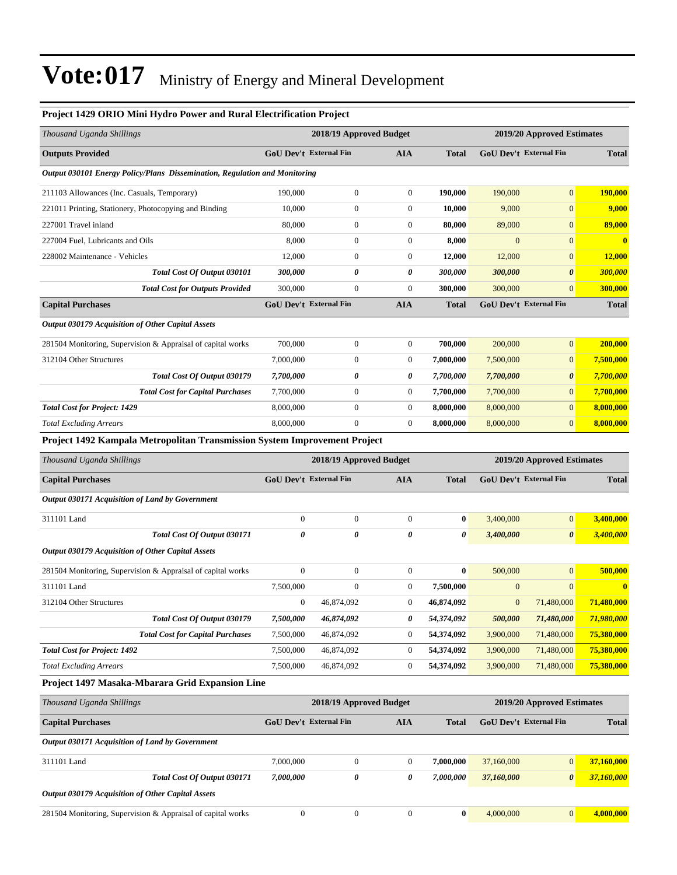#### **Project 1429 ORIO Mini Hydro Power and Rural Electrification Project**

| Thousand Uganda Shillings                                                         |                               | 2018/19 Approved Budget |                  |                  |                  | 2019/20 Approved Estimates    |              |  |  |
|-----------------------------------------------------------------------------------|-------------------------------|-------------------------|------------------|------------------|------------------|-------------------------------|--------------|--|--|
| <b>Outputs Provided</b>                                                           | <b>GoU Dev't External Fin</b> |                         | <b>AIA</b>       | <b>Total</b>     |                  | GoU Dev't External Fin        | <b>Total</b> |  |  |
| <b>Output 030101 Energy Policy/Plans Dissemination, Regulation and Monitoring</b> |                               |                         |                  |                  |                  |                               |              |  |  |
| 211103 Allowances (Inc. Casuals, Temporary)                                       | 190,000                       | $\boldsymbol{0}$        | $\boldsymbol{0}$ | 190,000          | 190,000          | $\mathbf{0}$                  | 190,000      |  |  |
| 221011 Printing, Stationery, Photocopying and Binding                             | 10,000                        | $\boldsymbol{0}$        | $\boldsymbol{0}$ | 10,000           | 9,000            | $\mathbf{0}$                  | 9,000        |  |  |
| 227001 Travel inland                                                              | 80,000                        | 0                       | $\boldsymbol{0}$ | 80,000           | 89,000           | $\mathbf{0}$                  | 89,000       |  |  |
| 227004 Fuel, Lubricants and Oils                                                  | 8,000                         | $\boldsymbol{0}$        | $\boldsymbol{0}$ | 8,000            | $\boldsymbol{0}$ | $\mathbf{0}$                  | $\bf{0}$     |  |  |
| 228002 Maintenance - Vehicles                                                     | 12,000                        | $\boldsymbol{0}$        | $\boldsymbol{0}$ | 12,000           | 12,000           | $\mathbf{0}$                  | 12,000       |  |  |
| Total Cost Of Output 030101                                                       | 300,000                       | 0                       | 0                | 300,000          | 300,000          | $\boldsymbol{\theta}$         | 300,000      |  |  |
| <b>Total Cost for Outputs Provided</b>                                            | 300,000                       | $\boldsymbol{0}$        | $\boldsymbol{0}$ | 300,000          | 300,000          | $\mathbf{0}$                  | 300,000      |  |  |
| <b>Capital Purchases</b>                                                          | <b>GoU Dev't External Fin</b> |                         | AIA              | <b>Total</b>     |                  | <b>GoU Dev't External Fin</b> | <b>Total</b> |  |  |
| <b>Output 030179 Acquisition of Other Capital Assets</b>                          |                               |                         |                  |                  |                  |                               |              |  |  |
| 281504 Monitoring, Supervision & Appraisal of capital works                       | 700,000                       | $\boldsymbol{0}$        | $\boldsymbol{0}$ | 700,000          | 200,000          | $\mathbf{0}$                  | 200,000      |  |  |
| 312104 Other Structures                                                           | 7,000,000                     | $\boldsymbol{0}$        | $\boldsymbol{0}$ | 7,000,000        | 7,500,000        | $\boldsymbol{0}$              | 7,500,000    |  |  |
| Total Cost Of Output 030179                                                       | 7,700,000                     | 0                       | 0                | 7,700,000        | 7,700,000        | $\boldsymbol{\theta}$         | 7,700,000    |  |  |
| <b>Total Cost for Capital Purchases</b>                                           | 7,700,000                     | $\boldsymbol{0}$        | $\boldsymbol{0}$ | 7,700,000        | 7,700,000        | $\mathbf{0}$                  | 7,700,000    |  |  |
| <b>Total Cost for Project: 1429</b>                                               | 8,000,000                     | $\boldsymbol{0}$        | $\boldsymbol{0}$ | 8,000,000        | 8,000,000        | $\mathbf{0}$                  | 8,000,000    |  |  |
| <b>Total Excluding Arrears</b>                                                    | 8,000,000                     | $\overline{0}$          | 0                | 8,000,000        | 8,000,000        | $\mathbf{0}$                  | 8,000,000    |  |  |
| Project 1492 Kampala Metropolitan Transmission System Improvement Project         |                               |                         |                  |                  |                  |                               |              |  |  |
| Thousand Uganda Shillings                                                         |                               | 2018/19 Approved Budget |                  |                  |                  | 2019/20 Approved Estimates    |              |  |  |
| <b>Capital Purchases</b>                                                          | <b>GoU Dev't External Fin</b> |                         | <b>AIA</b>       | <b>Total</b>     |                  | GoU Dev't External Fin        | <b>Total</b> |  |  |
| Output 030171 Acquisition of Land by Government                                   |                               |                         |                  |                  |                  |                               |              |  |  |
| 311101 Land                                                                       | $\boldsymbol{0}$              | $\boldsymbol{0}$        | $\boldsymbol{0}$ | $\boldsymbol{0}$ | 3,400,000        | $\boldsymbol{0}$              | 3,400,000    |  |  |
| Total Cost Of Output 030171                                                       | 0                             | 0                       | 0                | 0                | 3,400,000        | $\boldsymbol{\theta}$         | 3,400,000    |  |  |
| <b>Output 030179 Acquisition of Other Capital Assets</b>                          |                               |                         |                  |                  |                  |                               |              |  |  |
| 281504 Monitoring, Supervision & Appraisal of capital works                       | $\boldsymbol{0}$              | $\boldsymbol{0}$        | $\boldsymbol{0}$ | $\bf{0}$         | 500,000          | $\mathbf{0}$                  | 500,000      |  |  |
| 311101 Land                                                                       | 7,500,000                     | $\boldsymbol{0}$        | $\boldsymbol{0}$ | 7,500,000        | $\boldsymbol{0}$ | $\mathbf{0}$                  | $\bf{0}$     |  |  |
| 312104 Other Structures                                                           | $\boldsymbol{0}$              | 46,874,092              | $\boldsymbol{0}$ | 46,874,092       | $\boldsymbol{0}$ | 71,480,000                    | 71,480,000   |  |  |
| Total Cost Of Output 030179                                                       | 7,500,000                     | 46,874,092              | 0                | 54,374,092       | 500,000          | 71,480,000                    | 71,980,000   |  |  |
| <b>Total Cost for Capital Purchases</b>                                           | 7,500,000                     | 46,874,092              | $\boldsymbol{0}$ | 54,374,092       | 3,900,000        | 71,480,000                    | 75,380,000   |  |  |
| <b>Total Cost for Project: 1492</b>                                               | 7,500,000                     | 46,874,092              | $\boldsymbol{0}$ | 54,374,092       | 3,900,000        | 71,480,000                    | 75,380,000   |  |  |
| <b>Total Excluding Arrears</b>                                                    | 7,500,000                     | 46,874,092              | $\boldsymbol{0}$ | 54,374,092       | 3,900,000        | 71,480,000                    | 75,380,000   |  |  |
| Project 1497 Masaka-Mbarara Grid Expansion Line                                   |                               |                         |                  |                  |                  |                               |              |  |  |
| Thousand Uganda Shillings                                                         |                               | 2018/19 Approved Budget |                  |                  |                  | 2019/20 Approved Estimates    |              |  |  |
| <b>Capital Purchases</b>                                                          | GoU Dev't External Fin        |                         | AIA              | <b>Total</b>     |                  | GoU Dev't External Fin        | <b>Total</b> |  |  |
| Output 030171 Acquisition of Land by Government                                   |                               |                         |                  |                  |                  |                               |              |  |  |
| 311101 Land                                                                       | 7,000,000                     | $\boldsymbol{0}$        | 0                | 7,000,000        | 37,160,000       | $\mathbf{0}$                  | 37,160,000   |  |  |
| Total Cost Of Output 030171                                                       | 7,000,000                     | 0                       | 0                | 7,000,000        | 37,160,000       | $\pmb{\theta}$                | 37,160,000   |  |  |
| <b>Output 030179 Acquisition of Other Capital Assets</b>                          |                               |                         |                  |                  |                  |                               |              |  |  |

<sup>281504</sup> Monitoring, Supervision & Appraisal of capital works 0 0 0 **0** 4,000,000 0 **4,000,000**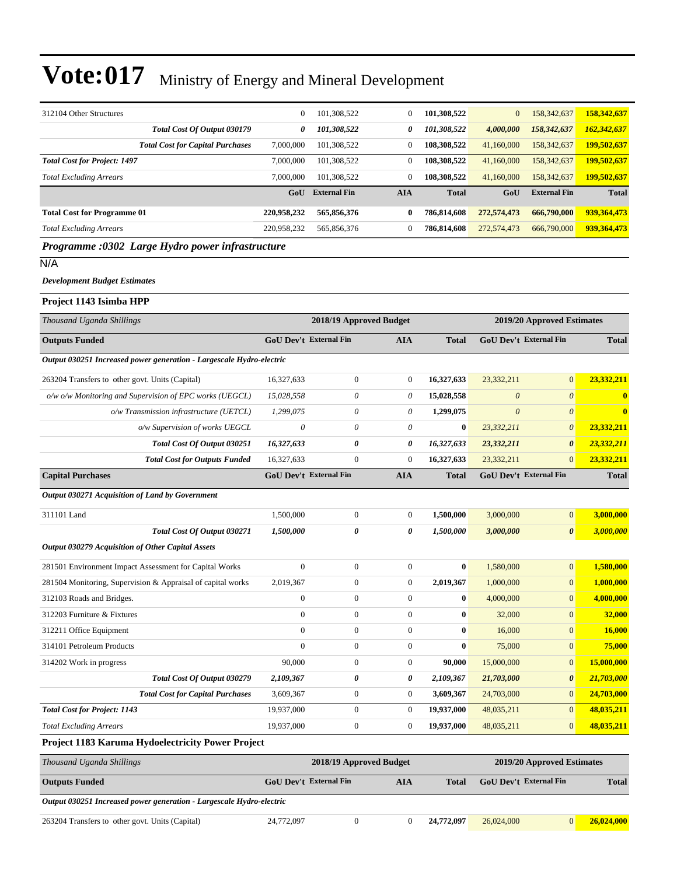| 312104 Other Structures                                              | $\mathbf{0}$                  | 101,308,522             | $\boldsymbol{0}$ | 101,308,522      | $\mathbf{0}$                  | 158,342,637                | 158,342,637  |
|----------------------------------------------------------------------|-------------------------------|-------------------------|------------------|------------------|-------------------------------|----------------------------|--------------|
| Total Cost Of Output 030179                                          | 0                             | 101,308,522             | 0                | 101,308,522      | 4,000,000                     | 158,342,637                | 162,342,637  |
| <b>Total Cost for Capital Purchases</b>                              | 7,000,000                     | 101,308,522             | $\boldsymbol{0}$ | 108,308,522      | 41,160,000                    | 158,342,637                | 199,502,637  |
| <b>Total Cost for Project: 1497</b>                                  | 7,000,000                     | 101,308,522             | $\boldsymbol{0}$ | 108,308,522      | 41,160,000                    | 158,342,637                | 199,502,637  |
| <b>Total Excluding Arrears</b>                                       | 7,000,000                     | 101,308,522             | $\overline{0}$   | 108,308,522      | 41,160,000                    | 158,342,637                | 199,502,637  |
|                                                                      | GoU                           | <b>External Fin</b>     | <b>AIA</b>       | <b>Total</b>     | GoU                           | <b>External Fin</b>        | <b>Total</b> |
| <b>Total Cost for Programme 01</b>                                   | 220,958,232                   | 565,856,376             | 0                | 786,814,608      | 272,574,473                   | 666,790,000                | 939,364,473  |
| <b>Total Excluding Arrears</b>                                       | 220,958,232                   | 565,856,376             | $\boldsymbol{0}$ | 786,814,608      | 272,574,473                   | 666,790,000                | 939,364,473  |
| Programme :0302 Large Hydro power infrastructure                     |                               |                         |                  |                  |                               |                            |              |
| N/A                                                                  |                               |                         |                  |                  |                               |                            |              |
| <b>Development Budget Estimates</b>                                  |                               |                         |                  |                  |                               |                            |              |
| Project 1143 Isimba HPP                                              |                               |                         |                  |                  |                               |                            |              |
| Thousand Uganda Shillings                                            |                               | 2018/19 Approved Budget |                  |                  |                               | 2019/20 Approved Estimates |              |
| <b>Outputs Funded</b>                                                | <b>GoU Dev't External Fin</b> |                         | <b>AIA</b>       | <b>Total</b>     | <b>GoU Dev't External Fin</b> |                            | <b>Total</b> |
| Output 030251 Increased power generation - Largescale Hydro-electric |                               |                         |                  |                  |                               |                            |              |
| 263204 Transfers to other govt. Units (Capital)                      | 16,327,633                    | $\boldsymbol{0}$        | $\boldsymbol{0}$ | 16,327,633       | 23,332,211                    | $\overline{0}$             | 23,332,211   |
| o/w o/w Monitoring and Supervision of EPC works (UEGCL)              | 15,028,558                    | 0                       | 0                | 15,028,558       | $\theta$                      | $\boldsymbol{\theta}$      | $\bf{0}$     |
| o/w Transmission infrastructure (UETCL)                              | 1,299,075                     | 0                       | 0                | 1,299,075        | $\boldsymbol{\theta}$         | $\boldsymbol{\theta}$      | $\bf{0}$     |
| o/w Supervision of works UEGCL                                       | $\theta$                      | 0                       | 0                | $\bf{0}$         | 23,332,211                    | $\theta$                   | 23,332,211   |
| Total Cost Of Output 030251                                          | 16,327,633                    | 0                       | 0                | 16,327,633       | 23,332,211                    | $\boldsymbol{\theta}$      | 23,332,211   |
| <b>Total Cost for Outputs Funded</b>                                 | 16,327,633                    | $\mathbf{0}$            | $\mathbf{0}$     | 16,327,633       | 23,332,211                    | $\overline{0}$             | 23,332,211   |
| <b>Capital Purchases</b>                                             | <b>GoU Dev't External Fin</b> |                         | <b>AIA</b>       | <b>Total</b>     |                               | GoU Dev't External Fin     | <b>Total</b> |
| Output 030271 Acquisition of Land by Government                      |                               |                         |                  |                  |                               |                            |              |
| 311101 Land                                                          | 1,500,000                     | $\boldsymbol{0}$        | $\mathbf{0}$     | 1,500,000        | 3,000,000                     | $\boldsymbol{0}$           | 3,000,000    |
| Total Cost Of Output 030271                                          | 1,500,000                     | 0                       | 0                | 1,500,000        | 3,000,000                     | $\boldsymbol{\theta}$      | 3,000,000    |
| Output 030279 Acquisition of Other Capital Assets                    |                               |                         |                  |                  |                               |                            |              |
| 281501 Environment Impact Assessment for Capital Works               | $\mathbf{0}$                  | $\boldsymbol{0}$        | $\mathbf{0}$     | $\bf{0}$         | 1,580,000                     | $\overline{0}$             | 1,580,000    |
| 281504 Monitoring, Supervision & Appraisal of capital works          | 2.019.367                     | $\mathbf{0}$            | 0                | 2,019,367        | 1,000,000                     | $\overline{0}$             | 1.000.000    |
| 312103 Roads and Bridges.                                            | $\boldsymbol{0}$              | $\boldsymbol{0}$        | $\boldsymbol{0}$ | $\boldsymbol{0}$ | 4,000,000                     | $\mathbf{0}$               | 4,000,000    |
| 312203 Furniture & Fixtures                                          | $\boldsymbol{0}$              | $\boldsymbol{0}$        | 0                | $\bf{0}$         | 32,000                        | $\overline{0}$             | 32,000       |
| 312211 Office Equipment                                              | $\boldsymbol{0}$              | $\boldsymbol{0}$        | $\boldsymbol{0}$ | $\bf{0}$         | 16,000                        | $\boldsymbol{0}$           | 16,000       |
| 314101 Petroleum Products                                            | $\mathbf{0}$                  | $\boldsymbol{0}$        | 0                | $\boldsymbol{0}$ | 75,000                        | $\overline{0}$             | 75,000       |
| 314202 Work in progress                                              | 90,000                        | $\boldsymbol{0}$        | 0                | 90,000           | 15,000,000                    | $\boldsymbol{0}$           | 15,000,000   |
| Total Cost Of Output 030279                                          | 2,109,367                     | 0                       | 0                | 2,109,367        | 21,703,000                    | $\boldsymbol{\theta}$      | 21,703,000   |
| <b>Total Cost for Capital Purchases</b>                              | 3,609,367                     | $\boldsymbol{0}$        | $\boldsymbol{0}$ | 3,609,367        | 24,703,000                    | $\mathbf{0}$               | 24,703,000   |
| <b>Total Cost for Project: 1143</b>                                  | 19,937,000                    | $\boldsymbol{0}$        | $\boldsymbol{0}$ | 19,937,000       | 48,035,211                    | $\mathbf{0}$               | 48,035,211   |
| <b>Total Excluding Arrears</b>                                       | 19,937,000                    | $\boldsymbol{0}$        | 0                | 19,937,000       | 48,035,211                    | $\mathbf{0}$               | 48,035,211   |
| Project 1183 Karuma Hydoelectricity Power Project                    |                               |                         |                  |                  |                               |                            |              |

| Thousand Uganda Shillings                                            | 2018/19 Approved Budget |  | 2019/20 Approved Estimates |            |                               |   |              |
|----------------------------------------------------------------------|-------------------------|--|----------------------------|------------|-------------------------------|---|--------------|
| <b>Outputs Funded</b>                                                | GoU Dev't External Fin  |  | AIA                        | Total      | <b>GoU</b> Dev't External Fin |   | <b>Total</b> |
| Output 030251 Increased power generation - Largescale Hydro-electric |                         |  |                            |            |                               |   |              |
| 263204 Transfers to other govt. Units (Capital)                      | 24,772,097              |  |                            | 24,772,097 | 26,024,000                    | 0 | 26,024,000   |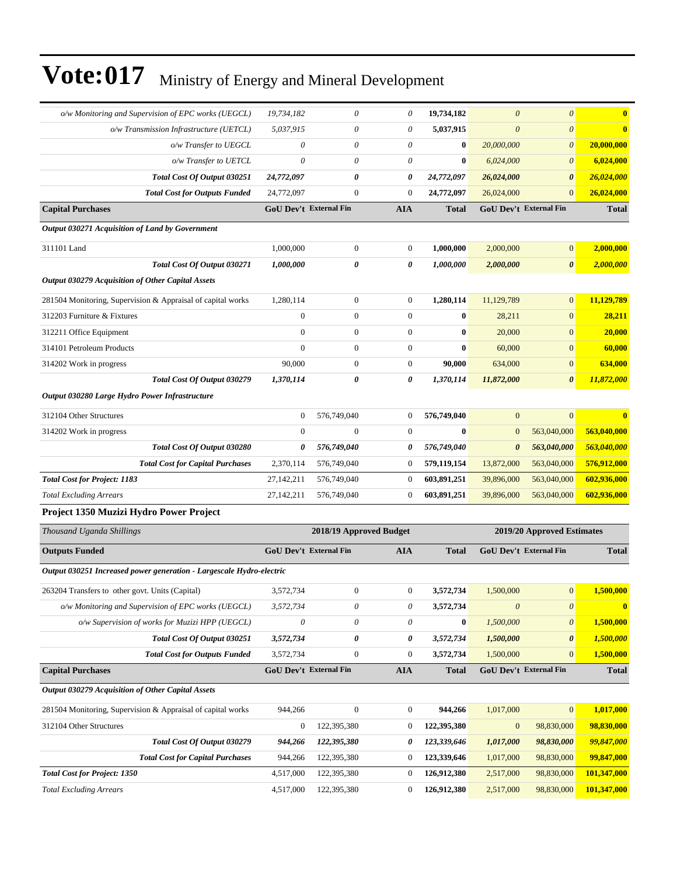| o/w Monitoring and Supervision of EPC works (UEGCL)                  | 19,734,182                    | 0                       | 0                | 19,734,182   | $\boldsymbol{0}$      | $\boldsymbol{\theta}$         | $\bf{0}$     |
|----------------------------------------------------------------------|-------------------------------|-------------------------|------------------|--------------|-----------------------|-------------------------------|--------------|
| o/w Transmission Infrastructure (UETCL)                              | 5,037,915                     | 0                       | 0                | 5,037,915    | $\theta$              | $\boldsymbol{\theta}$         | $\bf{0}$     |
| o/w Transfer to UEGCL                                                | $\boldsymbol{\theta}$         | 0                       | 0                | $\bf{0}$     | 20,000,000            | $\boldsymbol{\theta}$         | 20,000,000   |
| o/w Transfer to UETCL                                                | $\theta$                      | 0                       | 0                | $\bf{0}$     | 6,024,000             | $\boldsymbol{\theta}$         | 6,024,000    |
| Total Cost Of Output 030251                                          | 24,772,097                    | 0                       | 0                | 24,772,097   | 26,024,000            | $\boldsymbol{\theta}$         | 26,024,000   |
| <b>Total Cost for Outputs Funded</b>                                 | 24,772,097                    | $\boldsymbol{0}$        | $\overline{0}$   | 24,772,097   | 26,024,000            | $\mathbf{0}$                  | 26,024,000   |
| <b>Capital Purchases</b>                                             | <b>GoU Dev't External Fin</b> |                         | <b>AIA</b>       | Total        |                       | <b>GoU Dev't External Fin</b> | <b>Total</b> |
| Output 030271 Acquisition of Land by Government                      |                               |                         |                  |              |                       |                               |              |
| 311101 Land                                                          | 1,000,000                     | $\boldsymbol{0}$        | $\boldsymbol{0}$ | 1,000,000    | 2,000,000             | $\mathbf{0}$                  | 2,000,000    |
| Total Cost Of Output 030271                                          | 1,000,000                     | 0                       | 0                | 1,000,000    | 2,000,000             | $\boldsymbol{\theta}$         | 2,000,000    |
| Output 030279 Acquisition of Other Capital Assets                    |                               |                         |                  |              |                       |                               |              |
| 281504 Monitoring, Supervision & Appraisal of capital works          | 1,280,114                     | $\boldsymbol{0}$        | $\boldsymbol{0}$ | 1,280,114    | 11,129,789            | $\mathbf{0}$                  | 11,129,789   |
| 312203 Furniture & Fixtures                                          | $\boldsymbol{0}$              | $\boldsymbol{0}$        | $\boldsymbol{0}$ | $\bf{0}$     | 28,211                | $\mathbf{0}$                  | 28,211       |
| 312211 Office Equipment                                              | $\mathbf{0}$                  | $\boldsymbol{0}$        | $\boldsymbol{0}$ | 0            | 20,000                | $\mathbf{0}$                  | 20,000       |
| 314101 Petroleum Products                                            | $\Omega$                      | $\overline{0}$          | $\boldsymbol{0}$ | $\bf{0}$     | 60,000                | $\mathbf{0}$                  | 60,000       |
| 314202 Work in progress                                              | 90,000                        | $\boldsymbol{0}$        | $\boldsymbol{0}$ | 90,000       | 634,000               | $\mathbf{0}$                  | 634,000      |
| Total Cost Of Output 030279                                          | 1,370,114                     | 0                       | 0                | 1,370,114    | 11,872,000            | $\boldsymbol{\theta}$         | 11,872,000   |
| Output 030280 Large Hydro Power Infrastructure                       |                               |                         |                  |              |                       |                               |              |
| 312104 Other Structures                                              | $\boldsymbol{0}$              | 576,749,040             | $\boldsymbol{0}$ | 576,749,040  | $\mathbf{0}$          | $\mathbf{0}$                  | 0            |
| 314202 Work in progress                                              | $\theta$                      | $\overline{0}$          | $\mathbf{0}$     | $\bf{0}$     | $\mathbf{0}$          | 563,040,000                   | 563,040,000  |
| Total Cost Of Output 030280                                          | 0                             | 576,749,040             | 0                | 576,749,040  | $\boldsymbol{\theta}$ | 563,040,000                   | 563,040,000  |
| <b>Total Cost for Capital Purchases</b>                              | 2,370,114                     | 576,749,040             | 0                | 579,119,154  | 13,872,000            | 563,040,000                   | 576,912,000  |
| <b>Total Cost for Project: 1183</b>                                  | 27, 142, 211                  | 576,749,040             | $\mathbf{0}$     | 603,891,251  | 39,896,000            | 563,040,000                   | 602,936,000  |
| <b>Total Excluding Arrears</b>                                       | 27,142,211                    | 576,749,040             | $\mathbf{0}$     | 603,891,251  | 39,896,000            | 563,040,000                   | 602,936,000  |
| Project 1350 Muzizi Hydro Power Project                              |                               |                         |                  |              |                       |                               |              |
| Thousand Uganda Shillings                                            |                               | 2018/19 Approved Budget |                  |              |                       | 2019/20 Approved Estimates    |              |
| <b>Outputs Funded</b>                                                | GoU Dev't External Fin        |                         | <b>AIA</b>       | <b>Total</b> |                       | GoU Dev't External Fin        | <b>Total</b> |
| Output 030251 Increased power generation - Largescale Hydro-electric |                               |                         |                  |              |                       |                               |              |
| 263204 Transfers to other govt. Units (Capital)                      | 3,572,734                     | 0                       | $\boldsymbol{0}$ | 3,572,734    | 1,500,000             | $\mathbf{0}$                  | 1,500,000    |
| o/w Monitoring and Supervision of EPC works (UEGCL)                  | 3,572,734                     | 0                       | 0                | 3,572,734    | $\boldsymbol{\theta}$ | $\boldsymbol{\mathit{0}}$     | $\bf{0}$     |
| o/w Supervision of works for Muzizi HPP (UEGCL)                      | $\theta$                      | 0                       | 0                | $\bf{0}$     | 1,500,000             | $\boldsymbol{\theta}$         | 1,500,000    |
| Total Cost Of Output 030251                                          | 3,572,734                     | 0                       | 0                | 3,572,734    | 1,500,000             | $\boldsymbol{\theta}$         | 1,500,000    |
| <b>Total Cost for Outputs Funded</b>                                 | 3,572,734                     | $\boldsymbol{0}$        | 0                | 3,572,734    | 1,500,000             | $\mathbf{0}$                  | 1,500,000    |
| <b>Capital Purchases</b>                                             | GoU Dev't External Fin        |                         | <b>AIA</b>       | <b>Total</b> |                       | GoU Dev't External Fin        | <b>Total</b> |
| Output 030279 Acquisition of Other Capital Assets                    |                               |                         |                  |              |                       |                               |              |
| 281504 Monitoring, Supervision & Appraisal of capital works          | 944,266                       | $\mathbf{0}$            | $\boldsymbol{0}$ | 944,266      | 1,017,000             | $\boldsymbol{0}$              | 1,017,000    |
| 312104 Other Structures                                              | $\boldsymbol{0}$              | 122,395,380             | $\boldsymbol{0}$ | 122,395,380  | $\boldsymbol{0}$      | 98,830,000                    | 98,830,000   |
| Total Cost Of Output 030279                                          | 944,266                       | 122,395,380             | 0                | 123,339,646  | 1,017,000             | 98,830,000                    | 99,847,000   |
| <b>Total Cost for Capital Purchases</b>                              | 944,266                       | 122,395,380             | $\boldsymbol{0}$ | 123,339,646  | 1,017,000             | 98,830,000                    | 99,847,000   |
| <b>Total Cost for Project: 1350</b>                                  | 4,517,000                     | 122,395,380             | $\boldsymbol{0}$ | 126,912,380  | 2,517,000             | 98,830,000                    | 101,347,000  |
| <b>Total Excluding Arrears</b>                                       | 4,517,000                     | 122,395,380             | 0                | 126,912,380  | 2,517,000             | 98,830,000                    | 101,347,000  |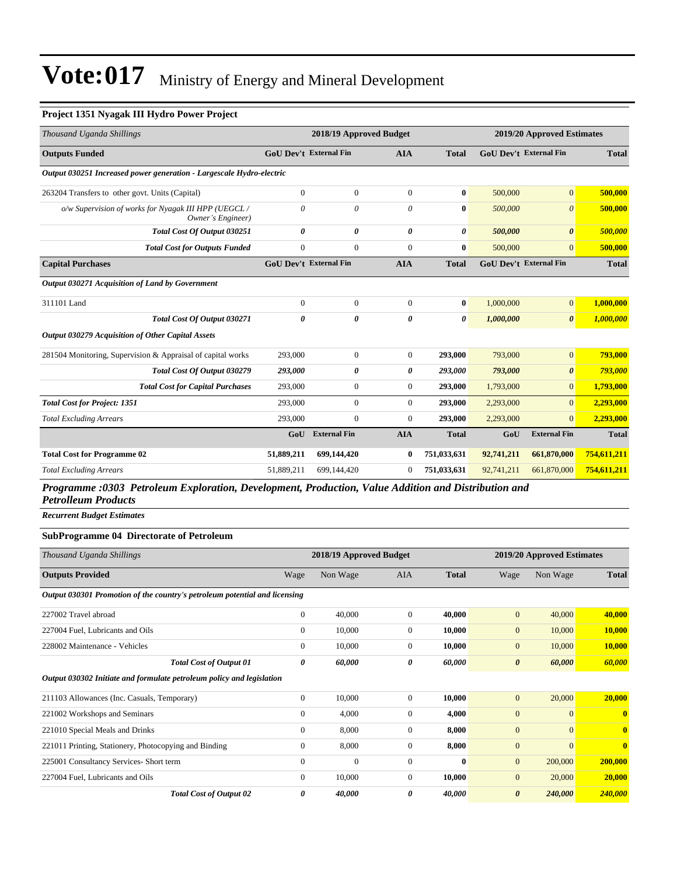#### **Project 1351 Nyagak III Hydro Power Project**

| Thousand Uganda Shillings                                                |                               | 2018/19 Approved Budget |                |              |            | 2019/20 Approved Estimates    |              |
|--------------------------------------------------------------------------|-------------------------------|-------------------------|----------------|--------------|------------|-------------------------------|--------------|
| <b>Outputs Funded</b>                                                    | <b>GoU</b> Dev't External Fin |                         | <b>AIA</b>     | <b>Total</b> |            | <b>GoU Dev't External Fin</b> | <b>Total</b> |
| Output 030251 Increased power generation - Largescale Hydro-electric     |                               |                         |                |              |            |                               |              |
| 263204 Transfers to other govt. Units (Capital)                          | $\mathbf{0}$                  | $\mathbf{0}$            | $\overline{0}$ | $\bf{0}$     | 500,000    | $\mathbf{0}$                  | 500,000      |
| o/w Supervision of works for Nyagak III HPP (UEGCL/<br>Owner's Engineer) | $\theta$                      | $\theta$                | $\theta$       | $\bf{0}$     | 500,000    | $\theta$                      | 500,000      |
| Total Cost Of Output 030251                                              | 0                             | 0                       | 0              | 0            | 500,000    | $\boldsymbol{\theta}$         | 500,000      |
| <b>Total Cost for Outputs Funded</b>                                     | $\overline{0}$                | $\mathbf{0}$            | $\Omega$       | $\bf{0}$     | 500,000    | $\Omega$                      | 500,000      |
| <b>Capital Purchases</b>                                                 | <b>GoU Dev't External Fin</b> |                         | <b>AIA</b>     | <b>Total</b> |            | <b>GoU Dev't External Fin</b> | <b>Total</b> |
| Output 030271 Acquisition of Land by Government                          |                               |                         |                |              |            |                               |              |
| 311101 Land                                                              | $\overline{0}$                | $\mathbf{0}$            | $\overline{0}$ | $\bf{0}$     | 1,000,000  | $\mathbf{0}$                  | 1,000,000    |
| <b>Total Cost Of Output 030271</b>                                       | 0                             | 0                       | 0              | 0            | 1,000,000  | $\boldsymbol{\theta}$         | 1,000,000    |
| Output 030279 Acquisition of Other Capital Assets                        |                               |                         |                |              |            |                               |              |
| 281504 Monitoring, Supervision & Appraisal of capital works              | 293,000                       | $\boldsymbol{0}$        | $\overline{0}$ | 293,000      | 793,000    | $\overline{0}$                | 793,000      |
| Total Cost Of Output 030279                                              | 293,000                       | 0                       | 0              | 293,000      | 793,000    | $\boldsymbol{\theta}$         | 793,000      |
| <b>Total Cost for Capital Purchases</b>                                  | 293,000                       | $\mathbf{0}$            | $\overline{0}$ | 293,000      | 1,793,000  | $\overline{0}$                | 1,793,000    |
| <b>Total Cost for Project: 1351</b>                                      | 293,000                       | $\overline{0}$          | $\overline{0}$ | 293,000      | 2,293,000  | $\overline{0}$                | 2,293,000    |
| <b>Total Excluding Arrears</b>                                           | 293,000                       | $\mathbf{0}$            | $\overline{0}$ | 293,000      | 2,293,000  | $\overline{0}$                | 2,293,000    |
|                                                                          | GoU                           | <b>External Fin</b>     | <b>AIA</b>     | <b>Total</b> | GoU        | <b>External Fin</b>           | <b>Total</b> |
| <b>Total Cost for Programme 02</b>                                       | 51,889,211                    | 699,144,420             | $\bf{0}$       | 751,033,631  | 92,741,211 | 661,870,000                   | 754,611,211  |
| <b>Total Excluding Arrears</b>                                           | 51,889,211                    | 699,144,420             | $\mathbf{0}$   | 751,033,631  | 92,741,211 | 661,870,000                   | 754,611,211  |

*Programme :0303 Petroleum Exploration, Development, Production, Value Addition and Distribution and Petrolleum Products*

*Recurrent Budget Estimates*

#### **SubProgramme 04 Directorate of Petroleum**

| Thousand Uganda Shillings                                                  |                | 2018/19 Approved Budget |                |              |                       | 2019/20 Approved Estimates |              |  |
|----------------------------------------------------------------------------|----------------|-------------------------|----------------|--------------|-----------------------|----------------------------|--------------|--|
| <b>Outputs Provided</b>                                                    | Wage           | Non Wage                | <b>AIA</b>     | <b>Total</b> | Wage                  | Non Wage                   | <b>Total</b> |  |
| Output 030301 Promotion of the country's petroleum potential and licensing |                |                         |                |              |                       |                            |              |  |
| 227002 Travel abroad                                                       | $\overline{0}$ | 40,000                  | $\overline{0}$ | 40,000       | $\mathbf{0}$          | 40,000                     | 40,000       |  |
| 227004 Fuel, Lubricants and Oils                                           | $\overline{0}$ | 10,000                  | $\overline{0}$ | 10,000       | $\mathbf{0}$          | 10,000                     | 10,000       |  |
| 228002 Maintenance - Vehicles                                              | $\mathbf{0}$   | 10,000                  | $\overline{0}$ | 10,000       | $\mathbf{0}$          | 10,000                     | 10,000       |  |
| <b>Total Cost of Output 01</b>                                             | 0              | 60,000                  | 0              | 60,000       | $\boldsymbol{\theta}$ | 60,000                     | 60,000       |  |
| Output 030302 Initiate and formulate petroleum policy and legislation      |                |                         |                |              |                       |                            |              |  |
| 211103 Allowances (Inc. Casuals, Temporary)                                | $\mathbf{0}$   | 10,000                  | $\Omega$       | 10,000       | $\mathbf{0}$          | 20,000                     | 20,000       |  |
| 221002 Workshops and Seminars                                              | $\theta$       | 4,000                   | $\overline{0}$ | 4,000        | $\mathbf{0}$          | $\overline{0}$             | $\mathbf{0}$ |  |
| 221010 Special Meals and Drinks                                            | $\Omega$       | 8,000                   | $\Omega$       | 8,000        | $\mathbf{0}$          | $\Omega$                   | $\mathbf{0}$ |  |
| 221011 Printing, Stationery, Photocopying and Binding                      | $\mathbf{0}$   | 8,000                   | $\Omega$       | 8,000        | $\overline{0}$        | $\overline{0}$             | $\mathbf{0}$ |  |
| 225001 Consultancy Services- Short term                                    | $\theta$       | $\mathbf{0}$            | $\overline{0}$ | $\mathbf{0}$ | $\mathbf{0}$          | 200,000                    | 200,000      |  |
| 227004 Fuel, Lubricants and Oils                                           | $\Omega$       | 10,000                  | $\overline{0}$ | 10,000       | $\mathbf{0}$          | 20,000                     | 20,000       |  |
| <b>Total Cost of Output 02</b>                                             | 0              | 40,000                  | 0              | 40,000       | $\boldsymbol{\theta}$ | 240,000                    | 240,000      |  |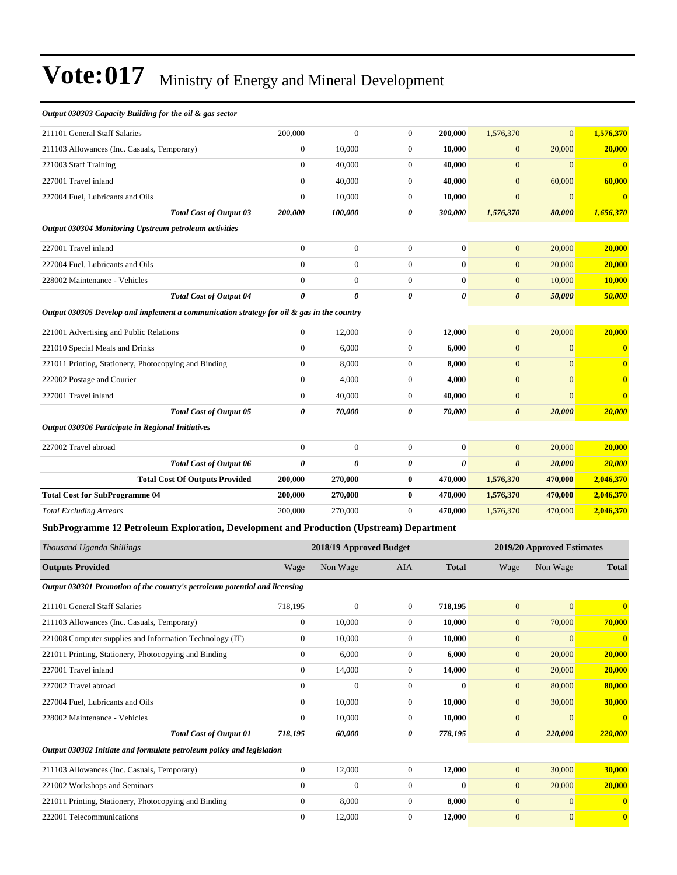#### *Output 030303 Capacity Building for the oil & gas sector*

| 211101 General Staff Salaries                                                                | 200,000                              | $\mathbf{0}$            | $\mathbf{0}$                         | 200,000         | 1,576,370             | $\overline{0}$               | 1,576,370                    |
|----------------------------------------------------------------------------------------------|--------------------------------------|-------------------------|--------------------------------------|-----------------|-----------------------|------------------------------|------------------------------|
| 211103 Allowances (Inc. Casuals, Temporary)                                                  | $\boldsymbol{0}$                     | 10,000                  | $\boldsymbol{0}$                     | 10,000          | $\mathbf{0}$          | 20,000                       | 20,000                       |
| 221003 Staff Training                                                                        | $\mathbf{0}$                         | 40,000                  | $\boldsymbol{0}$                     | 40,000          | $\mathbf{0}$          | $\overline{0}$               | $\bf{0}$                     |
| 227001 Travel inland                                                                         | $\boldsymbol{0}$                     | 40,000                  | $\boldsymbol{0}$                     | 40,000          | $\mathbf{0}$          | 60,000                       | 60,000                       |
| 227004 Fuel, Lubricants and Oils                                                             | $\boldsymbol{0}$                     | 10,000                  | $\boldsymbol{0}$                     | 10,000          | $\mathbf{0}$          | $\boldsymbol{0}$             | $\bf{0}$                     |
| <b>Total Cost of Output 03</b>                                                               | 200,000                              | 100,000                 | 0                                    | 300,000         | 1,576,370             | 80,000                       | 1,656,370                    |
| Output 030304 Monitoring Upstream petroleum activities                                       |                                      |                         |                                      |                 |                       |                              |                              |
| 227001 Travel inland                                                                         | $\boldsymbol{0}$                     | $\boldsymbol{0}$        | $\boldsymbol{0}$                     | 0               | $\mathbf{0}$          | 20,000                       | 20.000                       |
| 227004 Fuel, Lubricants and Oils                                                             | $\mathbf{0}$                         | $\mathbf{0}$            | $\boldsymbol{0}$                     | $\bf{0}$        | $\boldsymbol{0}$      | 20,000                       | 20,000                       |
| 228002 Maintenance - Vehicles                                                                | $\boldsymbol{0}$                     | $\mathbf{0}$            | $\boldsymbol{0}$                     | $\bf{0}$        | $\boldsymbol{0}$      | 10,000                       | 10,000                       |
| <b>Total Cost of Output 04</b>                                                               | $\boldsymbol{\theta}$                | $\theta$                | $\boldsymbol{\theta}$                | 0               | $\boldsymbol{\theta}$ | 50,000                       | 50,000                       |
| Output 030305 Develop and implement a communication strategy for oil $\&$ gas in the country |                                      |                         |                                      |                 |                       |                              |                              |
| 221001 Advertising and Public Relations                                                      | $\boldsymbol{0}$                     | 12,000                  | $\boldsymbol{0}$                     | 12,000          | $\boldsymbol{0}$      | 20,000                       | 20,000                       |
| 221010 Special Meals and Drinks                                                              | $\boldsymbol{0}$                     | 6,000                   | $\boldsymbol{0}$                     | 6,000           | $\mathbf{0}$          | $\boldsymbol{0}$             | $\mathbf{0}$                 |
| 221011 Printing, Stationery, Photocopying and Binding                                        | $\mathbf{0}$                         | 8,000                   | $\boldsymbol{0}$                     | 8,000           | $\mathbf{0}$          | $\overline{0}$               | $\bf{0}$                     |
| 222002 Postage and Courier                                                                   | $\boldsymbol{0}$                     | 4,000                   | $\boldsymbol{0}$                     | 4,000           | $\mathbf{0}$          | $\overline{0}$               | $\bf{0}$                     |
| 227001 Travel inland                                                                         | $\boldsymbol{0}$                     | 40,000                  | $\boldsymbol{0}$                     | 40,000          | $\mathbf{0}$          | $\overline{0}$               | $\bf{0}$                     |
| <b>Total Cost of Output 05</b>                                                               | 0                                    | 70,000                  | 0                                    | 70,000          | $\boldsymbol{\theta}$ | 20,000                       | 20,000                       |
| Output 030306 Participate in Regional Initiatives                                            |                                      |                         |                                      |                 |                       |                              |                              |
|                                                                                              |                                      |                         |                                      |                 |                       |                              |                              |
| 227002 Travel abroad                                                                         | $\boldsymbol{0}$                     | $\boldsymbol{0}$        | $\boldsymbol{0}$                     | 0               | $\mathbf{0}$          | 20,000                       | 20,000                       |
| <b>Total Cost of Output 06</b>                                                               | $\boldsymbol{\theta}$                | $\theta$                | 0                                    | 0               | $\boldsymbol{\theta}$ | 20,000                       | <b>20,000</b>                |
| <b>Total Cost Of Outputs Provided</b>                                                        | 200,000                              | 270,000                 | $\bf{0}$                             | 470,000         | 1,576,370             | 470,000                      | 2,046,370                    |
| <b>Total Cost for SubProgramme 04</b>                                                        | 200,000                              | 270,000                 | $\bf{0}$                             | 470,000         | 1,576,370             | 470,000                      | 2,046,370                    |
| <b>Total Excluding Arrears</b>                                                               | 200,000                              | 270,000                 | $\overline{0}$                       | 470,000         | 1,576,370             | 470,000                      | 2,046,370                    |
| SubProgramme 12 Petroleum Exploration, Development and Production (Upstream) Department      |                                      |                         |                                      |                 |                       |                              |                              |
| Thousand Uganda Shillings                                                                    |                                      | 2018/19 Approved Budget |                                      |                 |                       | 2019/20 Approved Estimates   |                              |
| <b>Outputs Provided</b>                                                                      | Wage                                 | Non Wage                | AIA                                  | <b>Total</b>    | Wage                  | Non Wage                     | <b>Total</b>                 |
| Output 030301 Promotion of the country's petroleum potential and licensing                   |                                      |                         |                                      |                 |                       |                              |                              |
| 211101 General Staff Salaries                                                                | 718,195                              | $\boldsymbol{0}$        | $\boldsymbol{0}$                     | 718,195         | $\mathbf{0}$          | $\mathbf{0}$                 | $\bf{0}$                     |
| 211103 Allowances (Inc. Casuals, Temporary)                                                  | $\boldsymbol{0}$                     | 10,000                  | $\boldsymbol{0}$                     | 10,000          | $\mathbf{0}$          | 70,000                       | 70,000                       |
| 221008 Computer supplies and Information Technology (IT)                                     | $\boldsymbol{0}$                     | 10,000                  | $\boldsymbol{0}$                     | 10,000          | $\boldsymbol{0}$      | $\mathbf{0}$                 | $\mathbf{0}$                 |
| 221011 Printing, Stationery, Photocopying and Binding                                        | $\boldsymbol{0}$                     | 6,000                   | $\boldsymbol{0}$                     | 6,000           | $\boldsymbol{0}$      | 20,000                       | 20,000                       |
| 227001 Travel inland                                                                         | $\boldsymbol{0}$                     | 14,000                  | $\boldsymbol{0}$                     | 14,000          | $\boldsymbol{0}$      | 20,000                       | 20,000                       |
| 227002 Travel abroad                                                                         | $\boldsymbol{0}$                     | $\boldsymbol{0}$        | $\boldsymbol{0}$                     | $\bf{0}$        | $\boldsymbol{0}$      | 80,000                       | 80,000                       |
| 227004 Fuel, Lubricants and Oils                                                             | $\boldsymbol{0}$                     | 10,000                  | $\boldsymbol{0}$                     | 10,000          | $\mathbf{0}$          | 30,000                       | 30,000                       |
| 228002 Maintenance - Vehicles                                                                | $\boldsymbol{0}$                     | 10,000                  | $\boldsymbol{0}$                     | 10,000          | $\boldsymbol{0}$      | $\overline{0}$               | $\mathbf{0}$                 |
| <b>Total Cost of Output 01</b>                                                               | 718,195                              | 60,000                  | 0                                    | 778,195         | $\pmb{\theta}$        | 220,000                      | 220,000                      |
| Output 030302 Initiate and formulate petroleum policy and legislation                        |                                      |                         |                                      |                 |                       |                              |                              |
|                                                                                              |                                      |                         |                                      |                 |                       |                              |                              |
| 211103 Allowances (Inc. Casuals, Temporary)                                                  | $\boldsymbol{0}$                     | 12,000                  | $\boldsymbol{0}$                     | 12,000          | $\mathbf{0}$          | 30,000                       | 30,000                       |
| 221002 Workshops and Seminars                                                                | $\boldsymbol{0}$                     | $\boldsymbol{0}$        | $\boldsymbol{0}$                     | $\bf{0}$        | $\mathbf{0}$          | 20,000                       | 20,000                       |
| 221011 Printing, Stationery, Photocopying and Binding                                        |                                      |                         |                                      |                 | $\mathbf{0}$          |                              |                              |
| 222001 Telecommunications                                                                    | $\boldsymbol{0}$<br>$\boldsymbol{0}$ | 8,000<br>12,000         | $\boldsymbol{0}$<br>$\boldsymbol{0}$ | 8,000<br>12,000 | $\boldsymbol{0}$      | $\mathbf{0}$<br>$\mathbf{0}$ | $\mathbf{0}$<br>$\mathbf{0}$ |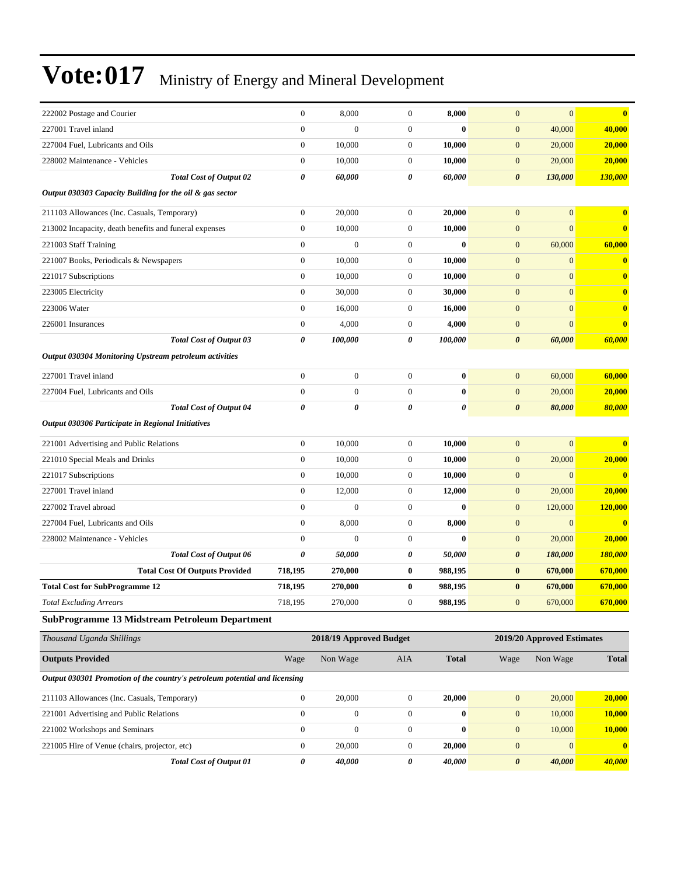| 222002 Postage and Courier                                                 | $\theta$              | 8,000                   | $\mathbf{0}$     | 8,000        | $\mathbf{0}$          | $\overline{0}$             | $\bf{0}$         |
|----------------------------------------------------------------------------|-----------------------|-------------------------|------------------|--------------|-----------------------|----------------------------|------------------|
| 227001 Travel inland                                                       | $\mathbf{0}$          | $\mathbf{0}$            | $\overline{0}$   | $\bf{0}$     | $\mathbf{0}$          | 40,000                     | 40,000           |
| 227004 Fuel, Lubricants and Oils                                           | $\mathbf{0}$          | 10,000                  | $\mathbf{0}$     | 10,000       | $\mathbf{0}$          | 20,000                     | 20,000           |
| 228002 Maintenance - Vehicles                                              | $\boldsymbol{0}$      | 10,000                  | $\mathbf{0}$     | 10,000       | $\mathbf{0}$          | 20,000                     | 20,000           |
| Total Cost of Output 02                                                    | 0                     | 60,000                  | 0                | 60,000       | $\boldsymbol{\theta}$ | 130,000                    | 130,000          |
| Output 030303 Capacity Building for the oil & gas sector                   |                       |                         |                  |              |                       |                            |                  |
|                                                                            |                       |                         |                  |              |                       |                            |                  |
| 211103 Allowances (Inc. Casuals, Temporary)                                | $\boldsymbol{0}$      | 20,000                  | $\mathbf{0}$     | 20,000       | $\mathbf{0}$          | $\overline{0}$             | $\bf{0}$         |
| 213002 Incapacity, death benefits and funeral expenses                     | $\mathbf{0}$          | 10,000                  | $\mathbf{0}$     | 10,000       | $\mathbf{0}$          | $\overline{0}$             | $\bf{0}$         |
| 221003 Staff Training                                                      | $\mathbf{0}$          | $\overline{0}$          | 0                | $\bf{0}$     | $\mathbf{0}$          | 60,000                     | 60,000           |
| 221007 Books, Periodicals & Newspapers                                     | $\boldsymbol{0}$      | 10,000                  | $\mathbf{0}$     | 10,000       | $\mathbf{0}$          | $\overline{0}$             | $\bf{0}$         |
| 221017 Subscriptions                                                       | $\boldsymbol{0}$      | 10,000                  | $\mathbf{0}$     | 10,000       | $\mathbf{0}$          | $\mathbf{0}$               | $\mathbf{0}$     |
| 223005 Electricity                                                         | $\boldsymbol{0}$      | 30,000                  | $\mathbf{0}$     | 30,000       | $\mathbf{0}$          | $\overline{0}$             | $\mathbf{0}$     |
| 223006 Water                                                               | $\boldsymbol{0}$      | 16,000                  | $\mathbf{0}$     | 16,000       | $\mathbf{0}$          | $\overline{0}$             | $\bf{0}$         |
| 226001 Insurances                                                          | $\boldsymbol{0}$      | 4,000                   | $\mathbf{0}$     | 4,000        | $\mathbf{0}$          | $\overline{0}$             | $\mathbf{0}$     |
| <b>Total Cost of Output 03</b>                                             | 0                     | 100,000                 | 0                | 100,000      | $\boldsymbol{\theta}$ | 60,000                     | 60,000           |
| Output 030304 Monitoring Upstream petroleum activities                     |                       |                         |                  |              |                       |                            |                  |
| 227001 Travel inland                                                       | $\mathbf{0}$          | $\boldsymbol{0}$        | $\mathbf{0}$     | $\bf{0}$     | $\mathbf{0}$          | 60,000                     | 60,000           |
| 227004 Fuel, Lubricants and Oils                                           | $\mathbf{0}$          | $\overline{0}$          | $\overline{0}$   | $\bf{0}$     | $\mathbf{0}$          | 20,000                     | 20,000           |
| <b>Total Cost of Output 04</b>                                             | $\boldsymbol{\theta}$ | 0                       | 0                | 0            | $\boldsymbol{\theta}$ | 80,000                     | 80,000           |
| Output 030306 Participate in Regional Initiatives                          |                       |                         |                  |              |                       |                            |                  |
| 221001 Advertising and Public Relations                                    | $\boldsymbol{0}$      | 10,000                  | $\mathbf{0}$     | 10,000       | $\mathbf{0}$          | $\overline{0}$             | $\bf{0}$         |
| 221010 Special Meals and Drinks                                            | $\boldsymbol{0}$      | 10,000                  | $\mathbf{0}$     | 10,000       | $\mathbf{0}$          | 20,000                     | 20,000           |
| 221017 Subscriptions                                                       | $\boldsymbol{0}$      | 10,000                  | $\mathbf{0}$     | 10,000       | $\mathbf{0}$          | $\mathbf{0}$               | $\bf{0}$         |
| 227001 Travel inland                                                       | $\boldsymbol{0}$      | 12,000                  | $\mathbf{0}$     | 12,000       | $\mathbf{0}$          | 20,000                     | 20,000           |
| 227002 Travel abroad                                                       | $\mathbf{0}$          | $\overline{0}$          | 0                | $\bf{0}$     | $\mathbf{0}$          | 120,000                    | 120,000          |
| 227004 Fuel, Lubricants and Oils                                           | $\mathbf{0}$          | 8,000                   | 0                | 8,000        | $\mathbf{0}$          | $\overline{0}$             | $\bf{0}$         |
| 228002 Maintenance - Vehicles                                              | $\mathbf{0}$          | $\overline{0}$          | 0                | $\bf{0}$     | $\mathbf{0}$          | 20,000                     | 20,000           |
| <b>Total Cost of Output 06</b>                                             | 0                     | 50,000                  | 0                | 50,000       | $\boldsymbol{\theta}$ | 180,000                    | 180,000          |
| <b>Total Cost Of Outputs Provided</b>                                      | 718,195               | 270,000                 | $\bf{0}$         | 988,195      | $\bf{0}$              | 670,000                    | 670,000          |
| <b>Total Cost for SubProgramme 12</b>                                      | 718,195               | 270,000                 | 0                | 988,195      | $\bf{0}$              | 670,000                    | 670,000          |
| <b>Total Excluding Arrears</b>                                             | 718,195               | 270,000                 | $\boldsymbol{0}$ | 988,195      | $\mathbf{0}$          | 670,000                    | 670,000          |
| SubProgramme 13 Midstream Petroleum Department                             |                       |                         |                  |              |                       |                            |                  |
| Thousand Uganda Shillings                                                  |                       | 2018/19 Approved Budget |                  |              |                       | 2019/20 Approved Estimates |                  |
| <b>Outputs Provided</b>                                                    | Wage                  | Non Wage                | AIA              | <b>Total</b> | Wage                  | Non Wage                   | <b>Total</b>     |
| Output 030301 Promotion of the country's petroleum potential and licensing |                       |                         |                  |              |                       |                            |                  |
| 211103 Allowances (Inc. Casuals, Temporary)                                | $\boldsymbol{0}$      | 20,000                  | $\boldsymbol{0}$ | 20,000       | $\mathbf{0}$          | 20,000                     | 20,000           |
| 221001 Advertising and Public Relations                                    | $\boldsymbol{0}$      | $\boldsymbol{0}$        | $\boldsymbol{0}$ | $\bf{0}$     | $\mathbf{0}$          | 10,000                     | 10,000           |
| 221002 Workshops and Seminars                                              | $\boldsymbol{0}$      | $\boldsymbol{0}$        | $\mathbf{0}$     | $\bf{0}$     | $\mathbf{0}$          | 10,000                     | 10,000           |
| 221005 Hire of Venue (chairs, projector, etc)                              | $\boldsymbol{0}$      | 20,000                  | 0                | 20,000       | $\mathbf{0}$          | $\boldsymbol{0}$           | $\boldsymbol{0}$ |
| <b>Total Cost of Output 01</b>                                             | 0                     | 40,000                  | 0                | 40,000       | $\pmb{\theta}$        | 40,000                     | 40,000           |
|                                                                            |                       |                         |                  |              |                       |                            |                  |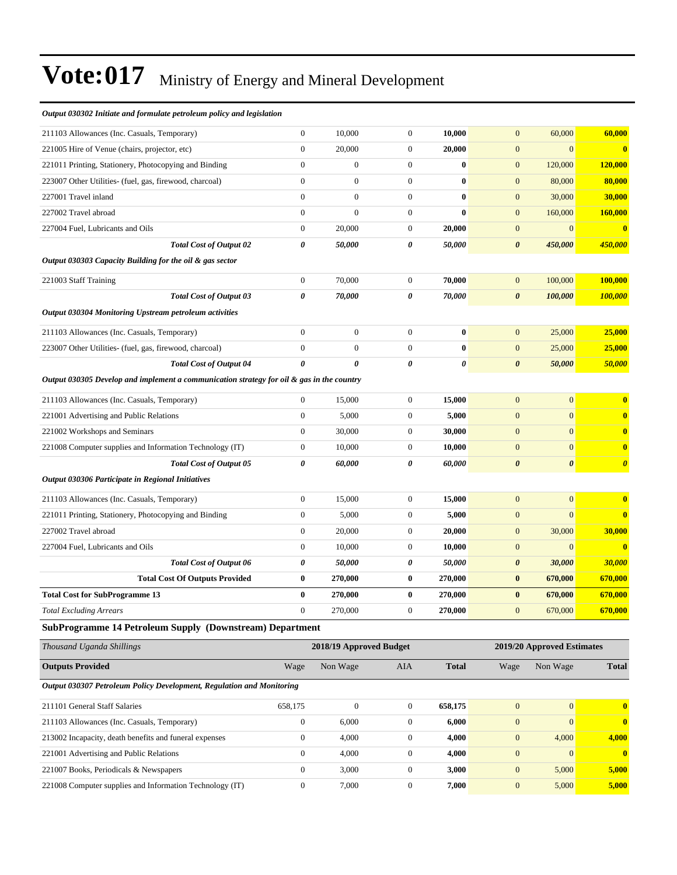| Thousand Uganda Shillings                                                                 |                       | 2018/19 Approved Budget |                  |              |                       | 2019/20 Approved Estimates |                       |
|-------------------------------------------------------------------------------------------|-----------------------|-------------------------|------------------|--------------|-----------------------|----------------------------|-----------------------|
| SubProgramme 14 Petroleum Supply (Downstream) Department                                  |                       |                         |                  |              |                       |                            |                       |
| <b>Total Excluding Arrears</b>                                                            | $\mathbf{0}$          | 270,000                 | $\mathbf{0}$     | 270,000      | $\mathbf{0}$          | 670,000                    | 670,000               |
| <b>Total Cost for SubProgramme 13</b>                                                     | $\bf{0}$              | 270,000                 | $\bf{0}$         | 270,000      | $\bf{0}$              | 670,000                    | 670,000               |
| <b>Total Cost Of Outputs Provided</b>                                                     | $\bf{0}$              | 270,000                 | $\bf{0}$         | 270,000      | $\bf{0}$              | 670,000                    | 670,000               |
| <b>Total Cost of Output 06</b>                                                            | $\boldsymbol{\theta}$ | 50,000                  | 0                | 50,000       | $\boldsymbol{\theta}$ | 30,000                     | 30,000                |
| 227004 Fuel, Lubricants and Oils                                                          | $\mathbf{0}$          | 10,000                  | $\boldsymbol{0}$ | 10,000       | $\mathbf{0}$          | $\overline{0}$             | $\bf{0}$              |
| 227002 Travel abroad                                                                      | $\boldsymbol{0}$      | 20,000                  | $\boldsymbol{0}$ | 20,000       | $\mathbf{0}$          | 30,000                     | 30,000                |
| 221011 Printing, Stationery, Photocopying and Binding                                     | $\boldsymbol{0}$      | 5,000                   | $\boldsymbol{0}$ | 5,000        | $\mathbf{0}$          | $\overline{0}$             | $\bf{0}$              |
| 211103 Allowances (Inc. Casuals, Temporary)                                               | $\boldsymbol{0}$      | 15,000                  | $\boldsymbol{0}$ | 15,000       | $\mathbf{0}$          | $\overline{0}$             | $\bf{0}$              |
| Output 030306 Participate in Regional Initiatives                                         |                       |                         |                  |              |                       |                            |                       |
| <b>Total Cost of Output 05</b>                                                            | 0                     | 60,000                  | 0                | 60,000       | $\boldsymbol{\theta}$ | $\boldsymbol{\theta}$      | $\boldsymbol{\theta}$ |
| 221008 Computer supplies and Information Technology (IT)                                  | $\boldsymbol{0}$      | 10,000                  | $\overline{0}$   | 10,000       | $\overline{0}$        | $\overline{0}$             | $\bf{0}$              |
| 221002 Workshops and Seminars                                                             | $\mathbf{0}$          | 30,000                  | $\overline{0}$   | 30,000       | $\mathbf{0}$          | $\overline{0}$             | $\bf{0}$              |
| 221001 Advertising and Public Relations                                                   | $\boldsymbol{0}$      | 5,000                   | $\boldsymbol{0}$ | 5,000        | $\mathbf{0}$          | $\overline{0}$             | $\bf{0}$              |
| 211103 Allowances (Inc. Casuals, Temporary)                                               | $\mathbf{0}$          | 15,000                  | $\boldsymbol{0}$ | 15,000       | $\mathbf{0}$          | $\overline{0}$             | $\bf{0}$              |
| Output 030305 Develop and implement a communication strategy for oil & gas in the country |                       |                         |                  |              |                       |                            |                       |
| <b>Total Cost of Output 04</b>                                                            | $\boldsymbol{\theta}$ | 0                       | 0                | 0            | $\boldsymbol{\theta}$ | 50,000                     | 50,000                |
| 223007 Other Utilities- (fuel, gas, firewood, charcoal)                                   | $\boldsymbol{0}$      | $\mathbf{0}$            | $\boldsymbol{0}$ | $\bf{0}$     | $\mathbf{0}$          | 25,000                     | 25,000                |
| 211103 Allowances (Inc. Casuals, Temporary)                                               | $\mathbf{0}$          | $\boldsymbol{0}$        | $\overline{0}$   | $\bf{0}$     | $\mathbf{0}$          | 25,000                     | 25,000                |
| Output 030304 Monitoring Upstream petroleum activities                                    |                       |                         |                  |              |                       |                            |                       |
| <b>Total Cost of Output 03</b>                                                            | $\boldsymbol{\theta}$ | 70,000                  | 0                | 70,000       | $\boldsymbol{\theta}$ | 100,000                    | 100,000               |
| 221003 Staff Training                                                                     | $\mathbf{0}$          | 70,000                  | $\boldsymbol{0}$ | 70,000       | $\mathbf{0}$          | 100,000                    | 100,000               |
| Output 030303 Capacity Building for the oil & gas sector                                  |                       |                         |                  |              |                       |                            |                       |
| <b>Total Cost of Output 02</b>                                                            | 0                     | 50,000                  | 0                | 50,000       | $\boldsymbol{\theta}$ | 450,000                    | 450,000               |
| 227004 Fuel, Lubricants and Oils                                                          | $\boldsymbol{0}$      | 20,000                  | $\boldsymbol{0}$ | 20,000       | $\boldsymbol{0}$      | $\mathbf{0}$               | $\bf{0}$              |
| 227002 Travel abroad                                                                      | $\boldsymbol{0}$      | $\boldsymbol{0}$        | $\boldsymbol{0}$ | $\bf{0}$     | $\boldsymbol{0}$      | 160,000                    | 160,000               |
| 227001 Travel inland                                                                      | $\theta$              | $\boldsymbol{0}$        | $\boldsymbol{0}$ | $\bf{0}$     | $\mathbf{0}$          | 30,000                     | 30,000                |
| 223007 Other Utilities- (fuel, gas, firewood, charcoal)                                   | $\mathbf{0}$          | $\overline{0}$          | $\overline{0}$   | $\bf{0}$     | $\mathbf{0}$          | 80,000                     | 80,000                |
| 221011 Printing, Stationery, Photocopying and Binding                                     | $\mathbf{0}$          | $\mathbf{0}$            | $\overline{0}$   | $\mathbf{0}$ | $\mathbf{0}$          | 120,000                    | 120,000               |
| 221005 Hire of Venue (chairs, projector, etc)                                             | $\mathbf{0}$          | 20,000                  | $\overline{0}$   | 20,000       | $\mathbf{0}$          | $\overline{0}$             | $\mathbf{0}$          |
| 211103 Allowances (Inc. Casuals, Temporary)                                               | $\boldsymbol{0}$      | 10,000                  | $\boldsymbol{0}$ | 10,000       | $\mathbf{0}$          | 60,000                     | 60,000                |
| Output 030302 Initiate and formulate petroleum policy and legislation                     |                       |                         |                  |              |                       |                            |                       |

| Inousand Uganda Shillings                                             |          | 2018/19 Approved Budget | 2019/20 Approved Estimates |              |                |          |              |
|-----------------------------------------------------------------------|----------|-------------------------|----------------------------|--------------|----------------|----------|--------------|
| <b>Outputs Provided</b>                                               | Wage     | Non Wage                | AIA                        | <b>Total</b> | Wage           | Non Wage | <b>Total</b> |
| Output 030307 Petroleum Policy Development, Regulation and Monitoring |          |                         |                            |              |                |          |              |
| 211101 General Staff Salaries                                         | 658,175  | $\mathbf{0}$            | $\mathbf{0}$               | 658.175      | $\mathbf{0}$   | $\Omega$ | $\mathbf{0}$ |
| 211103 Allowances (Inc. Casuals, Temporary)                           | $\theta$ | 6.000                   | $\mathbf{0}$               | 6.000        | $\mathbf{0}$   | $\Omega$ | $\mathbf{0}$ |
| 213002 Incapacity, death benefits and funeral expenses                | $\Omega$ | 4,000                   | $\mathbf{0}$               | 4.000        | $\overline{0}$ | 4.000    | 4.000        |
| 221001 Advertising and Public Relations                               | $\Omega$ | 4,000                   | $\mathbf{0}$               | 4,000        | $\overline{0}$ | $\Omega$ | $\mathbf{0}$ |
| 221007 Books, Periodicals & Newspapers                                |          | 3.000                   | $\mathbf{0}$               | 3,000        | $\mathbf{0}$   | 5,000    | 5,000        |
| 221008 Computer supplies and Information Technology (IT)              |          | 7,000                   | $\Omega$                   | 7,000        | $\overline{0}$ | 5.000    | 5.000        |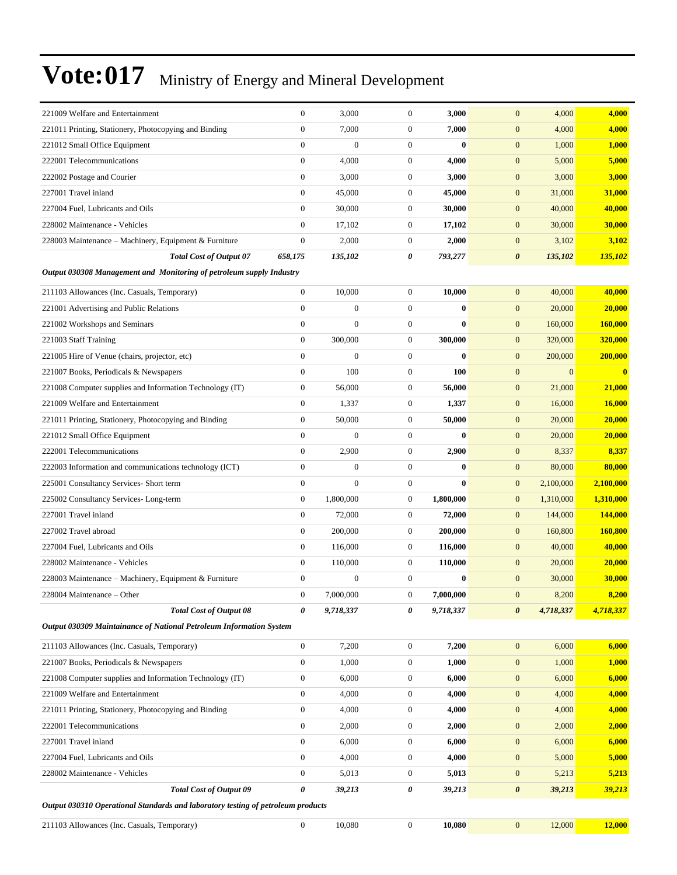| 221009 Welfare and Entertainment                                                 | $\mathbf{0}$     | 3,000            | $\boldsymbol{0}$ | 3,000     | $\mathbf{0}$                       | 4,000<br>4,000             |
|----------------------------------------------------------------------------------|------------------|------------------|------------------|-----------|------------------------------------|----------------------------|
| 221011 Printing, Stationery, Photocopying and Binding                            | $\overline{0}$   | 7,000            | $\mathbf{0}$     | 7,000     | $\mathbf{0}$                       | 4,000<br>4,000             |
| 221012 Small Office Equipment                                                    | $\mathbf{0}$     | $\mathbf{0}$     | $\mathbf{0}$     | $\bf{0}$  | $\mathbf{0}$                       | 1,000<br>1,000             |
| 222001 Telecommunications                                                        | $\boldsymbol{0}$ | 4,000            | $\mathbf{0}$     | 4,000     | $\mathbf{0}$                       | 5,000<br>5,000             |
| 222002 Postage and Courier                                                       | $\boldsymbol{0}$ | 3,000            | $\boldsymbol{0}$ | 3,000     | $\mathbf{0}$                       | 3,000<br>3,000             |
| 227001 Travel inland                                                             | $\mathbf{0}$     | 45,000           | $\boldsymbol{0}$ | 45,000    | $\boldsymbol{0}$<br>31,000         | 31,000                     |
| 227004 Fuel, Lubricants and Oils                                                 | $\mathbf{0}$     | 30,000           | $\mathbf{0}$     | 30,000    | $\mathbf{0}$<br>40,000             | 40,000                     |
| 228002 Maintenance - Vehicles                                                    | $\mathbf{0}$     | 17,102           | $\boldsymbol{0}$ | 17,102    | $\boldsymbol{0}$<br>30,000         | 30,000                     |
| 228003 Maintenance - Machinery, Equipment & Furniture                            | $\boldsymbol{0}$ | 2,000            | $\boldsymbol{0}$ | 2,000     | $\boldsymbol{0}$                   | 3,102<br>3,102             |
| <b>Total Cost of Output 07</b>                                                   | 658,175          | 135,102          | 0                | 793,277   | $\boldsymbol{\theta}$<br>135,102   | <u>135,102</u>             |
| Output 030308 Management and Monitoring of petroleum supply Industry             |                  |                  |                  |           |                                    |                            |
| 211103 Allowances (Inc. Casuals, Temporary)                                      | $\boldsymbol{0}$ | 10,000           | $\mathbf{0}$     | 10,000    | $\mathbf{0}$<br>40,000             | 40,000                     |
| 221001 Advertising and Public Relations                                          | $\mathbf{0}$     | $\mathbf{0}$     | $\mathbf{0}$     | $\bf{0}$  | $\mathbf{0}$<br>20,000             | 20,000                     |
| 221002 Workshops and Seminars                                                    | $\mathbf{0}$     | $\mathbf{0}$     | $\boldsymbol{0}$ | $\bf{0}$  | $\boldsymbol{0}$<br>160,000        | 160,000                    |
| 221003 Staff Training                                                            | $\boldsymbol{0}$ | 300,000          | $\boldsymbol{0}$ | 300,000   | $\boldsymbol{0}$<br>320,000        | 320,000                    |
| 221005 Hire of Venue (chairs, projector, etc)                                    | $\boldsymbol{0}$ | $\Omega$         | $\mathbf{0}$     | $\bf{0}$  | $\mathbf{0}$<br>200,000            | 200,000                    |
| 221007 Books, Periodicals & Newspapers                                           | $\mathbf{0}$     | 100              | $\mathbf{0}$     | 100       | $\mathbf{0}$                       | $\overline{0}$<br>$\bf{0}$ |
| 221008 Computer supplies and Information Technology (IT)                         | $\boldsymbol{0}$ | 56,000           | $\mathbf{0}$     | 56,000    | $\boldsymbol{0}$<br>21,000         | 21,000                     |
| 221009 Welfare and Entertainment                                                 | $\boldsymbol{0}$ | 1,337            | $\boldsymbol{0}$ | 1,337     | $\boldsymbol{0}$<br>16,000         | 16,000                     |
| 221011 Printing, Stationery, Photocopying and Binding                            | $\boldsymbol{0}$ | 50,000           | $\boldsymbol{0}$ | 50,000    | $\boldsymbol{0}$<br>20,000         | 20,000                     |
| 221012 Small Office Equipment                                                    | $\boldsymbol{0}$ | $\mathbf{0}$     | $\boldsymbol{0}$ | $\bf{0}$  | $\boldsymbol{0}$<br>20,000         | 20,000                     |
| 222001 Telecommunications                                                        | $\mathbf{0}$     | 2,900            | $\boldsymbol{0}$ | 2,900     | $\boldsymbol{0}$                   | 8,337<br>8,337             |
| 222003 Information and communications technology (ICT)                           | $\mathbf{0}$     | $\mathbf{0}$     | $\mathbf{0}$     | $\bf{0}$  | $\mathbf{0}$<br>80,000             | 80,000                     |
| 225001 Consultancy Services- Short term                                          | $\mathbf{0}$     | $\mathbf{0}$     | $\boldsymbol{0}$ | $\bf{0}$  | $\boldsymbol{0}$<br>2,100,000      | 2,100,000                  |
| 225002 Consultancy Services-Long-term                                            | $\boldsymbol{0}$ | 1,800,000        | $\boldsymbol{0}$ | 1,800,000 | $\boldsymbol{0}$<br>1,310,000      | 1,310,000                  |
| 227001 Travel inland                                                             | $\boldsymbol{0}$ | 72,000           | $\boldsymbol{0}$ | 72,000    | $\mathbf{0}$<br>144,000            | <b>144,000</b>             |
| 227002 Travel abroad                                                             | $\mathbf{0}$     | 200,000          | $\boldsymbol{0}$ | 200,000   | $\mathbf{0}$<br>160,800            | 160,800                    |
| 227004 Fuel, Lubricants and Oils                                                 | $\mathbf{0}$     | 116,000          | $\mathbf{0}$     | 116,000   | $\mathbf{0}$<br>40,000             | 40,000                     |
| 228002 Maintenance - Vehicles                                                    | $\mathbf{0}$     | 110,000          | $\boldsymbol{0}$ | 110,000   | $\mathbf{0}$<br>20,000             | 20,000                     |
| 228003 Maintenance – Machinery, Equipment & Furniture                            | $\boldsymbol{0}$ | $\boldsymbol{0}$ | $\boldsymbol{0}$ | $\bf{0}$  | $\mathbf{0}$<br>30,000             | 30,000                     |
| 228004 Maintenance - Other                                                       | $\boldsymbol{0}$ | 7,000,000        | $\boldsymbol{0}$ | 7,000,000 | $\mathbf{0}$                       | 8,200<br>8,200             |
| <b>Total Cost of Output 08</b>                                                   | 0                | 9,718,337        | $\pmb{\theta}$   | 9,718,337 | $\boldsymbol{\theta}$<br>4,718,337 | 4,718,337                  |
| Output 030309 Maintainance of National Petroleum Information System              |                  |                  |                  |           |                                    |                            |
| 211103 Allowances (Inc. Casuals, Temporary)                                      | $\boldsymbol{0}$ | 7,200            | $\boldsymbol{0}$ | 7,200     | $\mathbf{0}$                       | 6,000<br>6,000             |
| 221007 Books, Periodicals & Newspapers                                           | $\boldsymbol{0}$ | 1,000            | $\boldsymbol{0}$ | 1,000     | $\bf{0}$                           | 1,000<br>1,000             |
| 221008 Computer supplies and Information Technology (IT)                         | $\boldsymbol{0}$ | 6,000            | $\boldsymbol{0}$ | 6,000     | $\mathbf{0}$                       | 6,000<br>6,000             |
| 221009 Welfare and Entertainment                                                 | $\boldsymbol{0}$ | 4,000            | $\boldsymbol{0}$ | 4,000     | $\mathbf{0}$                       | 4,000<br>4,000             |
| 221011 Printing, Stationery, Photocopying and Binding                            | $\boldsymbol{0}$ | 4,000            | $\boldsymbol{0}$ | 4,000     | $\mathbf{0}$                       | 4,000<br>4,000             |
| 222001 Telecommunications                                                        | $\boldsymbol{0}$ | 2,000            | $\boldsymbol{0}$ | 2,000     | $\mathbf{0}$                       | 2,000<br>2,000             |
| 227001 Travel inland                                                             | $\boldsymbol{0}$ | 6,000            | $\boldsymbol{0}$ | 6,000     | $\mathbf{0}$                       | 6,000<br>6,000             |
| 227004 Fuel, Lubricants and Oils                                                 | $\boldsymbol{0}$ | 4,000            | $\boldsymbol{0}$ | 4,000     | $\mathbf{0}$                       | 5,000<br>5,000             |
| 228002 Maintenance - Vehicles                                                    | $\boldsymbol{0}$ | 5,013            | $\boldsymbol{0}$ | 5,013     | $\bf{0}$                           | 5,213<br>5,213             |
| <b>Total Cost of Output 09</b>                                                   | 0                | 39,213           | 0                | 39,213    | $\boldsymbol{\theta}$<br>39,213    | 39,213                     |
| Output 030310 Operational Standards and laboratory testing of petroleum products |                  |                  |                  |           |                                    |                            |
| 211103 Allowances (Inc. Casuals, Temporary)                                      | $\boldsymbol{0}$ | 10,080           | $\boldsymbol{0}$ | 10,080    | 12,000<br>$\mathbf{0}$             | 12,000                     |
|                                                                                  |                  |                  |                  |           |                                    |                            |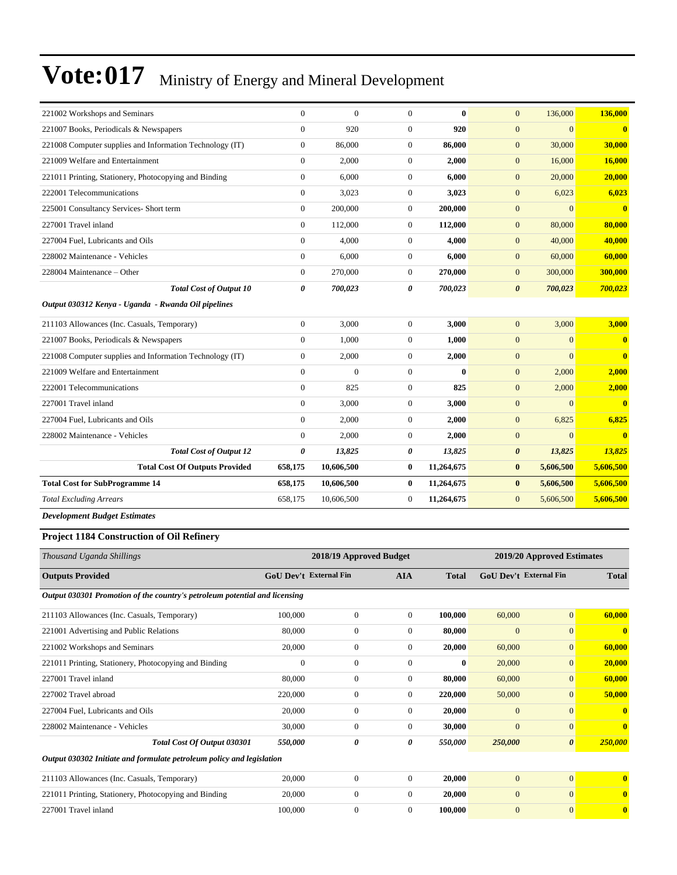| 221002 Workshops and Seminars                            | $\Omega$       | $\theta$   | $\Omega$         | $\mathbf{0}$ | $\overline{0}$        | 136,000        | 136,000                 |
|----------------------------------------------------------|----------------|------------|------------------|--------------|-----------------------|----------------|-------------------------|
| 221007 Books, Periodicals & Newspapers                   | $\Omega$       | 920        | $\overline{0}$   | 920          | $\mathbf{0}$          | $\overline{0}$ | $\mathbf{0}$            |
| 221008 Computer supplies and Information Technology (IT) | $\overline{0}$ | 86,000     | $\overline{0}$   | 86,000       | $\overline{0}$        | 30,000         | 30,000                  |
| 221009 Welfare and Entertainment                         | $\overline{0}$ | 2,000      | $\overline{0}$   | 2,000        | $\mathbf{0}$          | 16,000         | 16,000                  |
| 221011 Printing, Stationery, Photocopying and Binding    | $\overline{0}$ | 6,000      | $\Omega$         | 6,000        | $\mathbf{0}$          | 20,000         | 20,000                  |
| 222001 Telecommunications                                | $\overline{0}$ | 3,023      | $\boldsymbol{0}$ | 3,023        | $\mathbf{0}$          | 6,023          | 6,023                   |
| 225001 Consultancy Services- Short term                  | $\mathbf{0}$   | 200,000    | $\overline{0}$   | 200,000      | $\mathbf{0}$          | $\Omega$       | $\mathbf{0}$            |
| 227001 Travel inland                                     | $\overline{0}$ | 112,000    | $\overline{0}$   | 112,000      | $\mathbf{0}$          | 80,000         | 80,000                  |
| 227004 Fuel, Lubricants and Oils                         | $\overline{0}$ | 4,000      | $\overline{0}$   | 4,000        | $\mathbf{0}$          | 40,000         | 40,000                  |
| 228002 Maintenance - Vehicles                            | $\Omega$       | 6,000      | $\overline{0}$   | 6,000        | $\mathbf{0}$          | 60,000         | 60,000                  |
| 228004 Maintenance - Other                               | $\overline{0}$ | 270,000    | $\overline{0}$   | 270,000      | $\overline{0}$        | 300,000        | 300,000                 |
| <b>Total Cost of Output 10</b>                           | 0              | 700,023    | 0                | 700,023      | $\boldsymbol{\theta}$ | 700,023        | 700,023                 |
| Output 030312 Kenya - Uganda - Rwanda Oil pipelines      |                |            |                  |              |                       |                |                         |
| 211103 Allowances (Inc. Casuals, Temporary)              | $\overline{0}$ | 3,000      | $\boldsymbol{0}$ | 3,000        | $\mathbf{0}$          | 3,000          | 3,000                   |
| 221007 Books, Periodicals & Newspapers                   | $\overline{0}$ | 1,000      | $\overline{0}$   | 1,000        | $\mathbf{0}$          | $\overline{0}$ | $\mathbf{0}$            |
| 221008 Computer supplies and Information Technology (IT) | $\overline{0}$ | 2,000      | $\overline{0}$   | 2,000        | $\mathbf{0}$          | $\Omega$       | $\overline{\mathbf{0}}$ |
| 221009 Welfare and Entertainment                         | $\Omega$       | $\theta$   | $\Omega$         | $\mathbf{0}$ | $\mathbf{0}$          | 2,000          | 2,000                   |
| 222001 Telecommunications                                | $\Omega$       | 825        | $\overline{0}$   | 825          | $\mathbf{0}$          | 2,000          | 2,000                   |
| 227001 Travel inland                                     | $\mathbf{0}$   | 3,000      | $\overline{0}$   | 3,000        | $\mathbf{0}$          | $\overline{0}$ | $\mathbf{0}$            |
| 227004 Fuel, Lubricants and Oils                         | $\Omega$       | 2,000      | $\overline{0}$   | 2,000        | $\boldsymbol{0}$      | 6,825          | 6,825                   |
| 228002 Maintenance - Vehicles                            | $\overline{0}$ | 2,000      | $\overline{0}$   | 2,000        | $\overline{0}$        | $\overline{0}$ | $\mathbf{0}$            |
| <b>Total Cost of Output 12</b>                           | 0              | 13,825     | 0                | 13,825       | 0                     | 13,825         | 13,825                  |
| <b>Total Cost Of Outputs Provided</b>                    | 658,175        | 10,606,500 | $\bf{0}$         | 11,264,675   | $\bf{0}$              | 5,606,500      | 5,606,500               |
| <b>Total Cost for SubProgramme 14</b>                    | 658,175        | 10,606,500 | $\bf{0}$         | 11,264,675   | $\bf{0}$              | 5,606,500      | 5,606,500               |
| <b>Total Excluding Arrears</b>                           | 658,175        | 10,606,500 | $\overline{0}$   | 11,264,675   | $\mathbf{0}$          | 5,606,500      | 5,606,500               |
|                                                          |                |            |                  |              |                       |                |                         |

*Development Budget Estimates*

#### **Project 1184 Construction of Oil Refinery**

| Thousand Uganda Shillings                                                  |                               | 2018/19 Approved Budget |                |              |                | 2019/20 Approved Estimates |                         |  |  |
|----------------------------------------------------------------------------|-------------------------------|-------------------------|----------------|--------------|----------------|----------------------------|-------------------------|--|--|
| <b>Outputs Provided</b>                                                    | <b>GoU Dev't External Fin</b> |                         | <b>AIA</b>     | <b>Total</b> |                | GoU Dev't External Fin     | <b>Total</b>            |  |  |
| Output 030301 Promotion of the country's petroleum potential and licensing |                               |                         |                |              |                |                            |                         |  |  |
| 211103 Allowances (Inc. Casuals, Temporary)                                | 100,000                       | $\boldsymbol{0}$        | $\overline{0}$ | 100,000      | 60,000         | $\overline{0}$             | 60,000                  |  |  |
| 221001 Advertising and Public Relations                                    | 80,000                        | $\boldsymbol{0}$        | $\overline{0}$ | 80,000       | $\mathbf{0}$   | $\Omega$                   | $\mathbf{0}$            |  |  |
| 221002 Workshops and Seminars                                              | 20,000                        | $\boldsymbol{0}$        | $\overline{0}$ | 20,000       | 60,000         | $\overline{0}$             | 60,000                  |  |  |
| 221011 Printing, Stationery, Photocopying and Binding                      | $\theta$                      | $\boldsymbol{0}$        | $\overline{0}$ | $\bf{0}$     | 20,000         | $\overline{0}$             | 20,000                  |  |  |
| 227001 Travel inland                                                       | 80,000                        | $\boldsymbol{0}$        | $\overline{0}$ | 80,000       | 60,000         | $\mathbf{0}$               | 60,000                  |  |  |
| 227002 Travel abroad                                                       | 220,000                       | $\overline{0}$          | $\overline{0}$ | 220,000      | 50,000         | $\overline{0}$             | 50,000                  |  |  |
| 227004 Fuel, Lubricants and Oils                                           | 20,000                        | $\boldsymbol{0}$        | $\overline{0}$ | 20,000       | $\mathbf{0}$   | $\mathbf{0}$               | $\mathbf{0}$            |  |  |
| 228002 Maintenance - Vehicles                                              | 30,000                        | $\boldsymbol{0}$        | $\overline{0}$ | 30,000       | $\mathbf{0}$   | $\Omega$                   | $\overline{\mathbf{0}}$ |  |  |
| Total Cost Of Output 030301                                                | 550,000                       | $\boldsymbol{\theta}$   | 0              | 550,000      | 250,000        | $\boldsymbol{\theta}$      | 250,000                 |  |  |
| Output 030302 Initiate and formulate petroleum policy and legislation      |                               |                         |                |              |                |                            |                         |  |  |
| 211103 Allowances (Inc. Casuals, Temporary)                                | 20,000                        | $\overline{0}$          | $\overline{0}$ | 20,000       | $\mathbf{0}$   | $\overline{0}$             | $\mathbf{0}$            |  |  |
| 221011 Printing, Stationery, Photocopying and Binding                      | 20,000                        | $\boldsymbol{0}$        | $\Omega$       | 20,000       | $\mathbf{0}$   | $\Omega$                   | $\bf{0}$                |  |  |
| 227001 Travel inland                                                       | 100,000                       | $\overline{0}$          | $\overline{0}$ | 100,000      | $\overline{0}$ | $\overline{0}$             | $\mathbf{0}$            |  |  |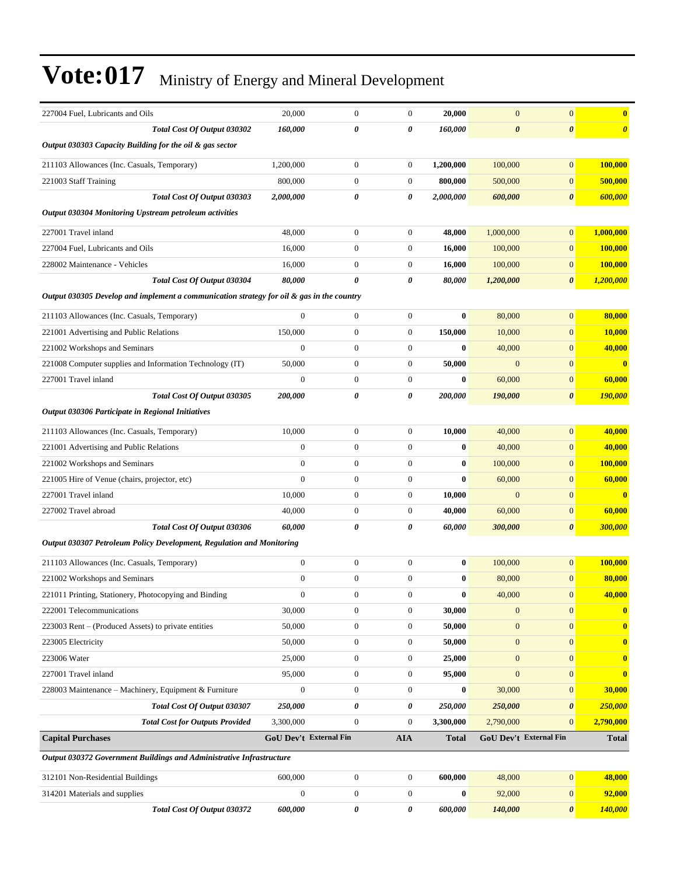| 227004 Fuel, Lubricants and Oils                                                          | 20,000                 | $\mathbf{0}$          | $\boldsymbol{0}$      | 20,000       | $\mathbf{0}$                  | $\mathbf{0}$          | $\bf{0}$              |
|-------------------------------------------------------------------------------------------|------------------------|-----------------------|-----------------------|--------------|-------------------------------|-----------------------|-----------------------|
| Total Cost Of Output 030302                                                               | 160,000                | $\boldsymbol{\theta}$ | $\boldsymbol{\theta}$ | 160,000      | $\boldsymbol{\theta}$         | $\boldsymbol{\theta}$ | $\boldsymbol{\theta}$ |
| Output 030303 Capacity Building for the oil & gas sector                                  |                        |                       |                       |              |                               |                       |                       |
| 211103 Allowances (Inc. Casuals, Temporary)                                               | 1,200,000              | $\mathbf{0}$          | $\boldsymbol{0}$      | 1,200,000    | 100,000                       | $\mathbf{0}$          | 100,000               |
| 221003 Staff Training                                                                     | 800,000                | $\mathbf{0}$          | $\mathbf{0}$          | 800,000      | 500,000                       | $\mathbf{0}$          | 500,000               |
| Total Cost Of Output 030303                                                               | 2,000,000              | $\boldsymbol{\theta}$ | 0                     | 2,000,000    | 600,000                       | $\boldsymbol{\theta}$ | 600,000               |
| Output 030304 Monitoring Upstream petroleum activities                                    |                        |                       |                       |              |                               |                       |                       |
| 227001 Travel inland                                                                      | 48,000                 | $\theta$              | $\mathbf{0}$          | 48,000       | 1,000,000                     | $\mathbf{0}$          | 1,000,000             |
| 227004 Fuel. Lubricants and Oils                                                          | 16,000                 | $\mathbf{0}$          | $\mathbf{0}$          | 16,000       | 100,000                       | $\mathbf{0}$          | <b>100,000</b>        |
| 228002 Maintenance - Vehicles                                                             | 16,000                 | $\mathbf{0}$          | $\boldsymbol{0}$      | 16,000       | 100,000                       | $\mathbf{0}$          | 100,000               |
| Total Cost Of Output 030304                                                               | 80,000                 | $\boldsymbol{\theta}$ | 0                     | 80,000       | 1,200,000                     | $\boldsymbol{\theta}$ | 1,200,000             |
| Output 030305 Develop and implement a communication strategy for oil & gas in the country |                        |                       |                       |              |                               |                       |                       |
| 211103 Allowances (Inc. Casuals, Temporary)                                               | $\mathbf{0}$           | $\mathbf{0}$          | $\mathbf{0}$          | $\bf{0}$     | 80,000                        | $\mathbf{0}$          | 80,000                |
| 221001 Advertising and Public Relations                                                   | 150,000                | $\theta$              | $\mathbf{0}$          | 150,000      | 10,000                        | $\mathbf{0}$          | 10,000                |
| 221002 Workshops and Seminars                                                             | $\overline{0}$         | $\mathbf{0}$          | $\mathbf{0}$          | $\bf{0}$     | 40,000                        | $\mathbf{0}$          | 40,000                |
| 221008 Computer supplies and Information Technology (IT)                                  | 50,000                 | $\mathbf{0}$          | $\boldsymbol{0}$      | 50,000       | $\mathbf{0}$                  | $\mathbf{0}$          | $\bf{0}$              |
| 227001 Travel inland                                                                      | $\overline{0}$         | $\mathbf{0}$          | $\mathbf{0}$          | $\bf{0}$     | 60,000                        | $\mathbf{0}$          | 60,000                |
| Total Cost Of Output 030305                                                               | 200,000                | $\boldsymbol{\theta}$ | $\boldsymbol{\theta}$ | 200,000      | 190,000                       | $\boldsymbol{\theta}$ | <u>190,000</u>        |
| Output 030306 Participate in Regional Initiatives                                         |                        |                       |                       |              |                               |                       |                       |
| 211103 Allowances (Inc. Casuals, Temporary)                                               | 10,000                 | $\theta$              | $\boldsymbol{0}$      | 10,000       | 40,000                        | $\mathbf{0}$          | 40,000                |
| 221001 Advertising and Public Relations                                                   | $\overline{0}$         | $\theta$              | $\mathbf{0}$          | $\bf{0}$     | 40,000                        | $\mathbf{0}$          | 40,000                |
| 221002 Workshops and Seminars                                                             | $\mathbf{0}$           | $\mathbf{0}$          | $\boldsymbol{0}$      | $\bf{0}$     | 100,000                       | $\mathbf{0}$          | 100,000               |
| 221005 Hire of Venue (chairs, projector, etc)                                             | $\mathbf{0}$           | $\theta$              | $\boldsymbol{0}$      | $\bf{0}$     | 60,000                        | $\mathbf{0}$          | 60,000                |
| 227001 Travel inland                                                                      | 10,000                 | $\mathbf{0}$          | $\boldsymbol{0}$      | 10,000       | $\mathbf{0}$                  | $\mathbf{0}$          | $\bf{0}$              |
| 227002 Travel abroad                                                                      | 40,000                 | $\mathbf{0}$          | $\boldsymbol{0}$      | 40,000       | 60,000                        | $\mathbf{0}$          | 60,000                |
| Total Cost Of Output 030306                                                               | 60,000                 | $\theta$              | $\boldsymbol{\theta}$ | 60,000       | 300,000                       | $\boldsymbol{\theta}$ | 300,000               |
| Output 030307 Petroleum Policy Development, Regulation and Monitoring                     |                        |                       |                       |              |                               |                       |                       |
| 211103 Allowances (Inc. Casuals, Temporary)                                               | $\boldsymbol{0}$       | $\mathbf{0}$          | $\boldsymbol{0}$      | $\bf{0}$     | 100,000                       | $\mathbf{0}$          | 100,000               |
| 221002 Workshops and Seminars                                                             | $\boldsymbol{0}$       | $\boldsymbol{0}$      | $\boldsymbol{0}$      | $\bf{0}$     | 80,000                        | $\mathbf{0}$          | 80,000                |
| 221011 Printing, Stationery, Photocopying and Binding                                     | $\mathbf{0}$           | $\boldsymbol{0}$      | $\boldsymbol{0}$      | $\bf{0}$     | 40,000                        | $\boldsymbol{0}$      | 40,000                |
| 222001 Telecommunications                                                                 | 30,000                 | $\mathbf{0}$          | $\boldsymbol{0}$      | 30.000       | $\mathbf{0}$                  | $\mathbf{0}$          | $\bf{0}$              |
| 223003 Rent – (Produced Assets) to private entities                                       | 50,000                 | $\boldsymbol{0}$      | $\boldsymbol{0}$      | 50,000       | $\boldsymbol{0}$              | $\mathbf{0}$          | $\bf{0}$              |
| 223005 Electricity                                                                        | 50,000                 | $\boldsymbol{0}$      | $\boldsymbol{0}$      | 50,000       | $\mathbf{0}$                  | $\mathbf{0}$          | $\bf{0}$              |
| 223006 Water                                                                              | 25,000                 | $\mathbf{0}$          | $\boldsymbol{0}$      | 25,000       | $\boldsymbol{0}$              | $\mathbf{0}$          | $\bf{0}$              |
| 227001 Travel inland                                                                      | 95,000                 | $\mathbf{0}$          | $\boldsymbol{0}$      | 95,000       | $\mathbf{0}$                  | $\mathbf{0}$          | $\bf{0}$              |
| 228003 Maintenance – Machinery, Equipment & Furniture                                     | $\boldsymbol{0}$       | $\mathbf{0}$          | $\boldsymbol{0}$      | $\bf{0}$     | 30,000                        | $\mathbf{0}$          | 30,000                |
| Total Cost Of Output 030307                                                               | 250,000                | $\boldsymbol{\theta}$ | 0                     | 250,000      | 250,000                       | $\boldsymbol{\theta}$ | 250,000               |
| <b>Total Cost for Outputs Provided</b>                                                    | 3,300,000              | $\mathbf{0}$          | $\boldsymbol{0}$      | 3,300,000    | 2,790,000                     | $\overline{0}$        | 2,790,000             |
| <b>Capital Purchases</b>                                                                  | GoU Dev't External Fin |                       | <b>AIA</b>            | <b>Total</b> | <b>GoU Dev't External Fin</b> |                       | <b>Total</b>          |
| Output 030372 Government Buildings and Administrative Infrastructure                      |                        |                       |                       |              |                               |                       |                       |
| 312101 Non-Residential Buildings                                                          | 600,000                | $\mathbf{0}$          | $\boldsymbol{0}$      | 600,000      | 48,000                        | $\mathbf{0}$          | 48,000                |
| 314201 Materials and supplies                                                             | $\boldsymbol{0}$       | $\boldsymbol{0}$      | $\boldsymbol{0}$      | $\bf{0}$     | 92,000                        | $\mathbf{0}$          | 92,000                |
| Total Cost Of Output 030372                                                               | 600,000                | 0                     | 0                     | 600,000      | 140,000                       | $\boldsymbol{\theta}$ | 140,000               |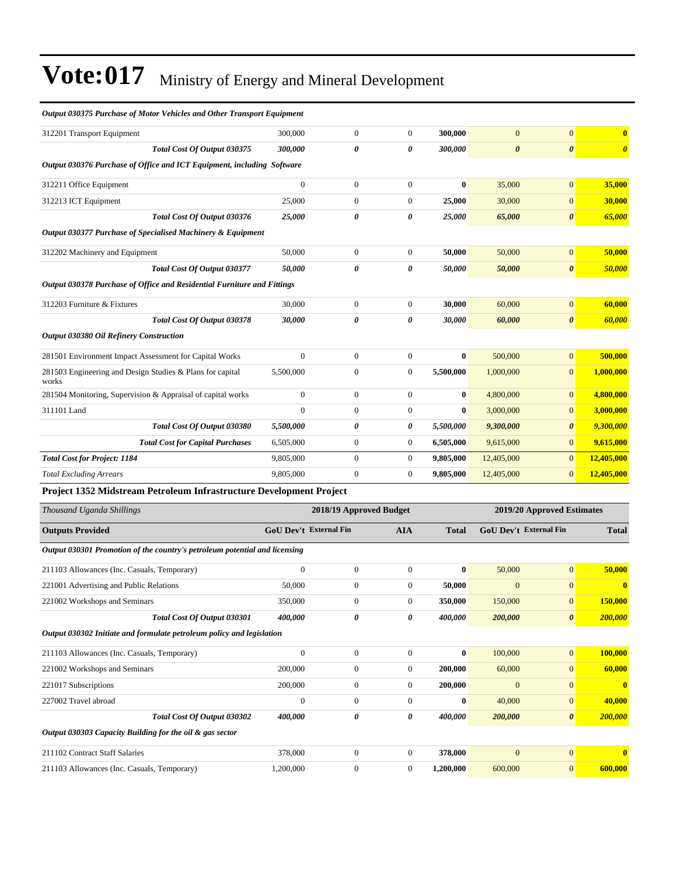| <b>Output 030375 Purchase of Motor Vehicles and Other Transport Equipment</b> |                        |                  |                         |                      |                       |                            |                         |
|-------------------------------------------------------------------------------|------------------------|------------------|-------------------------|----------------------|-----------------------|----------------------------|-------------------------|
| 312201 Transport Equipment                                                    | 300,000                | $\boldsymbol{0}$ | $\boldsymbol{0}$        | 300,000              | $\mathbf{0}$          | $\mathbf{0}$               | $\overline{\mathbf{0}}$ |
| Total Cost Of Output 030375                                                   | 300,000                | 0                | 0                       | 300,000              | $\boldsymbol{\theta}$ | $\boldsymbol{\theta}$      | $\boldsymbol{\theta}$   |
| Output 030376 Purchase of Office and ICT Equipment, including Software        |                        |                  |                         |                      |                       |                            |                         |
| 312211 Office Equipment                                                       | $\theta$               | $\boldsymbol{0}$ | $\boldsymbol{0}$        | $\bf{0}$             | 35,000                | $\boldsymbol{0}$           | 35,000                  |
| 312213 ICT Equipment                                                          | 25,000                 | $\boldsymbol{0}$ | $\boldsymbol{0}$        | 25,000               | 30,000                | $\mathbf{0}$               | 30,000                  |
| Total Cost Of Output 030376                                                   | 25,000                 | 0                | 0                       | 25,000               | 65,000                | $\boldsymbol{\theta}$      | 65,000                  |
| Output 030377 Purchase of Specialised Machinery & Equipment                   |                        |                  |                         |                      |                       |                            |                         |
| 312202 Machinery and Equipment                                                | 50,000                 | $\boldsymbol{0}$ | $\boldsymbol{0}$        | 50,000               | 50,000                | $\overline{0}$             | 50,000                  |
| Total Cost Of Output 030377                                                   | 50,000                 | 0                | 0                       | <i><b>50,000</b></i> | 50,000                | $\boldsymbol{\theta}$      | 50,000                  |
| Output 030378 Purchase of Office and Residential Furniture and Fittings       |                        |                  |                         |                      |                       |                            |                         |
| 312203 Furniture & Fixtures                                                   | 30,000                 | $\boldsymbol{0}$ | $\boldsymbol{0}$        | 30,000               | 60,000                | $\mathbf{0}$               | 60,000                  |
| Total Cost Of Output 030378                                                   | 30,000                 | 0                | 0                       | 30,000               | 60,000                | $\boldsymbol{\theta}$      | 60,000                  |
| <b>Output 030380 Oil Refinery Construction</b>                                |                        |                  |                         |                      |                       |                            |                         |
| 281501 Environment Impact Assessment for Capital Works                        | $\mathbf{0}$           | $\boldsymbol{0}$ | $\boldsymbol{0}$        | $\bf{0}$             | 500,000               | $\overline{0}$             | 500,000                 |
| 281503 Engineering and Design Studies & Plans for capital<br>works            | 5,500,000              | $\boldsymbol{0}$ | 0                       | 5,500,000            | 1,000,000             | $\boldsymbol{0}$           | 1,000,000               |
| 281504 Monitoring, Supervision & Appraisal of capital works                   | $\boldsymbol{0}$       | $\boldsymbol{0}$ | $\boldsymbol{0}$        | $\bf{0}$             | 4,800,000             | $\mathbf{0}$               | 4,800,000               |
| 311101 Land                                                                   | $\boldsymbol{0}$       | $\boldsymbol{0}$ | $\boldsymbol{0}$        | $\bf{0}$             | 3,000,000             | $\mathbf{0}$               | 3,000,000               |
| Total Cost Of Output 030380                                                   | 5,500,000              | 0                | 0                       | 5,500,000            | 9,300,000             | 0                          | 9,300,000               |
| <b>Total Cost for Capital Purchases</b>                                       | 6,505,000              | $\boldsymbol{0}$ | $\boldsymbol{0}$        | 6,505,000            | 9,615,000             | $\mathbf{0}$               | 9,615,000               |
| <b>Total Cost for Project: 1184</b>                                           | 9,805,000              | $\boldsymbol{0}$ | $\boldsymbol{0}$        | 9,805,000            | 12,405,000            | $\mathbf{0}$               | 12,405,000              |
| <b>Total Excluding Arrears</b>                                                | 9,805,000              | $\boldsymbol{0}$ | $\boldsymbol{0}$        | 9,805,000            | 12,405,000            | $\mathbf{0}$               | 12,405,000              |
| Project 1352 Midstream Petroleum Infrastructure Development Project           |                        |                  |                         |                      |                       |                            |                         |
| Thousand Uganda Shillings                                                     |                        |                  | 2018/19 Approved Budget |                      |                       | 2019/20 Approved Estimates |                         |
| <b>Outputs Provided</b>                                                       | GoU Dev't External Fin |                  | <b>AIA</b>              | <b>Total</b>         |                       | GoU Dev't External Fin     | <b>Total</b>            |
| Output 030301 Promotion of the country's petroleum potential and licensing    |                        |                  |                         |                      |                       |                            |                         |
| 211103 Allowances (Inc. Casuals, Temporary)                                   | $\mathbf{0}$           | $\boldsymbol{0}$ | $\mathbf{0}$            | $\bf{0}$             | 50,000                | $\mathbf{0}$               | 50,000                  |
| 221001 Advertising and Public Relations                                       | 50,000                 | $\boldsymbol{0}$ | $\overline{0}$          | 50,000               | $\mathbf{0}$          | $\boldsymbol{0}$           | $\bf{0}$                |
| 221002 Workshops and Seminars                                                 | 350,000                | $\boldsymbol{0}$ | $\boldsymbol{0}$        | 350,000              | 150,000               | $\boldsymbol{0}$           | 150,000                 |
| Total Cost Of Output 030301                                                   | 400,000                | 0                | 0                       | 400,000              | 200,000               | $\boldsymbol{\theta}$      | 200,000                 |
| Output 030302 Initiate and formulate petroleum policy and legislation         |                        |                  |                         |                      |                       |                            |                         |
| 211103 Allowances (Inc. Casuals, Temporary)                                   | $\boldsymbol{0}$       | $\boldsymbol{0}$ | $\boldsymbol{0}$        | $\bf{0}$             | 100,000               | $\mathbf{0}$               | 100,000                 |
| 221002 Workshops and Seminars                                                 | 200,000                | $\boldsymbol{0}$ | $\boldsymbol{0}$        | 200,000              | 60,000                | $\boldsymbol{0}$           | 60,000                  |
| 221017 Subscriptions                                                          | 200,000                | $\boldsymbol{0}$ | 0                       | 200,000              | $\boldsymbol{0}$      | $\mathbf{0}$               | $\mathbf{0}$            |
| 227002 Travel abroad                                                          | $\boldsymbol{0}$       | $\boldsymbol{0}$ | $\boldsymbol{0}$        | $\bf{0}$             | 40,000                | $\mathbf{0}$               | 40,000                  |
| Total Cost Of Output 030302                                                   | 400,000                | 0                | 0                       | 400,000              | 200,000               | $\boldsymbol{\theta}$      | 200,000                 |
| Output 030303 Capacity Building for the oil & gas sector                      |                        |                  |                         |                      |                       |                            |                         |
| 211102 Contract Staff Salaries                                                | 378,000                | $\boldsymbol{0}$ | $\boldsymbol{0}$        | 378,000              | $\mathbf{0}$          | $\mathbf{0}$               | $\bf{0}$                |
| 211103 Allowances (Inc. Casuals, Temporary)                                   | 1,200,000              | $\boldsymbol{0}$ | $\boldsymbol{0}$        | 1,200,000            | 600,000               | $\mathbf{0}$               | 600,000                 |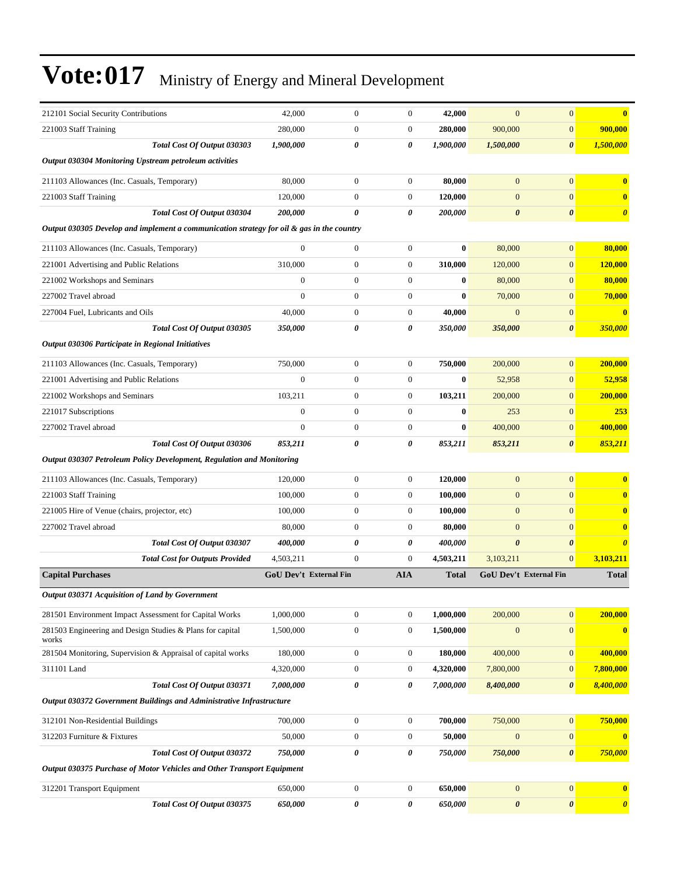| 212101 Social Security Contributions                                                      | 42,000                        | $\mathbf{0}$     | $\mathbf{0}$          | 42,000       | $\boldsymbol{0}$       | $\mathbf{0}$          | $\bf{0}$              |
|-------------------------------------------------------------------------------------------|-------------------------------|------------------|-----------------------|--------------|------------------------|-----------------------|-----------------------|
| 221003 Staff Training                                                                     | 280,000                       | $\mathbf{0}$     | $\boldsymbol{0}$      | 280,000      | 900,000                | $\mathbf{0}$          | 900,000               |
| Total Cost Of Output 030303                                                               | 1,900,000                     | $\theta$         | 0                     | 1,900,000    | 1,500,000              | $\boldsymbol{\theta}$ | 1,500,000             |
| Output 030304 Monitoring Upstream petroleum activities                                    |                               |                  |                       |              |                        |                       |                       |
| 211103 Allowances (Inc. Casuals, Temporary)                                               | 80,000                        | $\mathbf{0}$     | $\boldsymbol{0}$      | 80,000       | $\mathbf{0}$           | $\mathbf{0}$          | $\bf{0}$              |
| 221003 Staff Training                                                                     | 120,000                       | $\mathbf{0}$     | $\boldsymbol{0}$      | 120,000      | $\overline{0}$         | $\mathbf{0}$          | $\bf{0}$              |
| Total Cost Of Output 030304                                                               | 200,000                       | 0                | $\boldsymbol{\theta}$ | 200.000      | $\boldsymbol{\theta}$  | $\boldsymbol{\theta}$ | $\boldsymbol{\theta}$ |
| Output 030305 Develop and implement a communication strategy for oil & gas in the country |                               |                  |                       |              |                        |                       |                       |
| 211103 Allowances (Inc. Casuals, Temporary)                                               | $\mathbf{0}$                  | $\mathbf{0}$     | $\boldsymbol{0}$      | $\bf{0}$     | 80,000                 | $\mathbf{0}$          | 80,000                |
| 221001 Advertising and Public Relations                                                   | 310,000                       | $\mathbf{0}$     | $\boldsymbol{0}$      | 310,000      | 120,000                | $\mathbf{0}$          | 120,000               |
| 221002 Workshops and Seminars                                                             | $\overline{0}$                | $\mathbf{0}$     | $\boldsymbol{0}$      | $\bf{0}$     | 80,000                 | $\mathbf{0}$          | 80,000                |
| 227002 Travel abroad                                                                      | $\overline{0}$                | $\mathbf{0}$     | $\boldsymbol{0}$      | $\bf{0}$     | 70,000                 | $\mathbf{0}$          | 70,000                |
| 227004 Fuel, Lubricants and Oils                                                          | 40,000                        | $\mathbf{0}$     | $\boldsymbol{0}$      | 40,000       | $\boldsymbol{0}$       | $\mathbf{0}$          | $\bf{0}$              |
| Total Cost Of Output 030305                                                               | 350,000                       | 0                | 0                     | 350,000      | 350,000                | $\boldsymbol{\theta}$ | 350,000               |
| Output 030306 Participate in Regional Initiatives                                         |                               |                  |                       |              |                        |                       |                       |
| 211103 Allowances (Inc. Casuals, Temporary)                                               | 750,000                       | $\mathbf{0}$     | $\boldsymbol{0}$      | 750,000      | 200,000                | $\mathbf{0}$          | 200,000               |
| 221001 Advertising and Public Relations                                                   | $\overline{0}$                | $\mathbf{0}$     | $\boldsymbol{0}$      | $\bf{0}$     | 52,958                 | $\mathbf{0}$          | 52,958                |
| 221002 Workshops and Seminars                                                             | 103,211                       | $\mathbf{0}$     | $\boldsymbol{0}$      | 103,211      | 200,000                | $\mathbf{0}$          | 200,000               |
| 221017 Subscriptions                                                                      | $\mathbf{0}$                  | $\mathbf{0}$     | $\boldsymbol{0}$      | $\bf{0}$     | 253                    | $\mathbf{0}$          | 253                   |
| 227002 Travel abroad                                                                      | $\overline{0}$                | $\mathbf{0}$     | $\boldsymbol{0}$      | $\bf{0}$     | 400,000                | $\mathbf{0}$          | 400,000               |
| Total Cost Of Output 030306                                                               | 853,211                       | 0                | $\pmb{\theta}$        | 853,211      | 853,211                | $\boldsymbol{\theta}$ | 853,211               |
| Output 030307 Petroleum Policy Development, Regulation and Monitoring                     |                               |                  |                       |              |                        |                       |                       |
| 211103 Allowances (Inc. Casuals, Temporary)                                               | 120,000                       | $\mathbf{0}$     | $\boldsymbol{0}$      | 120,000      | $\overline{0}$         | $\mathbf{0}$          | $\bf{0}$              |
| 221003 Staff Training                                                                     | 100,000                       | $\boldsymbol{0}$ | $\boldsymbol{0}$      | 100,000      | $\boldsymbol{0}$       | $\mathbf{0}$          | $\bf{0}$              |
| 221005 Hire of Venue (chairs, projector, etc)                                             | 100,000                       | $\mathbf{0}$     | $\boldsymbol{0}$      | 100,000      | $\boldsymbol{0}$       | $\mathbf{0}$          | $\bf{0}$              |
| 227002 Travel abroad                                                                      | 80,000                        | $\mathbf{0}$     | $\mathbf{0}$          | 80,000       | $\overline{0}$         | $\mathbf{0}$          | $\bf{0}$              |
| Total Cost Of Output 030307                                                               | 400,000                       | 0                | $\pmb{\theta}$        | 400,000      | $\boldsymbol{\theta}$  | $\boldsymbol{\theta}$ | $\boldsymbol{\theta}$ |
| <b>Total Cost for Outputs Provided</b>                                                    | 4,503,211                     | $\mathbf{0}$     | $\boldsymbol{0}$      | 4,503,211    | 3,103,211              | $\mathbf{0}$          | 3,103,211             |
| <b>Capital Purchases</b>                                                                  | <b>GoU Dev't External Fin</b> |                  | <b>AIA</b>            | <b>Total</b> | GoU Dev't External Fin |                       | <b>Total</b>          |
| Output 030371 Acquisition of Land by Government                                           |                               |                  |                       |              |                        |                       |                       |
| 281501 Environment Impact Assessment for Capital Works                                    | 1,000,000                     | $\boldsymbol{0}$ | $\boldsymbol{0}$      | 1,000,000    | 200,000                | $\mathbf{0}$          | 200,000               |
| 281503 Engineering and Design Studies & Plans for capital                                 | 1,500,000                     | $\boldsymbol{0}$ | $\boldsymbol{0}$      | 1,500,000    | $\mathbf{0}$           | $\mathbf{0}$          | $\bf{0}$              |
| works                                                                                     |                               |                  |                       |              |                        |                       |                       |
| 281504 Monitoring, Supervision & Appraisal of capital works                               | 180,000                       | $\boldsymbol{0}$ | $\boldsymbol{0}$      | 180,000      | 400,000                | $\mathbf{0}$          | 400,000               |
| 311101 Land                                                                               | 4,320,000                     | $\boldsymbol{0}$ | $\boldsymbol{0}$      | 4,320,000    | 7,800,000              | $\mathbf{0}$          | 7,800,000             |
| Total Cost Of Output 030371                                                               | 7,000,000                     | $\pmb{\theta}$   | 0                     | 7,000,000    | 8,400,000              | $\boldsymbol{\theta}$ | 8,400,000             |
| <b>Output 030372 Government Buildings and Administrative Infrastructure</b>               |                               |                  |                       |              |                        |                       |                       |
| 312101 Non-Residential Buildings                                                          | 700,000                       | $\boldsymbol{0}$ | $\boldsymbol{0}$      | 700,000      | 750,000                | $\mathbf{0}$          | 750,000               |
| 312203 Furniture & Fixtures                                                               | 50,000                        | $\mathbf{0}$     | $\boldsymbol{0}$      | 50,000       | $\mathbf{0}$           | $\mathbf{0}$          | $\bf{0}$              |
| Total Cost Of Output 030372                                                               | 750,000                       | 0                | 0                     | 750,000      | 750,000                | $\boldsymbol{\theta}$ | 750,000               |
| Output 030375 Purchase of Motor Vehicles and Other Transport Equipment                    |                               |                  |                       |              |                        |                       |                       |
| 312201 Transport Equipment                                                                | 650,000                       | $\boldsymbol{0}$ | $\boldsymbol{0}$      | 650,000      | $\mathbf{0}$           | $\mathbf{0}$          | $\mathbf{0}$          |
| Total Cost Of Output 030375                                                               | 650,000                       | $\pmb{\theta}$   | 0                     | 650,000      | $\pmb{\theta}$         | $\pmb{\theta}$        | $\boldsymbol{\theta}$ |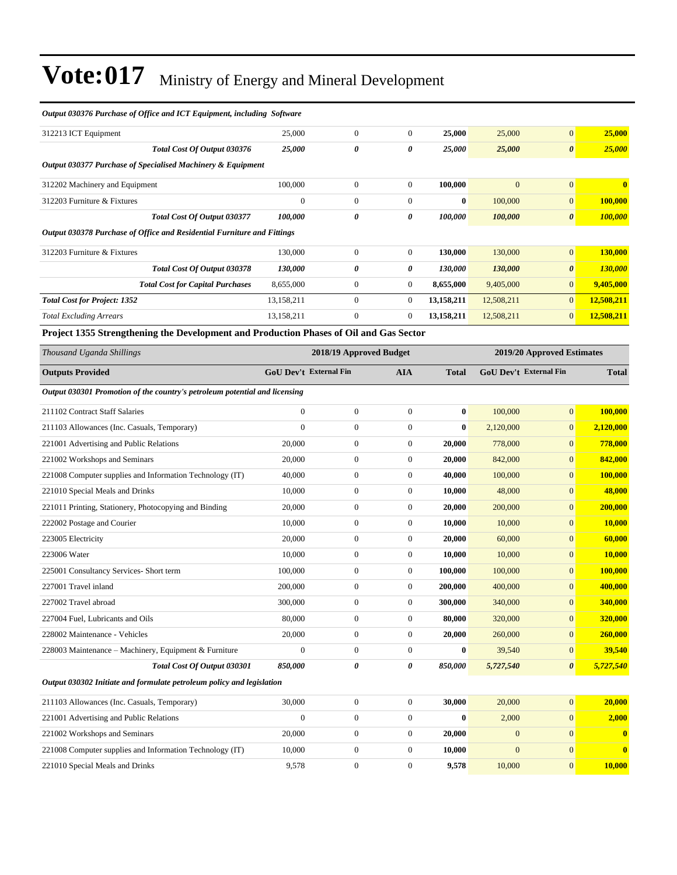| Output 030376 Purchase of Office and ICT Equipment, including Software                 |                               |                         |                  |              |              |                               |                  |
|----------------------------------------------------------------------------------------|-------------------------------|-------------------------|------------------|--------------|--------------|-------------------------------|------------------|
| 312213 ICT Equipment                                                                   | 25,000                        | $\boldsymbol{0}$        | $\overline{0}$   | 25,000       | 25,000       | $\overline{0}$                | 25,000           |
| Total Cost Of Output 030376                                                            | 25,000                        | $\theta$                | 0                | 25,000       | 25,000       | $\boldsymbol{\theta}$         | 25,000           |
| Output 030377 Purchase of Specialised Machinery & Equipment                            |                               |                         |                  |              |              |                               |                  |
| 312202 Machinery and Equipment                                                         | 100,000                       | $\boldsymbol{0}$        | $\boldsymbol{0}$ | 100,000      | $\mathbf{0}$ | $\overline{0}$                | $\bf{0}$         |
| 312203 Furniture & Fixtures                                                            | $\boldsymbol{0}$              | $\boldsymbol{0}$        | $\boldsymbol{0}$ | $\bf{0}$     | 100,000      | $\mathbf{0}$                  | 100,000          |
| Total Cost Of Output 030377                                                            | 100,000                       | 0                       | 0                | 100,000      | 100,000      | $\boldsymbol{\theta}$         | <b>100,000</b>   |
| Output 030378 Purchase of Office and Residential Furniture and Fittings                |                               |                         |                  |              |              |                               |                  |
| 312203 Furniture & Fixtures                                                            | 130,000                       | $\boldsymbol{0}$        | $\overline{0}$   | 130,000      | 130,000      | $\overline{0}$                | 130,000          |
| Total Cost Of Output 030378                                                            | 130,000                       | 0                       | 0                | 130,000      | 130,000      | $\boldsymbol{\theta}$         | 130,000          |
| <b>Total Cost for Capital Purchases</b>                                                | 8,655,000                     | $\boldsymbol{0}$        | $\boldsymbol{0}$ | 8,655,000    | 9,405,000    | $\overline{0}$                | 9,405,000        |
| <b>Total Cost for Project: 1352</b>                                                    | 13,158,211                    | $\boldsymbol{0}$        | $\boldsymbol{0}$ | 13,158,211   | 12,508,211   | $\boldsymbol{0}$              | 12,508,211       |
| <b>Total Excluding Arrears</b>                                                         | 13,158,211                    | $\boldsymbol{0}$        | $\boldsymbol{0}$ | 13,158,211   | 12,508,211   | $\boldsymbol{0}$              | 12,508,211       |
| Project 1355 Strengthening the Development and Production Phases of Oil and Gas Sector |                               |                         |                  |              |              |                               |                  |
| Thousand Uganda Shillings                                                              |                               | 2018/19 Approved Budget |                  |              |              | 2019/20 Approved Estimates    |                  |
| <b>Outputs Provided</b>                                                                | <b>GoU Dev't External Fin</b> |                         | <b>AIA</b>       | <b>Total</b> |              | <b>GoU Dev't External Fin</b> | <b>Total</b>     |
| Output 030301 Promotion of the country's petroleum potential and licensing             |                               |                         |                  |              |              |                               |                  |
| 211102 Contract Staff Salaries                                                         | $\boldsymbol{0}$              | $\boldsymbol{0}$        | $\boldsymbol{0}$ | $\bf{0}$     | 100,000      | $\overline{0}$                | 100,000          |
| 211103 Allowances (Inc. Casuals, Temporary)                                            | $\mathbf{0}$                  | $\boldsymbol{0}$        | $\boldsymbol{0}$ | $\bf{0}$     | 2,120,000    | $\boldsymbol{0}$              | 2,120,000        |
| 221001 Advertising and Public Relations                                                | 20,000                        | $\boldsymbol{0}$        | $\boldsymbol{0}$ | 20,000       | 778,000      | $\overline{0}$                | 778,000          |
| 221002 Workshops and Seminars                                                          | 20,000                        | $\boldsymbol{0}$        | $\boldsymbol{0}$ | 20,000       | 842,000      | $\boldsymbol{0}$              | 842,000          |
| 221008 Computer supplies and Information Technology (IT)                               | 40,000                        | $\boldsymbol{0}$        | $\boldsymbol{0}$ | 40,000       | 100,000      | $\boldsymbol{0}$              | <b>100,000</b>   |
| 221010 Special Meals and Drinks                                                        | 10,000                        | $\boldsymbol{0}$        | $\overline{0}$   | 10,000       | 48,000       | $\boldsymbol{0}$              | 48,000           |
| 221011 Printing, Stationery, Photocopying and Binding                                  | 20,000                        | $\boldsymbol{0}$        | $\boldsymbol{0}$ | 20,000       | 200,000      | $\boldsymbol{0}$              | 200,000          |
| 222002 Postage and Courier                                                             | 10,000                        | $\boldsymbol{0}$        | $\boldsymbol{0}$ | 10,000       | 10,000       | $\boldsymbol{0}$              | <b>10,000</b>    |
| 223005 Electricity                                                                     | 20,000                        | $\boldsymbol{0}$        | $\boldsymbol{0}$ | 20,000       | 60,000       | $\boldsymbol{0}$              | 60,000           |
| 223006 Water                                                                           | 10,000                        | $\boldsymbol{0}$        | $\boldsymbol{0}$ | 10,000       | 10,000       | $\boldsymbol{0}$              | <b>10,000</b>    |
| 225001 Consultancy Services- Short term                                                | 100,000                       | $\boldsymbol{0}$        | $\boldsymbol{0}$ | 100,000      | 100,000      | $\mathbf{0}$                  | 100,000          |
| 227001 Travel inland                                                                   | 200,000                       | $\boldsymbol{0}$        | $\mathbf{0}$     | 200,000      | 400,000      | $\boldsymbol{0}$              | 400,000          |
| 227002 Travel abroad                                                                   | 300,000                       | $\boldsymbol{0}$        | $\boldsymbol{0}$ | 300,000      | 340,000      | $\mathbf{0}$                  | <u>340,000</u>   |
| 227004 Fuel, Lubricants and Oils                                                       | 80,000                        | $\boldsymbol{0}$        | $\boldsymbol{0}$ | 80,000       | 320,000      | $\mathbf{0}$                  | 320,000          |
| 228002 Maintenance - Vehicles                                                          | 20,000                        | $\boldsymbol{0}$        | $\boldsymbol{0}$ | 20,000       | 260,000      | $\mathbf{0}$                  | 260,000          |
| 228003 Maintenance - Machinery, Equipment & Furniture                                  | $\mathbf{0}$                  | $\boldsymbol{0}$        | $\boldsymbol{0}$ | $\bf{0}$     | 39,540       | $\mathbf{0}$                  | 39,540           |
| Total Cost Of Output 030301                                                            | 850,000                       | 0                       | 0                | 850,000      | 5,727,540    | 0                             | 5,727,540        |
| Output 030302 Initiate and formulate petroleum policy and legislation                  |                               |                         |                  |              |              |                               |                  |
| 211103 Allowances (Inc. Casuals, Temporary)                                            | 30,000                        | $\boldsymbol{0}$        | $\boldsymbol{0}$ | 30,000       | 20,000       | $\overline{0}$                | 20,000           |
| 221001 Advertising and Public Relations                                                | $\boldsymbol{0}$              | $\boldsymbol{0}$        | $\boldsymbol{0}$ | $\bf{0}$     | 2,000        | $\mathbf{0}$                  | 2,000            |
| 221002 Workshops and Seminars                                                          | 20,000                        | $\boldsymbol{0}$        | $\boldsymbol{0}$ | 20,000       | $\mathbf{0}$ | $\mathbf{0}$                  | $\boldsymbol{0}$ |
| 221008 Computer supplies and Information Technology (IT)                               | 10,000                        | $\boldsymbol{0}$        | 0                | 10,000       | $\mathbf{0}$ | $\boldsymbol{0}$              | $\mathbf{0}$     |
| 221010 Special Meals and Drinks                                                        | 9,578                         | $\boldsymbol{0}$        | $\boldsymbol{0}$ | 9,578        | 10,000       | $\mathbf{0}$                  | 10,000           |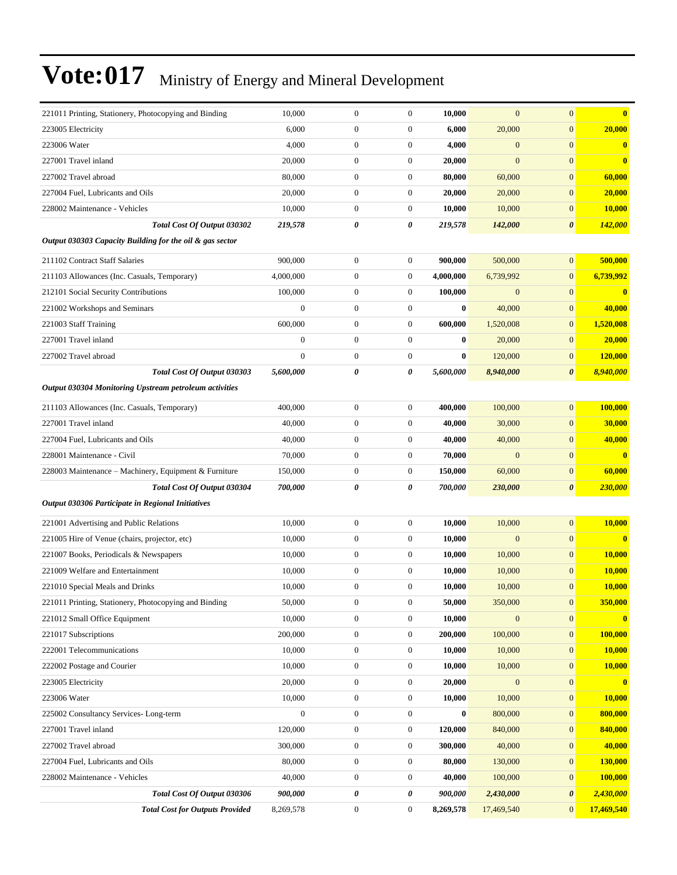| 221011 Printing, Stationery, Photocopying and Binding    | 10,000           | $\mathbf{0}$     | $\boldsymbol{0}$ | 10,000    | $\mathbf{0}$     | $\overline{0}$        | $\bf{0}$       |
|----------------------------------------------------------|------------------|------------------|------------------|-----------|------------------|-----------------------|----------------|
| 223005 Electricity                                       | 6,000            | $\boldsymbol{0}$ | $\mathbf{0}$     | 6,000     | 20,000           | $\overline{0}$        | 20,000         |
| 223006 Water                                             | 4,000            | $\boldsymbol{0}$ | $\mathbf{0}$     | 4,000     | $\boldsymbol{0}$ | $\overline{0}$        | $\bf{0}$       |
| 227001 Travel inland                                     | 20,000           | $\boldsymbol{0}$ | $\mathbf{0}$     | 20,000    | $\boldsymbol{0}$ | $\overline{0}$        | $\bf{0}$       |
| 227002 Travel abroad                                     | 80,000           | $\boldsymbol{0}$ | $\mathbf{0}$     | 80,000    | 60,000           | $\mathbf{0}$          | 60,000         |
| 227004 Fuel, Lubricants and Oils                         | 20,000           | $\boldsymbol{0}$ | $\mathbf{0}$     | 20,000    | 20,000           | $\overline{0}$        | 20,000         |
| 228002 Maintenance - Vehicles                            | 10,000           | $\boldsymbol{0}$ | $\mathbf{0}$     | 10,000    | 10,000           | $\boldsymbol{0}$      | 10,000         |
| Total Cost Of Output 030302                              | 219,578          | 0                | 0                | 219,578   | 142,000          | 0                     | <b>142,000</b> |
| Output 030303 Capacity Building for the oil & gas sector |                  |                  |                  |           |                  |                       |                |
| 211102 Contract Staff Salaries                           | 900,000          | $\boldsymbol{0}$ | $\boldsymbol{0}$ | 900,000   | 500,000          | $\overline{0}$        | 500,000        |
| 211103 Allowances (Inc. Casuals, Temporary)              | 4,000,000        | $\boldsymbol{0}$ | $\mathbf{0}$     | 4,000,000 | 6,739,992        | $\boldsymbol{0}$      | 6,739,992      |
| 212101 Social Security Contributions                     | 100,000          | $\boldsymbol{0}$ | $\mathbf{0}$     | 100,000   | $\boldsymbol{0}$ | $\mathbf{0}$          | $\bf{0}$       |
| 221002 Workshops and Seminars                            | $\boldsymbol{0}$ | $\boldsymbol{0}$ | $\mathbf{0}$     | $\bf{0}$  | 40,000           | $\overline{0}$        | 40,000         |
| 221003 Staff Training                                    | 600,000          | $\boldsymbol{0}$ | $\mathbf{0}$     | 600,000   | 1,520,008        | $\mathbf{0}$          | 1,520,008      |
| 227001 Travel inland                                     | $\boldsymbol{0}$ | $\boldsymbol{0}$ | $\mathbf{0}$     | $\bf{0}$  | 20,000           | $\overline{0}$        | 20,000         |
| 227002 Travel abroad                                     | $\boldsymbol{0}$ | $\boldsymbol{0}$ | $\boldsymbol{0}$ | $\bf{0}$  | 120,000          | $\boldsymbol{0}$      | <b>120,000</b> |
| Total Cost Of Output 030303                              | 5,600,000        | 0                | 0                | 5,600,000 | 8,940,000        | 0                     | 8,940,000      |
| Output 030304 Monitoring Upstream petroleum activities   |                  |                  |                  |           |                  |                       |                |
| 211103 Allowances (Inc. Casuals, Temporary)              | 400,000          | $\boldsymbol{0}$ | $\mathbf{0}$     | 400,000   | 100,000          | $\overline{0}$        | 100,000        |
| 227001 Travel inland                                     | 40,000           | $\boldsymbol{0}$ | $\mathbf{0}$     | 40,000    | 30,000           | $\overline{0}$        | 30,000         |
| 227004 Fuel, Lubricants and Oils                         | 40,000           | $\boldsymbol{0}$ | $\boldsymbol{0}$ | 40,000    | 40,000           | $\overline{0}$        | 40,000         |
| 228001 Maintenance - Civil                               | 70,000           | $\boldsymbol{0}$ | $\mathbf{0}$     | 70,000    | $\boldsymbol{0}$ | $\overline{0}$        | $\bf{0}$       |
| 228003 Maintenance - Machinery, Equipment & Furniture    | 150,000          | $\boldsymbol{0}$ | $\mathbf{0}$     | 150,000   | 60,000           | $\overline{0}$        | 60,000         |
| Total Cost Of Output 030304                              | 700,000          | 0                | 0                | 700,000   | 230,000          | $\boldsymbol{\theta}$ | 230,000        |
| Output 030306 Participate in Regional Initiatives        |                  |                  |                  |           |                  |                       |                |
| 221001 Advertising and Public Relations                  | 10,000           | $\boldsymbol{0}$ | $\boldsymbol{0}$ | 10,000    | 10,000           | $\overline{0}$        | 10,000         |
| 221005 Hire of Venue (chairs, projector, etc)            | 10,000           | $\boldsymbol{0}$ | $\mathbf{0}$     | 10,000    | $\mathbf{0}$     | $\overline{0}$        | $\bf{0}$       |
| 221007 Books, Periodicals & Newspapers                   | 10,000           | $\boldsymbol{0}$ | $\boldsymbol{0}$ | 10,000    | 10,000           | $\boldsymbol{0}$      | 10,000         |
| 221009 Welfare and Entertainment                         | 10,000           | $\boldsymbol{0}$ | $\boldsymbol{0}$ | 10,000    | 10,000           | $\overline{0}$        | 10,000         |
| 221010 Special Meals and Drinks                          | 10,000           | $\boldsymbol{0}$ | $\mathbf{0}$     | 10,000    | 10,000           | $\overline{0}$        | 10,000         |
| 221011 Printing, Stationery, Photocopying and Binding    | 50,000           | $\bf{0}$         | $\bf{0}$         | 50,000    | 350,000          | $\theta$              | <b>350,000</b> |
| 221012 Small Office Equipment                            | 10,000           | $\boldsymbol{0}$ | $\mathbf{0}$     | 10,000    | $\boldsymbol{0}$ | $\mathbf{0}$          | $\bf{0}$       |
| 221017 Subscriptions                                     | 200,000          | $\boldsymbol{0}$ | $\boldsymbol{0}$ | 200,000   | 100,000          | $\boldsymbol{0}$      | 100,000        |
| 222001 Telecommunications                                | 10,000           | $\boldsymbol{0}$ | $\boldsymbol{0}$ | 10,000    | 10,000           | $\boldsymbol{0}$      | 10,000         |
| 222002 Postage and Courier                               | 10.000           | $\boldsymbol{0}$ | $\boldsymbol{0}$ | 10,000    | 10,000           | $\mathbf{0}$          | 10,000         |
| 223005 Electricity                                       | 20,000           | $\boldsymbol{0}$ | $\boldsymbol{0}$ | 20,000    | $\boldsymbol{0}$ | $\boldsymbol{0}$      | $\mathbf{0}$   |
| 223006 Water                                             | 10,000           | $\boldsymbol{0}$ | $\boldsymbol{0}$ | 10,000    | 10,000           | $\mathbf{0}$          | 10,000         |
| 225002 Consultancy Services-Long-term                    | $\boldsymbol{0}$ | $\boldsymbol{0}$ | $\boldsymbol{0}$ | $\bf{0}$  | 800,000          | $\mathbf{0}$          | 800,000        |
| 227001 Travel inland                                     | 120,000          | $\boldsymbol{0}$ | $\boldsymbol{0}$ | 120,000   | 840,000          | $\boldsymbol{0}$      | 840,000        |
| 227002 Travel abroad                                     | 300,000          | $\boldsymbol{0}$ | $\mathbf{0}$     | 300,000   | 40,000           | $\mathbf{0}$          | 40,000         |
| 227004 Fuel, Lubricants and Oils                         | 80,000           | $\boldsymbol{0}$ | $\boldsymbol{0}$ | 80,000    | 130,000          | $\mathbf{0}$          | 130,000        |
| 228002 Maintenance - Vehicles                            | 40,000           | $\boldsymbol{0}$ | $\boldsymbol{0}$ | 40,000    | 100,000          | $\mathbf{0}$          | 100,000        |
| Total Cost Of Output 030306                              | 900,000          | 0                | 0                | 900,000   | 2,430,000        | 0                     | 2,430,000      |
| <b>Total Cost for Outputs Provided</b>                   | 8,269,578        | $\boldsymbol{0}$ | $\boldsymbol{0}$ | 8,269,578 | 17,469,540       | $\mathbf{0}$          | 17,469,540     |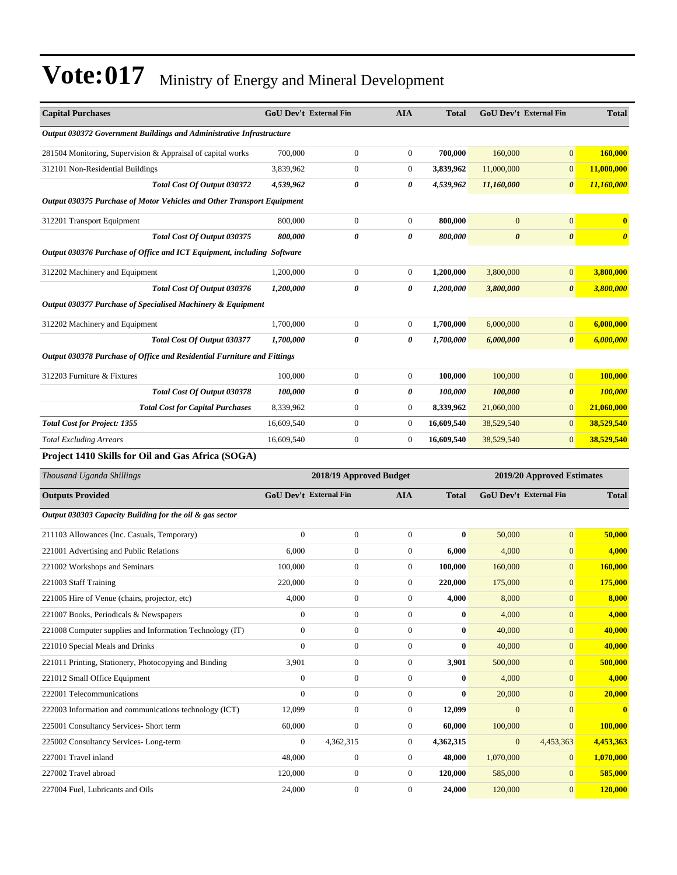| <b>Capital Purchases</b>                                                |                  | <b>GoU Dev't External Fin</b> | <b>AIA</b>       | <b>Total</b> |                       | <b>GoU Dev't External Fin</b> | <b>Total</b>          |
|-------------------------------------------------------------------------|------------------|-------------------------------|------------------|--------------|-----------------------|-------------------------------|-----------------------|
| Output 030372 Government Buildings and Administrative Infrastructure    |                  |                               |                  |              |                       |                               |                       |
| 281504 Monitoring, Supervision & Appraisal of capital works             | 700,000          | $\boldsymbol{0}$              | $\boldsymbol{0}$ | 700,000      | 160,000               | $\overline{0}$                | 160,000               |
| 312101 Non-Residential Buildings                                        | 3,839,962        | $\boldsymbol{0}$              | 0                | 3,839,962    | 11,000,000            | $\boldsymbol{0}$              | 11,000,000            |
| Total Cost Of Output 030372                                             | 4,539,962        | 0                             | 0                | 4,539,962    | 11,160,000            | 0                             | 11,160,000            |
| Output 030375 Purchase of Motor Vehicles and Other Transport Equipment  |                  |                               |                  |              |                       |                               |                       |
| 312201 Transport Equipment                                              | 800,000          | $\boldsymbol{0}$              | $\boldsymbol{0}$ | 800,000      | $\mathbf{0}$          | $\boldsymbol{0}$              | $\bf{0}$              |
| Total Cost Of Output 030375                                             | 800,000          | 0                             | 0                | 800,000      | $\boldsymbol{\theta}$ | $\pmb{\theta}$                | $\boldsymbol{\theta}$ |
| Output 030376 Purchase of Office and ICT Equipment, including Software  |                  |                               |                  |              |                       |                               |                       |
| 312202 Machinery and Equipment                                          | 1,200,000        | $\boldsymbol{0}$              | $\boldsymbol{0}$ | 1,200,000    | 3,800,000             | $\boldsymbol{0}$              | 3,800,000             |
| Total Cost Of Output 030376                                             | 1,200,000        | 0                             | 0                | 1,200,000    | 3,800,000             | 0                             | 3,800,000             |
| Output 030377 Purchase of Specialised Machinery & Equipment             |                  |                               |                  |              |                       |                               |                       |
| 312202 Machinery and Equipment                                          | 1,700,000        | $\boldsymbol{0}$              | $\boldsymbol{0}$ | 1,700,000    | 6,000,000             | $\mathbf{0}$                  | 6,000,000             |
| Total Cost Of Output 030377                                             | 1,700,000        | 0                             | 0                | 1,700,000    | 6,000,000             | 0                             | 6,000,000             |
| Output 030378 Purchase of Office and Residential Furniture and Fittings |                  |                               |                  |              |                       |                               |                       |
| 312203 Furniture & Fixtures                                             | 100,000          | $\boldsymbol{0}$              | $\boldsymbol{0}$ | 100,000      | 100,000               | $\overline{0}$                | 100,000               |
| Total Cost Of Output 030378                                             | 100,000          | 0                             | 0                | 100,000      | 100,000               | 0                             | 100,000               |
| <b>Total Cost for Capital Purchases</b>                                 | 8,339,962        | $\boldsymbol{0}$              | $\boldsymbol{0}$ | 8,339,962    | 21,060,000            | $\overline{0}$                | 21,060,000            |
| <b>Total Cost for Project: 1355</b>                                     | 16,609,540       | $\boldsymbol{0}$              | $\boldsymbol{0}$ | 16,609,540   | 38,529,540            | $\overline{0}$                | 38,529,540            |
| <b>Total Excluding Arrears</b>                                          | 16,609,540       | $\boldsymbol{0}$              | $\boldsymbol{0}$ | 16,609,540   | 38,529,540            | $\overline{0}$                | 38,529,540            |
| Project 1410 Skills for Oil and Gas Africa (SOGA)                       |                  |                               |                  |              |                       |                               |                       |
| Thousand Uganda Shillings                                               |                  | 2018/19 Approved Budget       |                  |              |                       | 2019/20 Approved Estimates    |                       |
| <b>Outputs Provided</b>                                                 |                  | GoU Dev't External Fin        | <b>AIA</b>       | <b>Total</b> |                       | <b>GoU Dev't External Fin</b> | <b>Total</b>          |
| Output 030303 Capacity Building for the oil & gas sector                |                  |                               |                  |              |                       |                               |                       |
| 211103 Allowances (Inc. Casuals, Temporary)                             | $\boldsymbol{0}$ | $\boldsymbol{0}$              | $\boldsymbol{0}$ | $\bf{0}$     | 50,000                | $\overline{0}$                | 50,000                |
| 221001 Advertising and Public Relations                                 | 6,000            | $\boldsymbol{0}$              | $\boldsymbol{0}$ | 6,000        | 4,000                 | $\boldsymbol{0}$              | 4,000                 |
| 221002 Workshops and Seminars                                           | 100,000          | $\boldsymbol{0}$              | $\boldsymbol{0}$ | 100,000      | 160,000               | $\mathbf{0}$                  | <b>160,000</b>        |
| 221003 Staff Training                                                   | 220,000          | $\boldsymbol{0}$              | 0                | 220,000      | 175,000               | $\boldsymbol{0}$              | 175,000               |
| 221005 Hire of Venue (chairs, projector, etc)                           | 4,000            | $\boldsymbol{0}$              | 0                | 4,000        | 8,000                 | $\boldsymbol{0}$              | 8,000                 |
| 221007 Books, Periodicals & Newspapers                                  | $\boldsymbol{0}$ | $\boldsymbol{0}$              | $\boldsymbol{0}$ | $\bf{0}$     | 4,000                 | $\mathbf{0}$                  | 4,000                 |
| 221008 Computer supplies and Information Technology (IT)                | $\boldsymbol{0}$ | $\boldsymbol{0}$              | $\boldsymbol{0}$ | $\bf{0}$     | 40,000                | $\boldsymbol{0}$              | 40,000                |
| 221010 Special Meals and Drinks                                         | $\boldsymbol{0}$ | $\boldsymbol{0}$              | $\boldsymbol{0}$ | $\bf{0}$     | 40,000                | $\mathbf{0}$                  | 40,000                |
| 221011 Printing, Stationery, Photocopying and Binding                   | 3,901            | $\boldsymbol{0}$              | $\boldsymbol{0}$ | 3,901        | 500,000               | $\mathbf{0}$                  | 500,000               |
| 221012 Small Office Equipment                                           | $\boldsymbol{0}$ | $\boldsymbol{0}$              | $\boldsymbol{0}$ | $\bf{0}$     | 4,000                 | $\mathbf{0}$                  | 4,000                 |
| 222001 Telecommunications                                               | $\boldsymbol{0}$ | $\boldsymbol{0}$              | $\boldsymbol{0}$ | $\bf{0}$     | 20,000                | $\overline{0}$                | 20,000                |
| 222003 Information and communications technology (ICT)                  | 12,099           | $\boldsymbol{0}$              | $\boldsymbol{0}$ | 12,099       | $\mathbf{0}$          | $\mathbf{0}$                  | $\bf{0}$              |
| 225001 Consultancy Services- Short term                                 | 60,000           | $\boldsymbol{0}$              | $\boldsymbol{0}$ | 60,000       | 100,000               | $\mathbf{0}$                  | 100,000               |
| 225002 Consultancy Services-Long-term                                   | $\boldsymbol{0}$ | 4,362,315                     | $\boldsymbol{0}$ | 4,362,315    | $\mathbf{0}$          | 4,453,363                     | 4,453,363             |
| 227001 Travel inland                                                    | 48,000           | $\boldsymbol{0}$              | $\boldsymbol{0}$ | 48,000       | 1,070,000             | $\mathbf{0}$                  | 1,070,000             |
| 227002 Travel abroad                                                    | 120,000          | $\boldsymbol{0}$              | 0                | 120,000      | 585,000               | $\mathbf{0}$                  | 585,000               |
| 227004 Fuel, Lubricants and Oils                                        | 24,000           | $\boldsymbol{0}$              | $\boldsymbol{0}$ | 24,000       | 120,000               | $\mathbf{0}$                  | 120,000               |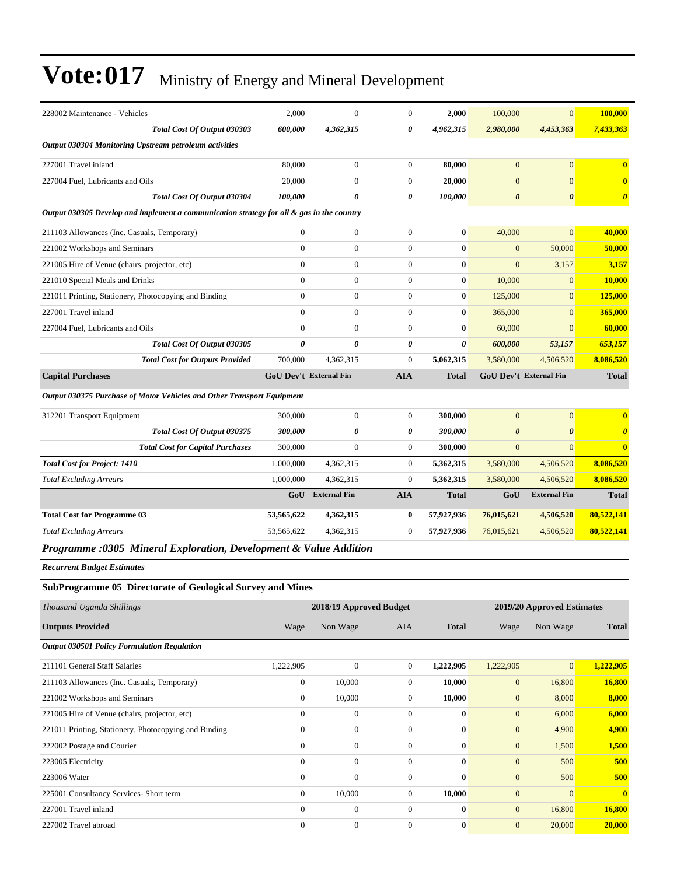| 228002 Maintenance - Vehicles                                                             | 2,000                         | $\theta$            | $\Omega$       | 2,000        | 100,000               | $\overline{0}$                | 100,000                 |
|-------------------------------------------------------------------------------------------|-------------------------------|---------------------|----------------|--------------|-----------------------|-------------------------------|-------------------------|
| Total Cost Of Output 030303                                                               | 600,000                       | 4,362,315           | 0              | 4,962,315    | 2,980,000             | 4,453,363                     | 7,433,363               |
| Output 030304 Monitoring Upstream petroleum activities                                    |                               |                     |                |              |                       |                               |                         |
| 227001 Travel inland                                                                      | 80,000                        | $\boldsymbol{0}$    | $\overline{0}$ | 80,000       | $\mathbf{0}$          | $\mathbf{0}$                  | $\overline{\mathbf{0}}$ |
| 227004 Fuel. Lubricants and Oils                                                          | 20,000                        | $\overline{0}$      | $\Omega$       | 20.000       | $\mathbf{0}$          | $\Omega$                      | $\bf{0}$                |
| <b>Total Cost Of Output 030304</b>                                                        | 100,000                       | 0                   | 0              | 100,000      | $\boldsymbol{\theta}$ | $\boldsymbol{\theta}$         | $\boldsymbol{\theta}$   |
| Output 030305 Develop and implement a communication strategy for oil & gas in the country |                               |                     |                |              |                       |                               |                         |
| 211103 Allowances (Inc. Casuals, Temporary)                                               | $\mathbf{0}$                  | $\boldsymbol{0}$    | $\overline{0}$ | $\bf{0}$     | 40,000                | $\overline{0}$                | 40,000                  |
| 221002 Workshops and Seminars                                                             | $\mathbf{0}$                  | $\overline{0}$      | $\overline{0}$ | $\bf{0}$     | $\mathbf{0}$          | 50,000                        | 50,000                  |
| 221005 Hire of Venue (chairs, projector, etc)                                             | $\theta$                      | $\overline{0}$      | $\Omega$       | $\mathbf{0}$ | $\mathbf{0}$          | 3,157                         | 3,157                   |
| 221010 Special Meals and Drinks                                                           | $\theta$                      | $\overline{0}$      | $\overline{0}$ | $\mathbf{0}$ | 10,000                | $\overline{0}$                | 10,000                  |
| 221011 Printing, Stationery, Photocopying and Binding                                     | $\theta$                      | $\boldsymbol{0}$    | $\overline{0}$ | $\bf{0}$     | 125,000               | $\overline{0}$                | 125,000                 |
| 227001 Travel inland                                                                      | $\mathbf{0}$                  | $\overline{0}$      | $\overline{0}$ | $\bf{0}$     | 365,000               | $\mathbf{0}$                  | 365,000                 |
| 227004 Fuel, Lubricants and Oils                                                          | $\Omega$                      | $\overline{0}$      | $\Omega$       | $\mathbf{0}$ | 60,000                | $\Omega$                      | 60,000                  |
| Total Cost Of Output 030305                                                               | $\boldsymbol{\theta}$         | 0                   | 0              | 0            | 600,000               | 53,157                        | 653,157                 |
| <b>Total Cost for Outputs Provided</b>                                                    | 700,000                       | 4,362,315           | $\overline{0}$ | 5,062,315    | 3,580,000             | 4,506,520                     | 8,086,520               |
| <b>Capital Purchases</b>                                                                  | <b>GoU Dev't External Fin</b> |                     | <b>AIA</b>     | <b>Total</b> |                       | <b>GoU Dev't External Fin</b> | <b>Total</b>            |
| Output 030375 Purchase of Motor Vehicles and Other Transport Equipment                    |                               |                     |                |              |                       |                               |                         |
| 312201 Transport Equipment                                                                | 300,000                       | $\overline{0}$      | $\overline{0}$ | 300,000      | $\mathbf{0}$          | $\overline{0}$                | $\bf{0}$                |
| Total Cost Of Output 030375                                                               | 300,000                       | 0                   | 0              | 300,000      | $\boldsymbol{\theta}$ | $\boldsymbol{\theta}$         | $\boldsymbol{\theta}$   |
| <b>Total Cost for Capital Purchases</b>                                                   | 300,000                       | $\overline{0}$      | $\overline{0}$ | 300,000      | $\mathbf{0}$          | $\mathbf{0}$                  | $\bf{0}$                |
| <b>Total Cost for Project: 1410</b>                                                       | 1,000,000                     | 4,362,315           | $\overline{0}$ | 5,362,315    | 3,580,000             | 4,506,520                     | 8,086,520               |
| <b>Total Excluding Arrears</b>                                                            | 1,000,000                     | 4,362,315           | $\overline{0}$ | 5,362,315    | 3,580,000             | 4,506,520                     | 8,086,520               |
|                                                                                           | GoU                           | <b>External Fin</b> | <b>AIA</b>     | <b>Total</b> | GoU                   | <b>External Fin</b>           | <b>Total</b>            |
| <b>Total Cost for Programme 03</b>                                                        | 53,565,622                    | 4,362,315           | 0              | 57,927,936   | 76,015,621            | 4,506,520                     | 80,522,141              |
| <b>Total Excluding Arrears</b>                                                            | 53,565,622                    | 4,362,315           | $\overline{0}$ | 57,927,936   | 76,015,621            | 4,506,520                     | 80,522,141              |
| Programme :0305 Mineral Exploration, Development & Value Addition                         |                               |                     |                |              |                       |                               |                         |

*Recurrent Budget Estimates*

#### **SubProgramme 05 Directorate of Geological Survey and Mines**

| Thousand Uganda Shillings                             |                | 2018/19 Approved Budget | 2019/20 Approved Estimates |              |                |                |                         |
|-------------------------------------------------------|----------------|-------------------------|----------------------------|--------------|----------------|----------------|-------------------------|
| <b>Outputs Provided</b>                               | Wage           | Non Wage                | <b>AIA</b>                 | <b>Total</b> | Wage           | Non Wage       | <b>Total</b>            |
| <b>Output 030501 Policy Formulation Regulation</b>    |                |                         |                            |              |                |                |                         |
| 211101 General Staff Salaries                         | 1,222,905      | $\mathbf{0}$            | $\overline{0}$             | 1,222,905    | 1,222,905      | $\overline{0}$ | 1,222,905               |
| 211103 Allowances (Inc. Casuals, Temporary)           | $\mathbf{0}$   | 10,000                  | $\Omega$                   | 10,000       | $\mathbf{0}$   | 16,800         | 16,800                  |
| 221002 Workshops and Seminars                         | $\overline{0}$ | 10,000                  | $\mathbf{0}$               | 10,000       | $\overline{0}$ | 8,000          | 8,000                   |
| 221005 Hire of Venue (chairs, projector, etc)         | $\mathbf{0}$   | $\mathbf{0}$            | 0                          | $\bf{0}$     | $\mathbf{0}$   | 6,000          | 6,000                   |
| 221011 Printing, Stationery, Photocopying and Binding | $\Omega$       | $\mathbf{0}$            | $\Omega$                   | $\mathbf{0}$ | $\mathbf{0}$   | 4,900          | 4,900                   |
| 222002 Postage and Courier                            | $\mathbf{0}$   | $\boldsymbol{0}$        | $\mathbf{0}$               | $\bf{0}$     | $\mathbf{0}$   | 1,500          | 1,500                   |
| 223005 Electricity                                    | $\mathbf{0}$   | $\mathbf{0}$            | $\mathbf{0}$               | $\bf{0}$     | $\mathbf{0}$   | 500            | 500                     |
| 223006 Water                                          | $\Omega$       | $\mathbf{0}$            | $\Omega$                   | $\mathbf{0}$ | $\mathbf{0}$   | 500            | 500                     |
| 225001 Consultancy Services- Short term               | $\overline{0}$ | 10,000                  | $\mathbf{0}$               | 10,000       | $\mathbf{0}$   | $\mathbf{0}$   | $\overline{\mathbf{0}}$ |
| 227001 Travel inland                                  | $\mathbf{0}$   | $\mathbf{0}$            | $\mathbf{0}$               | $\bf{0}$     | $\overline{0}$ | 16,800         | 16,800                  |
| 227002 Travel abroad                                  | $\theta$       | $\mathbf{0}$            | 0                          | $\bf{0}$     | $\mathbf{0}$   | 20,000         | 20,000                  |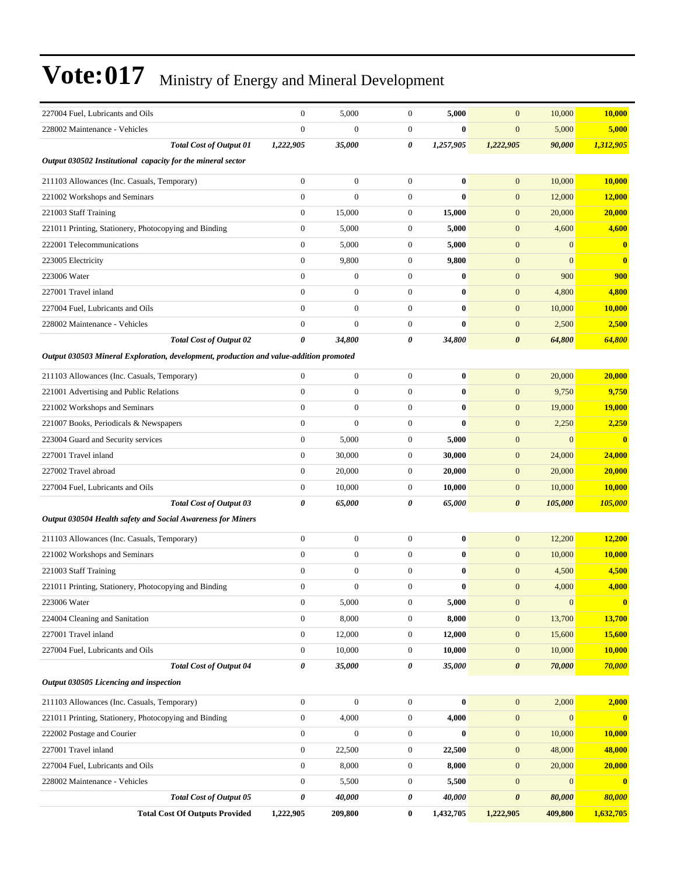| 227004 Fuel, Lubricants and Oils                                                       | $\mathbf{0}$     | 5,000            | $\boldsymbol{0}$ | 5,000     | $\mathbf{0}$          | 10,000           | 10,000                  |
|----------------------------------------------------------------------------------------|------------------|------------------|------------------|-----------|-----------------------|------------------|-------------------------|
| 228002 Maintenance - Vehicles                                                          | $\overline{0}$   | $\boldsymbol{0}$ | $\mathbf{0}$     | $\bf{0}$  | $\mathbf{0}$          | 5,000            | 5,000                   |
| <b>Total Cost of Output 01</b>                                                         | 1,222,905        | 35,000           | 0                | 1,257,905 | 1,222,905             | 90,000           | 1,312,905               |
| Output 030502 Institutional capacity for the mineral sector                            |                  |                  |                  |           |                       |                  |                         |
| 211103 Allowances (Inc. Casuals, Temporary)                                            | $\boldsymbol{0}$ | $\boldsymbol{0}$ | $\mathbf{0}$     | $\bf{0}$  | $\mathbf{0}$          | 10,000           | 10,000                  |
| 221002 Workshops and Seminars                                                          | $\boldsymbol{0}$ | $\overline{0}$   | $\boldsymbol{0}$ | $\bf{0}$  | $\mathbf{0}$          | 12,000           | 12,000                  |
| 221003 Staff Training                                                                  | $\boldsymbol{0}$ | 15,000           | $\boldsymbol{0}$ | 15,000    | $\mathbf{0}$          | 20,000           | 20,000                  |
| 221011 Printing, Stationery, Photocopying and Binding                                  | $\boldsymbol{0}$ | 5,000            | $\mathbf{0}$     | 5,000     | $\mathbf{0}$          | 4,600            | 4,600                   |
| 222001 Telecommunications                                                              | $\boldsymbol{0}$ | 5,000            | $\mathbf{0}$     | 5,000     | $\mathbf{0}$          | $\overline{0}$   | $\bf{0}$                |
| 223005 Electricity                                                                     | $\boldsymbol{0}$ | 9,800            | $\mathbf{0}$     | 9,800     | $\mathbf{0}$          | $\overline{0}$   | $\bf{0}$                |
| 223006 Water                                                                           | $\overline{0}$   | $\boldsymbol{0}$ | $\mathbf{0}$     | $\bf{0}$  | $\mathbf{0}$          | 900              | 900                     |
| 227001 Travel inland                                                                   | $\overline{0}$   | $\boldsymbol{0}$ | $\boldsymbol{0}$ | $\bf{0}$  | $\mathbf{0}$          | 4,800            | 4,800                   |
| 227004 Fuel, Lubricants and Oils                                                       | $\overline{0}$   | $\boldsymbol{0}$ | $\mathbf{0}$     | $\bf{0}$  | $\boldsymbol{0}$      | 10,000           | 10,000                  |
| 228002 Maintenance - Vehicles                                                          | $\overline{0}$   | $\overline{0}$   | $\mathbf{0}$     | $\bf{0}$  | $\mathbf{0}$          | 2,500            | 2,500                   |
| <b>Total Cost of Output 02</b>                                                         | 0                | 34,800           | 0                | 34,800    | $\boldsymbol{\theta}$ | 64,800           | 64,800                  |
| Output 030503 Mineral Exploration, development, production and value-addition promoted |                  |                  |                  |           |                       |                  |                         |
| 211103 Allowances (Inc. Casuals, Temporary)                                            | $\overline{0}$   | $\boldsymbol{0}$ | $\boldsymbol{0}$ | $\bf{0}$  | $\mathbf{0}$          | 20,000           | 20,000                  |
| 221001 Advertising and Public Relations                                                | $\overline{0}$   | $\boldsymbol{0}$ | $\boldsymbol{0}$ | $\bf{0}$  | $\mathbf{0}$          | 9,750            | 9,750                   |
| 221002 Workshops and Seminars                                                          | $\boldsymbol{0}$ | $\boldsymbol{0}$ | $\mathbf{0}$     | $\bf{0}$  | $\boldsymbol{0}$      | 19,000           | <b>19,000</b>           |
| 221007 Books, Periodicals & Newspapers                                                 | $\mathbf{0}$     | $\overline{0}$   | $\mathbf{0}$     | $\bf{0}$  | $\mathbf{0}$          | 2,250            | 2,250                   |
| 223004 Guard and Security services                                                     | $\mathbf{0}$     | 5,000            | $\mathbf{0}$     | 5,000     | $\boldsymbol{0}$      | $\overline{0}$   | $\bf{0}$                |
| 227001 Travel inland                                                                   | $\mathbf{0}$     | 30,000           | $\mathbf{0}$     | 30,000    | $\mathbf{0}$          | 24,000           | 24,000                  |
| 227002 Travel abroad                                                                   | $\boldsymbol{0}$ | 20,000           | $\boldsymbol{0}$ | 20,000    | $\mathbf{0}$          | 20,000           | 20,000                  |
| 227004 Fuel, Lubricants and Oils                                                       | $\mathbf{0}$     | 10,000           | $\boldsymbol{0}$ | 10,000    | $\boldsymbol{0}$      | 10,000           | 10,000                  |
| <b>Total Cost of Output 03</b>                                                         | 0                | 65,000           | 0                | 65,000    | $\boldsymbol{\theta}$ | 105,000          | 105,000                 |
| Output 030504 Health safety and Social Awareness for Miners                            |                  |                  |                  |           |                       |                  |                         |
| 211103 Allowances (Inc. Casuals, Temporary)                                            | $\boldsymbol{0}$ | $\boldsymbol{0}$ | $\mathbf{0}$     | $\bf{0}$  | $\mathbf{0}$          | 12,200           | 12,200                  |
| 221002 Workshops and Seminars                                                          | $\boldsymbol{0}$ | $\boldsymbol{0}$ | $\mathbf{0}$     | $\bf{0}$  | $\mathbf{0}$          | 10,000           | 10,000                  |
| 221003 Staff Training                                                                  | $\boldsymbol{0}$ | $\boldsymbol{0}$ | $\boldsymbol{0}$ | $\bf{0}$  | $\mathbf{0}$          | 4,500            | 4,500                   |
| 221011 Printing, Stationery, Photocopying and Binding                                  | $\boldsymbol{0}$ | $\boldsymbol{0}$ | $\mathbf{0}$     | $\bf{0}$  | $\mathbf{0}$          | 4,000            | 4,000                   |
| 223006 Water                                                                           | $\boldsymbol{0}$ | 5,000            | $\boldsymbol{0}$ | 5,000     | $\boldsymbol{0}$      | $\mathbf{0}$     | $\overline{\mathbf{0}}$ |
| 224004 Cleaning and Sanitation                                                         | $\boldsymbol{0}$ | 8,000            | $\boldsymbol{0}$ | 8,000     | $\mathbf{0}$          | 13,700           | 13,700                  |
| 227001 Travel inland                                                                   | $\overline{0}$   | 12,000           | $\boldsymbol{0}$ | 12,000    | $\boldsymbol{0}$      | 15,600           | 15,600                  |
| 227004 Fuel, Lubricants and Oils                                                       | $\boldsymbol{0}$ | 10,000           | $\boldsymbol{0}$ | 10,000    | $\mathbf{0}$          | 10,000           | 10,000                  |
| <b>Total Cost of Output 04</b>                                                         | 0                | 35,000           | 0                | 35,000    | $\boldsymbol{\theta}$ | 70,000           | 70,000                  |
| Output 030505 Licencing and inspection                                                 |                  |                  |                  |           |                       |                  |                         |
| 211103 Allowances (Inc. Casuals, Temporary)                                            | $\boldsymbol{0}$ | $\boldsymbol{0}$ | $\boldsymbol{0}$ | $\bf{0}$  | $\mathbf{0}$          | 2,000            | 2,000                   |
| 221011 Printing, Stationery, Photocopying and Binding                                  | $\boldsymbol{0}$ | 4,000            | $\boldsymbol{0}$ | 4,000     | $\boldsymbol{0}$      | $\boldsymbol{0}$ | $\mathbf{0}$            |
| 222002 Postage and Courier                                                             | $\boldsymbol{0}$ | $\boldsymbol{0}$ | $\boldsymbol{0}$ | $\bf{0}$  | $\mathbf{0}$          | 10,000           | 10,000                  |
| 227001 Travel inland                                                                   | $\boldsymbol{0}$ | 22,500           | $\boldsymbol{0}$ | 22,500    | $\mathbf{0}$          | 48,000           | 48,000                  |
| 227004 Fuel, Lubricants and Oils                                                       | $\boldsymbol{0}$ | 8,000            | $\boldsymbol{0}$ | 8,000     | $\mathbf{0}$          | 20,000           | 20,000                  |
| 228002 Maintenance - Vehicles                                                          | $\boldsymbol{0}$ | 5,500            | $\boldsymbol{0}$ | 5,500     | $\mathbf{0}$          | $\overline{0}$   | $\mathbf{0}$            |
| <b>Total Cost of Output 05</b>                                                         | 0                | 40,000           | 0                | 40,000    | $\pmb{\theta}$        | 80,000           | 80,000                  |
| <b>Total Cost Of Outputs Provided</b>                                                  | 1,222,905        | 209,800          | $\bf{0}$         | 1,432,705 | 1,222,905             | 409,800          | 1,632,705               |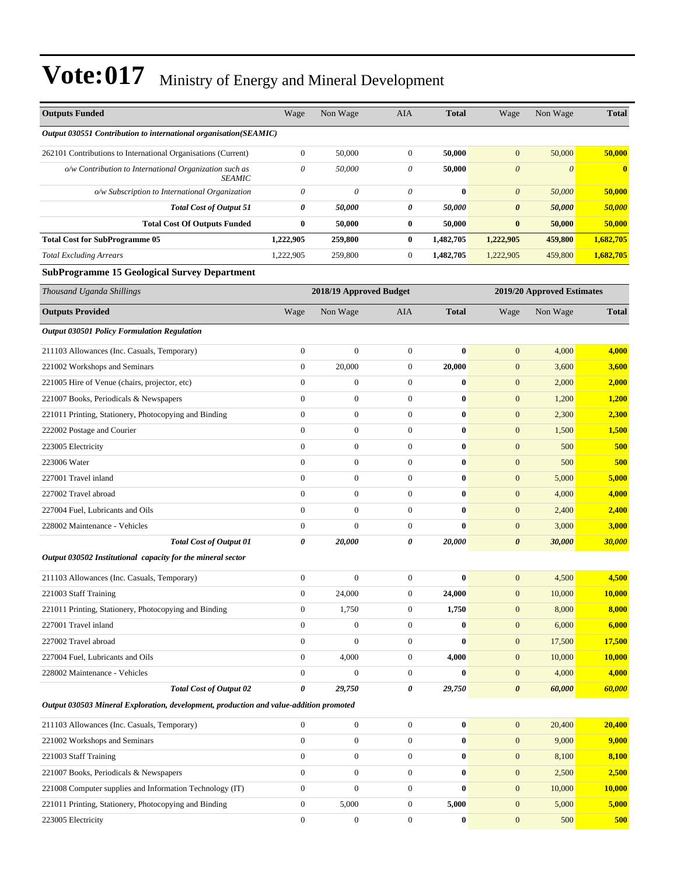| <b>Outputs Funded</b>                                                                  | Wage             | Non Wage                | AIA              | <b>Total</b>     | Wage                  | Non Wage                   | <b>Total</b>  |
|----------------------------------------------------------------------------------------|------------------|-------------------------|------------------|------------------|-----------------------|----------------------------|---------------|
| Output 030551 Contribution to international organisation(SEAMIC)                       |                  |                         |                  |                  |                       |                            |               |
| 262101 Contributions to International Organisations (Current)                          | $\boldsymbol{0}$ | 50,000                  | $\mathbf{0}$     | 50,000           | $\mathbf{0}$          | 50,000                     | 50,000        |
| o/w Contribution to International Organization such as<br><b>SEAMIC</b>                | 0                | 50,000                  | $\theta$         | 50,000           | 0                     | $\theta$                   | $\bf{0}$      |
| o/w Subscription to International Organization                                         | $\theta$         | $\theta$                | $\theta$         | $\bf{0}$         | $\boldsymbol{\theta}$ | 50,000                     | 50,000        |
| <b>Total Cost of Output 51</b>                                                         | 0                | 50,000                  | 0                | 50,000           | 0                     | 50,000                     | 50,000        |
| <b>Total Cost Of Outputs Funded</b>                                                    | $\bf{0}$         | 50,000                  | $\bf{0}$         | 50,000           | $\bf{0}$              | 50,000                     | 50,000        |
| <b>Total Cost for SubProgramme 05</b>                                                  | 1,222,905        | 259,800                 | $\bf{0}$         | 1,482,705        | 1,222,905             | 459,800                    | 1,682,705     |
| <b>Total Excluding Arrears</b>                                                         | 1,222,905        | 259,800                 | $\boldsymbol{0}$ | 1,482,705        | 1,222,905             | 459,800                    | 1,682,705     |
| <b>SubProgramme 15 Geological Survey Department</b>                                    |                  |                         |                  |                  |                       |                            |               |
| Thousand Uganda Shillings                                                              |                  | 2018/19 Approved Budget |                  |                  |                       | 2019/20 Approved Estimates |               |
| <b>Outputs Provided</b>                                                                | Wage             | Non Wage                | AIA              | <b>Total</b>     | Wage                  | Non Wage                   | <b>Total</b>  |
| <b>Output 030501 Policy Formulation Regulation</b>                                     |                  |                         |                  |                  |                       |                            |               |
| 211103 Allowances (Inc. Casuals, Temporary)                                            | $\boldsymbol{0}$ | $\theta$                | $\boldsymbol{0}$ | $\bf{0}$         | $\mathbf{0}$          | 4,000                      | 4,000         |
| 221002 Workshops and Seminars                                                          | $\boldsymbol{0}$ | 20,000                  | $\boldsymbol{0}$ | 20,000           | $\mathbf{0}$          | 3,600                      | 3,600         |
| 221005 Hire of Venue (chairs, projector, etc)                                          | $\boldsymbol{0}$ | $\mathbf{0}$            | $\boldsymbol{0}$ | $\bf{0}$         | $\mathbf{0}$          | 2,000                      | 2,000         |
| 221007 Books, Periodicals & Newspapers                                                 | $\boldsymbol{0}$ | $\theta$                | $\mathbf{0}$     | $\bf{0}$         | $\mathbf{0}$          | 1,200                      | 1,200         |
| 221011 Printing, Stationery, Photocopying and Binding                                  | $\overline{0}$   | $\theta$                | $\mathbf{0}$     | $\bf{0}$         | $\mathbf{0}$          | 2,300                      | 2,300         |
| 222002 Postage and Courier                                                             | $\boldsymbol{0}$ | $\mathbf{0}$            | $\boldsymbol{0}$ | $\bf{0}$         | $\mathbf{0}$          | 1,500                      | 1,500         |
| 223005 Electricity                                                                     | $\boldsymbol{0}$ | $\theta$                | $\boldsymbol{0}$ | $\bf{0}$         | $\boldsymbol{0}$      | 500                        | 500           |
| 223006 Water                                                                           | $\overline{0}$   | $\mathbf{0}$            | $\boldsymbol{0}$ | $\bf{0}$         | $\mathbf{0}$          | 500                        | 500           |
| 227001 Travel inland                                                                   | $\mathbf{0}$     | $\theta$                | $\mathbf{0}$     | $\bf{0}$         | $\mathbf{0}$          | 5,000                      | 5,000         |
| 227002 Travel abroad                                                                   | $\overline{0}$   | $\theta$                | $\mathbf{0}$     | $\bf{0}$         | $\mathbf{0}$          | 4,000                      | 4,000         |
| 227004 Fuel, Lubricants and Oils                                                       | $\boldsymbol{0}$ | $\theta$                | $\boldsymbol{0}$ | $\bf{0}$         | $\mathbf{0}$          | 2,400                      | 2,400         |
| 228002 Maintenance - Vehicles                                                          | $\mathbf{0}$     | $\theta$                | $\boldsymbol{0}$ | $\bf{0}$         | $\boldsymbol{0}$      | 3,000                      | 3,000         |
| <b>Total Cost of Output 01</b>                                                         | 0                | 20,000                  | 0                | 20,000           | $\boldsymbol{\theta}$ | 30,000                     | <b>30,000</b> |
| Output 030502 Institutional capacity for the mineral sector                            |                  |                         |                  |                  |                       |                            |               |
| 211103 Allowances (Inc. Casuals, Temporary)                                            | $\boldsymbol{0}$ | $\theta$                | $\mathbf{0}$     | $\bf{0}$         | $\mathbf{0}$          | 4,500                      | 4,500         |
| 221003 Staff Training                                                                  | $\boldsymbol{0}$ | 24,000                  | $\boldsymbol{0}$ | 24,000           | $\mathbf{0}$          | 10,000                     | 10,000        |
| 221011 Printing, Stationery, Photocopying and Binding                                  | $\mathbf{0}$     | 1,750                   | $\boldsymbol{0}$ | 1,750            | $\mathbf{0}$          | 8,000                      | 8,000         |
| 227001 Travel inland                                                                   | $\boldsymbol{0}$ | $\boldsymbol{0}$        | $\boldsymbol{0}$ | $\bf{0}$         | $\mathbf{0}$          | 6,000                      | 6,000         |
| 227002 Travel abroad                                                                   | $\boldsymbol{0}$ | $\mathbf{0}$            | $\boldsymbol{0}$ | $\bf{0}$         | $\mathbf{0}$          | 17,500                     | <b>17,500</b> |
| 227004 Fuel, Lubricants and Oils                                                       | $\boldsymbol{0}$ | 4,000                   | $\boldsymbol{0}$ | 4,000            | $\mathbf{0}$          | 10,000                     | 10,000        |
| 228002 Maintenance - Vehicles                                                          | $\overline{0}$   | $\mathbf{0}$            | $\boldsymbol{0}$ | $\bf{0}$         | $\boldsymbol{0}$      | 4,000                      | 4,000         |
| <b>Total Cost of Output 02</b>                                                         | 0                | 29,750                  | 0                | 29,750           | $\boldsymbol{\theta}$ | 60,000                     | 60,000        |
| Output 030503 Mineral Exploration, development, production and value-addition promoted |                  |                         |                  |                  |                       |                            |               |
| 211103 Allowances (Inc. Casuals, Temporary)                                            | $\boldsymbol{0}$ | $\mathbf{0}$            | $\boldsymbol{0}$ | $\boldsymbol{0}$ | $\boldsymbol{0}$      | 20,400                     | 20,400        |
| 221002 Workshops and Seminars                                                          | $\boldsymbol{0}$ | $\boldsymbol{0}$        | $\boldsymbol{0}$ | $\boldsymbol{0}$ | $\mathbf{0}$          | 9,000                      | 9,000         |
| 221003 Staff Training                                                                  | $\boldsymbol{0}$ | $\mathbf{0}$            | $\boldsymbol{0}$ | $\boldsymbol{0}$ | $\mathbf{0}$          | 8,100                      | 8,100         |
| 221007 Books, Periodicals & Newspapers                                                 | $\boldsymbol{0}$ | $\mathbf{0}$            | $\boldsymbol{0}$ | $\bf{0}$         | $\boldsymbol{0}$      | 2,500                      | 2,500         |
| 221008 Computer supplies and Information Technology (IT)                               | $\boldsymbol{0}$ | $\mathbf{0}$            | $\boldsymbol{0}$ | $\bf{0}$         | $\mathbf{0}$          | 10,000                     | <b>10,000</b> |
| 221011 Printing, Stationery, Photocopying and Binding                                  | $\boldsymbol{0}$ | 5,000                   | $\boldsymbol{0}$ | 5,000            | $\boldsymbol{0}$      | 5,000                      | 5,000         |
| 223005 Electricity                                                                     | $\boldsymbol{0}$ | $\boldsymbol{0}$        | $\boldsymbol{0}$ | $\boldsymbol{0}$ | $\mathbf{0}$          | 500                        | 500           |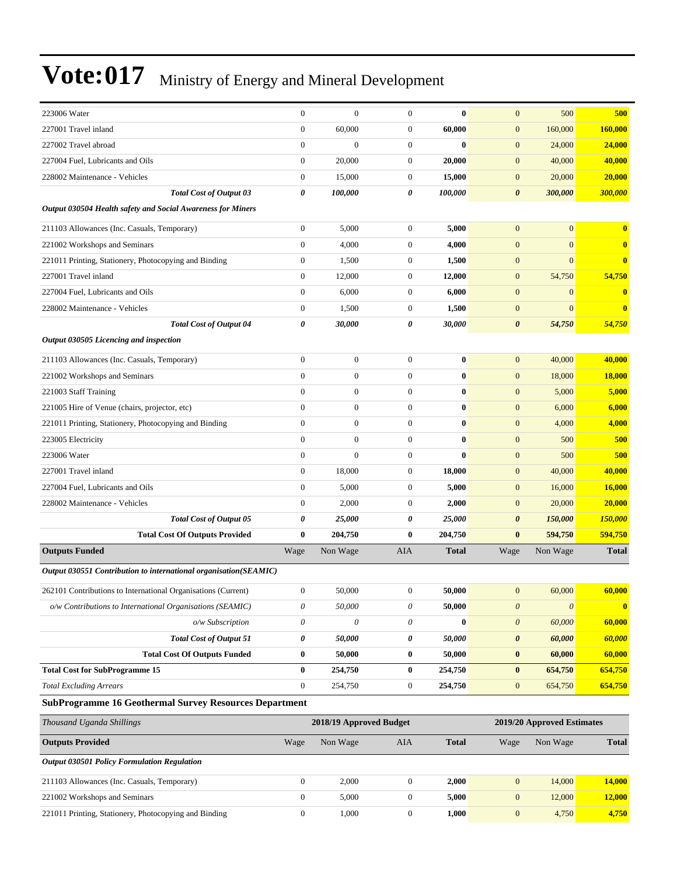| 223006 Water                                                     | $\mathbf{0}$              | $\mathbf{0}$            | $\mathbf{0}$          | $\bf{0}$     | $\mathbf{0}$          | 500                        | 500           |
|------------------------------------------------------------------|---------------------------|-------------------------|-----------------------|--------------|-----------------------|----------------------------|---------------|
| 227001 Travel inland                                             | $\boldsymbol{0}$          | 60,000                  | 0                     | 60,000       | $\mathbf{0}$          | 160,000                    | 160,000       |
| 227002 Travel abroad                                             | $\mathbf{0}$              | $\boldsymbol{0}$        | $\mathbf{0}$          | $\bf{0}$     | $\mathbf{0}$          | 24,000                     | 24,000        |
| 227004 Fuel, Lubricants and Oils                                 | $\mathbf{0}$              | 20,000                  | $\boldsymbol{0}$      | 20,000       | $\mathbf{0}$          | 40,000                     | 40,000        |
| 228002 Maintenance - Vehicles                                    | $\boldsymbol{0}$          | 15,000                  | 0                     | 15,000       | $\mathbf{0}$          | 20,000                     | 20,000        |
| <b>Total Cost of Output 03</b>                                   | 0                         | 100,000                 | 0                     | 100,000      | $\boldsymbol{\theta}$ | 300,000                    | 300,000       |
| Output 030504 Health safety and Social Awareness for Miners      |                           |                         |                       |              |                       |                            |               |
| 211103 Allowances (Inc. Casuals, Temporary)                      | $\boldsymbol{0}$          | 5,000                   | $\mathbf{0}$          | 5,000        | $\mathbf{0}$          | $\mathbf{0}$               | $\mathbf{0}$  |
| 221002 Workshops and Seminars                                    | $\theta$                  | 4,000                   | $\mathbf{0}$          | 4,000        | $\mathbf{0}$          | $\overline{0}$             | $\bf{0}$      |
| 221011 Printing, Stationery, Photocopying and Binding            | $\boldsymbol{0}$          | 1,500                   | 0                     | 1,500        | $\mathbf{0}$          | $\overline{0}$             | $\bf{0}$      |
| 227001 Travel inland                                             | $\boldsymbol{0}$          | 12,000                  | 0                     | 12,000       | $\mathbf{0}$          | 54,750                     | 54,750        |
| 227004 Fuel, Lubricants and Oils                                 | $\mathbf{0}$              | 6,000                   | $\boldsymbol{0}$      | 6,000        | $\mathbf{0}$          | $\mathbf{0}$               | $\bf{0}$      |
| 228002 Maintenance - Vehicles                                    | $\mathbf{0}$              | 1,500                   | $\mathbf{0}$          | 1,500        | $\mathbf{0}$          | $\mathbf{0}$               | $\bf{0}$      |
| <b>Total Cost of Output 04</b>                                   | 0                         | 30,000                  | 0                     | 30,000       | $\boldsymbol{\theta}$ | 54,750                     | 54,750        |
| Output 030505 Licencing and inspection                           |                           |                         |                       |              |                       |                            |               |
| 211103 Allowances (Inc. Casuals, Temporary)                      | $\mathbf{0}$              | $\boldsymbol{0}$        | $\mathbf{0}$          | $\bf{0}$     | $\mathbf{0}$          | 40,000                     | 40,000        |
| 221002 Workshops and Seminars                                    | $\mathbf{0}$              | $\overline{0}$          | $\overline{0}$        | $\bf{0}$     | $\mathbf{0}$          | 18,000                     | <b>18,000</b> |
| 221003 Staff Training                                            | $\theta$                  | $\mathbf{0}$            | 0                     | $\bf{0}$     | $\mathbf{0}$          | 5,000                      | 5,000         |
| 221005 Hire of Venue (chairs, projector, etc)                    | $\boldsymbol{0}$          | $\boldsymbol{0}$        | $\overline{0}$        | $\bf{0}$     | $\mathbf{0}$          | 6,000                      | 6,000         |
| 221011 Printing, Stationery, Photocopying and Binding            | $\mathbf{0}$              | $\boldsymbol{0}$        | $\mathbf{0}$          | $\bf{0}$     | $\mathbf{0}$          | 4,000                      | 4,000         |
| 223005 Electricity                                               | $\mathbf{0}$              | $\boldsymbol{0}$        | 0                     | $\bf{0}$     | $\mathbf{0}$          | 500                        | 500           |
| 223006 Water                                                     | $\mathbf{0}$              | $\overline{0}$          | $\overline{0}$        | $\bf{0}$     | $\mathbf{0}$          | 500                        | 500           |
| 227001 Travel inland                                             | $\mathbf{0}$              | 18,000                  | $\boldsymbol{0}$      | 18,000       | $\mathbf{0}$          | 40,000                     | 40,000        |
| 227004 Fuel, Lubricants and Oils                                 | $\mathbf{0}$              | 5,000                   | 0                     | 5,000        | $\mathbf{0}$          | 16,000                     | 16,000        |
| 228002 Maintenance - Vehicles                                    | $\boldsymbol{0}$          | 2,000                   | $\mathbf{0}$          | 2,000        | $\mathbf{0}$          | 20,000                     | 20,000        |
| <b>Total Cost of Output 05</b>                                   | 0                         | 25,000                  | 0                     | 25,000       | $\boldsymbol{\theta}$ | 150,000                    | 150,000       |
| <b>Total Cost Of Outputs Provided</b>                            | $\bf{0}$                  | 204,750                 | 0                     | 204,750      | $\bf{0}$              | 594,750                    | 594,750       |
| <b>Outputs Funded</b>                                            | Wage                      | Non Wage                | AIA                   | <b>Total</b> | Wage                  | Non Wage                   | <b>Total</b>  |
| Output 030551 Contribution to international organisation(SEAMIC) |                           |                         |                       |              |                       |                            |               |
| 262101 Contributions to International Organisations (Current)    | $\mathbf{0}$              | 50,000                  | $\mathbf{0}$          | 50,000       | $\mathbf{0}$          | 60,000                     | 60,000        |
| o/w Contributions to International Organisations (SEAMIC)        | $\theta$                  | 50,000                  | $\boldsymbol{\theta}$ | 50,000       | $\boldsymbol{\theta}$ | $\boldsymbol{\theta}$      | $\bf{0}$      |
| o/w Subscription                                                 | $\boldsymbol{\mathit{0}}$ | 0                       | 0                     | $\bf{0}$     | $\boldsymbol{0}$      | 60,000                     | 60,000        |
| <b>Total Cost of Output 51</b>                                   | 0                         | 50,000                  | 0                     | 50,000       | $\boldsymbol{\theta}$ | 60,000                     | 60,000        |
| <b>Total Cost Of Outputs Funded</b>                              | $\bf{0}$                  | 50,000                  | 0                     | 50,000       | $\bf{0}$              | 60,000                     | 60,000        |
| <b>Total Cost for SubProgramme 15</b>                            | $\bf{0}$                  | 254,750                 | $\bf{0}$              | 254,750      | $\bf{0}$              | 654,750                    | 654,750       |
| <b>Total Excluding Arrears</b>                                   | $\boldsymbol{0}$          | 254,750                 | $\boldsymbol{0}$      | 254,750      | $\mathbf{0}$          | 654,750                    | 654,750       |
| <b>SubProgramme 16 Geothermal Survey Resources Department</b>    |                           |                         |                       |              |                       |                            |               |
| Thousand Uganda Shillings                                        |                           | 2018/19 Approved Budget |                       |              |                       | 2019/20 Approved Estimates |               |
| <b>Outputs Provided</b>                                          | Wage                      | Non Wage                | <b>AIA</b>            | <b>Total</b> | Wage                  | Non Wage                   | <b>Total</b>  |
| Output 030501 Policy Formulation Regulation                      |                           |                         |                       |              |                       |                            |               |
| 211103 Allowances (Inc. Casuals, Temporary)                      | $\boldsymbol{0}$          | 2,000                   | $\boldsymbol{0}$      | 2,000        | $\mathbf{0}$          | 14,000                     | 14,000        |
| 221002 Workshops and Seminars                                    | $\boldsymbol{0}$          | 5,000                   | $\boldsymbol{0}$      | 5,000        | $\mathbf{0}$          | 12,000                     | 12,000        |
| 221011 Printing, Stationery, Photocopying and Binding            | $\boldsymbol{0}$          | 1,000                   | $\boldsymbol{0}$      | 1,000        | $\mathbf{0}$          | 4,750                      | 4,750         |
|                                                                  |                           |                         |                       |              |                       |                            |               |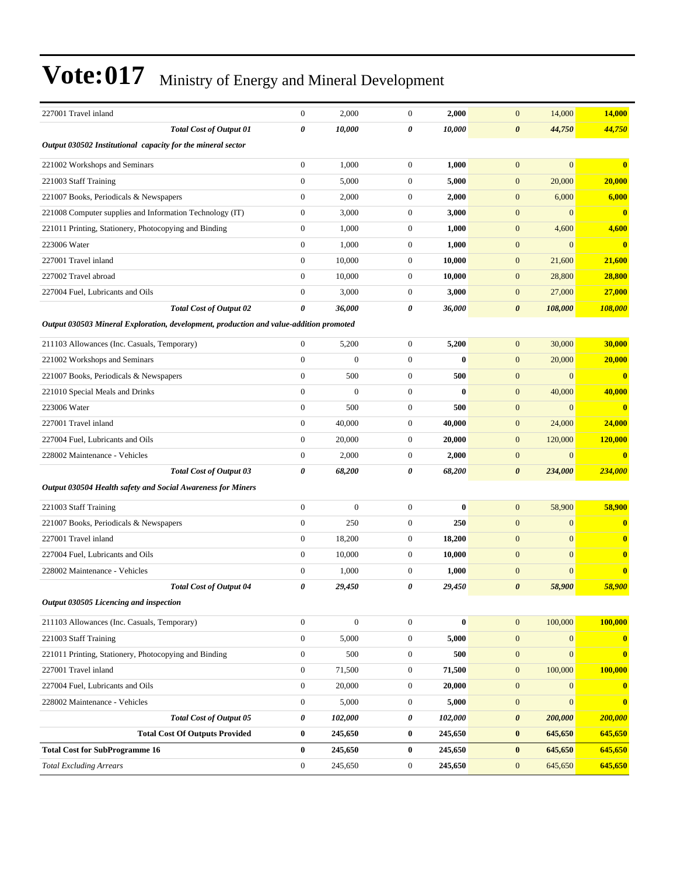| 227001 Travel inland                                                                   | $\boldsymbol{0}$ | 2,000            | $\mathbf{0}$     | 2,000        | 14,000<br>$\boldsymbol{0}$           | 14,000         |
|----------------------------------------------------------------------------------------|------------------|------------------|------------------|--------------|--------------------------------------|----------------|
| <b>Total Cost of Output 01</b>                                                         | 0                | 10,000           | 0                | 10,000       | 44,750<br>0                          | 44,750         |
| Output 030502 Institutional capacity for the mineral sector                            |                  |                  |                  |              |                                      |                |
| 221002 Workshops and Seminars                                                          | $\boldsymbol{0}$ | 1,000            | $\boldsymbol{0}$ | 1,000        | $\boldsymbol{0}$<br>$\mathbf{0}$     | $\bf{0}$       |
| 221003 Staff Training                                                                  | $\boldsymbol{0}$ | 5,000            | $\boldsymbol{0}$ | 5,000        | $\boldsymbol{0}$<br>20,000           | 20,000         |
| 221007 Books, Periodicals & Newspapers                                                 | $\boldsymbol{0}$ | 2,000            | $\boldsymbol{0}$ | 2,000        | $\boldsymbol{0}$<br>6,000            | 6,000          |
| 221008 Computer supplies and Information Technology (IT)                               | $\boldsymbol{0}$ | 3,000            | $\boldsymbol{0}$ | 3,000        | $\boldsymbol{0}$<br>$\mathbf{0}$     | $\bf{0}$       |
| 221011 Printing, Stationery, Photocopying and Binding                                  | $\boldsymbol{0}$ | 1,000            | $\boldsymbol{0}$ | 1,000        | $\boldsymbol{0}$<br>4,600            | 4,600          |
| 223006 Water                                                                           | $\boldsymbol{0}$ | 1,000            | $\boldsymbol{0}$ | 1,000        | $\mathbf{0}$<br>$\mathbf{0}$         | $\bf{0}$       |
| 227001 Travel inland                                                                   | $\boldsymbol{0}$ | 10,000           | $\boldsymbol{0}$ | 10,000       | $\boldsymbol{0}$<br>21,600           | 21,600         |
| 227002 Travel abroad                                                                   | $\boldsymbol{0}$ | 10,000           | $\boldsymbol{0}$ | 10,000       | $\boldsymbol{0}$<br>28,800           | 28,800         |
| 227004 Fuel, Lubricants and Oils                                                       | $\boldsymbol{0}$ | 3,000            | $\boldsymbol{0}$ | 3,000        | 27,000<br>$\boldsymbol{0}$           | 27,000         |
| <b>Total Cost of Output 02</b>                                                         | 0                | 36,000           | 0                | 36,000       | 108,000<br>0                         | 108,000        |
| Output 030503 Mineral Exploration, development, production and value-addition promoted |                  |                  |                  |              |                                      |                |
| 211103 Allowances (Inc. Casuals, Temporary)                                            | $\boldsymbol{0}$ | 5,200            | $\boldsymbol{0}$ | 5,200        | $\boldsymbol{0}$<br>30,000           | 30,000         |
| 221002 Workshops and Seminars                                                          | $\overline{0}$   | $\mathbf{0}$     | $\boldsymbol{0}$ | $\mathbf{0}$ | $\mathbf{0}$<br>20,000               | 20,000         |
| 221007 Books, Periodicals & Newspapers                                                 | $\overline{0}$   | 500              | $\mathbf{0}$     | 500          | $\boldsymbol{0}$<br>$\mathbf{0}$     | $\mathbf{0}$   |
| 221010 Special Meals and Drinks                                                        | $\overline{0}$   | $\mathbf{0}$     | $\boldsymbol{0}$ | $\bf{0}$     | 40,000<br>$\boldsymbol{0}$           | 40,000         |
| 223006 Water                                                                           | $\boldsymbol{0}$ | 500              | $\boldsymbol{0}$ | 500          | $\boldsymbol{0}$<br>$\mathbf{0}$     | $\bf{0}$       |
| 227001 Travel inland                                                                   | $\boldsymbol{0}$ | 40,000           | $\boldsymbol{0}$ | 40,000       | 24,000<br>$\mathbf{0}$               | 24,000         |
| 227004 Fuel, Lubricants and Oils                                                       | $\overline{0}$   | 20,000           | $\boldsymbol{0}$ | 20,000       | $\mathbf{0}$<br>120,000              | <b>120,000</b> |
| 228002 Maintenance - Vehicles                                                          | $\boldsymbol{0}$ | 2,000            | $\boldsymbol{0}$ | 2,000        | $\boldsymbol{0}$<br>$\mathbf{0}$     | $\bf{0}$       |
| <b>Total Cost of Output 03</b>                                                         | 0                | 68,200           | 0                | 68,200       | 234,000<br>0                         | 234,000        |
| Output 030504 Health safety and Social Awareness for Miners                            |                  |                  |                  |              |                                      |                |
| 221003 Staff Training                                                                  | $\boldsymbol{0}$ | $\overline{0}$   | $\boldsymbol{0}$ | $\bf{0}$     | $\mathbf{0}$<br>58,900               | 58,900         |
| 221007 Books, Periodicals & Newspapers                                                 | $\boldsymbol{0}$ | 250              | $\boldsymbol{0}$ | 250          | $\mathbf{0}$<br>$\mathbf{0}$         | $\bf{0}$       |
| 227001 Travel inland                                                                   | $\boldsymbol{0}$ | 18,200           | $\boldsymbol{0}$ | 18,200       | $\mathbf{0}$<br>$\boldsymbol{0}$     | $\mathbf{0}$   |
| 227004 Fuel. Lubricants and Oils                                                       | $\boldsymbol{0}$ | 10,000           | $\boldsymbol{0}$ | 10,000       | $\boldsymbol{0}$<br>$\mathbf{0}$     | $\bf{0}$       |
| 228002 Maintenance - Vehicles                                                          | $\boldsymbol{0}$ | 1,000            | $\boldsymbol{0}$ | 1,000        | $\boldsymbol{0}$<br>$\mathbf{0}$     | $\bf{0}$       |
| <b>Total Cost of Output 04</b>                                                         | 0                | 29,450           | 0                | 29,450       | 58,900<br>$\boldsymbol{\theta}$      | 58,900         |
| Output 030505 Licencing and inspection                                                 |                  |                  |                  |              |                                      |                |
| 211103 Allowances (Inc. Casuals, Temporary)                                            | $\boldsymbol{0}$ | $\boldsymbol{0}$ | $\boldsymbol{0}$ | $\bf{0}$     | 100,000<br>$\mathbf{0}$              | 100,000        |
| 221003 Staff Training                                                                  | $\boldsymbol{0}$ | 5,000            | $\boldsymbol{0}$ | 5,000        | $\boldsymbol{0}$<br>$\boldsymbol{0}$ | $\mathbf{0}$   |
| 221011 Printing, Stationery, Photocopying and Binding                                  | $\boldsymbol{0}$ | 500              | $\boldsymbol{0}$ | 500          | $\boldsymbol{0}$<br>$\mathbf{0}$     | $\mathbf{0}$   |
| 227001 Travel inland                                                                   | $\boldsymbol{0}$ | 71,500           | $\boldsymbol{0}$ | 71,500       | $\boldsymbol{0}$<br>100,000          | 100,000        |
| 227004 Fuel, Lubricants and Oils                                                       | $\boldsymbol{0}$ | 20,000           | $\boldsymbol{0}$ | 20,000       | $\boldsymbol{0}$<br>$\mathbf{0}$     | $\bf{0}$       |
| 228002 Maintenance - Vehicles                                                          | $\boldsymbol{0}$ | 5,000            | $\boldsymbol{0}$ | 5,000        | $\mathbf{0}$<br>$\boldsymbol{0}$     | $\bf{0}$       |
| <b>Total Cost of Output 05</b>                                                         | 0                | 102,000          | 0                | 102,000      | 0<br>200,000                         | 200,000        |
| <b>Total Cost Of Outputs Provided</b>                                                  | 0                | 245,650          | $\boldsymbol{0}$ | 245,650      | $\bf{0}$<br>645,650                  | 645,650        |
| <b>Total Cost for SubProgramme 16</b>                                                  | $\bf{0}$         | 245,650          | $\bf{0}$         | 245,650      | $\bf{0}$<br>645,650                  | 645,650        |
| <b>Total Excluding Arrears</b>                                                         | $\boldsymbol{0}$ | 245,650          | $\boldsymbol{0}$ | 245,650      | $\boldsymbol{0}$<br>645,650          | 645,650        |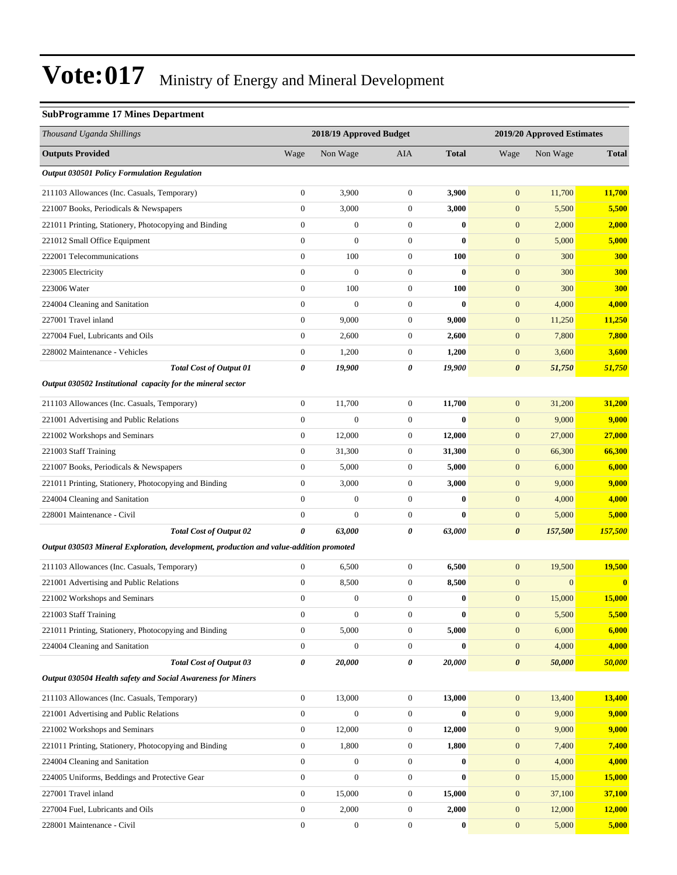#### **SubProgramme 17 Mines Department**

| Thousand Uganda Shillings                                                              |                  | 2018/19 Approved Budget |                  |              | 2019/20 Approved Estimates |                  |              |
|----------------------------------------------------------------------------------------|------------------|-------------------------|------------------|--------------|----------------------------|------------------|--------------|
| <b>Outputs Provided</b>                                                                | Wage             | Non Wage                | AIA              | <b>Total</b> | Wage                       | Non Wage         | <b>Total</b> |
| <b>Output 030501 Policy Formulation Regulation</b>                                     |                  |                         |                  |              |                            |                  |              |
| 211103 Allowances (Inc. Casuals, Temporary)                                            | $\boldsymbol{0}$ | 3,900                   | $\mathbf{0}$     | 3,900        | $\mathbf{0}$               | 11,700           | 11,700       |
| 221007 Books, Periodicals & Newspapers                                                 | $\boldsymbol{0}$ | 3,000                   | $\boldsymbol{0}$ | 3,000        | $\boldsymbol{0}$           | 5,500            | 5,500        |
| 221011 Printing, Stationery, Photocopying and Binding                                  | $\boldsymbol{0}$ | $\boldsymbol{0}$        | $\boldsymbol{0}$ | $\bf{0}$     | $\boldsymbol{0}$           | 2,000            | 2,000        |
| 221012 Small Office Equipment                                                          | $\boldsymbol{0}$ | $\mathbf{0}$            | $\mathbf{0}$     | $\bf{0}$     | $\mathbf{0}$               | 5,000            | 5,000        |
| 222001 Telecommunications                                                              | $\overline{0}$   | 100                     | $\boldsymbol{0}$ | 100          | $\mathbf{0}$               | 300              | 300          |
| 223005 Electricity                                                                     | $\boldsymbol{0}$ | $\mathbf{0}$            | $\boldsymbol{0}$ | $\bf{0}$     | $\mathbf{0}$               | 300              | <b>300</b>   |
| 223006 Water                                                                           | $\boldsymbol{0}$ | 100                     | $\mathbf{0}$     | 100          | $\mathbf{0}$               | 300              | 300          |
| 224004 Cleaning and Sanitation                                                         | $\boldsymbol{0}$ | $\boldsymbol{0}$        | $\boldsymbol{0}$ | $\bf{0}$     | $\boldsymbol{0}$           | 4,000            | 4,000        |
| 227001 Travel inland                                                                   | $\boldsymbol{0}$ | 9,000                   | $\mathbf{0}$     | 9,000        | $\mathbf{0}$               | 11,250           | 11,250       |
| 227004 Fuel, Lubricants and Oils                                                       | $\boldsymbol{0}$ | 2,600                   | $\boldsymbol{0}$ | 2,600        | $\boldsymbol{0}$           | 7,800            | 7,800        |
| 228002 Maintenance - Vehicles                                                          | $\boldsymbol{0}$ | 1,200                   | $\boldsymbol{0}$ | 1,200        | $\boldsymbol{0}$           | 3,600            | 3,600        |
| <b>Total Cost of Output 01</b>                                                         | 0                | 19,900                  | 0                | 19,900       | $\boldsymbol{\theta}$      | 51,750           | 51,750       |
| Output 030502 Institutional capacity for the mineral sector                            |                  |                         |                  |              |                            |                  |              |
| 211103 Allowances (Inc. Casuals, Temporary)                                            | $\boldsymbol{0}$ | 11,700                  | $\mathbf{0}$     | 11,700       | $\mathbf{0}$               | 31,200           | 31,200       |
| 221001 Advertising and Public Relations                                                | $\boldsymbol{0}$ | $\mathbf{0}$            | $\boldsymbol{0}$ | $\mathbf{0}$ | $\boldsymbol{0}$           | 9,000            | 9,000        |
| 221002 Workshops and Seminars                                                          | $\boldsymbol{0}$ | 12,000                  | $\boldsymbol{0}$ | 12,000       | $\boldsymbol{0}$           | 27,000           | 27,000       |
| 221003 Staff Training                                                                  | $\boldsymbol{0}$ | 31,300                  | $\boldsymbol{0}$ | 31,300       | $\mathbf{0}$               | 66,300           | 66,300       |
| 221007 Books, Periodicals & Newspapers                                                 | $\boldsymbol{0}$ | 5,000                   | $\boldsymbol{0}$ | 5,000        | $\mathbf{0}$               | 6,000            | 6,000        |
| 221011 Printing, Stationery, Photocopying and Binding                                  | $\boldsymbol{0}$ | 3,000                   | $\boldsymbol{0}$ | 3,000        | $\mathbf{0}$               | 9,000            | 9,000        |
| 224004 Cleaning and Sanitation                                                         | $\boldsymbol{0}$ | $\mathbf{0}$            | $\mathbf{0}$     | $\bf{0}$     | $\mathbf{0}$               | 4,000            | 4,000        |
| 228001 Maintenance - Civil                                                             | $\mathbf{0}$     | $\mathbf{0}$            | $\boldsymbol{0}$ | $\bf{0}$     | $\boldsymbol{0}$           | 5,000            | 5,000        |
| <b>Total Cost of Output 02</b>                                                         | 0                | 63,000                  | 0                | 63,000       | 0                          | 157,500          | 157,500      |
| Output 030503 Mineral Exploration, development, production and value-addition promoted |                  |                         |                  |              |                            |                  |              |
| 211103 Allowances (Inc. Casuals, Temporary)                                            | $\boldsymbol{0}$ | 6,500                   | $\mathbf{0}$     | 6,500        | $\boldsymbol{0}$           | 19,500           | 19,500       |
| 221001 Advertising and Public Relations                                                | $\boldsymbol{0}$ | 8,500                   | $\boldsymbol{0}$ | 8,500        | $\mathbf{0}$               | $\boldsymbol{0}$ | $\bf{0}$     |
| 221002 Workshops and Seminars                                                          | $\boldsymbol{0}$ | $\boldsymbol{0}$        | $\mathbf{0}$     | $\bf{0}$     | $\mathbf{0}$               | 15,000           | 15,000       |
| 221003 Staff Training                                                                  | $\boldsymbol{0}$ | $\mathbf{0}$            | $\boldsymbol{0}$ | $\bf{0}$     | $\boldsymbol{0}$           | 5,500            | 5,500        |
| 221011 Printing, Stationery, Photocopying and Binding                                  | $\boldsymbol{0}$ | 5,000                   | $\boldsymbol{0}$ | 5,000        | $\mathbf{0}$               | 6,000            | 6,000        |
| 224004 Cleaning and Sanitation                                                         | $\boldsymbol{0}$ | $\boldsymbol{0}$        | $\boldsymbol{0}$ | $\bf{0}$     | $\boldsymbol{0}$           | 4,000            | 4,000        |
| <b>Total Cost of Output 03</b>                                                         | 0                | 20,000                  | 0                | 20,000       | $\pmb{\theta}$             | 50,000           | 50,000       |
| Output 030504 Health safety and Social Awareness for Miners                            |                  |                         |                  |              |                            |                  |              |
| 211103 Allowances (Inc. Casuals, Temporary)                                            | $\boldsymbol{0}$ | 13,000                  | $\boldsymbol{0}$ | 13,000       | $\mathbf{0}$               | 13,400           | 13,400       |
| 221001 Advertising and Public Relations                                                | $\boldsymbol{0}$ | $\boldsymbol{0}$        | $\boldsymbol{0}$ | $\bf{0}$     | $\boldsymbol{0}$           | 9,000            | 9,000        |
| 221002 Workshops and Seminars                                                          | $\boldsymbol{0}$ | 12,000                  | $\boldsymbol{0}$ | 12,000       | $\mathbf{0}$               | 9,000            | 9,000        |
| 221011 Printing, Stationery, Photocopying and Binding                                  | $\boldsymbol{0}$ | 1,800                   | $\boldsymbol{0}$ | 1,800        | $\mathbf{0}$               | 7,400            | 7,400        |
| 224004 Cleaning and Sanitation                                                         | $\boldsymbol{0}$ | $\boldsymbol{0}$        | $\boldsymbol{0}$ | $\bf{0}$     | $\boldsymbol{0}$           | 4,000            | 4,000        |
| 224005 Uniforms, Beddings and Protective Gear                                          | $\boldsymbol{0}$ | $\boldsymbol{0}$        | $\boldsymbol{0}$ | $\bf{0}$     | $\mathbf{0}$               | 15,000           | 15,000       |
| 227001 Travel inland                                                                   | $\boldsymbol{0}$ | 15,000                  | $\boldsymbol{0}$ | 15,000       | $\boldsymbol{0}$           | 37,100           | 37,100       |
| 227004 Fuel, Lubricants and Oils                                                       | $\boldsymbol{0}$ | 2,000                   | $\boldsymbol{0}$ | 2,000        | $\mathbf{0}$               | 12,000           | 12,000       |
| 228001 Maintenance - Civil                                                             | $\boldsymbol{0}$ | $\boldsymbol{0}$        | $\boldsymbol{0}$ | $\bf{0}$     | $\boldsymbol{0}$           | 5,000            | 5,000        |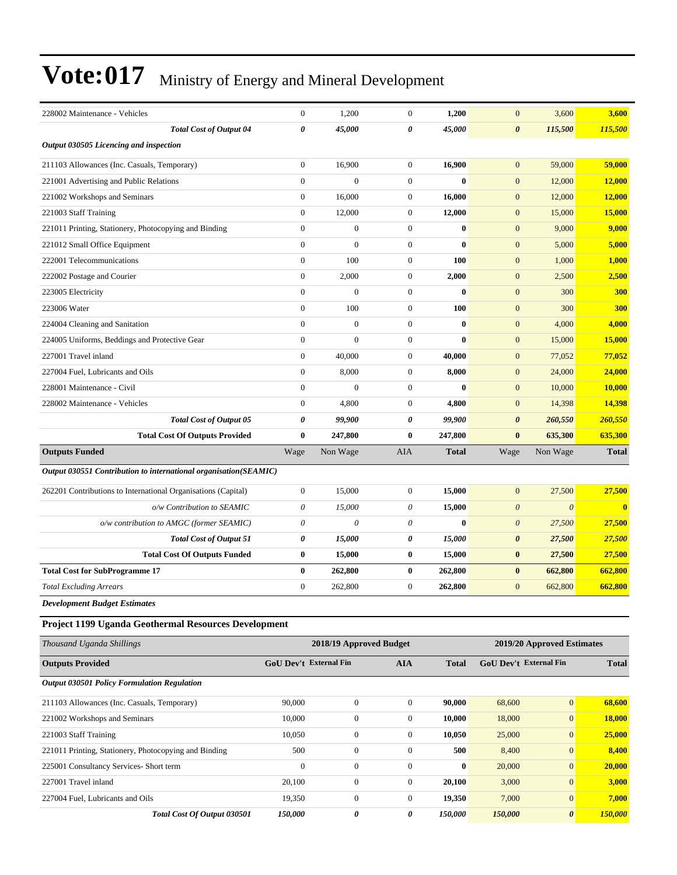| 228002 Maintenance - Vehicles                                    | $\boldsymbol{0}$       | 1,200                   | $\boldsymbol{0}$ | 1,200        | $\mathbf{0}$          | 3,600                         | 3,600        |
|------------------------------------------------------------------|------------------------|-------------------------|------------------|--------------|-----------------------|-------------------------------|--------------|
| <b>Total Cost of Output 04</b>                                   | 0                      | 45,000                  | 0                | 45,000       | 0                     | 115,500                       | 115,500      |
| Output 030505 Licencing and inspection                           |                        |                         |                  |              |                       |                               |              |
| 211103 Allowances (Inc. Casuals, Temporary)                      | $\boldsymbol{0}$       | 16,900                  | $\boldsymbol{0}$ | 16,900       | $\boldsymbol{0}$      | 59,000                        | 59,000       |
| 221001 Advertising and Public Relations                          | $\boldsymbol{0}$       | $\mathbf{0}$            | $\boldsymbol{0}$ | $\bf{0}$     | $\boldsymbol{0}$      | 12,000                        | 12,000       |
| 221002 Workshops and Seminars                                    | $\boldsymbol{0}$       | 16,000                  | $\boldsymbol{0}$ | 16,000       | $\boldsymbol{0}$      | 12,000                        | 12,000       |
| 221003 Staff Training                                            | $\boldsymbol{0}$       | 12,000                  | $\boldsymbol{0}$ | 12,000       | $\boldsymbol{0}$      | 15,000                        | 15,000       |
| 221011 Printing, Stationery, Photocopying and Binding            | $\boldsymbol{0}$       | $\boldsymbol{0}$        | $\boldsymbol{0}$ | $\bf{0}$     | $\boldsymbol{0}$      | 9,000                         | 9,000        |
| 221012 Small Office Equipment                                    | $\overline{0}$         | $\overline{0}$          | $\mathbf{0}$     | $\bf{0}$     | $\boldsymbol{0}$      | 5,000                         | 5,000        |
| 222001 Telecommunications                                        | $\boldsymbol{0}$       | 100                     | $\boldsymbol{0}$ | 100          | $\boldsymbol{0}$      | 1,000                         | 1,000        |
| 222002 Postage and Courier                                       | $\boldsymbol{0}$       | 2,000                   | $\boldsymbol{0}$ | 2,000        | $\boldsymbol{0}$      | 2,500                         | 2,500        |
| 223005 Electricity                                               | $\boldsymbol{0}$       | $\boldsymbol{0}$        | $\boldsymbol{0}$ | $\bf{0}$     | $\boldsymbol{0}$      | 300                           | 300          |
| 223006 Water                                                     | $\boldsymbol{0}$       | 100                     | $\boldsymbol{0}$ | <b>100</b>   | $\boldsymbol{0}$      | 300                           | 300          |
| 224004 Cleaning and Sanitation                                   | $\overline{0}$         | $\overline{0}$          | $\boldsymbol{0}$ | $\bf{0}$     | $\boldsymbol{0}$      | 4,000                         | 4,000        |
| 224005 Uniforms, Beddings and Protective Gear                    | $\boldsymbol{0}$       | $\mathbf{0}$            | $\boldsymbol{0}$ | $\mathbf{0}$ | $\boldsymbol{0}$      | 15,000                        | 15,000       |
| 227001 Travel inland                                             | $\boldsymbol{0}$       | 40,000                  | $\boldsymbol{0}$ | 40,000       | $\boldsymbol{0}$      | 77,052                        | 77,052       |
| 227004 Fuel, Lubricants and Oils                                 | $\boldsymbol{0}$       | 8,000                   | $\boldsymbol{0}$ | 8,000        | $\mathbf{0}$          | 24,000                        | 24,000       |
| 228001 Maintenance - Civil                                       | $\boldsymbol{0}$       | $\boldsymbol{0}$        | $\boldsymbol{0}$ | $\bf{0}$     | $\mathbf{0}$          | 10,000                        | 10,000       |
| 228002 Maintenance - Vehicles                                    | $\boldsymbol{0}$       | 4,800                   | $\boldsymbol{0}$ | 4,800        | $\boldsymbol{0}$      | 14,398                        | 14,398       |
| <b>Total Cost of Output 05</b>                                   | 0                      | 99,900                  | 0                | 99,900       | $\boldsymbol{\theta}$ | 260,550                       | 260,550      |
| <b>Total Cost Of Outputs Provided</b>                            | $\bf{0}$               | 247,800                 | $\bf{0}$         | 247,800      | $\bf{0}$              | 635,300                       | 635,300      |
| <b>Outputs Funded</b>                                            | Wage                   | Non Wage                | AIA              | <b>Total</b> | Wage                  | Non Wage                      | <b>Total</b> |
| Output 030551 Contribution to international organisation(SEAMIC) |                        |                         |                  |              |                       |                               |              |
| 262201 Contributions to International Organisations (Capital)    | $\overline{0}$         | 15,000                  | $\boldsymbol{0}$ | 15,000       | $\mathbf{0}$          | 27,500                        | 27,500       |
| o/w Contribution to SEAMIC                                       | 0                      | 15,000                  | 0                | 15,000       | $\boldsymbol{\theta}$ | $\boldsymbol{\theta}$         | $\bf{0}$     |
| o/w contribution to AMGC (former SEAMIC)                         | 0                      | $\theta$                | $\theta$         | $\bf{0}$     | $\boldsymbol{\theta}$ | 27,500                        | 27,500       |
| <b>Total Cost of Output 51</b>                                   | 0                      | 15,000                  | 0                | 15,000       | 0                     | 27,500                        | 27,500       |
| <b>Total Cost Of Outputs Funded</b>                              | $\bf{0}$               | 15,000                  | $\bf{0}$         | 15,000       | $\bf{0}$              | 27,500                        | 27,500       |
| <b>Total Cost for SubProgramme 17</b>                            | $\bf{0}$               | 262,800                 | $\bf{0}$         | 262,800      | $\bf{0}$              | 662,800                       | 662,800      |
| <b>Total Excluding Arrears</b>                                   | $\boldsymbol{0}$       | 262,800                 | $\boldsymbol{0}$ | 262,800      | $\boldsymbol{0}$      | 662,800                       | 662,800      |
| <b>Development Budget Estimates</b>                              |                        |                         |                  |              |                       |                               |              |
|                                                                  |                        |                         |                  |              |                       |                               |              |
| Project 1199 Uganda Geothermal Resources Development             |                        |                         |                  |              |                       |                               |              |
| Thousand Uganda Shillings                                        |                        | 2018/19 Approved Budget |                  |              |                       | 2019/20 Approved Estimates    |              |
| <b>Outputs Provided</b>                                          | GoU Dev't External Fin |                         | <b>AIA</b>       | <b>Total</b> |                       | <b>GoU Dev't External Fin</b> | <b>Total</b> |
| Output 030501 Policy Formulation Regulation                      |                        |                         |                  |              |                       |                               |              |
| 211103 Allowances (Inc. Casuals, Temporary)                      | 90,000                 | $\boldsymbol{0}$        | $\mathbf{0}$     | 90,000       | 68,600                | $\boldsymbol{0}$              | 68,600       |
| 221002 Workshops and Seminars                                    | 10,000                 | $\boldsymbol{0}$        | $\mathbf{0}$     | 10,000       | 18,000                | $\mathbf{0}$                  | 18,000       |
| 221003 Staff Training                                            | 10,050                 | $\boldsymbol{0}$        | $\boldsymbol{0}$ | 10,050       | 25,000                | $\mathbf{0}$                  | 25,000       |
| 221011 Printing, Stationery, Photocopying and Binding            | 500                    | $\boldsymbol{0}$        | $\boldsymbol{0}$ | 500          | 8,400                 | $\mathbf{0}$                  | 8,400        |
| 225001 Consultancy Services- Short term                          | $\boldsymbol{0}$       | $\boldsymbol{0}$        | $\boldsymbol{0}$ | $\bf{0}$     | 20,000                | $\boldsymbol{0}$              | 20,000       |
| 227001 Travel inland                                             | 20,100                 | $\boldsymbol{0}$        | $\boldsymbol{0}$ | 20,100       | 3,000                 | $\mathbf{0}$                  | 3,000        |
| 227004 Fuel, Lubricants and Oils                                 | 19,350                 | $\boldsymbol{0}$        | $\boldsymbol{0}$ | 19,350       | 7,000                 | $\mathbf{0}$                  | 7,000        |
| Total Cost Of Output 030501                                      | 150,000                | 0                       | 0                | 150,000      | 150,000               | $\pmb{\theta}$                | 150,000      |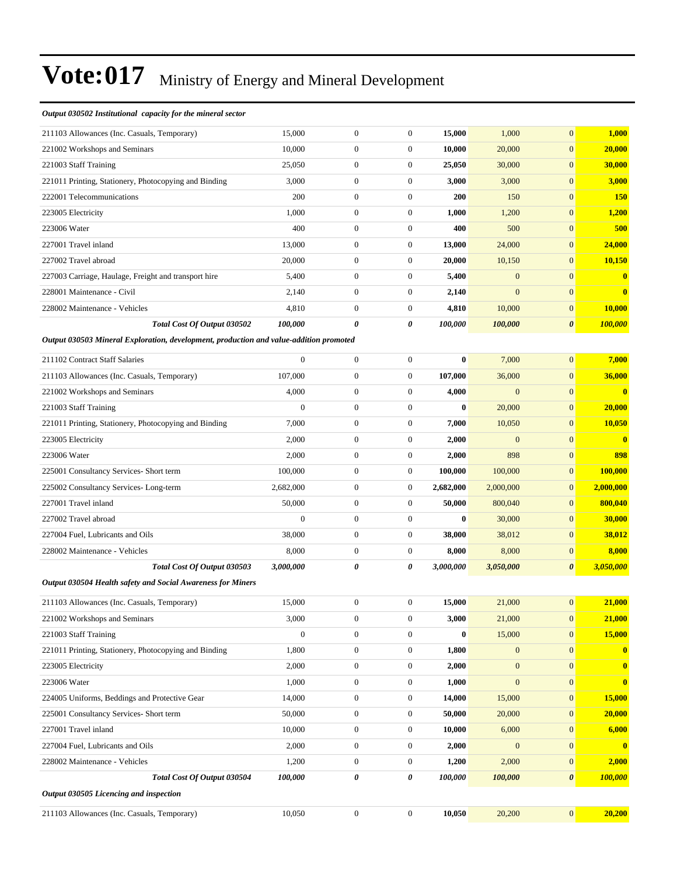#### *Output 030502 Institutional capacity for the mineral sector*

| 211103 Allowances (Inc. Casuals, Temporary)                                            | 15,000           | 0                | 0                | 15,000       | 1,000            | $\mathbf{0}$          | 1,000          |
|----------------------------------------------------------------------------------------|------------------|------------------|------------------|--------------|------------------|-----------------------|----------------|
| 221002 Workshops and Seminars                                                          | 10,000           | $\boldsymbol{0}$ | $\mathbf{0}$     | 10,000       | 20,000           | $\mathbf{0}$          | 20,000         |
| 221003 Staff Training                                                                  | 25,050           | $\boldsymbol{0}$ | $\mathbf{0}$     | 25,050       | 30,000           | $\overline{0}$        | 30,000         |
| 221011 Printing, Stationery, Photocopying and Binding                                  | 3,000            | $\boldsymbol{0}$ | $\boldsymbol{0}$ | 3,000        | 3,000            | $\mathbf{0}$          | 3,000          |
| 222001 Telecommunications                                                              | 200              | $\boldsymbol{0}$ | $\boldsymbol{0}$ | 200          | 150              | $\mathbf{0}$          | <b>150</b>     |
| 223005 Electricity                                                                     | 1,000            | $\boldsymbol{0}$ | $\boldsymbol{0}$ | 1,000        | 1,200            | $\mathbf{0}$          | 1,200          |
| 223006 Water                                                                           | 400              | $\boldsymbol{0}$ | $\mathbf{0}$     | 400          | 500              | $\mathbf{0}$          | 500            |
| 227001 Travel inland                                                                   | 13,000           | $\boldsymbol{0}$ | $\mathbf{0}$     | 13,000       | 24,000           | $\mathbf{0}$          | 24,000         |
| 227002 Travel abroad                                                                   | 20,000           | $\boldsymbol{0}$ | $\boldsymbol{0}$ | 20,000       | 10,150           | $\mathbf{0}$          | <b>10,150</b>  |
| 227003 Carriage, Haulage, Freight and transport hire                                   | 5,400            | $\boldsymbol{0}$ | $\boldsymbol{0}$ | 5,400        | $\mathbf{0}$     | $\mathbf{0}$          | $\bf{0}$       |
| 228001 Maintenance - Civil                                                             | 2,140            | $\boldsymbol{0}$ | $\boldsymbol{0}$ | 2,140        | $\mathbf{0}$     | $\mathbf{0}$          | $\bf{0}$       |
| 228002 Maintenance - Vehicles                                                          | 4,810            | $\boldsymbol{0}$ | $\mathbf{0}$     | 4,810        | 10,000           | $\mathbf{0}$          | 10,000         |
| Total Cost Of Output 030502                                                            | 100,000          | 0                | 0                | 100,000      | 100,000          | $\boldsymbol{\theta}$ | 100,000        |
| Output 030503 Mineral Exploration, development, production and value-addition promoted |                  |                  |                  |              |                  |                       |                |
| 211102 Contract Staff Salaries                                                         | $\boldsymbol{0}$ | $\boldsymbol{0}$ | $\mathbf{0}$     | $\bf{0}$     | 7,000            | $\overline{0}$        | 7,000          |
| 211103 Allowances (Inc. Casuals, Temporary)                                            | 107,000          | $\boldsymbol{0}$ | $\boldsymbol{0}$ | 107,000      | 36,000           | $\mathbf{0}$          | 36,000         |
| 221002 Workshops and Seminars                                                          | 4,000            | $\boldsymbol{0}$ | $\boldsymbol{0}$ | 4,000        | $\mathbf{0}$     | $\mathbf{0}$          | $\mathbf{0}$   |
| 221003 Staff Training                                                                  | $\overline{0}$   | $\boldsymbol{0}$ | $\boldsymbol{0}$ | $\mathbf{0}$ | 20,000           | $\mathbf{0}$          | 20,000         |
| 221011 Printing, Stationery, Photocopying and Binding                                  | 7,000            | $\boldsymbol{0}$ | $\boldsymbol{0}$ | 7,000        | 10,050           | $\mathbf{0}$          | 10,050         |
| 223005 Electricity                                                                     | 2,000            | $\boldsymbol{0}$ | $\boldsymbol{0}$ | 2,000        | $\mathbf{0}$     | $\mathbf{0}$          | $\mathbf{0}$   |
| 223006 Water                                                                           | 2,000            | $\boldsymbol{0}$ | $\boldsymbol{0}$ | 2,000        | 898              | $\mathbf{0}$          | 898            |
| 225001 Consultancy Services- Short term                                                | 100,000          | $\boldsymbol{0}$ | $\boldsymbol{0}$ | 100,000      | 100,000          | $\mathbf{0}$          | <b>100,000</b> |
| 225002 Consultancy Services-Long-term                                                  | 2,682,000        | $\boldsymbol{0}$ | $\boldsymbol{0}$ | 2,682,000    | 2,000,000        | $\mathbf{0}$          | 2,000,000      |
| 227001 Travel inland                                                                   | 50,000           | $\boldsymbol{0}$ | $\mathbf{0}$     | 50,000       | 800,040          | $\mathbf{0}$          | 800,040        |
| 227002 Travel abroad                                                                   | $\mathbf{0}$     | $\boldsymbol{0}$ | $\mathbf{0}$     | $\bf{0}$     | 30,000           | $\mathbf{0}$          | 30,000         |
| 227004 Fuel, Lubricants and Oils                                                       | 38,000           | $\boldsymbol{0}$ | $\boldsymbol{0}$ | 38,000       | 38,012           | $\mathbf{0}$          | 38,012         |
| 228002 Maintenance - Vehicles                                                          | 8,000            | $\boldsymbol{0}$ | $\boldsymbol{0}$ | 8,000        | 8,000            | $\mathbf{0}$          | 8,000          |
| Total Cost Of Output 030503                                                            | 3,000,000        | 0                | 0                | 3,000,000    | 3,050,000        | $\boldsymbol{\theta}$ | 3,050,000      |
| Output 030504 Health safety and Social Awareness for Miners                            |                  |                  |                  |              |                  |                       |                |
| 211103 Allowances (Inc. Casuals, Temporary)                                            | 15,000           | $\boldsymbol{0}$ | $\mathbf{0}$     | 15,000       | 21,000           | $\overline{0}$        | 21,000         |
| 221002 Workshops and Seminars                                                          | 3,000            | 0                | 0                | 3,000        | 21,000           | $\mathbf{0}$          | <b>21,000</b>  |
| 221003 Staff Training                                                                  | $\boldsymbol{0}$ | $\boldsymbol{0}$ | $\boldsymbol{0}$ | $\bf{0}$     | 15,000           | $\mathbf{0}$          | 15,000         |
| 221011 Printing, Stationery, Photocopying and Binding                                  | 1,800            | $\boldsymbol{0}$ | $\boldsymbol{0}$ | 1,800        | $\mathbf{0}$     | $\mathbf{0}$          | $\mathbf{0}$   |
| 223005 Electricity                                                                     | 2,000            | $\boldsymbol{0}$ | $\boldsymbol{0}$ | 2,000        | $\boldsymbol{0}$ | $\mathbf{0}$          | $\bf{0}$       |
| 223006 Water                                                                           | 1,000            | $\boldsymbol{0}$ | $\boldsymbol{0}$ | 1,000        | $\boldsymbol{0}$ | $\mathbf{0}$          | $\mathbf{0}$   |
| 224005 Uniforms, Beddings and Protective Gear                                          | 14,000           | $\boldsymbol{0}$ | $\boldsymbol{0}$ | 14,000       | 15,000           | $\mathbf{0}$          | 15,000         |
| 225001 Consultancy Services- Short term                                                | 50,000           | $\boldsymbol{0}$ | $\boldsymbol{0}$ | 50,000       | 20,000           | $\mathbf{0}$          | 20,000         |
| 227001 Travel inland                                                                   | 10,000           | $\boldsymbol{0}$ | $\boldsymbol{0}$ | 10,000       | 6,000            | $\mathbf{0}$          | 6,000          |
| 227004 Fuel, Lubricants and Oils                                                       | 2,000            | $\boldsymbol{0}$ | $\boldsymbol{0}$ | 2,000        | $\mathbf{0}$     | $\mathbf{0}$          | $\mathbf{0}$   |
| 228002 Maintenance - Vehicles                                                          | 1,200            | $\boldsymbol{0}$ | $\boldsymbol{0}$ | 1,200        | 2,000            | $\boldsymbol{0}$      | 2,000          |
| Total Cost Of Output 030504                                                            | 100,000          | 0                | 0                | 100,000      | 100,000          | $\boldsymbol{\theta}$ | 100,000        |
| Output 030505 Licencing and inspection                                                 |                  |                  |                  |              |                  |                       |                |
| 211103 Allowances (Inc. Casuals, Temporary)                                            | 10,050           | $\boldsymbol{0}$ | $\boldsymbol{0}$ | 10,050       | 20,200           | $\mathbf{0}$          | 20,200         |
|                                                                                        |                  |                  |                  |              |                  |                       |                |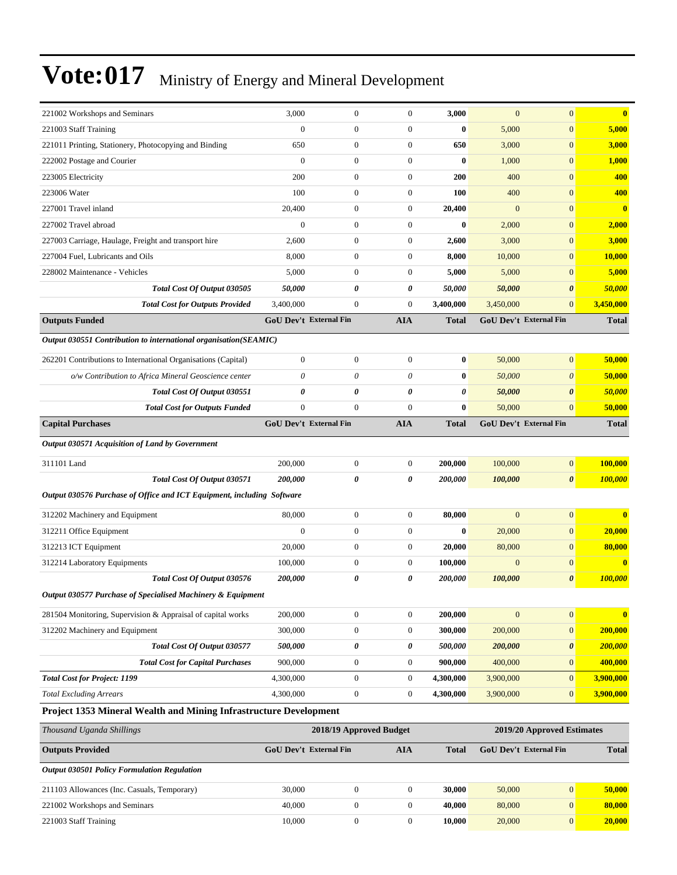| <b>Outputs Provided</b><br><b>Output 030501 Policy Formulation Regulation</b> |                                                                        |                     | GoU Dev't External Fin            | <b>AIA</b>                       | <b>Total</b>         |                            | GoU Dev't External Fin            | <b>Total</b>           |
|-------------------------------------------------------------------------------|------------------------------------------------------------------------|---------------------|-----------------------------------|----------------------------------|----------------------|----------------------------|-----------------------------------|------------------------|
| Thousand Uganda Shillings                                                     |                                                                        |                     | 2018/19 Approved Budget           |                                  |                      | 2019/20 Approved Estimates |                                   |                        |
|                                                                               | Project 1353 Mineral Wealth and Mining Infrastructure Development      |                     |                                   |                                  |                      |                            |                                   |                        |
| <b>Total Excluding Arrears</b>                                                |                                                                        | 4,300,000           | $\boldsymbol{0}$                  | $\boldsymbol{0}$                 | 4,300,000            | 3,900,000                  | $\mathbf{0}$                      | 3,900,000              |
| <b>Total Cost for Project: 1199</b>                                           |                                                                        | 4,300,000           | $\boldsymbol{0}$                  | $\boldsymbol{0}$                 | 4,300,000            | 3,900,000                  | $\mathbf{0}$                      | 3,900,000              |
|                                                                               | <b>Total Cost for Capital Purchases</b>                                | 900,000             | $\boldsymbol{0}$                  | $\boldsymbol{0}$                 | 900,000              | 400,000                    | $\mathbf{0}$                      | 400,000                |
|                                                                               | Total Cost Of Output 030577                                            | 500,000             | $\boldsymbol{\theta}$             | 0                                | 500,000              | 200,000                    | $\boldsymbol{\theta}$             | 200,000                |
| 312202 Machinery and Equipment                                                |                                                                        | 300,000             | $\mathbf{0}$                      | $\boldsymbol{0}$                 | 300,000              | 200,000                    | $\mathbf{0}$                      | 200,000                |
|                                                                               | 281504 Monitoring, Supervision & Appraisal of capital works            | 200,000             | $\boldsymbol{0}$                  | $\boldsymbol{0}$                 | 200,000              | $\mathbf{0}$               | $\boldsymbol{0}$                  | $\bf{0}$               |
|                                                                               | Output 030577 Purchase of Specialised Machinery & Equipment            |                     |                                   |                                  |                      |                            |                                   |                        |
|                                                                               | Total Cost Of Output 030576                                            | 200,000             | $\boldsymbol{\theta}$             | $\boldsymbol{\theta}$            | 200,000              | 100,000                    | $\boldsymbol{\theta}$             | 100,000                |
| 312214 Laboratory Equipments                                                  |                                                                        | 100,000             | $\mathbf{0}$                      | $\boldsymbol{0}$                 | 100,000              | $\mathbf{0}$               | $\mathbf{0}$                      | $\bf{0}$               |
| 312213 ICT Equipment                                                          |                                                                        | 20,000              | $\theta$                          | $\mathbf{0}$                     | 20,000               | 80,000                     | $\mathbf{0}$                      | 80,000                 |
| 312211 Office Equipment                                                       |                                                                        | $\mathbf{0}$        | $\mathbf{0}$                      | $\mathbf{0}$                     | $\bf{0}$             | 20,000                     | $\mathbf{0}$                      | 20,000                 |
| 312202 Machinery and Equipment                                                |                                                                        | 80,000              | $\mathbf{0}$                      | $\mathbf{0}$                     | 80,000               | $\overline{0}$             | $\mathbf{0}$                      |                        |
|                                                                               | Output 030576 Purchase of Office and ICT Equipment, including Software |                     |                                   |                                  |                      |                            |                                   |                        |
|                                                                               | Total Cost Of Output 030571                                            | 200,000             | $\boldsymbol{\theta}$             | $\boldsymbol{\theta}$            | 200,000              | 100,000                    | $\boldsymbol{\theta}$             | 100,000                |
| 311101 Land                                                                   |                                                                        | 200,000             | $\mathbf{0}$                      | $\boldsymbol{0}$                 | 200,000              | 100,000                    | $\mathbf{0}$                      | 100,000                |
| Output 030571 Acquisition of Land by Government                               |                                                                        |                     |                                   |                                  |                      |                            |                                   |                        |
|                                                                               |                                                                        |                     |                                   |                                  |                      |                            |                                   |                        |
| <b>Capital Purchases</b>                                                      | <b>Total Cost for Outputs Funded</b>                                   |                     | <b>GoU Dev't External Fin</b>     | <b>AIA</b>                       | <b>Total</b>         | 50,000                     | GoU Dev't External Fin            | 50,000<br><b>Total</b> |
|                                                                               | Total Cost Of Output 030551                                            | 0<br>$\overline{0}$ | $\boldsymbol{\theta}$<br>$\Omega$ | 0<br>$\mathbf{0}$                | $\theta$<br>$\bf{0}$ | 50,000                     | $\boldsymbol{\theta}$<br>$\Omega$ | 50,000                 |
|                                                                               | o/w Contribution to Africa Mineral Geoscience center                   | 0                   | $\theta$                          | $\theta$                         | $\bf{0}$             | 50,000                     | $\boldsymbol{\theta}$             | 50,000                 |
|                                                                               | 262201 Contributions to International Organisations (Capital)          | $\mathbf{0}$        | $\mathbf{0}$                      | $\mathbf{0}$                     | $\bf{0}$             | 50,000                     | $\mathbf{0}$                      | 50,000                 |
|                                                                               |                                                                        |                     |                                   |                                  |                      |                            |                                   |                        |
|                                                                               | Output 030551 Contribution to international organisation(SEAMIC)       |                     |                                   |                                  |                      |                            |                                   |                        |
| <b>Outputs Funded</b>                                                         |                                                                        |                     | GoU Dev't External Fin            | <b>AIA</b>                       | <b>Total</b>         |                            | <b>GoU Dev't External Fin</b>     | <b>Total</b>           |
|                                                                               | <b>Total Cost for Outputs Provided</b>                                 | 3,400,000           | $\theta$                          | $\mathbf{0}$                     | 3,400,000            | 3,450,000                  | $\mathbf{0}$                      | 3,450,000              |
|                                                                               | Total Cost Of Output 030505                                            | 50,000              | $\boldsymbol{\theta}$             | 0                                | 50,000               | 50,000                     | $\boldsymbol{\theta}$             | 50,000                 |
| 227004 Fuel, Lubricants and Oils<br>228002 Maintenance - Vehicles             |                                                                        | 8,000<br>5,000      | $\theta$<br>$\theta$              | $\boldsymbol{0}$<br>$\mathbf{0}$ | 8,000<br>5,000       | 10,000<br>5,000            | $\mathbf{0}$<br>$\mathbf{0}$      | <b>10,000</b><br>5,000 |
| 227003 Carriage, Haulage, Freight and transport hire                          |                                                                        | 2,600               | $\mathbf{0}$                      | $\boldsymbol{0}$                 | 2,600                | 3,000                      | $\mathbf{0}$                      | 3,000                  |
| 227002 Travel abroad                                                          |                                                                        | $\mathbf{0}$        | $\overline{0}$                    | $\mathbf{0}$                     | $\bf{0}$             | 2,000                      | $\mathbf{0}$                      | 2,000                  |
| 227001 Travel inland                                                          |                                                                        | 20,400              | $\theta$                          | $\boldsymbol{0}$                 | 20,400               | $\overline{0}$             | $\mathbf{0}$                      | $\bf{0}$               |
| 223006 Water                                                                  |                                                                        | 100                 | $\theta$                          | $\boldsymbol{0}$                 | 100                  | 400                        | $\mathbf{0}$                      | 400                    |
| 223005 Electricity                                                            |                                                                        | 200                 | $\theta$                          | $\boldsymbol{0}$                 | <b>200</b>           | 400                        | $\mathbf{0}$                      | 400                    |
| 222002 Postage and Courier                                                    |                                                                        | $\mathbf{0}$        | $\overline{0}$                    | $\theta$                         | $\bf{0}$             | 1,000                      | $\mathbf{0}$                      | 1,000                  |
| 221011 Printing, Stationery, Photocopying and Binding                         |                                                                        | 650                 | $\theta$                          | $\boldsymbol{0}$                 | 650                  | 3,000                      | $\mathbf{0}$                      | 3,000                  |
| 221003 Staff Training                                                         |                                                                        | $\overline{0}$      | $\theta$                          | $\mathbf{0}$                     | $\bf{0}$             | 5,000                      | $\mathbf{0}$                      | 5,000                  |
|                                                                               |                                                                        |                     |                                   |                                  |                      |                            |                                   |                        |

| 211103 Allowances (Inc. Casuals, Temporary) | 30.000 |  | 30,000 | 50,000 | 50.000        |
|---------------------------------------------|--------|--|--------|--------|---------------|
| 221002 Workshops and Seminars               | 40,000 |  | 40,000 | 80,000 | 80,000        |
| 221003 Staff Training                       | 10.000 |  | 10.000 | 20,000 | <b>20.000</b> |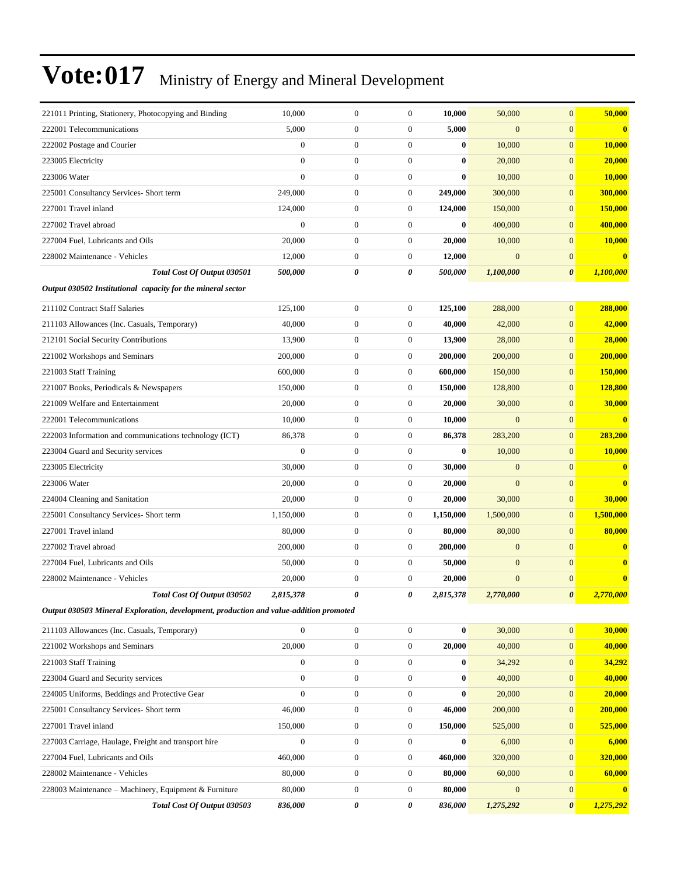| 221011 Printing, Stationery, Photocopying and Binding                                  | 10,000                | $\boldsymbol{0}$ | $\boldsymbol{0}$ | 10,000    | 50,000           | $\mathbf{0}$          | 50,000         |
|----------------------------------------------------------------------------------------|-----------------------|------------------|------------------|-----------|------------------|-----------------------|----------------|
| 222001 Telecommunications                                                              | 5,000                 | $\boldsymbol{0}$ | $\overline{0}$   | 5,000     | $\overline{0}$   | $\overline{0}$        | $\mathbf{0}$   |
| 222002 Postage and Courier                                                             | $\mathbf{0}$          | $\boldsymbol{0}$ | $\boldsymbol{0}$ | $\bf{0}$  | 10,000           | $\overline{0}$        | 10,000         |
| 223005 Electricity                                                                     | $\mathbf{0}$          | $\boldsymbol{0}$ | $\boldsymbol{0}$ | $\bf{0}$  | 20,000           | $\mathbf{0}$          | 20,000         |
| 223006 Water                                                                           | $\overline{0}$        | $\boldsymbol{0}$ | $\boldsymbol{0}$ | $\bf{0}$  | 10,000           | $\overline{0}$        | 10,000         |
| 225001 Consultancy Services- Short term                                                | 249,000               | $\boldsymbol{0}$ | $\boldsymbol{0}$ | 249,000   | 300,000          | $\mathbf{0}$          | <b>300,000</b> |
| 227001 Travel inland                                                                   | 124,000               | $\boldsymbol{0}$ | 0                | 124,000   | 150,000          | $\mathbf{0}$          | 150,000        |
| 227002 Travel abroad                                                                   | $\overline{0}$        | $\boldsymbol{0}$ | $\boldsymbol{0}$ | $\bf{0}$  | 400,000          | $\boldsymbol{0}$      | 400,000        |
| 227004 Fuel, Lubricants and Oils                                                       | 20,000                | $\boldsymbol{0}$ | $\boldsymbol{0}$ | 20,000    | 10,000           | $\mathbf{0}$          | 10,000         |
| 228002 Maintenance - Vehicles                                                          | 12,000                | $\boldsymbol{0}$ | $\boldsymbol{0}$ | 12,000    | $\mathbf{0}$     | $\mathbf{0}$          | $\bf{0}$       |
| Total Cost Of Output 030501                                                            | <i><b>500,000</b></i> | 0                | 0                | 500,000   | 1,100,000        | 0                     | 1,100,000      |
| Output 030502 Institutional capacity for the mineral sector                            |                       |                  |                  |           |                  |                       |                |
| 211102 Contract Staff Salaries                                                         | 125,100               | $\boldsymbol{0}$ | $\boldsymbol{0}$ | 125,100   | 288,000          | $\overline{0}$        | 288,000        |
| 211103 Allowances (Inc. Casuals, Temporary)                                            | 40,000                | $\boldsymbol{0}$ | $\boldsymbol{0}$ | 40,000    | 42,000           | $\overline{0}$        | 42,000         |
| 212101 Social Security Contributions                                                   | 13,900                | $\mathbf{0}$     | $\boldsymbol{0}$ | 13,900    | 28,000           | $\mathbf{0}$          | 28,000         |
| 221002 Workshops and Seminars                                                          | 200,000               | $\boldsymbol{0}$ | $\boldsymbol{0}$ | 200,000   | 200,000          | $\overline{0}$        | 200,000        |
| 221003 Staff Training                                                                  | 600,000               | $\boldsymbol{0}$ | $\boldsymbol{0}$ | 600,000   | 150,000          | $\mathbf{0}$          | <b>150,000</b> |
| 221007 Books, Periodicals & Newspapers                                                 | 150,000               | $\boldsymbol{0}$ | $\boldsymbol{0}$ | 150,000   | 128,800          | $\overline{0}$        | 128,800        |
| 221009 Welfare and Entertainment                                                       | 20,000                | $\boldsymbol{0}$ | $\boldsymbol{0}$ | 20,000    | 30,000           | $\overline{0}$        | 30,000         |
| 222001 Telecommunications                                                              | 10,000                | $\mathbf{0}$     | $\boldsymbol{0}$ | 10,000    | $\mathbf{0}$     | $\mathbf{0}$          | $\mathbf{0}$   |
| 222003 Information and communications technology (ICT)                                 | 86,378                | $\boldsymbol{0}$ | $\boldsymbol{0}$ | 86,378    | 283,200          | $\overline{0}$        | 283,200        |
| 223004 Guard and Security services                                                     | $\mathbf{0}$          | $\boldsymbol{0}$ | $\boldsymbol{0}$ | $\bf{0}$  | 10,000           | $\mathbf{0}$          | 10,000         |
| 223005 Electricity                                                                     | 30,000                | $\boldsymbol{0}$ | $\boldsymbol{0}$ | 30,000    | $\mathbf{0}$     | $\mathbf{0}$          | $\bf{0}$       |
| 223006 Water                                                                           | 20,000                | $\boldsymbol{0}$ | $\boldsymbol{0}$ | 20,000    | $\overline{0}$   | $\overline{0}$        | $\bf{0}$       |
| 224004 Cleaning and Sanitation                                                         | 20,000                | $\mathbf{0}$     | $\boldsymbol{0}$ | 20,000    | 30,000           | $\mathbf{0}$          | 30,000         |
| 225001 Consultancy Services- Short term                                                | 1,150,000             | $\boldsymbol{0}$ | $\boldsymbol{0}$ | 1,150,000 | 1,500,000        | $\boldsymbol{0}$      | 1,500,000      |
| 227001 Travel inland                                                                   | 80,000                | $\boldsymbol{0}$ | $\mathbf{0}$     | 80,000    | 80,000           | $\mathbf{0}$          | 80,000         |
| 227002 Travel abroad                                                                   | 200,000               | $\boldsymbol{0}$ | $\boldsymbol{0}$ | 200,000   | $\mathbf{0}$     | $\overline{0}$        | $\bf{0}$       |
| 227004 Fuel. Lubricants and Oils                                                       | 50,000                | $\boldsymbol{0}$ | $\boldsymbol{0}$ | 50,000    | $\mathbf{0}$     | $\overline{0}$        | $\bf{0}$       |
| 228002 Maintenance - Vehicles                                                          | 20,000                | $\mathbf{0}$     | $\boldsymbol{0}$ | 20,000    | $\mathbf{0}$     | $\mathbf{0}$          | $\bf{0}$       |
| Total Cost Of Output 030502                                                            | 2,815,378             | 0                | 0                | 2,815,378 | 2,770,000        | $\boldsymbol{\theta}$ | 2,770,000      |
| Output 030503 Mineral Exploration, development, production and value-addition promoted |                       |                  |                  |           |                  |                       |                |
| 211103 Allowances (Inc. Casuals, Temporary)                                            | $\boldsymbol{0}$      | $\boldsymbol{0}$ | $\boldsymbol{0}$ | $\bf{0}$  | 30,000           | $\boldsymbol{0}$      | 30,000         |
| 221002 Workshops and Seminars                                                          | 20,000                | $\boldsymbol{0}$ | $\boldsymbol{0}$ | 20,000    | 40,000           | $\mathbf{0}$          | 40,000         |
| 221003 Staff Training                                                                  | $\boldsymbol{0}$      | $\boldsymbol{0}$ | $\boldsymbol{0}$ | $\bf{0}$  | 34,292           | $\boldsymbol{0}$      | 34,292         |
| 223004 Guard and Security services                                                     | $\boldsymbol{0}$      | $\boldsymbol{0}$ | $\boldsymbol{0}$ | $\bf{0}$  | 40,000           | $\mathbf{0}$          | 40,000         |
| 224005 Uniforms, Beddings and Protective Gear                                          | $\overline{0}$        | $\boldsymbol{0}$ | $\boldsymbol{0}$ | $\bf{0}$  | 20,000           | $\mathbf{0}$          | 20,000         |
| 225001 Consultancy Services- Short term                                                | 46,000                | $\boldsymbol{0}$ | $\boldsymbol{0}$ | 46,000    | 200,000          | $\mathbf{0}$          | 200,000        |
| 227001 Travel inland                                                                   | 150,000               | $\boldsymbol{0}$ | $\boldsymbol{0}$ | 150,000   | 525,000          | $\mathbf{0}$          | 525,000        |
| 227003 Carriage, Haulage, Freight and transport hire                                   | $\boldsymbol{0}$      | $\boldsymbol{0}$ | $\boldsymbol{0}$ | $\bf{0}$  | 6,000            | $\boldsymbol{0}$      | 6,000          |
| 227004 Fuel, Lubricants and Oils                                                       | 460,000               | $\boldsymbol{0}$ | $\overline{0}$   | 460,000   | 320,000          | $\mathbf{0}$          | 320,000        |
| 228002 Maintenance - Vehicles                                                          | 80,000                | $\boldsymbol{0}$ | 0                | 80,000    | 60,000           | $\mathbf{0}$          | 60,000         |
| 228003 Maintenance - Machinery, Equipment & Furniture                                  | 80,000                | $\boldsymbol{0}$ | $\boldsymbol{0}$ | 80,000    | $\boldsymbol{0}$ | $\boldsymbol{0}$      | $\bf{0}$       |
| Total Cost Of Output 030503                                                            | 836,000               | 0                | 0                | 836,000   | 1,275,292        | $\boldsymbol{\theta}$ | 1,275,292      |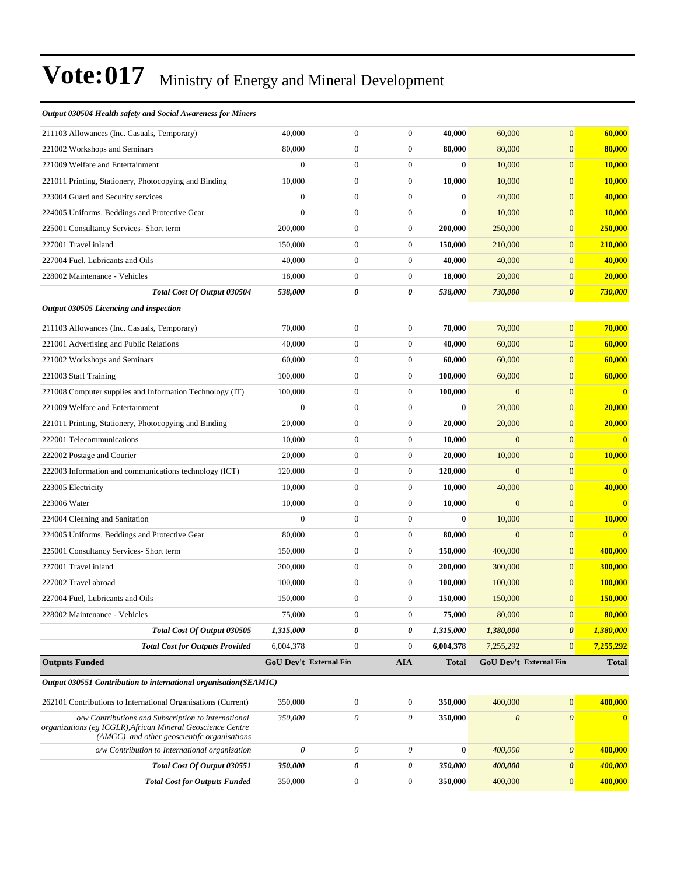#### *Output 030504 Health safety and Social Awareness for Miners*

| <b>Total Cost for Outputs Funded</b>                                                                                                                              | 350,000                    | $\boldsymbol{0}$                     | $\boldsymbol{0}$                     | 350,000            | 400,000          | $\boldsymbol{0}$             | 400,000          |
|-------------------------------------------------------------------------------------------------------------------------------------------------------------------|----------------------------|--------------------------------------|--------------------------------------|--------------------|------------------|------------------------------|------------------|
| Total Cost Of Output 030551                                                                                                                                       | 350,000                    | 0                                    | 0                                    | 350,000            | 400,000          | $\boldsymbol{\theta}$        | 400,000          |
| o/w Contribution to International organisation                                                                                                                    | $\mathcal O$               | $\boldsymbol{\mathit{0}}$            | $\boldsymbol{\mathit{0}}$            | $\bf{0}$           | 400,000          | $\boldsymbol{\theta}$        | 400,000          |
| o/w Contributions and Subscription to international<br>organizations (eg ICGLR), African Mineral Geoscience Centre<br>(AMGC) and other geoscientifc organisations | 350,000                    | 0                                    | $\theta$                             | 350,000            | $\boldsymbol{0}$ | $\boldsymbol{\mathit{0}}$    | $\mathbf{0}$     |
| 262101 Contributions to International Organisations (Current)                                                                                                     | 350,000                    | $\boldsymbol{0}$                     | $\boldsymbol{0}$                     | 350,000            | 400,000          | $\boldsymbol{0}$             | 400,000          |
| Output 030551 Contribution to international organisation(SEAMIC)                                                                                                  |                            |                                      |                                      |                    |                  |                              |                  |
| <b>Outputs Funded</b>                                                                                                                                             | GoU Dev't External Fin     |                                      | <b>AIA</b>                           | <b>Total</b>       |                  | GoU Dev't External Fin       | <b>Total</b>     |
| <b>Total Cost for Outputs Provided</b>                                                                                                                            | 6,004,378                  | $\boldsymbol{0}$                     | $\boldsymbol{0}$                     | 6,004,378          | 7,255,292        | $\mathbf{0}$                 | 7,255,292        |
| Total Cost Of Output 030505                                                                                                                                       | 1,315,000                  | 0                                    | 0                                    | 1,315,000          | 1,380,000        | $\pmb{\theta}$               | 1,380,000        |
| 228002 Maintenance - Vehicles                                                                                                                                     | 75,000                     | $\boldsymbol{0}$                     | $\boldsymbol{0}$                     | 75,000             | 80,000           | $\mathbf{0}$                 | 80,000           |
| 227004 Fuel, Lubricants and Oils                                                                                                                                  | 150,000                    | $\boldsymbol{0}$                     | $\boldsymbol{0}$                     | 150,000            | 150,000          | $\mathbf{0}$                 | 150,000          |
| 227002 Travel abroad                                                                                                                                              | 100,000                    | $\boldsymbol{0}$                     | $\boldsymbol{0}$                     | 100,000            | 100,000          | $\mathbf{0}$                 | <b>100,000</b>   |
| 227001 Travel inland                                                                                                                                              | 200,000                    | $\boldsymbol{0}$                     | $\boldsymbol{0}$                     | 200,000            | 300,000          | $\mathbf{0}$                 | 300,000          |
| 225001 Consultancy Services- Short term                                                                                                                           | 150,000                    | $\boldsymbol{0}$                     | $\boldsymbol{0}$                     | 150,000            | 400,000          | $\mathbf{0}$                 | 400,000          |
| 224005 Uniforms, Beddings and Protective Gear                                                                                                                     | 80,000                     | $\boldsymbol{0}$                     | $\boldsymbol{0}$                     | 80,000             | $\mathbf{0}$     | $\boldsymbol{0}$             | $\bf{0}$         |
| 224004 Cleaning and Sanitation                                                                                                                                    | $\boldsymbol{0}$           | $\boldsymbol{0}$                     | $\boldsymbol{0}$                     | $\bf{0}$           | 10,000           | $\mathbf{0}$                 | 10,000           |
| 223006 Water                                                                                                                                                      | 10,000                     | $\boldsymbol{0}$                     | $\boldsymbol{0}$                     | 10,000             | $\overline{0}$   | $\mathbf{0}$                 | $\mathbf{0}$     |
| 223005 Electricity                                                                                                                                                | 10,000                     | $\boldsymbol{0}$                     | $\boldsymbol{0}$                     | 10,000             | 40,000           | $\mathbf{0}$                 | 40,000           |
| 222003 Information and communications technology (ICT)                                                                                                            | 120,000                    | $\boldsymbol{0}$                     | $\boldsymbol{0}$                     | 120,000            | $\mathbf{0}$     | $\mathbf{0}$                 | $\mathbf{0}$     |
| 222002 Postage and Courier                                                                                                                                        | 20,000                     | $\boldsymbol{0}$                     | $\boldsymbol{0}$                     | 20,000             | 10,000           | $\boldsymbol{0}$             | <b>10,000</b>    |
| 222001 Telecommunications                                                                                                                                         | 10,000                     | $\boldsymbol{0}$                     | $\boldsymbol{0}$                     | 10,000             | $\overline{0}$   | $\mathbf{0}$                 | $\mathbf{0}$     |
| 221011 Printing, Stationery, Photocopying and Binding                                                                                                             | 20,000                     | $\boldsymbol{0}$                     | $\boldsymbol{0}$                     | 20,000             | 20,000           | $\mathbf{0}$                 | 20,000           |
| 221009 Welfare and Entertainment                                                                                                                                  | $\boldsymbol{0}$           | $\boldsymbol{0}$                     | $\boldsymbol{0}$                     | $\bf{0}$           | 20,000           | $\mathbf{0}$                 | 20,000           |
| 221008 Computer supplies and Information Technology (IT)                                                                                                          | 100,000                    | $\boldsymbol{0}$                     | $\boldsymbol{0}$                     | 100,000            | $\mathbf{0}$     | $\mathbf{0}$                 | $\mathbf{0}$     |
| 221003 Staff Training                                                                                                                                             | 100,000                    | $\boldsymbol{0}$                     | $\boldsymbol{0}$                     | 100,000            | 60,000           | $\boldsymbol{0}$             | 60,000           |
| 221002 Workshops and Seminars                                                                                                                                     | 60,000                     | $\boldsymbol{0}$                     | $\boldsymbol{0}$                     | 60,000             | 60,000           | $\mathbf{0}$                 | 60,000           |
| 221001 Advertising and Public Relations                                                                                                                           | 40,000                     | $\boldsymbol{0}$                     | $\boldsymbol{0}$                     | 40,000             | 60,000           | $\mathbf{0}$                 | 60,000           |
| 211103 Allowances (Inc. Casuals, Temporary)                                                                                                                       | 70,000                     | $\boldsymbol{0}$                     | $\boldsymbol{0}$                     | 70,000             | 70,000           | $\boldsymbol{0}$             | 70,000           |
| Output 030505 Licencing and inspection                                                                                                                            |                            |                                      |                                      |                    |                  |                              |                  |
| Total Cost Of Output 030504                                                                                                                                       | 538,000                    | 0                                    | 0                                    | 538,000            | 730,000          | $\pmb{\theta}$               | 730,000          |
| 228002 Maintenance - Vehicles                                                                                                                                     | 18,000                     | $\boldsymbol{0}$                     | $\boldsymbol{0}$                     | 18,000             | 20,000           | $\mathbf{0}$                 | 20,000           |
| 227004 Fuel, Lubricants and Oils                                                                                                                                  | 40,000                     | $\boldsymbol{0}$                     | $\boldsymbol{0}$                     | 40,000             | 40,000           | $\mathbf{0}$                 | 40,000           |
| 227001 Travel inland                                                                                                                                              | 150,000                    | $\boldsymbol{0}$                     | $\boldsymbol{0}$                     | 150,000            | 210,000          | $\mathbf{0}$                 | 210,000          |
| 225001 Consultancy Services- Short term                                                                                                                           | 200,000                    | $\boldsymbol{0}$                     | $\boldsymbol{0}$                     | 200,000            | 250,000          | $\mathbf{0}$                 | 250,000          |
| 224005 Uniforms, Beddings and Protective Gear                                                                                                                     | $\overline{0}$             | $\boldsymbol{0}$                     | $\boldsymbol{0}$                     | $\bf{0}$           | 10,000           | $\mathbf{0}$                 | 10,000           |
| 221011 Printing, Stationery, Photocopying and Binding<br>223004 Guard and Security services                                                                       | $\boldsymbol{0}$           | $\boldsymbol{0}$                     | $\boldsymbol{0}$                     | 10,000<br>$\bf{0}$ | 10,000<br>40,000 | $\mathbf{0}$                 | 40,000           |
| 221009 Welfare and Entertainment                                                                                                                                  | $\boldsymbol{0}$<br>10,000 | $\boldsymbol{0}$<br>$\boldsymbol{0}$ | $\boldsymbol{0}$<br>$\boldsymbol{0}$ | $\bf{0}$           | 10,000           | $\mathbf{0}$<br>$\mathbf{0}$ | 10,000<br>10,000 |
| 221002 Workshops and Seminars                                                                                                                                     | 80,000                     | $\boldsymbol{0}$                     | $\boldsymbol{0}$                     | 80,000             | 80,000           | $\mathbf{0}$                 | 80,000           |
| 211103 Allowances (Inc. Casuals, Temporary)                                                                                                                       | 40,000                     | $\boldsymbol{0}$                     | $\mathbf{0}$                         | 40,000             | 60,000           | $\mathbf{0}$                 | 60,000           |
|                                                                                                                                                                   |                            |                                      |                                      |                    |                  |                              |                  |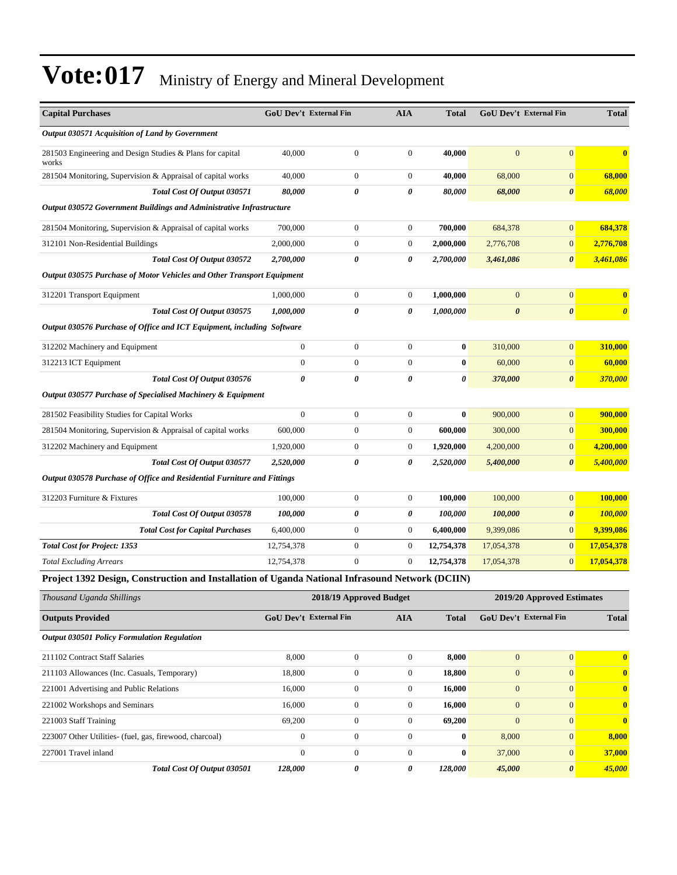| <b>Capital Purchases</b>                                                                         | <b>GoU Dev't External Fin</b> |                  | <b>AIA</b>       | <b>Total</b>          | GoU Dev't External Fin |                       | <b>Total</b>          |
|--------------------------------------------------------------------------------------------------|-------------------------------|------------------|------------------|-----------------------|------------------------|-----------------------|-----------------------|
| Output 030571 Acquisition of Land by Government                                                  |                               |                  |                  |                       |                        |                       |                       |
| 281503 Engineering and Design Studies & Plans for capital<br>works                               | 40,000                        | $\boldsymbol{0}$ | $\boldsymbol{0}$ | 40,000                | $\mathbf{0}$           | $\mathbf{0}$          | $\bf{0}$              |
| 281504 Monitoring, Supervision & Appraisal of capital works                                      | 40,000                        | $\overline{0}$   | $\overline{0}$   | 40.000                | 68,000                 | $\mathbf{0}$          | 68,000                |
| Total Cost Of Output 030571                                                                      | 80,000                        | 0                | 0                | 80,000                | 68,000                 | $\pmb{\theta}$        | 68,000                |
| Output 030572 Government Buildings and Administrative Infrastructure                             |                               |                  |                  |                       |                        |                       |                       |
| 281504 Monitoring, Supervision & Appraisal of capital works                                      | 700,000                       | $\boldsymbol{0}$ | $\boldsymbol{0}$ | 700,000               | 684,378                | $\mathbf{0}$          | 684,378               |
| 312101 Non-Residential Buildings                                                                 | 2,000,000                     | $\boldsymbol{0}$ | $\boldsymbol{0}$ | 2,000,000             | 2,776,708              | $\boldsymbol{0}$      | 2,776,708             |
| Total Cost Of Output 030572                                                                      | 2,700,000                     | 0                | 0                | 2,700,000             | 3,461,086              | $\boldsymbol{\theta}$ | 3,461,086             |
| Output 030575 Purchase of Motor Vehicles and Other Transport Equipment                           |                               |                  |                  |                       |                        |                       |                       |
| 312201 Transport Equipment                                                                       | 1,000,000                     | $\boldsymbol{0}$ | $\overline{0}$   | 1,000,000             | $\mathbf{0}$           | $\mathbf{0}$          | $\bf{0}$              |
| Total Cost Of Output 030575                                                                      | 1,000,000                     | 0                | 0                | 1,000,000             | $\boldsymbol{\theta}$  | $\boldsymbol{\theta}$ | $\boldsymbol{\theta}$ |
| Output 030576 Purchase of Office and ICT Equipment, including Software                           |                               |                  |                  |                       |                        |                       |                       |
| 312202 Machinery and Equipment                                                                   | $\boldsymbol{0}$              | $\boldsymbol{0}$ | $\boldsymbol{0}$ | $\boldsymbol{0}$      | 310,000                | $\boldsymbol{0}$      | 310,000               |
| 312213 ICT Equipment                                                                             | $\boldsymbol{0}$              | $\boldsymbol{0}$ | $\overline{0}$   | $\bf{0}$              | 60,000                 | $\mathbf{0}$          | 60,000                |
| Total Cost Of Output 030576                                                                      | $\theta$                      | 0                | 0                | $\boldsymbol{\theta}$ | 370,000                | $\boldsymbol{\theta}$ | 370,000               |
| Output 030577 Purchase of Specialised Machinery & Equipment                                      |                               |                  |                  |                       |                        |                       |                       |
| 281502 Feasibility Studies for Capital Works                                                     | $\mathbf{0}$                  | $\boldsymbol{0}$ | $\mathbf{0}$     | $\bf{0}$              | 900,000                | $\mathbf{0}$          | 900,000               |
| 281504 Monitoring, Supervision & Appraisal of capital works                                      | 600,000                       | $\overline{0}$   | $\overline{0}$   | 600,000               | 300,000                | $\mathbf{0}$          | 300,000               |
| 312202 Machinery and Equipment                                                                   | 1,920,000                     | $\boldsymbol{0}$ | 0                | 1,920,000             | 4,200,000              | $\mathbf{0}$          | 4,200,000             |
| Total Cost Of Output 030577                                                                      | 2,520,000                     | 0                | 0                | 2,520,000             | 5,400,000              | $\boldsymbol{\theta}$ | 5,400,000             |
| Output 030578 Purchase of Office and Residential Furniture and Fittings                          |                               |                  |                  |                       |                        |                       |                       |
| 312203 Furniture & Fixtures                                                                      | 100,000                       | $\boldsymbol{0}$ | $\boldsymbol{0}$ | 100,000               | 100,000                | $\mathbf{0}$          | 100,000               |
| Total Cost Of Output 030578                                                                      | 100,000                       | 0                | 0                | 100,000               | 100,000                | $\boldsymbol{\theta}$ | 100,000               |
| <b>Total Cost for Capital Purchases</b>                                                          | 6,400,000                     | $\boldsymbol{0}$ | $\boldsymbol{0}$ | 6,400,000             | 9,399,086              | $\mathbf{0}$          | 9,399,086             |
| <b>Total Cost for Project: 1353</b>                                                              | 12,754,378                    | $\overline{0}$   | $\mathbf{0}$     | 12,754,378            | 17,054,378             | $\mathbf{0}$          | 17,054,378            |
| <b>Total Excluding Arrears</b>                                                                   | 12,754,378                    | $\boldsymbol{0}$ | $\boldsymbol{0}$ | 12,754,378            | 17,054,378             | $\mathbf{0}$          | 17,054,378            |
| Project 1392 Design, Construction and Installation of Uganda National Infrasound Network (DCIIN) |                               |                  |                  |                       |                        |                       |                       |

| Thousand Uganda Shillings                               |                               | 2018/19 Approved Budget | 2019/20 Approved Estimates |              |                               |                       |              |
|---------------------------------------------------------|-------------------------------|-------------------------|----------------------------|--------------|-------------------------------|-----------------------|--------------|
| <b>Outputs Provided</b>                                 | <b>GoU Dev't External Fin</b> |                         | <b>AIA</b>                 | <b>Total</b> | <b>GoU Dev't External Fin</b> | <b>Total</b>          |              |
| <b>Output 030501 Policy Formulation Regulation</b>      |                               |                         |                            |              |                               |                       |              |
| 211102 Contract Staff Salaries                          | 8,000                         | $\mathbf{0}$            | $\Omega$                   | 8.000        | $\mathbf{0}$                  | $\Omega$              | $\mathbf{0}$ |
| 211103 Allowances (Inc. Casuals, Temporary)             | 18,800                        | $\mathbf{0}$            | 0                          | 18,800       | $\mathbf{0}$                  | $\mathbf{0}$          | $\bf{0}$     |
| 221001 Advertising and Public Relations                 | 16,000                        | $\mathbf{0}$            | $\mathbf{0}$               | 16,000       | $\mathbf{0}$                  | $\mathbf{0}$          | $\mathbf{0}$ |
| 221002 Workshops and Seminars                           | 16.000                        | $\mathbf{0}$            | $\Omega$                   | 16,000       | $\mathbf{0}$                  | $\Omega$              | $\mathbf{0}$ |
| 221003 Staff Training                                   | 69,200                        | $\mathbf{0}$            | 0                          | 69,200       | $\mathbf{0}$                  | $\mathbf{0}$          | $\mathbf{0}$ |
| 223007 Other Utilities- (fuel, gas, firewood, charcoal) | $\mathbf{0}$                  | $\mathbf{0}$            | $\Omega$                   | $\bf{0}$     | 8,000                         | $\mathbf{0}$          | 8.000        |
| 227001 Travel inland                                    | $\Omega$                      | $\mathbf{0}$            | $\Omega$                   | $\bf{0}$     | 37,000                        | $\mathbf{0}$          | 37,000       |
| Total Cost Of Output 030501                             | 128,000                       | 0                       | 0                          | 128,000      | 45,000                        | $\boldsymbol{\theta}$ | 45,000       |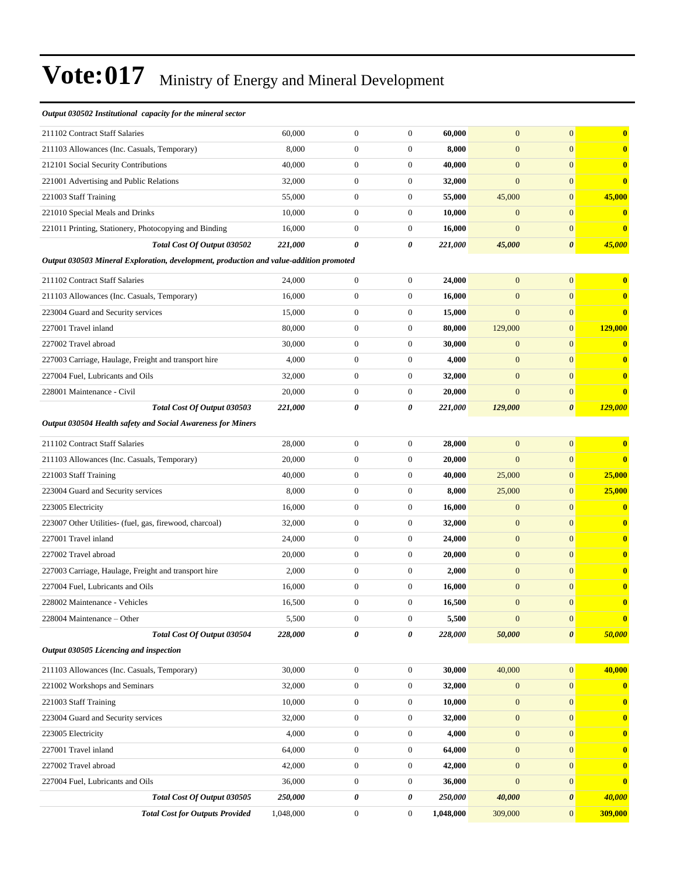#### *Output 030502 Institutional capacity for the mineral sector*

| 211102 Contract Staff Salaries                        | 60,000  | $\mathbf{0}$ | $\mathbf{0}$ | 60,000  | $\overline{0}$ | $\Omega$ | $\mathbf{0}$ |
|-------------------------------------------------------|---------|--------------|--------------|---------|----------------|----------|--------------|
| 211103 Allowances (Inc. Casuals, Temporary)           | 8,000   | $\mathbf{0}$ | $\Omega$     | 8.000   | $\overline{0}$ | $\Omega$ | $\mathbf{0}$ |
| 212101 Social Security Contributions                  | 40,000  | $\mathbf{0}$ |              | 40,000  | $\overline{0}$ | $\Omega$ | $\mathbf{0}$ |
| 221001 Advertising and Public Relations               | 32,000  | $\Omega$     |              | 32,000  | $\overline{0}$ | $\Omega$ | $\mathbf{0}$ |
| 221003 Staff Training                                 | 55,000  | $\mathbf{0}$ | $\Omega$     | 55,000  | 45,000         | $\Omega$ | 45,000       |
| 221010 Special Meals and Drinks                       | 10.000  | $\mathbf{0}$ |              | 10.000  | $\overline{0}$ | $\Omega$ | $\mathbf{0}$ |
| 221011 Printing, Stationery, Photocopying and Binding | 16,000  | $\Omega$     | $\Omega$     | 16.000  | $\mathbf{0}$   | $\Omega$ | $\mathbf{0}$ |
| Total Cost Of Output 030502                           | 221,000 | 0            | 0            | 221,000 | 45,000         | $\theta$ | 45,000       |

#### *Output 030503 Mineral Exploration, development, production and value-addition promoted*

| <b>Total Cost Of Output 030503</b>                   | 221.000 | 0            | 0            | 221.000 | 129,000        | $\boldsymbol{\theta}$ | 129,000 |
|------------------------------------------------------|---------|--------------|--------------|---------|----------------|-----------------------|---------|
| 228001 Maintenance - Civil                           | 20,000  | $\mathbf{0}$ | $\mathbf{0}$ | 20,000  | $\overline{0}$ | $\Omega$              |         |
| 227004 Fuel, Lubricants and Oils                     | 32,000  | $\mathbf{0}$ | $\Omega$     | 32,000  | $\Omega$       | $\Omega$              |         |
| 227003 Carriage, Haulage, Freight and transport hire | 4,000   | $\mathbf{0}$ | $\Omega$     | 4.000   | $\Omega$       | $\Omega$              |         |
| 227002 Travel abroad                                 | 30,000  | $\mathbf{0}$ | $\mathbf{0}$ | 30,000  | $\overline{0}$ | $\Omega$              |         |
| 227001 Travel inland                                 | 80,000  | $\mathbf{0}$ | $\mathbf{0}$ | 80,000  | 129,000        | $\overline{0}$        | 129,000 |
| 223004 Guard and Security services                   | 15,000  | $\mathbf{0}$ |              | 15,000  | $\mathbf{0}$   | $\Omega$              |         |
| 211103 Allowances (Inc. Casuals, Temporary)          | 16,000  | $\mathbf{0}$ | 0            | 16.000  | $\Omega$       | $\Omega$              |         |
| 211102 Contract Staff Salaries                       | 24,000  | $\mathbf{0}$ | $\mathbf{0}$ | 24,000  | $\Omega$       | $\Omega$              |         |
|                                                      |         |              |              |         |                |                       |         |

#### *Output 030504 Health safety and Social Awareness for Miners*

| 211102 Contract Staff Salaries                          | 28,000  | $\mathbf{0}$ | $\overline{0}$ | 28,000  | $\mathbf{0}$   | $\mathbf{0}$          | $\bf{0}$     |
|---------------------------------------------------------|---------|--------------|----------------|---------|----------------|-----------------------|--------------|
| 211103 Allowances (Inc. Casuals, Temporary)             | 20,000  | $\mathbf{0}$ | $\overline{0}$ | 20,000  | $\mathbf{0}$   | $\mathbf{0}$          | $\bf{0}$     |
| 221003 Staff Training                                   | 40,000  | $\theta$     | $\mathbf{0}$   | 40,000  | 25,000         | $\mathbf{0}$          | 25,000       |
| 223004 Guard and Security services                      | 8,000   | $\mathbf{0}$ | $\mathbf{0}$   | 8,000   | 25,000         | $\mathbf{0}$          | 25,000       |
| 223005 Electricity                                      | 16,000  | $\mathbf{0}$ | $\overline{0}$ | 16,000  | $\mathbf{0}$   | $\mathbf{0}$          | $\bf{0}$     |
| 223007 Other Utilities- (fuel, gas, firewood, charcoal) | 32,000  | $\theta$     | $\mathbf{0}$   | 32,000  | $\overline{0}$ | $\mathbf{0}$          | $\bf{0}$     |
| 227001 Travel inland                                    | 24,000  | $\theta$     | $\mathbf{0}$   | 24,000  | $\overline{0}$ | $\mathbf{0}$          | $\bf{0}$     |
| 227002 Travel abroad                                    | 20,000  | $\mathbf{0}$ | $\overline{0}$ | 20,000  | $\overline{0}$ | $\Omega$              | $\bf{0}$     |
| 227003 Carriage, Haulage, Freight and transport hire    | 2,000   | $\mathbf{0}$ | $\mathbf{0}$   | 2,000   | $\overline{0}$ | $\mathbf{0}$          | $\bf{0}$     |
| 227004 Fuel, Lubricants and Oils                        | 16,000  | $\theta$     | $\mathbf{0}$   | 16,000  | $\overline{0}$ | $\Omega$              | $\bf{0}$     |
| 228002 Maintenance - Vehicles                           | 16,500  | $\mathbf{0}$ | $\overline{0}$ | 16,500  | $\mathbf{0}$   | $\mathbf{0}$          | $\mathbf{0}$ |
| 228004 Maintenance – Other                              | 5,500   | $\mathbf{0}$ | $\mathbf{0}$   | 5,500   | $\overline{0}$ | $\mathbf{0}$          | $\bf{0}$     |
| Total Cost Of Output 030504                             | 228,000 | 0            | 0              | 228,000 | 50,000         | $\boldsymbol{\theta}$ | 50,000       |
| Output 030505 Licencing and inspection                  |         |              |                |         |                |                       |              |

| 211103 Allowances (Inc. Casuals, Temporary) | 30,000    | $\theta$       | $\mathbf{0}$ | 30,000    | 40,000         | $\overline{0}$        | 40,000   |
|---------------------------------------------|-----------|----------------|--------------|-----------|----------------|-----------------------|----------|
| 221002 Workshops and Seminars               | 32,000    | $\theta$       | $\mathbf{0}$ | 32,000    | $\Omega$       | $\mathbf{0}$          | $\bf{0}$ |
| 221003 Staff Training                       | 10,000    | $\theta$       | $\mathbf{0}$ | 10,000    | $\overline{0}$ | $\Omega$              |          |
| 223004 Guard and Security services          | 32,000    | $\theta$       | $\mathbf{0}$ | 32,000    | $\overline{0}$ | $\Omega$              |          |
| 223005 Electricity                          | 4.000     | $\theta$       | $\mathbf{0}$ | 4,000     | $\Omega$       | $\overline{0}$        |          |
| 227001 Travel inland                        | 64,000    | $\theta$       | $\mathbf{0}$ | 64,000    | $\overline{0}$ | $\Omega$              |          |
| 227002 Travel abroad                        | 42,000    | $\overline{0}$ | $\mathbf{0}$ | 42,000    | $\overline{0}$ | $\Omega$              |          |
| 227004 Fuel, Lubricants and Oils            | 36,000    | $\mathbf{0}$   | $\mathbf{0}$ | 36,000    | $\overline{0}$ | $\mathbf{0}$          |          |
| Total Cost Of Output 030505                 | 250,000   | 0              | 0            | 250,000   | 40,000         | $\boldsymbol{\theta}$ | 40,000   |
| <b>Total Cost for Outputs Provided</b>      | 1.048.000 | $\mathbf{0}$   | $\mathbf{0}$ | 1.048.000 | 309,000        | $\overline{0}$        | 309,000  |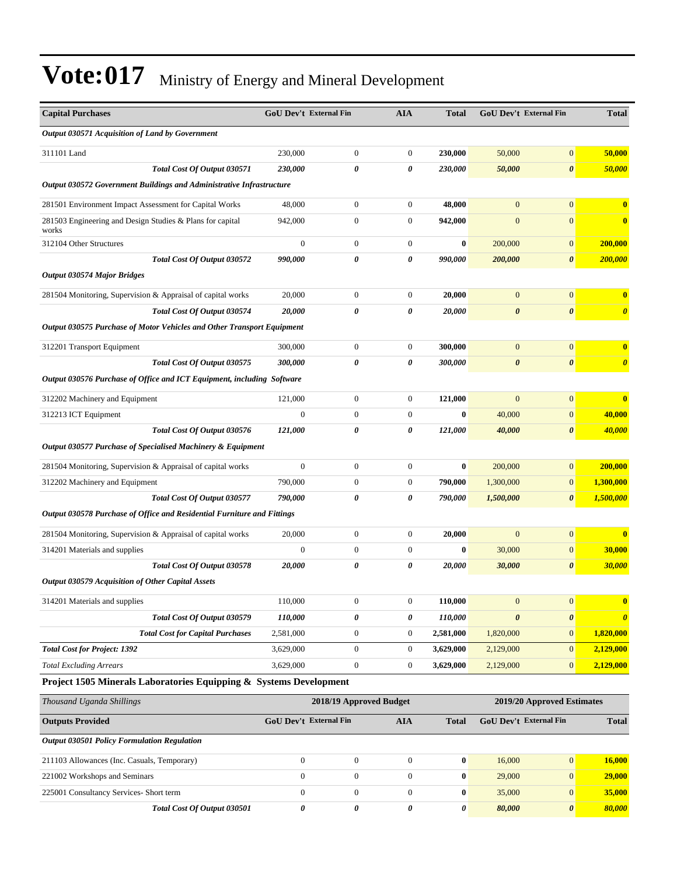| <b>Capital Purchases</b>                                                | <b>GoU Dev't External Fin</b> |                  | AIA              | <b>Total</b> | <b>GoU Dev't External Fin</b> |                       | <b>Total</b>            |
|-------------------------------------------------------------------------|-------------------------------|------------------|------------------|--------------|-------------------------------|-----------------------|-------------------------|
| Output 030571 Acquisition of Land by Government                         |                               |                  |                  |              |                               |                       |                         |
| 311101 Land                                                             | 230,000                       | $\boldsymbol{0}$ | 0                | 230,000      | 50,000                        | $\boldsymbol{0}$      | 50,000                  |
| Total Cost Of Output 030571                                             | 230,000                       | 0                | 0                | 230,000      | 50,000                        | $\boldsymbol{\theta}$ | 50,000                  |
| Output 030572 Government Buildings and Administrative Infrastructure    |                               |                  |                  |              |                               |                       |                         |
| 281501 Environment Impact Assessment for Capital Works                  | 48,000                        | $\boldsymbol{0}$ | $\boldsymbol{0}$ | 48,000       | $\mathbf{0}$                  | $\overline{0}$        | $\bf{0}$                |
| 281503 Engineering and Design Studies & Plans for capital<br>works      | 942,000                       | $\boldsymbol{0}$ | $\boldsymbol{0}$ | 942,000      | $\boldsymbol{0}$              | $\overline{0}$        | $\bf{0}$                |
| 312104 Other Structures                                                 | $\overline{0}$                | $\boldsymbol{0}$ | $\boldsymbol{0}$ | $\bf{0}$     | 200,000                       | $\mathbf{0}$          | 200,000                 |
| Total Cost Of Output 030572                                             | 990,000                       | 0                | 0                | 990,000      | 200,000                       | $\boldsymbol{\theta}$ | 200,000                 |
| <b>Output 030574 Major Bridges</b>                                      |                               |                  |                  |              |                               |                       |                         |
| 281504 Monitoring, Supervision & Appraisal of capital works             | 20,000                        | $\boldsymbol{0}$ | $\boldsymbol{0}$ | 20,000       | $\mathbf{0}$                  | $\mathbf{0}$          | $\bf{0}$                |
| Total Cost Of Output 030574                                             | 20,000                        | 0                | 0                | 20,000       | $\boldsymbol{\theta}$         | $\boldsymbol{\theta}$ | $\boldsymbol{\theta}$   |
| Output 030575 Purchase of Motor Vehicles and Other Transport Equipment  |                               |                  |                  |              |                               |                       |                         |
| 312201 Transport Equipment                                              | 300,000                       | $\boldsymbol{0}$ | $\boldsymbol{0}$ | 300,000      | $\mathbf{0}$                  | $\mathbf{0}$          | $\overline{\mathbf{0}}$ |
| Total Cost Of Output 030575                                             | 300,000                       | 0                | 0                | 300,000      | $\boldsymbol{\theta}$         | $\boldsymbol{\theta}$ | $\boldsymbol{\theta}$   |
| Output 030576 Purchase of Office and ICT Equipment, including Software  |                               |                  |                  |              |                               |                       |                         |
| 312202 Machinery and Equipment                                          | 121,000                       | $\boldsymbol{0}$ | $\mathbf{0}$     | 121,000      | $\mathbf{0}$                  | $\mathbf{0}$          | $\bf{0}$                |
| 312213 ICT Equipment                                                    | $\overline{0}$                | $\boldsymbol{0}$ | $\overline{0}$   | $\mathbf{0}$ | 40,000                        | $\mathbf{0}$          | 40,000                  |
| Total Cost Of Output 030576                                             | 121,000                       | 0                | 0                | 121,000      | 40,000                        | $\boldsymbol{\theta}$ | 40,000                  |
| Output 030577 Purchase of Specialised Machinery & Equipment             |                               |                  |                  |              |                               |                       |                         |
| 281504 Monitoring, Supervision & Appraisal of capital works             | $\boldsymbol{0}$              | $\boldsymbol{0}$ | $\boldsymbol{0}$ | $\bf{0}$     | 200,000                       | $\overline{0}$        | 200,000                 |
| 312202 Machinery and Equipment                                          | 790,000                       | $\boldsymbol{0}$ | $\boldsymbol{0}$ | 790,000      | 1,300,000                     | $\mathbf{0}$          | 1,300,000               |
| Total Cost Of Output 030577                                             | 790,000                       | 0                | 0                | 790,000      | 1,500,000                     | $\boldsymbol{\theta}$ | 1,500,000               |
| Output 030578 Purchase of Office and Residential Furniture and Fittings |                               |                  |                  |              |                               |                       |                         |
| 281504 Monitoring, Supervision & Appraisal of capital works             | 20,000                        | $\boldsymbol{0}$ | 0                | 20,000       | $\mathbf{0}$                  | $\mathbf{0}$          | $\bf{0}$                |
| 314201 Materials and supplies                                           | $\overline{0}$                | $\boldsymbol{0}$ | $\boldsymbol{0}$ | $\bf{0}$     | 30,000                        | $\mathbf{0}$          | 30,000                  |
| Total Cost Of Output 030578                                             | 20,000                        | 0                | 0                | 20,000       | 30,000                        | $\boldsymbol{\theta}$ | 30,000                  |
| Output 030579 Acquisition of Other Capital Assets                       |                               |                  |                  |              |                               |                       |                         |
| 314201 Materials and supplies                                           | 110,000                       | $\boldsymbol{0}$ | $\boldsymbol{0}$ | 110,000      | $\mathbf{0}$                  | $\mathbf{0}$          | $\mathbf{0}$            |
| Total Cost Of Output 030579                                             | 110,000                       | 0                | 0                | 110,000      | $\pmb{\theta}$                | $\boldsymbol{\theta}$ | $\boldsymbol{\theta}$   |
| <b>Total Cost for Capital Purchases</b>                                 | 2,581,000                     | $\boldsymbol{0}$ | $\boldsymbol{0}$ | 2,581,000    | 1,820,000                     | $\mathbf{0}$          | 1,820,000               |
| <b>Total Cost for Project: 1392</b>                                     | 3,629,000                     | $\boldsymbol{0}$ | $\boldsymbol{0}$ | 3,629,000    | 2,129,000                     | $\mathbf{0}$          | 2,129,000               |
| <b>Total Excluding Arrears</b>                                          | 3,629,000                     | $\boldsymbol{0}$ | $\boldsymbol{0}$ | 3,629,000    | 2,129,000                     | $\mathbf{0}$          | 2,129,000               |
| Project 1505 Minerals Laboratories Equipping & Systems Development      |                               |                  |                  |              |                               |                       |                         |

| Thousand Uganda Shillings                          | 2018/19 Approved Budget       | 2019/20 Approved Estimates |                |              |                               |                |              |
|----------------------------------------------------|-------------------------------|----------------------------|----------------|--------------|-------------------------------|----------------|--------------|
| <b>Outputs Provided</b>                            | <b>GoU Dev't External Fin</b> |                            | AIA            | <b>Total</b> | <b>GoU Dev't External Fin</b> |                | <b>Total</b> |
| <b>Output 030501 Policy Formulation Regulation</b> |                               |                            |                |              |                               |                |              |
| 211103 Allowances (Inc. Casuals, Temporary)        |                               | $\Omega$                   | $\overline{0}$ | $\bf{0}$     | 16,000                        | $\overline{0}$ | 16,000       |
| 221002 Workshops and Seminars                      |                               | $\Omega$                   | $\mathbf{0}$   | $\bf{0}$     | 29,000                        | $\overline{0}$ | 29,000       |
| 225001 Consultancy Services- Short term            |                               | $\theta$                   | $\mathbf{0}$   | $\bf{0}$     | 35,000                        | $\overline{0}$ | 35,000       |
| Total Cost Of Output 030501                        | 0                             | 0                          | 0              | 0            | 80,000                        | $\theta$       | 80,000       |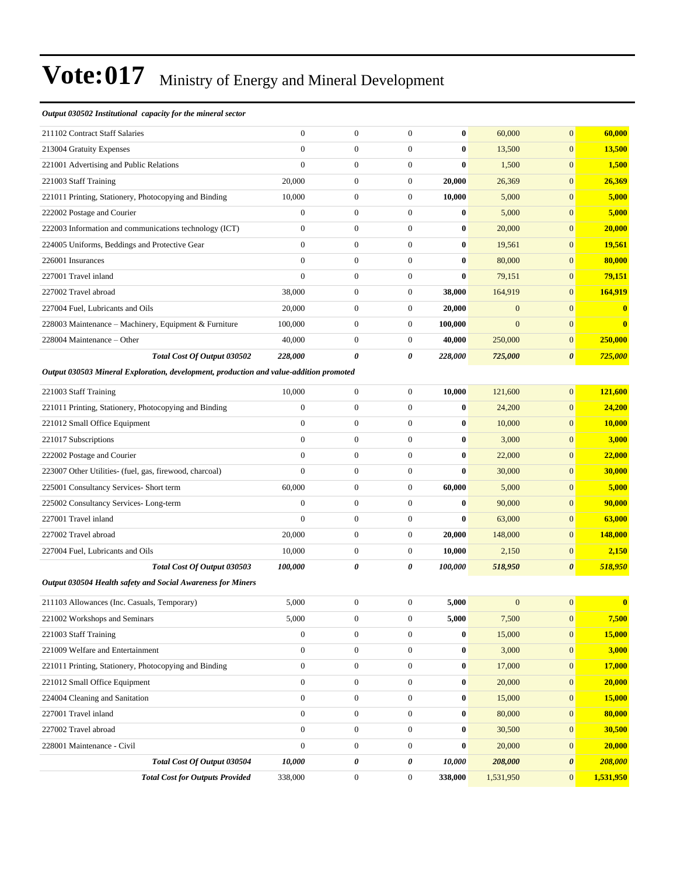#### *Output 030502 Institutional capacity for the mineral sector*

| 211102 Contract Staff Salaries                                                         | $\mathbf{0}$     | $\boldsymbol{0}$ | $\boldsymbol{0}$ | $\bf{0}$              | 60,000       | $\mathbf{0}$          | 60,000         |
|----------------------------------------------------------------------------------------|------------------|------------------|------------------|-----------------------|--------------|-----------------------|----------------|
| 213004 Gratuity Expenses                                                               | $\mathbf{0}$     | $\boldsymbol{0}$ | $\boldsymbol{0}$ | $\bf{0}$              | 13,500       | $\mathbf{0}$          | 13,500         |
| 221001 Advertising and Public Relations                                                | $\mathbf{0}$     | $\boldsymbol{0}$ | $\boldsymbol{0}$ | $\bf{0}$              | 1,500        | $\mathbf{0}$          | 1,500          |
| 221003 Staff Training                                                                  | 20,000           | $\boldsymbol{0}$ | $\boldsymbol{0}$ | 20,000                | 26,369       | $\mathbf{0}$          | 26,369         |
| 221011 Printing, Stationery, Photocopying and Binding                                  | 10,000           | $\boldsymbol{0}$ | $\boldsymbol{0}$ | 10,000                | 5,000        | $\mathbf{0}$          | 5,000          |
| 222002 Postage and Courier                                                             | $\boldsymbol{0}$ | $\boldsymbol{0}$ | $\boldsymbol{0}$ | $\bf{0}$              | 5,000        | $\mathbf{0}$          | 5,000          |
| 222003 Information and communications technology (ICT)                                 | $\boldsymbol{0}$ | $\boldsymbol{0}$ | $\boldsymbol{0}$ | $\bf{0}$              | 20,000       | $\mathbf{0}$          | 20,000         |
| 224005 Uniforms, Beddings and Protective Gear                                          | $\mathbf{0}$     | $\boldsymbol{0}$ | $\boldsymbol{0}$ | $\bf{0}$              | 19,561       | $\mathbf{0}$          | 19,561         |
| 226001 Insurances                                                                      | $\mathbf{0}$     | $\boldsymbol{0}$ | $\boldsymbol{0}$ | $\bf{0}$              | 80,000       | $\mathbf{0}$          | 80,000         |
| 227001 Travel inland                                                                   | $\theta$         | $\boldsymbol{0}$ | $\boldsymbol{0}$ | $\bf{0}$              | 79,151       | $\mathbf{0}$          | 79,151         |
| 227002 Travel abroad                                                                   | 38,000           | $\boldsymbol{0}$ | $\boldsymbol{0}$ | 38,000                | 164,919      | $\mathbf{0}$          | 164,919        |
| 227004 Fuel, Lubricants and Oils                                                       | 20,000           | $\boldsymbol{0}$ | $\boldsymbol{0}$ | 20,000                | $\mathbf{0}$ | $\mathbf{0}$          | $\mathbf{0}$   |
| 228003 Maintenance - Machinery, Equipment & Furniture                                  | 100,000          | $\boldsymbol{0}$ | $\boldsymbol{0}$ | 100,000               | $\mathbf{0}$ | $\mathbf{0}$          | $\mathbf{0}$   |
| 228004 Maintenance - Other                                                             | 40,000           | $\boldsymbol{0}$ | $\overline{0}$   | 40,000                | 250,000      | $\mathbf{0}$          | 250,000        |
| Total Cost Of Output 030502                                                            | 228,000          | 0                | 0                | 228,000               | 725,000      | $\boldsymbol{\theta}$ | 725,000        |
| Output 030503 Mineral Exploration, development, production and value-addition promoted |                  |                  |                  |                       |              |                       |                |
| 221003 Staff Training                                                                  | 10,000           | $\boldsymbol{0}$ | $\boldsymbol{0}$ | 10,000                | 121,600      | $\mathbf{0}$          | 121,600        |
| 221011 Printing, Stationery, Photocopying and Binding                                  | $\boldsymbol{0}$ | $\boldsymbol{0}$ | $\boldsymbol{0}$ | $\bf{0}$              | 24,200       | $\mathbf{0}$          | 24,200         |
| 221012 Small Office Equipment                                                          | $\mathbf{0}$     | $\boldsymbol{0}$ | $\boldsymbol{0}$ | $\bf{0}$              | 10,000       | $\mathbf{0}$          | 10,000         |
| 221017 Subscriptions                                                                   | $\mathbf{0}$     | $\boldsymbol{0}$ | $\boldsymbol{0}$ | $\bf{0}$              | 3,000        | $\mathbf{0}$          | 3,000          |
| 222002 Postage and Courier                                                             | $\mathbf{0}$     | $\boldsymbol{0}$ | $\boldsymbol{0}$ | $\bf{0}$              | 22,000       | $\mathbf{0}$          | 22,000         |
| 223007 Other Utilities- (fuel, gas, firewood, charcoal)                                | $\mathbf{0}$     | $\boldsymbol{0}$ | $\boldsymbol{0}$ | $\bf{0}$              | 30,000       | $\mathbf{0}$          | 30,000         |
| 225001 Consultancy Services- Short term                                                | 60,000           | $\boldsymbol{0}$ | $\boldsymbol{0}$ | 60,000                | 5,000        | $\mathbf{0}$          | 5,000          |
| 225002 Consultancy Services-Long-term                                                  | $\boldsymbol{0}$ | $\boldsymbol{0}$ | $\boldsymbol{0}$ | $\bf{0}$              | 90,000       | $\mathbf{0}$          | 90,000         |
| 227001 Travel inland                                                                   | $\mathbf{0}$     | $\boldsymbol{0}$ | $\boldsymbol{0}$ | $\bf{0}$              | 63,000       | $\mathbf{0}$          | 63,000         |
| 227002 Travel abroad                                                                   | 20,000           | $\boldsymbol{0}$ | $\boldsymbol{0}$ | 20,000                | 148,000      | $\mathbf{0}$          | <b>148,000</b> |
| 227004 Fuel, Lubricants and Oils                                                       | 10,000           | $\boldsymbol{0}$ | $\boldsymbol{0}$ | 10,000                | 2,150        | $\mathbf{0}$          | 2,150          |
| Total Cost Of Output 030503                                                            | 100,000          | 0                | 0                | <i><b>100,000</b></i> | 518,950      | $\boldsymbol{\theta}$ | 518,950        |
| Output 030504 Health safety and Social Awareness for Miners                            |                  |                  |                  |                       |              |                       |                |
| 211103 Allowances (Inc. Casuals, Temporary)                                            | 5,000            | $\boldsymbol{0}$ | $\boldsymbol{0}$ | 5,000                 | $\mathbf{0}$ | $\boldsymbol{0}$      | $\bf{0}$       |
| 221002 Workshops and Seminars                                                          | 5,000            | $\boldsymbol{0}$ | $\boldsymbol{0}$ | 5,000                 | 7,500        | $\boldsymbol{0}$      | 7,500          |
| 221003 Staff Training                                                                  | $\boldsymbol{0}$ | $\boldsymbol{0}$ | $\boldsymbol{0}$ | $\bf{0}$              | 15,000       | $\boldsymbol{0}$      | 15,000         |
| 221009 Welfare and Entertainment                                                       | $\boldsymbol{0}$ | $\boldsymbol{0}$ | $\boldsymbol{0}$ | $\bf{0}$              | 3,000        | $\boldsymbol{0}$      | 3,000          |
| 221011 Printing, Stationery, Photocopying and Binding                                  | $\boldsymbol{0}$ | $\boldsymbol{0}$ | $\boldsymbol{0}$ | $\bf{0}$              | 17,000       | $\boldsymbol{0}$      | 17,000         |
| 221012 Small Office Equipment                                                          | $\boldsymbol{0}$ | $\boldsymbol{0}$ | $\boldsymbol{0}$ | $\bf{0}$              | 20,000       | $\boldsymbol{0}$      | 20,000         |
| $224004 \times 10^{-1}$                                                                |                  |                  |                  |                       | 15.000       | $\Delta$              | 15000          |

224004 Cleaning and Sanitation 0 0 0 **0** 15,000 0 **15,000** 227001 Travel inland 0 0 0 **0** 80,000 0 **80,000** 227002 Travel abroad 0 0 0 **0** 30,500 0 **30,500** 228001 Maintenance - Civil 0 0 0 **0** 20,000 0 **20,000** *Total Cost Of Output 030504 10,000 0 0 10,000 208,000 0 208,000 Total Cost for Outputs Provided* 338,000 0 0 338,000 1,531,950 0 1,531,950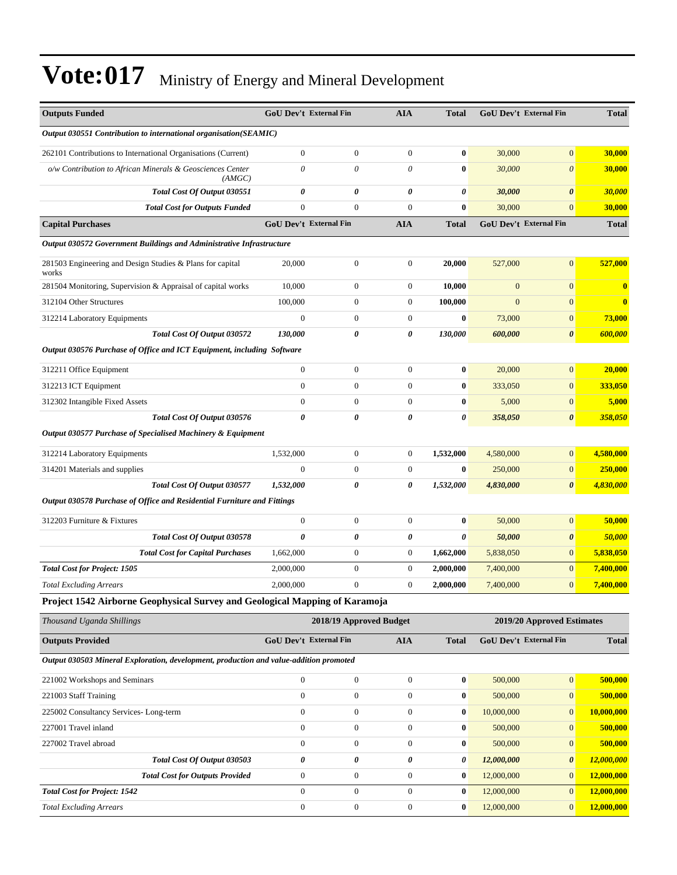| <b>Outputs Funded</b>                                                                  | <b>GoU Dev't External Fin</b> |                         | <b>AIA</b>       | <b>Total</b>     |                  | <b>GoU Dev't External Fin</b> | <b>Total</b>     |
|----------------------------------------------------------------------------------------|-------------------------------|-------------------------|------------------|------------------|------------------|-------------------------------|------------------|
| Output 030551 Contribution to international organisation(SEAMIC)                       |                               |                         |                  |                  |                  |                               |                  |
| 262101 Contributions to International Organisations (Current)                          | $\mathbf{0}$                  | $\overline{0}$          | $\boldsymbol{0}$ | $\bf{0}$         | 30,000           | $\mathbf{0}$                  | 30,000           |
| o/w Contribution to African Minerals & Geosciences Center<br>(AMGC)                    | $\theta$                      | 0                       | $\theta$         | $\bf{0}$         | 30,000           | $\boldsymbol{\theta}$         | 30,000           |
| Total Cost Of Output 030551                                                            | $\boldsymbol{\theta}$         | 0                       | 0                | 0                | 30,000           | $\boldsymbol{\theta}$         | 30,000           |
| <b>Total Cost for Outputs Funded</b>                                                   | $\boldsymbol{0}$              | $\boldsymbol{0}$        | $\boldsymbol{0}$ | $\bf{0}$         | 30,000           | $\mathbf{0}$                  | 30,000           |
| <b>Capital Purchases</b>                                                               | <b>GoU Dev't External Fin</b> |                         | <b>AIA</b>       | <b>Total</b>     |                  | <b>GoU Dev't External Fin</b> | <b>Total</b>     |
| Output 030572 Government Buildings and Administrative Infrastructure                   |                               |                         |                  |                  |                  |                               |                  |
| 281503 Engineering and Design Studies & Plans for capital<br>works                     | 20,000                        | $\boldsymbol{0}$        | $\boldsymbol{0}$ | 20,000           | 527,000          | $\mathbf{0}$                  | 527,000          |
| 281504 Monitoring, Supervision & Appraisal of capital works                            | 10,000                        | $\boldsymbol{0}$        | $\boldsymbol{0}$ | 10,000           | $\boldsymbol{0}$ | $\boldsymbol{0}$              | $\bf{0}$         |
| 312104 Other Structures                                                                | 100,000                       | $\boldsymbol{0}$        | $\boldsymbol{0}$ | 100,000          | $\boldsymbol{0}$ | $\mathbf{0}$                  | $\bf{0}$         |
| 312214 Laboratory Equipments                                                           | $\boldsymbol{0}$              | $\boldsymbol{0}$        | $\boldsymbol{0}$ | $\bf{0}$         | 73,000           | $\mathbf{0}$                  | 73,000           |
| Total Cost Of Output 030572                                                            | 130,000                       | 0                       | 0                | 130,000          | 600,000          | $\boldsymbol{\theta}$         | 600,000          |
| Output 030576 Purchase of Office and ICT Equipment, including Software                 |                               |                         |                  |                  |                  |                               |                  |
| 312211 Office Equipment                                                                | $\boldsymbol{0}$              | $\boldsymbol{0}$        | $\boldsymbol{0}$ | $\boldsymbol{0}$ | 20,000           | $\boldsymbol{0}$              | 20,000           |
| 312213 ICT Equipment                                                                   | $\mathbf{0}$                  | $\boldsymbol{0}$        | $\boldsymbol{0}$ | $\bf{0}$         | 333,050          | $\mathbf{0}$                  | 333,050          |
| 312302 Intangible Fixed Assets                                                         | $\mathbf{0}$                  | $\overline{0}$          | $\boldsymbol{0}$ | $\bf{0}$         | 5,000            | $\mathbf{0}$                  | 5,000            |
| Total Cost Of Output 030576                                                            | 0                             | 0                       | 0                | 0                | 358,050          | $\boldsymbol{\theta}$         | 358,050          |
| Output 030577 Purchase of Specialised Machinery & Equipment                            |                               |                         |                  |                  |                  |                               |                  |
| 312214 Laboratory Equipments                                                           | 1,532,000                     | $\boldsymbol{0}$        | $\boldsymbol{0}$ | 1,532,000        | 4,580,000        | $\mathbf{0}$                  | 4,580,000        |
| 314201 Materials and supplies                                                          | $\overline{0}$                | $\boldsymbol{0}$        | $\boldsymbol{0}$ | $\bf{0}$         | 250,000          | $\boldsymbol{0}$              | 250,000          |
| Total Cost Of Output 030577                                                            | 1,532,000                     | 0                       | 0                | 1,532,000        | 4,830,000        | $\boldsymbol{\theta}$         | <u>4,830,000</u> |
| Output 030578 Purchase of Office and Residential Furniture and Fittings                |                               |                         |                  |                  |                  |                               |                  |
| 312203 Furniture & Fixtures                                                            | $\mathbf{0}$                  | $\boldsymbol{0}$        | $\boldsymbol{0}$ | $\bf{0}$         | 50,000           | $\mathbf{0}$                  | 50,000           |
| Total Cost Of Output 030578                                                            | $\boldsymbol{\theta}$         | 0                       | 0                | 0                | 50,000           | $\boldsymbol{\theta}$         | 50,000           |
| <b>Total Cost for Capital Purchases</b>                                                | 1,662,000                     | $\boldsymbol{0}$        | $\boldsymbol{0}$ | 1,662,000        | 5,838,050        | $\boldsymbol{0}$              | 5,838,050        |
| <b>Total Cost for Project: 1505</b>                                                    | 2,000,000                     | $\boldsymbol{0}$        | $\boldsymbol{0}$ | 2,000,000        | 7,400,000        | $\mathbf{0}$                  | 7,400,000        |
| <b>Total Excluding Arrears</b>                                                         | 2,000,000                     | $\boldsymbol{0}$        | $\boldsymbol{0}$ | 2,000,000        | 7,400,000        | $\mathbf{0}$                  | 7,400,000        |
| Project 1542 Airborne Geophysical Survey and Geological Mapping of Karamoja            |                               |                         |                  |                  |                  |                               |                  |
| Thousand Uganda Shillings                                                              |                               | 2018/19 Approved Budget |                  |                  |                  | 2019/20 Approved Estimates    |                  |
| <b>Outputs Provided</b>                                                                | GoU Dev't External Fin        |                         | <b>AIA</b>       | <b>Total</b>     |                  | GoU Dev't External Fin        | <b>Total</b>     |
| Output 030503 Mineral Exploration, development, production and value-addition promoted |                               |                         |                  |                  |                  |                               |                  |
| 221002 Workshops and Seminars                                                          | $\boldsymbol{0}$              | $\boldsymbol{0}$        | $\boldsymbol{0}$ | $\bf{0}$         | 500,000          | $\mathbf{0}$                  | 500,000          |
| 221003 Staff Training                                                                  | $\boldsymbol{0}$              | $\boldsymbol{0}$        | $\boldsymbol{0}$ | $\boldsymbol{0}$ | 500,000          | $\boldsymbol{0}$              | 500,000          |
| 225002 Consultancy Services-Long-term                                                  | $\boldsymbol{0}$              | $\boldsymbol{0}$        | $\boldsymbol{0}$ | $\bf{0}$         | 10,000,000       | $\boldsymbol{0}$              | 10,000,000       |
| 227001 Travel inland                                                                   | $\boldsymbol{0}$              | $\boldsymbol{0}$        | $\boldsymbol{0}$ | 0                | 500,000          | $\mathbf{0}$                  | 500,000          |
| 227002 Travel abroad                                                                   | $\boldsymbol{0}$              | $\boldsymbol{0}$        | $\boldsymbol{0}$ | $\boldsymbol{0}$ | 500,000          | $\boldsymbol{0}$              | 500,000          |
| Total Cost Of Output 030503                                                            | 0                             | 0                       | 0                | 0                | 12,000,000       | $\boldsymbol{\theta}$         | 12,000,000       |
| <b>Total Cost for Outputs Provided</b>                                                 | $\boldsymbol{0}$              | $\boldsymbol{0}$        | $\boldsymbol{0}$ | $\boldsymbol{0}$ | 12,000,000       | $\mathbf{0}$                  | 12,000,000       |
| <b>Total Cost for Project: 1542</b>                                                    | $\mathbf{0}$                  | $\boldsymbol{0}$        | $\boldsymbol{0}$ | $\boldsymbol{0}$ | 12,000,000       | $\mathbf{0}$                  | 12,000,000       |
| <b>Total Excluding Arrears</b>                                                         | $\boldsymbol{0}$              | $\boldsymbol{0}$        | $\boldsymbol{0}$ | $\boldsymbol{0}$ | 12,000,000       | $\boldsymbol{0}$              | 12,000,000       |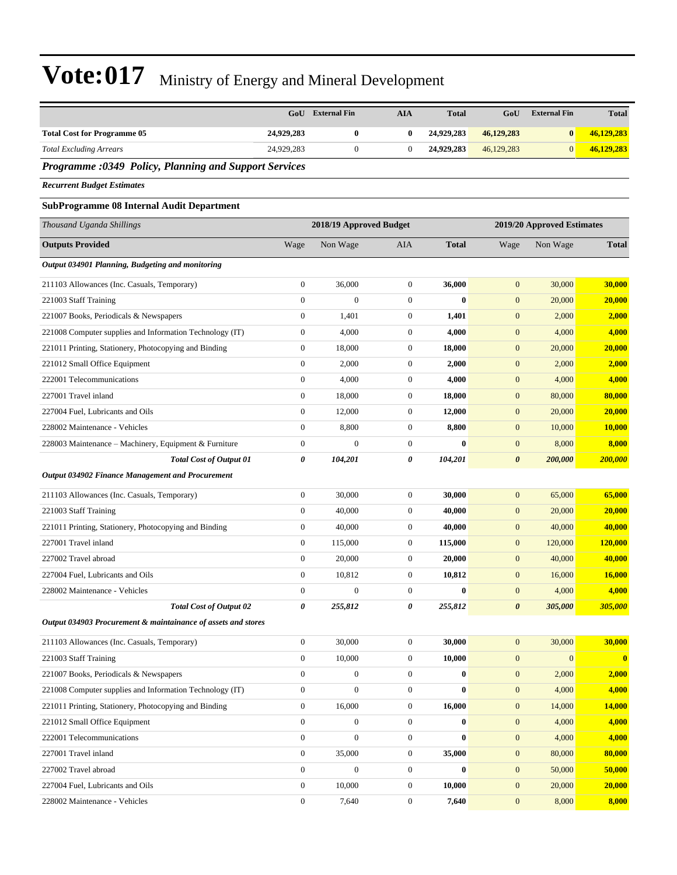|                                                               |                  | <b>GoU</b> External Fin | <b>AIA</b>       | <b>Total</b>     | GoU                   | <b>External Fin</b>        | <b>Total</b>   |
|---------------------------------------------------------------|------------------|-------------------------|------------------|------------------|-----------------------|----------------------------|----------------|
| <b>Total Cost for Programme 05</b>                            | 24,929,283       | $\bf{0}$                | $\bf{0}$         | 24,929,283       | 46,129,283            | $\bf{0}$                   | 46,129,283     |
| <b>Total Excluding Arrears</b>                                | 24,929,283       | $\mathbf{0}$            | $\boldsymbol{0}$ | 24,929,283       | 46,129,283            | $\mathbf{0}$               | 46,129,283     |
| <b>Programme :0349 Policy, Planning and Support Services</b>  |                  |                         |                  |                  |                       |                            |                |
| <b>Recurrent Budget Estimates</b>                             |                  |                         |                  |                  |                       |                            |                |
| <b>SubProgramme 08 Internal Audit Department</b>              |                  |                         |                  |                  |                       |                            |                |
| Thousand Uganda Shillings                                     |                  | 2018/19 Approved Budget |                  |                  |                       | 2019/20 Approved Estimates |                |
| <b>Outputs Provided</b>                                       | Wage             | Non Wage                | AIA              | <b>Total</b>     | Wage                  | Non Wage                   | <b>Total</b>   |
| Output 034901 Planning, Budgeting and monitoring              |                  |                         |                  |                  |                       |                            |                |
| 211103 Allowances (Inc. Casuals, Temporary)                   | $\boldsymbol{0}$ | 36,000                  | $\mathbf{0}$     | 36,000           | $\mathbf{0}$          | 30,000                     | 30,000         |
| 221003 Staff Training                                         | $\boldsymbol{0}$ | $\mathbf{0}$            | $\mathbf{0}$     | $\bf{0}$         | $\mathbf{0}$          | 20,000                     | 20,000         |
| 221007 Books, Periodicals & Newspapers                        | $\boldsymbol{0}$ | 1,401                   | $\boldsymbol{0}$ | 1,401            | $\mathbf{0}$          | 2,000                      | 2,000          |
| 221008 Computer supplies and Information Technology (IT)      | $\boldsymbol{0}$ | 4,000                   | $\mathbf{0}$     | 4,000            | $\mathbf{0}$          | 4,000                      | 4,000          |
| 221011 Printing, Stationery, Photocopying and Binding         | $\boldsymbol{0}$ | 18,000                  | $\boldsymbol{0}$ | 18,000           | $\mathbf{0}$          | 20,000                     | 20,000         |
| 221012 Small Office Equipment                                 | $\boldsymbol{0}$ | 2,000                   | $\boldsymbol{0}$ | 2,000            | $\boldsymbol{0}$      | 2,000                      | 2,000          |
| 222001 Telecommunications                                     | $\boldsymbol{0}$ | 4,000                   | $\mathbf{0}$     | 4,000            | $\mathbf{0}$          | 4,000                      | 4,000          |
| 227001 Travel inland                                          | $\boldsymbol{0}$ | 18,000                  | $\boldsymbol{0}$ | 18,000           | $\mathbf{0}$          | 80,000                     | 80,000         |
| 227004 Fuel, Lubricants and Oils                              | $\boldsymbol{0}$ | 12,000                  | $\boldsymbol{0}$ | 12,000           | $\mathbf{0}$          | 20,000                     | 20,000         |
|                                                               |                  |                         |                  |                  |                       |                            |                |
| 228002 Maintenance - Vehicles                                 | $\boldsymbol{0}$ | 8,800                   | $\boldsymbol{0}$ | 8,800            | $\mathbf{0}$          | 10,000                     | 10,000         |
| 228003 Maintenance – Machinery, Equipment & Furniture         | $\boldsymbol{0}$ | $\overline{0}$          | $\mathbf{0}$     | $\bf{0}$         | $\boldsymbol{0}$      | 8,000                      | 8,000          |
| <b>Total Cost of Output 01</b>                                | 0                | 104,201                 | 0                | 104,201          | $\boldsymbol{\theta}$ | 200,000                    | 200,000        |
| <b>Output 034902 Finance Management and Procurement</b>       |                  |                         |                  |                  |                       |                            |                |
| 211103 Allowances (Inc. Casuals, Temporary)                   | $\boldsymbol{0}$ | 30,000                  | $\boldsymbol{0}$ | 30,000           | $\mathbf{0}$          | 65,000                     | 65,000         |
| 221003 Staff Training                                         | $\boldsymbol{0}$ | 40,000                  | $\boldsymbol{0}$ | 40,000           | $\mathbf{0}$          | 20,000                     | 20,000         |
| 221011 Printing, Stationery, Photocopying and Binding         | $\boldsymbol{0}$ | 40,000                  | $\mathbf{0}$     | 40,000           | $\mathbf{0}$          | 40,000                     | 40,000         |
| 227001 Travel inland                                          | $\boldsymbol{0}$ | 115,000                 | $\boldsymbol{0}$ | 115,000          | $\boldsymbol{0}$      | 120,000                    | <b>120,000</b> |
| 227002 Travel abroad                                          | $\boldsymbol{0}$ | 20,000                  | $\boldsymbol{0}$ | 20,000           | $\mathbf{0}$          | 40,000                     | 40,000         |
| 227004 Fuel, Lubricants and Oils                              | $\boldsymbol{0}$ | 10,812                  | $\boldsymbol{0}$ | 10,812           | $\mathbf{0}$          | 16,000                     | <b>16,000</b>  |
| 228002 Maintenance - Vehicles                                 | $\mathbf{0}$     | $\mathbf{0}$            | $\overline{0}$   | $\bf{0}$         | $\overline{0}$        | 4,000                      | 4,000          |
| <b>Total Cost of Output 02</b>                                | 0                | 255,812                 | 0                | 255,812          | 0                     | 305,000                    | 305,000        |
| Output 034903 Procurement & maintainance of assets and stores |                  |                         |                  |                  |                       |                            |                |
| 211103 Allowances (Inc. Casuals, Temporary)                   | $\boldsymbol{0}$ | 30,000                  | $\mathbf{0}$     | 30,000           | $\mathbf{0}$          | 30,000                     | 30,000         |
| 221003 Staff Training                                         | $\boldsymbol{0}$ | 10,000                  | $\mathbf{0}$     | 10,000           | $\boldsymbol{0}$      | $\overline{0}$             | $\mathbf{0}$   |
| 221007 Books, Periodicals & Newspapers                        | $\mathbf{0}$     | $\mathbf{0}$            | $\mathbf{0}$     | $\bf{0}$         | $\boldsymbol{0}$      | 2,000                      | 2,000          |
| 221008 Computer supplies and Information Technology (IT)      | $\boldsymbol{0}$ | $\mathbf{0}$            | $\boldsymbol{0}$ | $\bf{0}$         | $\mathbf{0}$          | 4,000                      | 4,000          |
| 221011 Printing, Stationery, Photocopying and Binding         | $\boldsymbol{0}$ | 16,000                  | $\boldsymbol{0}$ | 16,000           | $\mathbf{0}$          | 14,000                     | 14,000         |
| 221012 Small Office Equipment                                 | $\boldsymbol{0}$ | $\boldsymbol{0}$        | $\mathbf{0}$     | $\bf{0}$         | $\boldsymbol{0}$      | 4,000                      | 4,000          |
| 222001 Telecommunications                                     | $\boldsymbol{0}$ | $\mathbf{0}$            | $\mathbf{0}$     | $\bf{0}$         | $\mathbf{0}$          | 4,000                      | 4,000          |
| 227001 Travel inland                                          | $\boldsymbol{0}$ | 35,000                  | $\mathbf{0}$     | 35,000           | $\mathbf{0}$          | 80,000                     | 80,000         |
| 227002 Travel abroad                                          | $\boldsymbol{0}$ | $\boldsymbol{0}$        | $\boldsymbol{0}$ | $\boldsymbol{0}$ | $\mathbf{0}$          | 50,000                     | 50,000         |
| 227004 Fuel, Lubricants and Oils                              | $\boldsymbol{0}$ | 10,000                  | $\boldsymbol{0}$ | 10,000           | $\mathbf{0}$          | 20,000                     | 20,000         |
| 228002 Maintenance - Vehicles                                 | $\boldsymbol{0}$ | 7,640                   | $\boldsymbol{0}$ | 7,640            | $\mathbf{0}$          | 8,000                      | 8,000          |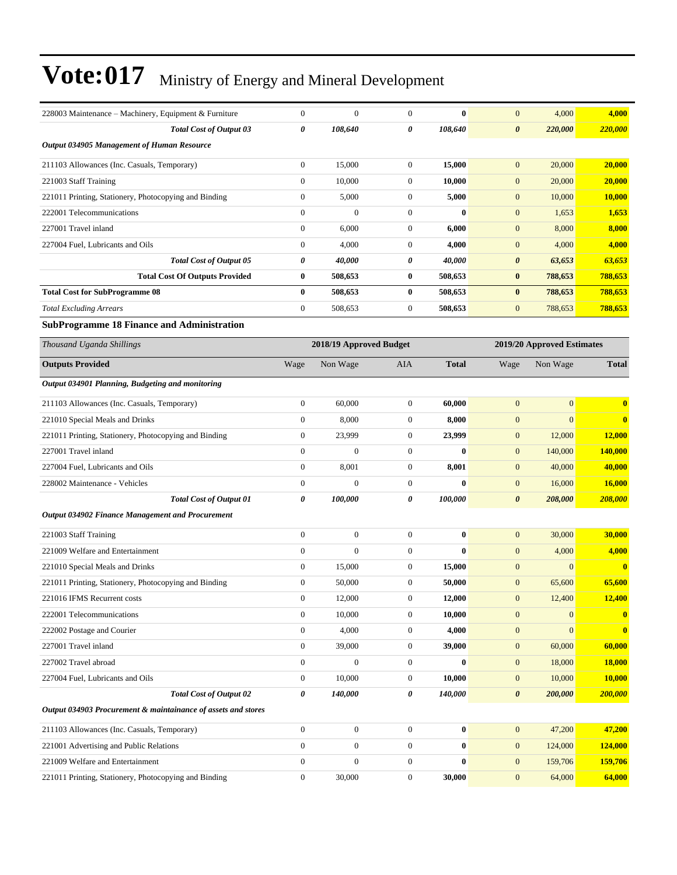| 228003 Maintenance – Machinery, Equipment & Furniture         | $\boldsymbol{0}$ | $\mathbf{0}$            | $\mathbf{0}$     | $\bf{0}$     | $\mathbf{0}$          | 4,000                      | 4,000                   |
|---------------------------------------------------------------|------------------|-------------------------|------------------|--------------|-----------------------|----------------------------|-------------------------|
| <b>Total Cost of Output 03</b>                                | 0                | 108,640                 | 0                | 108,640      | $\boldsymbol{\theta}$ | 220,000                    | 220,000                 |
| Output 034905 Management of Human Resource                    |                  |                         |                  |              |                       |                            |                         |
| 211103 Allowances (Inc. Casuals, Temporary)                   | $\boldsymbol{0}$ | 15,000                  | $\mathbf{0}$     | 15,000       | $\mathbf{0}$          | 20,000                     | 20,000                  |
| 221003 Staff Training                                         | $\boldsymbol{0}$ | 10,000                  | $\mathbf{0}$     | 10,000       | $\mathbf{0}$          | 20,000                     | 20,000                  |
| 221011 Printing, Stationery, Photocopying and Binding         | $\boldsymbol{0}$ | 5,000                   | $\mathbf{0}$     | 5,000        | $\mathbf{0}$          | 10,000                     | 10,000                  |
| 222001 Telecommunications                                     | $\overline{0}$   | $\overline{0}$          | $\mathbf{0}$     | $\bf{0}$     | $\mathbf{0}$          | 1,653                      | 1,653                   |
| 227001 Travel inland                                          | $\boldsymbol{0}$ | 6,000                   | $\mathbf{0}$     | 6,000        | $\mathbf{0}$          | 8,000                      | 8,000                   |
| 227004 Fuel, Lubricants and Oils                              | $\boldsymbol{0}$ | 4,000                   | $\mathbf{0}$     | 4,000        | $\mathbf{0}$          | 4,000                      | 4,000                   |
| <b>Total Cost of Output 05</b>                                | 0                | 40,000                  | 0                | 40,000       | $\boldsymbol{\theta}$ | 63,653                     | 63,653                  |
| <b>Total Cost Of Outputs Provided</b>                         | $\bf{0}$         | 508,653                 | $\bf{0}$         | 508,653      | $\bf{0}$              | 788,653                    | 788,653                 |
| <b>Total Cost for SubProgramme 08</b>                         | $\bf{0}$         | 508,653                 | $\bf{0}$         | 508,653      | $\bf{0}$              | 788,653                    | 788,653                 |
| <b>Total Excluding Arrears</b>                                | $\overline{0}$   | 508,653                 | $\mathbf{0}$     | 508,653      | $\mathbf{0}$          | 788,653                    | 788,653                 |
| <b>SubProgramme 18 Finance and Administration</b>             |                  |                         |                  |              |                       |                            |                         |
| Thousand Uganda Shillings                                     |                  | 2018/19 Approved Budget |                  |              |                       | 2019/20 Approved Estimates |                         |
| <b>Outputs Provided</b>                                       | Wage             | Non Wage                | <b>AIA</b>       | <b>Total</b> | Wage                  | Non Wage                   | <b>Total</b>            |
| Output 034901 Planning, Budgeting and monitoring              |                  |                         |                  |              |                       |                            |                         |
| 211103 Allowances (Inc. Casuals, Temporary)                   | $\boldsymbol{0}$ | 60,000                  | $\mathbf{0}$     | 60,000       | $\mathbf{0}$          | $\overline{0}$             | $\bf{0}$                |
| 221010 Special Meals and Drinks                               | $\boldsymbol{0}$ | 8,000                   | $\mathbf{0}$     | 8,000        | $\mathbf{0}$          | $\overline{0}$             | $\bf{0}$                |
| 221011 Printing, Stationery, Photocopying and Binding         | $\boldsymbol{0}$ | 23,999                  | $\mathbf{0}$     | 23,999       | $\boldsymbol{0}$      | 12,000                     | 12,000                  |
| 227001 Travel inland                                          | $\overline{0}$   | $\overline{0}$          | $\mathbf{0}$     | $\bf{0}$     | $\mathbf{0}$          | 140,000                    | 140,000                 |
| 227004 Fuel, Lubricants and Oils                              | $\boldsymbol{0}$ | 8,001                   | $\mathbf{0}$     | 8,001        | $\mathbf{0}$          | 40,000                     | 40,000                  |
| 228002 Maintenance - Vehicles                                 | $\boldsymbol{0}$ | $\overline{0}$          | $\mathbf{0}$     | $\bf{0}$     | $\mathbf{0}$          | 16,000                     | 16,000                  |
| <b>Total Cost of Output 01</b>                                | 0                | 100,000                 | 0                | 100,000      | $\boldsymbol{\theta}$ | 208,000                    | <b>208,000</b>          |
| <b>Output 034902 Finance Management and Procurement</b>       |                  |                         |                  |              |                       |                            |                         |
| 221003 Staff Training                                         | $\boldsymbol{0}$ | $\boldsymbol{0}$        | $\mathbf{0}$     | $\bf{0}$     | $\mathbf{0}$          | 30,000                     | 30,000                  |
| 221009 Welfare and Entertainment                              | $\overline{0}$   | $\overline{0}$          | $\boldsymbol{0}$ | $\bf{0}$     | $\mathbf{0}$          | 4,000                      | 4,000                   |
| 221010 Special Meals and Drinks                               | $\mathbf{0}$     | 15,000                  | $\mathbf{0}$     | 15,000       | $\mathbf{0}$          | $\overline{0}$             | $\bf{0}$                |
| 221011 Printing, Stationery, Photocopying and Binding         | $\boldsymbol{0}$ | 50,000                  | $\boldsymbol{0}$ | 50,000       | $\mathbf{0}$          | 65,600                     | 65,600                  |
| 221016 IFMS Recurrent costs                                   | 0                | 12,000                  | $\boldsymbol{0}$ | 12,000       | $\mathbf{0}$          | 12,400                     | <u>12,400</u>           |
| 222001 Telecommunications                                     | $\overline{0}$   | 10,000                  | $\mathbf{0}$     | 10,000       | $\mathbf{0}$          | $\mathbf{0}$               | $\bf{0}$                |
| 222002 Postage and Courier                                    | $\boldsymbol{0}$ | 4,000                   | $\boldsymbol{0}$ | 4,000        | $\boldsymbol{0}$      | $\overline{0}$             | $\overline{\mathbf{0}}$ |
| 227001 Travel inland                                          | $\boldsymbol{0}$ | 39,000                  | $\boldsymbol{0}$ | 39,000       | $\mathbf{0}$          | 60,000                     | 60,000                  |
| 227002 Travel abroad                                          | $\boldsymbol{0}$ | $\overline{0}$          | $\mathbf{0}$     | $\bf{0}$     | $\mathbf{0}$          | 18,000                     | 18,000                  |
| 227004 Fuel, Lubricants and Oils                              | $\boldsymbol{0}$ | 10,000                  | $\boldsymbol{0}$ | 10,000       | $\mathbf{0}$          | 10,000                     | 10,000                  |
| <b>Total Cost of Output 02</b>                                | 0                | 140,000                 | 0                | 140,000      | $\boldsymbol{\theta}$ | 200,000                    | <b>200,000</b>          |
| Output 034903 Procurement & maintainance of assets and stores |                  |                         |                  |              |                       |                            |                         |
| 211103 Allowances (Inc. Casuals, Temporary)                   | $\overline{0}$   | $\boldsymbol{0}$        | $\boldsymbol{0}$ | $\bf{0}$     | $\mathbf{0}$          | 47,200                     | 47,200                  |
| 221001 Advertising and Public Relations                       | $\mathbf{0}$     | $\boldsymbol{0}$        | $\boldsymbol{0}$ | $\bf{0}$     | $\mathbf{0}$          | 124,000                    | 124,000                 |
| 221009 Welfare and Entertainment                              | $\boldsymbol{0}$ | $\boldsymbol{0}$        | $\boldsymbol{0}$ | $\bf{0}$     | $\mathbf{0}$          | 159,706                    | 159,706                 |
| 221011 Printing, Stationery, Photocopying and Binding         | $\boldsymbol{0}$ | 30,000                  | $\boldsymbol{0}$ | 30,000       | $\mathbf{0}$          | 64,000                     | 64,000                  |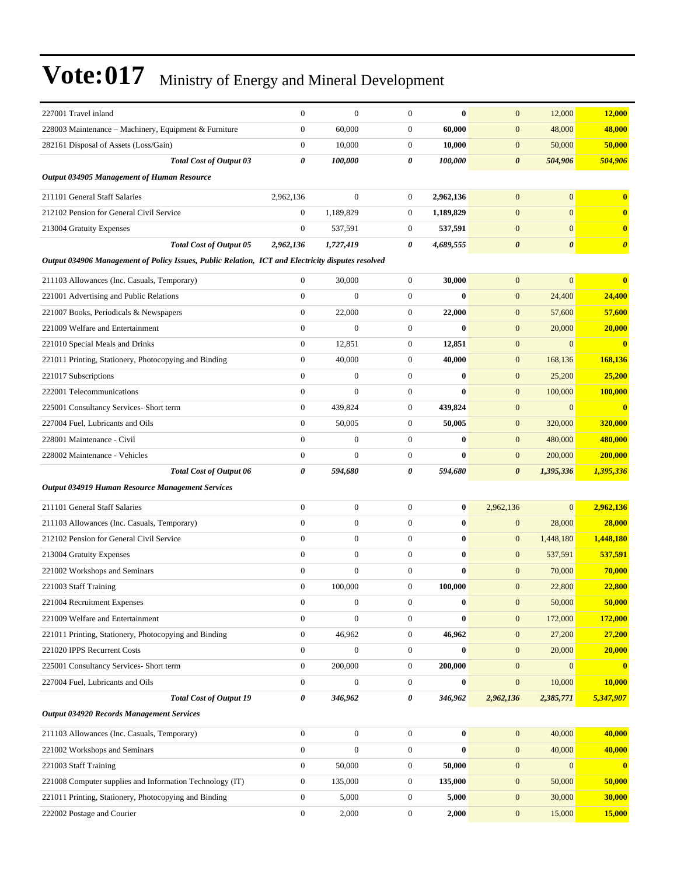| 227001 Travel inland                                                                              | $\boldsymbol{0}$ | $\boldsymbol{0}$ | $\boldsymbol{0}$ | $\bf{0}$     | $\mathbf{0}$          | 12,000         | 12,000                  |
|---------------------------------------------------------------------------------------------------|------------------|------------------|------------------|--------------|-----------------------|----------------|-------------------------|
| 228003 Maintenance - Machinery, Equipment & Furniture                                             | $\boldsymbol{0}$ | 60,000           | $\mathbf{0}$     | 60,000       | $\mathbf{0}$          | 48,000         | 48,000                  |
| 282161 Disposal of Assets (Loss/Gain)                                                             | $\overline{0}$   | 10,000           | $\mathbf{0}$     | 10,000       | $\mathbf{0}$          | 50,000         | 50,000                  |
| <b>Total Cost of Output 03</b>                                                                    | 0                | 100,000          | 0                | 100,000      | $\boldsymbol{\theta}$ | 504,906        | 504,906                 |
| Output 034905 Management of Human Resource                                                        |                  |                  |                  |              |                       |                |                         |
| 211101 General Staff Salaries                                                                     | 2,962,136        | $\overline{0}$   | $\mathbf{0}$     | 2,962,136    | $\mathbf{0}$          | $\overline{0}$ | $\bf{0}$                |
| 212102 Pension for General Civil Service                                                          | $\mathbf{0}$     | 1,189,829        | $\mathbf{0}$     | 1,189,829    | $\mathbf{0}$          | $\overline{0}$ | $\bf{0}$                |
| 213004 Gratuity Expenses                                                                          | $\boldsymbol{0}$ | 537,591          | $\mathbf{0}$     | 537,591      | $\mathbf{0}$          | $\overline{0}$ | $\bf{0}$                |
| <b>Total Cost of Output 05</b>                                                                    | 2,962,136        | 1,727,419        | 0                | 4,689,555    | $\boldsymbol{\theta}$ | 0              | $\boldsymbol{\theta}$   |
| Output 034906 Management of Policy Issues, Public Relation, ICT and Electricity disputes resolved |                  |                  |                  |              |                       |                |                         |
| 211103 Allowances (Inc. Casuals, Temporary)                                                       | $\boldsymbol{0}$ | 30,000           | $\mathbf{0}$     | 30,000       | $\mathbf{0}$          | $\overline{0}$ | $\bf{0}$                |
| 221001 Advertising and Public Relations                                                           | $\overline{0}$   | $\overline{0}$   | $\boldsymbol{0}$ | $\bf{0}$     | $\mathbf{0}$          | 24,400         | 24,400                  |
| 221007 Books, Periodicals & Newspapers                                                            | $\boldsymbol{0}$ | 22,000           | $\mathbf{0}$     | 22,000       | $\mathbf{0}$          | 57,600         | 57,600                  |
| 221009 Welfare and Entertainment                                                                  | $\boldsymbol{0}$ | $\overline{0}$   | $\mathbf{0}$     | $\bf{0}$     | $\mathbf{0}$          | 20,000         | 20,000                  |
| 221010 Special Meals and Drinks                                                                   | $\boldsymbol{0}$ | 12,851           | $\mathbf{0}$     | 12,851       | $\mathbf{0}$          | $\overline{0}$ | $\bf{0}$                |
| 221011 Printing, Stationery, Photocopying and Binding                                             | $\boldsymbol{0}$ | 40,000           | $\mathbf{0}$     | 40,000       | $\mathbf{0}$          | 168,136        | 168,136                 |
| 221017 Subscriptions                                                                              | $\overline{0}$   | $\boldsymbol{0}$ | $\boldsymbol{0}$ | $\bf{0}$     | $\mathbf{0}$          | 25,200         | 25,200                  |
| 222001 Telecommunications                                                                         | $\boldsymbol{0}$ | $\boldsymbol{0}$ | $\mathbf{0}$     | $\bf{0}$     | $\mathbf{0}$          | 100,000        | 100,000                 |
| 225001 Consultancy Services- Short term                                                           | $\boldsymbol{0}$ | 439,824          | $\mathbf{0}$     | 439,824      | $\boldsymbol{0}$      | $\overline{0}$ | $\bf{0}$                |
| 227004 Fuel, Lubricants and Oils                                                                  | $\overline{0}$   | 50,005           | $\mathbf{0}$     | 50,005       | $\mathbf{0}$          | 320,000        | 320,000                 |
| 228001 Maintenance - Civil                                                                        | $\overline{0}$   | $\overline{0}$   | $\mathbf{0}$     | $\mathbf{0}$ | $\mathbf{0}$          | 480,000        | 480,000                 |
| 228002 Maintenance - Vehicles                                                                     | $\overline{0}$   | $\overline{0}$   | $\mathbf{0}$     | $\bf{0}$     | $\mathbf{0}$          | 200,000        | 200,000                 |
| <b>Total Cost of Output 06</b>                                                                    | 0                | 594,680          | 0                | 594,680      | $\boldsymbol{\theta}$ | 1,395,336      | 1,395,336               |
| <b>Output 034919 Human Resource Management Services</b>                                           |                  |                  |                  |              |                       |                |                         |
| 211101 General Staff Salaries                                                                     | $\boldsymbol{0}$ | $\boldsymbol{0}$ | $\boldsymbol{0}$ | $\bf{0}$     | 2,962,136             | $\overline{0}$ | 2,962,136               |
| 211103 Allowances (Inc. Casuals, Temporary)                                                       | $\overline{0}$   | $\boldsymbol{0}$ | $\mathbf{0}$     | $\bf{0}$     | $\boldsymbol{0}$      | 28,000         | 28,000                  |
| 212102 Pension for General Civil Service                                                          | $\boldsymbol{0}$ | $\boldsymbol{0}$ | $\mathbf{0}$     | $\bf{0}$     | $\mathbf{0}$          | 1,448,180      | 1,448,180               |
| 213004 Gratuity Expenses                                                                          | $\overline{0}$   | $\boldsymbol{0}$ | $\mathbf{0}$     | $\bf{0}$     | $\mathbf{0}$          | 537,591        | 537,591                 |
| 221002 Workshops and Seminars                                                                     | $\boldsymbol{0}$ | $\overline{0}$   | $\boldsymbol{0}$ | $\bf{0}$     | $\mathbf{0}$          | 70,000         | 70,000                  |
| 221003 Staff Training                                                                             | $\overline{0}$   | 100,000          | $\mathbf{0}$     | 100,000      | $\boldsymbol{0}$      | 22,800         | 22,800                  |
| 221004 Recruitment Expenses                                                                       | $\boldsymbol{0}$ | $\boldsymbol{0}$ | $\boldsymbol{0}$ | $\bf{0}$     | $\mathbf{0}$          | 50,000         | 50,000                  |
| 221009 Welfare and Entertainment                                                                  | 0                | $\overline{0}$   | $\mathbf{0}$     | $\bf{0}$     | $\boldsymbol{0}$      | 172,000        | 172,000                 |
| 221011 Printing, Stationery, Photocopying and Binding                                             | $\overline{0}$   | 46,962           | $\boldsymbol{0}$ | 46,962       | $\boldsymbol{0}$      | 27,200         | 27,200                  |
| 221020 IPPS Recurrent Costs                                                                       | $\mathbf{0}$     | $\boldsymbol{0}$ | $\boldsymbol{0}$ | $\bf{0}$     | $\mathbf{0}$          | 20,000         | 20,000                  |
| 225001 Consultancy Services- Short term                                                           | $\boldsymbol{0}$ | 200,000          | $\boldsymbol{0}$ | 200,000      | $\mathbf{0}$          | $\overline{0}$ | $\overline{\mathbf{0}}$ |
| 227004 Fuel, Lubricants and Oils                                                                  | $\mathbf{0}$     | $\boldsymbol{0}$ | $\boldsymbol{0}$ | $\bf{0}$     | $\boldsymbol{0}$      | 10,000         | 10,000                  |
| <b>Total Cost of Output 19</b>                                                                    | 0                | 346,962          | 0                | 346,962      | 2,962,136             | 2,385,771      | 5,347,907               |
| <b>Output 034920 Records Management Services</b>                                                  |                  |                  |                  |              |                       |                |                         |
| 211103 Allowances (Inc. Casuals, Temporary)                                                       | $\mathbf{0}$     | $\boldsymbol{0}$ | $\mathbf{0}$     | $\bf{0}$     | $\boldsymbol{0}$      | 40,000         | 40,000                  |
| 221002 Workshops and Seminars                                                                     | $\boldsymbol{0}$ | $\boldsymbol{0}$ | $\mathbf{0}$     | $\bf{0}$     | $\boldsymbol{0}$      | 40,000         | 40,000                  |
| 221003 Staff Training                                                                             | $\boldsymbol{0}$ | 50,000           | $\boldsymbol{0}$ | 50,000       | $\mathbf{0}$          | $\overline{0}$ | $\bullet$               |
| 221008 Computer supplies and Information Technology (IT)                                          | $\boldsymbol{0}$ | 135,000          | $\boldsymbol{0}$ | 135,000      | $\boldsymbol{0}$      | 50,000         | 50,000                  |
| 221011 Printing, Stationery, Photocopying and Binding                                             | 0                | 5,000            | $\boldsymbol{0}$ | 5,000        | $\mathbf{0}$          | 30,000         | 30,000                  |
| 222002 Postage and Courier                                                                        | $\boldsymbol{0}$ | 2,000            | $\boldsymbol{0}$ | 2,000        | $\mathbf{0}$          | 15,000         | 15,000                  |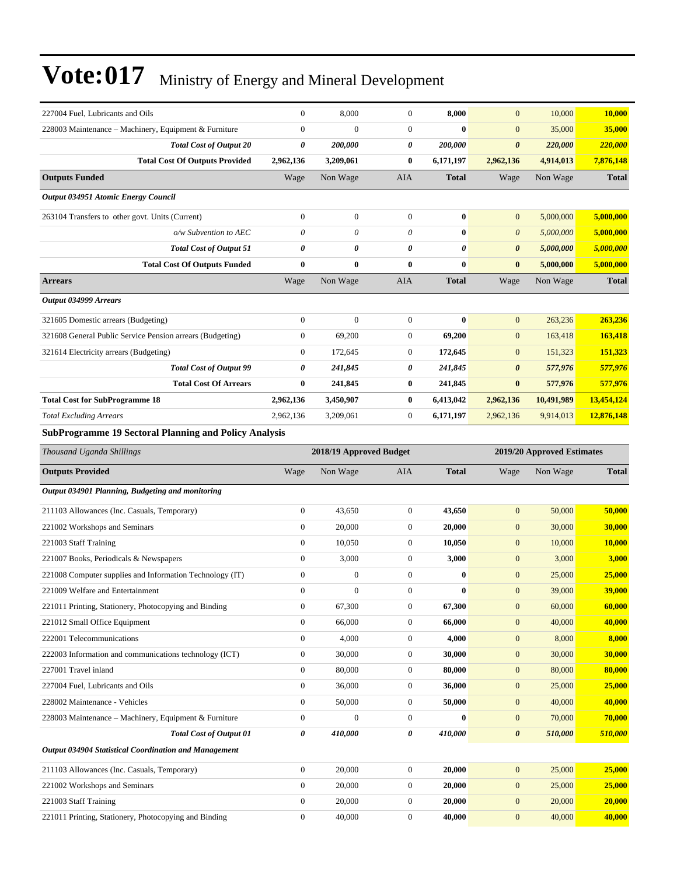| 227004 Fuel, Lubricants and Oils                                               | $\mathbf{0}$                     | 8,000                   | $\overline{0}$                       | 8,000            | $\mathbf{0}$                         | 10,000                     | 10,000           |
|--------------------------------------------------------------------------------|----------------------------------|-------------------------|--------------------------------------|------------------|--------------------------------------|----------------------------|------------------|
| 228003 Maintenance - Machinery, Equipment & Furniture                          | $\mathbf{0}$                     | $\overline{0}$          | $\overline{0}$                       | $\bf{0}$         | $\mathbf{0}$                         | 35,000                     | 35,000           |
| <b>Total Cost of Output 20</b>                                                 | $\pmb{\theta}$                   | 200,000                 | 0                                    | 200,000          | $\boldsymbol{\theta}$                | 220,000                    | 220,000          |
| <b>Total Cost Of Outputs Provided</b>                                          | 2,962,136                        | 3,209,061               | $\bf{0}$                             | 6,171,197        | 2,962,136                            | 4,914,013                  | 7,876,148        |
| <b>Outputs Funded</b>                                                          | Wage                             | Non Wage                | <b>AIA</b>                           | <b>Total</b>     | Wage                                 | Non Wage                   | <b>Total</b>     |
| Output 034951 Atomic Energy Council                                            |                                  |                         |                                      |                  |                                      |                            |                  |
| 263104 Transfers to other govt. Units (Current)                                | $\mathbf{0}$                     | $\boldsymbol{0}$        | $\boldsymbol{0}$                     | $\bf{0}$         | $\mathbf{0}$                         | 5,000,000                  | 5,000,000        |
| o/w Subvention to AEC                                                          | $\theta$                         | $\theta$                | $\theta$                             | $\bf{0}$         | $\boldsymbol{\theta}$                | 5,000,000                  | 5,000,000        |
| <b>Total Cost of Output 51</b>                                                 | $\boldsymbol{\theta}$            | 0                       | 0                                    | 0                | $\boldsymbol{\theta}$                | 5,000,000                  | 5,000,000        |
| <b>Total Cost Of Outputs Funded</b>                                            | $\bf{0}$                         | 0                       | $\bf{0}$                             | $\bf{0}$         | $\bf{0}$                             | 5,000,000                  | 5,000,000        |
| <b>Arrears</b>                                                                 | Wage                             | Non Wage                | <b>AIA</b>                           | <b>Total</b>     | Wage                                 | Non Wage                   | <b>Total</b>     |
| Output 034999 Arrears                                                          |                                  |                         |                                      |                  |                                      |                            |                  |
| 321605 Domestic arrears (Budgeting)                                            | $\boldsymbol{0}$                 | $\overline{0}$          | $\mathbf{0}$                         | $\bf{0}$         | $\mathbf{0}$                         | 263,236                    | 263,236          |
| 321608 General Public Service Pension arrears (Budgeting)                      | $\mathbf{0}$                     | 69,200                  | $\boldsymbol{0}$                     | 69,200           | $\mathbf{0}$                         | 163,418                    | 163,418          |
| 321614 Electricity arrears (Budgeting)                                         | $\mathbf{0}$                     | 172,645                 | $\boldsymbol{0}$                     | 172,645          | $\mathbf{0}$                         | 151,323                    | 151,323          |
| <b>Total Cost of Output 99</b>                                                 | 0                                | 241,845                 | 0                                    | 241,845          | $\boldsymbol{\theta}$                | 577,976                    | 577,976          |
| <b>Total Cost Of Arrears</b>                                                   | $\bf{0}$                         | 241,845                 | $\bf{0}$                             | 241,845          | $\bf{0}$                             | 577,976                    | 577,976          |
| <b>Total Cost for SubProgramme 18</b>                                          | 2,962,136                        | 3,450,907               | 0                                    | 6,413,042        | 2,962,136                            | 10,491,989                 | 13,454,124       |
| <b>Total Excluding Arrears</b>                                                 | 2,962,136                        | 3,209,061               | $\boldsymbol{0}$                     | 6,171,197        | 2,962,136                            | 9,914,013                  | 12,876,148       |
| <b>SubProgramme 19 Sectoral Planning and Policy Analysis</b>                   |                                  |                         |                                      |                  |                                      |                            |                  |
| Thousand Uganda Shillings                                                      |                                  | 2018/19 Approved Budget |                                      |                  |                                      | 2019/20 Approved Estimates |                  |
|                                                                                |                                  |                         |                                      |                  |                                      |                            |                  |
| <b>Outputs Provided</b>                                                        | Wage                             | Non Wage                | AIA                                  | <b>Total</b>     | Wage                                 | Non Wage                   | <b>Total</b>     |
| Output 034901 Planning, Budgeting and monitoring                               |                                  |                         |                                      |                  |                                      |                            |                  |
| 211103 Allowances (Inc. Casuals, Temporary)                                    | $\mathbf{0}$                     | 43,650                  | $\boldsymbol{0}$                     | 43,650           | $\boldsymbol{0}$                     | 50,000                     | 50,000           |
| 221002 Workshops and Seminars                                                  | $\mathbf{0}$                     | 20,000                  | $\boldsymbol{0}$                     | 20,000           | $\mathbf{0}$                         | 30,000                     | 30,000           |
| 221003 Staff Training                                                          | $\boldsymbol{0}$                 | 10,050                  | $\boldsymbol{0}$                     | 10,050           | $\mathbf{0}$                         | 10,000                     | 10,000           |
| 221007 Books, Periodicals & Newspapers                                         | $\boldsymbol{0}$                 | 3,000                   | $\boldsymbol{0}$                     | 3,000            | $\mathbf{0}$                         | 3,000                      | 3,000            |
| 221008 Computer supplies and Information Technology (IT)                       | $\mathbf{0}$                     | $\boldsymbol{0}$        | $\boldsymbol{0}$                     | $\bf{0}$         | $\mathbf{0}$                         | 25,000                     | 25,000           |
| 221009 Welfare and Entertainment                                               | $\mathbf{0}$                     | $\boldsymbol{0}$        | $\overline{0}$                       | $\bf{0}$         | $\mathbf{0}$                         | 39,000                     | 39,000           |
| 221011 Printing, Stationery, Photocopying and Binding                          | $\boldsymbol{0}$                 | 67,300                  | $\boldsymbol{0}$                     | 67,300           | $\boldsymbol{0}$                     | 60,000                     | 60,000           |
| 221012 Small Office Equipment                                                  | $\boldsymbol{0}$                 | 66,000                  | $\boldsymbol{0}$                     | 66,000           | $\boldsymbol{0}$                     | 40,000                     | 40,000           |
| 222001 Telecommunications                                                      | $\mathbf{0}$                     | 4,000                   | $\boldsymbol{0}$                     | 4,000            | $\mathbf{0}$                         | 8,000                      | 8,000            |
| 222003 Information and communications technology (ICT)                         | $\mathbf{0}$                     | 30,000                  | $\boldsymbol{0}$                     | 30,000           | $\boldsymbol{0}$                     | 30,000                     | 30,000           |
| 227001 Travel inland                                                           | $\mathbf{0}$                     | 80,000                  | $\boldsymbol{0}$                     | 80,000           | $\boldsymbol{0}$                     | 80,000                     | 80,000           |
| 227004 Fuel, Lubricants and Oils                                               | $\mathbf{0}$                     | 36,000                  | $\boldsymbol{0}$                     | 36,000           | $\boldsymbol{0}$                     | 25,000                     | 25,000           |
| 228002 Maintenance - Vehicles                                                  | $\mathbf{0}$                     | 50,000                  | $\boldsymbol{0}$                     | 50,000           | $\mathbf{0}$                         | 40,000                     | 40,000           |
| 228003 Maintenance - Machinery, Equipment & Furniture                          | $\boldsymbol{0}$                 | $\boldsymbol{0}$        | $\boldsymbol{0}$                     | $\bf{0}$         | $\boldsymbol{0}$                     | 70,000                     | 70,000           |
| <b>Total Cost of Output 01</b>                                                 | 0                                | 410,000                 | 0                                    | 410,000          | $\pmb{\theta}$                       | 510,000                    | 510,000          |
| Output 034904 Statistical Coordination and Management                          |                                  |                         |                                      |                  |                                      |                            |                  |
| 211103 Allowances (Inc. Casuals, Temporary)                                    | $\boldsymbol{0}$                 | 20,000                  | $\boldsymbol{0}$                     | 20,000           | $\boldsymbol{0}$                     | 25,000                     | 25,000           |
| 221002 Workshops and Seminars                                                  | $\mathbf{0}$                     | 20,000                  | $\boldsymbol{0}$                     | 20,000           | $\boldsymbol{0}$                     | 25,000                     | 25,000           |
| 221003 Staff Training<br>221011 Printing, Stationery, Photocopying and Binding | $\mathbf{0}$<br>$\boldsymbol{0}$ | 20,000<br>40,000        | $\boldsymbol{0}$<br>$\boldsymbol{0}$ | 20,000<br>40,000 | $\boldsymbol{0}$<br>$\boldsymbol{0}$ | 20,000<br>40,000           | 20,000<br>40,000 |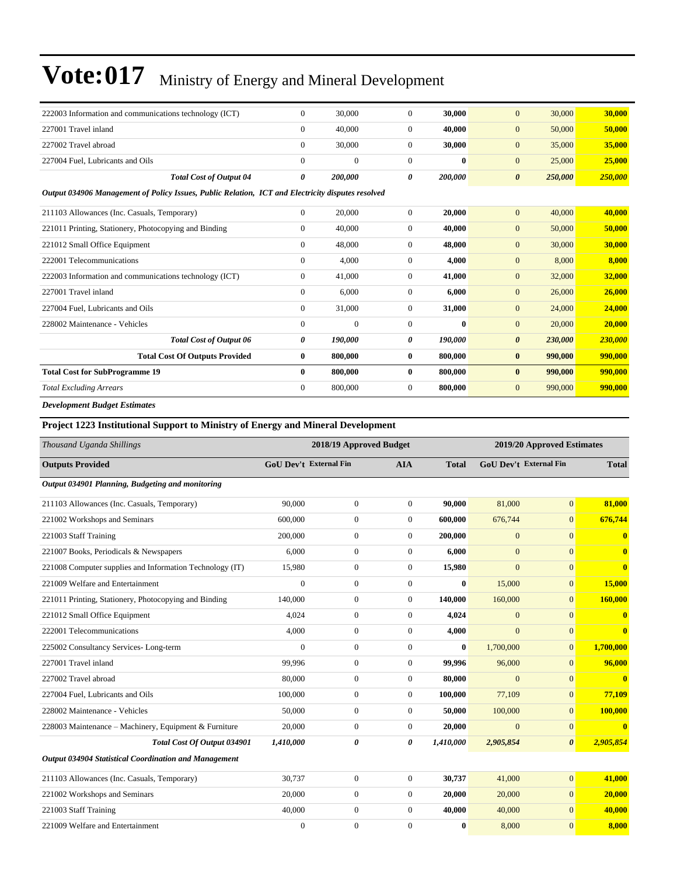| 222003 Information and communications technology (ICT)                                            | $\overline{0}$ | 30,000       | $\overline{0}$ | 30,000       | $\overline{0}$        | 30,000  | 30,000  |
|---------------------------------------------------------------------------------------------------|----------------|--------------|----------------|--------------|-----------------------|---------|---------|
| 227001 Travel inland                                                                              | $\Omega$       | 40,000       | $\overline{0}$ | 40,000       | $\overline{0}$        | 50,000  | 50,000  |
| 227002 Travel abroad                                                                              | $\Omega$       | 30,000       | $\Omega$       | 30,000       | $\overline{0}$        | 35,000  | 35,000  |
| 227004 Fuel, Lubricants and Oils                                                                  | $\mathbf{0}$   | $\mathbf{0}$ | $\Omega$       | $\mathbf{0}$ | $\mathbf{0}$          | 25,000  | 25,000  |
| <b>Total Cost of Output 04</b>                                                                    | 0              | 200,000      | 0              | 200,000      | $\boldsymbol{\theta}$ | 250,000 | 250,000 |
| Output 034906 Management of Policy Issues, Public Relation, ICT and Electricity disputes resolved |                |              |                |              |                       |         |         |
| 211103 Allowances (Inc. Casuals, Temporary)                                                       | $\Omega$       | 20,000       | $\Omega$       | 20,000       | $\overline{0}$        | 40,000  | 40,000  |
| 221011 Printing, Stationery, Photocopying and Binding                                             | $\Omega$       | 40,000       | $\overline{0}$ | 40,000       | $\mathbf{0}$          | 50,000  | 50,000  |
| 221012 Small Office Equipment                                                                     | $\Omega$       | 48,000       | $\overline{0}$ | 48,000       | $\overline{0}$        | 30,000  | 30,000  |
| 222001 Telecommunications                                                                         | $\overline{0}$ | 4,000        | $\overline{0}$ | 4,000        | $\overline{0}$        | 8,000   | 8,000   |
| 222003 Information and communications technology (ICT)                                            | $\overline{0}$ | 41,000       | $\overline{0}$ | 41,000       | $\mathbf{0}$          | 32,000  | 32,000  |
| 227001 Travel inland                                                                              | $\overline{0}$ | 6,000        | $\overline{0}$ | 6,000        | $\overline{0}$        | 26,000  | 26,000  |
| 227004 Fuel, Lubricants and Oils                                                                  | $\overline{0}$ | 31,000       | $\overline{0}$ | 31,000       | $\mathbf{0}$          | 24,000  | 24,000  |
| 228002 Maintenance - Vehicles                                                                     | $\mathbf{0}$   | $\mathbf{0}$ | $\overline{0}$ | $\mathbf{0}$ | $\overline{0}$        | 20,000  | 20,000  |
| <b>Total Cost of Output 06</b>                                                                    | 0              | 190,000      | 0              | 190,000      | $\boldsymbol{\theta}$ | 230,000 | 230,000 |
| <b>Total Cost Of Outputs Provided</b>                                                             | $\bf{0}$       | 800,000      | $\bf{0}$       | 800,000      | $\bf{0}$              | 990,000 | 990,000 |
| <b>Total Cost for SubProgramme 19</b>                                                             | 0              | 800,000      | $\mathbf{0}$   | 800,000      | $\bf{0}$              | 990,000 | 990,000 |
| <b>Total Excluding Arrears</b>                                                                    | $\overline{0}$ | 800,000      | $\overline{0}$ | 800,000      | $\mathbf{0}$          | 990,000 | 990,000 |
| <b>Development Budget Estimates</b>                                                               |                |              |                |              |                       |         |         |

#### **Project 1223 Institutional Support to Ministry of Energy and Mineral Development**

| Thousand Uganda Shillings                                    |                  | 2018/19 Approved Budget |                | 2019/20 Approved Estimates |                               |                       |                         |
|--------------------------------------------------------------|------------------|-------------------------|----------------|----------------------------|-------------------------------|-----------------------|-------------------------|
| <b>Outputs Provided</b>                                      |                  | GoU Dev't External Fin  | <b>AIA</b>     | <b>Total</b>               | <b>GoU Dev't External Fin</b> |                       | <b>Total</b>            |
| Output 034901 Planning, Budgeting and monitoring             |                  |                         |                |                            |                               |                       |                         |
| 211103 Allowances (Inc. Casuals, Temporary)                  | 90,000           | $\mathbf{0}$            | $\theta$       | 90.000                     | 81,000                        | $\overline{0}$        | 81,000                  |
| 221002 Workshops and Seminars                                | 600,000          | $\mathbf{0}$            | $\overline{0}$ | 600,000                    | 676,744                       | $\mathbf{0}$          | 676,744                 |
| 221003 Staff Training                                        | 200,000          | $\boldsymbol{0}$        | $\theta$       | 200,000                    | $\mathbf{0}$                  | $\Omega$              | $\mathbf{0}$            |
| 221007 Books, Periodicals & Newspapers                       | 6,000            | $\boldsymbol{0}$        | $\theta$       | 6,000                      | $\mathbf{0}$                  | $\mathbf{0}$          | $\mathbf{0}$            |
| 221008 Computer supplies and Information Technology (IT)     | 15,980           | $\boldsymbol{0}$        | $\overline{0}$ | 15,980                     | $\mathbf{0}$                  | $\mathbf{0}$          | $\overline{\mathbf{0}}$ |
| 221009 Welfare and Entertainment                             | $\boldsymbol{0}$ | $\boldsymbol{0}$        | $\mathbf{0}$   | $\bf{0}$                   | 15,000                        | $\mathbf{0}$          | 15,000                  |
| 221011 Printing, Stationery, Photocopying and Binding        | 140,000          | $\boldsymbol{0}$        | $\overline{0}$ | 140,000                    | 160,000                       | $\mathbf{0}$          | 160,000                 |
| 221012 Small Office Equipment                                | 4,024            | $\boldsymbol{0}$        | $\overline{0}$ | 4,024                      | $\mathbf{0}$                  | $\mathbf{0}$          | $\mathbf{0}$            |
| 222001 Telecommunications                                    | 4,000            | $\boldsymbol{0}$        | $\overline{0}$ | 4,000                      | $\Omega$                      | $\mathbf{0}$          | $\mathbf{0}$            |
| 225002 Consultancy Services-Long-term                        | $\mathbf{0}$     | $\boldsymbol{0}$        | $\overline{0}$ | $\bf{0}$                   | 1,700,000                     | $\overline{0}$        | 1,700,000               |
| 227001 Travel inland                                         | 99,996           | $\boldsymbol{0}$        | $\overline{0}$ | 99,996                     | 96,000                        | $\overline{0}$        | 96,000                  |
| 227002 Travel abroad                                         | 80,000           | $\boldsymbol{0}$        | $\overline{0}$ | 80,000                     | $\overline{0}$                | $\overline{0}$        | $\overline{\mathbf{0}}$ |
| 227004 Fuel. Lubricants and Oils                             | 100,000          | $\mathbf{0}$            | $\overline{0}$ | 100.000                    | 77.109                        | $\overline{0}$        | 77.109                  |
| 228002 Maintenance - Vehicles                                | 50,000           | $\mathbf{0}$            | $\theta$       | 50,000                     | 100,000                       | $\overline{0}$        | 100,000                 |
| 228003 Maintenance - Machinery, Equipment & Furniture        | 20,000           | $\boldsymbol{0}$        | $\overline{0}$ | 20,000                     | $\Omega$                      | $\mathbf{0}$          | $\mathbf{0}$            |
| Total Cost Of Output 034901                                  | 1,410,000        | $\theta$                | 0              | 1,410,000                  | 2,905,854                     | $\boldsymbol{\theta}$ | 2,905,854               |
| <b>Output 034904 Statistical Coordination and Management</b> |                  |                         |                |                            |                               |                       |                         |
| 211103 Allowances (Inc. Casuals, Temporary)                  | 30,737           | $\boldsymbol{0}$        | $\theta$       | 30,737                     | 41,000                        | $\mathbf{0}$          | 41,000                  |
| 221002 Workshops and Seminars                                | 20,000           | $\mathbf{0}$            | $\overline{0}$ | 20,000                     | 20,000                        | $\Omega$              | 20,000                  |
| 221003 Staff Training                                        | 40,000           | $\boldsymbol{0}$        | $\overline{0}$ | 40,000                     | 40,000                        | $\Omega$              | 40,000                  |
| 221009 Welfare and Entertainment                             | $\boldsymbol{0}$ | $\boldsymbol{0}$        | $\mathbf{0}$   | $\bf{0}$                   | 8,000                         | $\mathbf{0}$          | 8,000                   |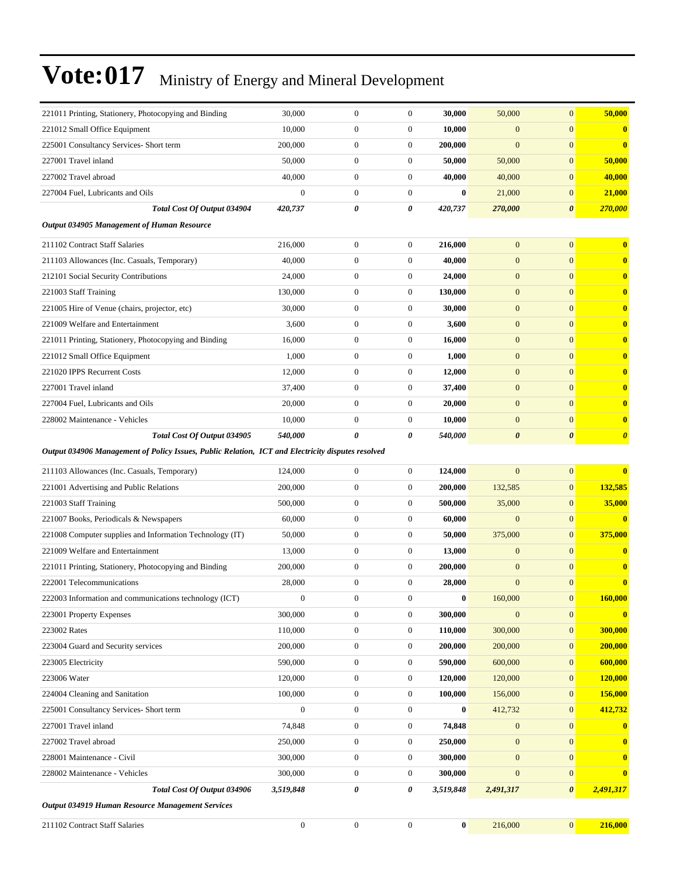| 221011 Printing, Stationery, Photocopying and Binding                                             | 30,000           | $\boldsymbol{0}$ | $\boldsymbol{0}$ | 30,000       | 50,000                | $\mathbf{0}$          | 50,000                |
|---------------------------------------------------------------------------------------------------|------------------|------------------|------------------|--------------|-----------------------|-----------------------|-----------------------|
| 221012 Small Office Equipment                                                                     | 10,000           | $\boldsymbol{0}$ | $\boldsymbol{0}$ | 10,000       | $\overline{0}$        | $\mathbf{0}$          | $\bf{0}$              |
| 225001 Consultancy Services- Short term                                                           | 200,000          | $\boldsymbol{0}$ | $\boldsymbol{0}$ | 200,000      | $\mathbf{0}$          | $\mathbf{0}$          | $\mathbf{0}$          |
| 227001 Travel inland                                                                              | 50,000           | $\boldsymbol{0}$ | $\boldsymbol{0}$ | 50,000       | 50,000                | $\mathbf{0}$          | 50,000                |
| 227002 Travel abroad                                                                              | 40,000           | $\boldsymbol{0}$ | $\mathbf{0}$     | 40,000       | 40,000                | $\mathbf{0}$          | 40,000                |
| 227004 Fuel, Lubricants and Oils                                                                  | $\mathbf{0}$     | $\boldsymbol{0}$ | $\mathbf{0}$     | $\bf{0}$     | 21,000                | $\mathbf{0}$          | 21,000                |
| Total Cost Of Output 034904                                                                       | 420,737          | 0                | 0                | 420,737      | 270,000               | $\boldsymbol{\theta}$ | 270,000               |
| Output 034905 Management of Human Resource                                                        |                  |                  |                  |              |                       |                       |                       |
| 211102 Contract Staff Salaries                                                                    | 216,000          | $\boldsymbol{0}$ | $\mathbf{0}$     | 216,000      | $\mathbf{0}$          | $\mathbf{0}$          | $\bf{0}$              |
| 211103 Allowances (Inc. Casuals, Temporary)                                                       | 40,000           | $\boldsymbol{0}$ | $\mathbf{0}$     | 40,000       | $\mathbf{0}$          | $\mathbf{0}$          | $\bf{0}$              |
| 212101 Social Security Contributions                                                              | 24,000           | $\boldsymbol{0}$ | $\mathbf{0}$     | 24,000       | $\mathbf{0}$          | $\mathbf{0}$          | $\mathbf{0}$          |
| 221003 Staff Training                                                                             | 130,000          | $\boldsymbol{0}$ | $\mathbf{0}$     | 130,000      | $\boldsymbol{0}$      | $\mathbf{0}$          | $\mathbf{0}$          |
| 221005 Hire of Venue (chairs, projector, etc)                                                     | 30,000           | $\boldsymbol{0}$ | $\mathbf{0}$     | 30,000       | $\boldsymbol{0}$      | $\mathbf{0}$          | $\bf{0}$              |
| 221009 Welfare and Entertainment                                                                  | 3,600            | $\boldsymbol{0}$ | $\mathbf{0}$     | 3,600        | $\mathbf{0}$          | $\mathbf{0}$          | $\mathbf{0}$          |
| 221011 Printing, Stationery, Photocopying and Binding                                             | 16,000           | $\boldsymbol{0}$ | $\mathbf{0}$     | 16,000       | $\mathbf{0}$          | $\mathbf{0}$          | $\mathbf{0}$          |
| 221012 Small Office Equipment                                                                     | 1,000            | $\boldsymbol{0}$ | $\boldsymbol{0}$ | 1,000        | $\mathbf{0}$          | $\mathbf{0}$          | $\mathbf{0}$          |
| 221020 IPPS Recurrent Costs                                                                       | 12,000           | $\boldsymbol{0}$ | $\mathbf{0}$     | 12,000       | $\boldsymbol{0}$      | $\mathbf{0}$          | $\mathbf{0}$          |
| 227001 Travel inland                                                                              | 37,400           | $\boldsymbol{0}$ | $\mathbf{0}$     | 37,400       | $\boldsymbol{0}$      | $\mathbf{0}$          | $\bf{0}$              |
| 227004 Fuel. Lubricants and Oils                                                                  | 20,000           | $\boldsymbol{0}$ | $\mathbf{0}$     | 20,000       | $\mathbf{0}$          | $\mathbf{0}$          | $\bf{0}$              |
| 228002 Maintenance - Vehicles                                                                     | 10,000           | $\boldsymbol{0}$ | $\mathbf{0}$     | 10,000       | $\boldsymbol{0}$      | $\mathbf{0}$          | $\bf{0}$              |
| Total Cost Of Output 034905                                                                       | 540,000          | 0                | 0                | 540,000      | $\boldsymbol{\theta}$ | $\boldsymbol{\theta}$ | $\boldsymbol{\theta}$ |
| Output 034906 Management of Policy Issues, Public Relation, ICT and Electricity disputes resolved |                  |                  |                  |              |                       |                       |                       |
| 211103 Allowances (Inc. Casuals, Temporary)                                                       | 124,000          | $\boldsymbol{0}$ | $\mathbf{0}$     | 124,000      | $\overline{0}$        | $\mathbf{0}$          | $\bf{0}$              |
| 221001 Advertising and Public Relations                                                           | 200,000          | 0                | $\mathbf{0}$     | 200,000      | 132,585               | $\mathbf{0}$          | 132,585               |
| 221003 Staff Training                                                                             | 500,000          | $\boldsymbol{0}$ | $\boldsymbol{0}$ | 500,000      | 35,000                | $\mathbf{0}$          | 35,000                |
| 221007 Books, Periodicals & Newspapers                                                            | 60,000           | $\boldsymbol{0}$ | $\mathbf{0}$     | 60,000       | $\mathbf{0}$          | $\mathbf{0}$          | $\bf{0}$              |
| 221008 Computer supplies and Information Technology (IT)                                          | 50,000           | $\boldsymbol{0}$ | $\mathbf{0}$     | 50,000       | 375,000               | $\mathbf{0}$          | 375,000               |
| 221009 Welfare and Entertainment                                                                  | 13,000           | $\boldsymbol{0}$ | $\mathbf{0}$     | 13,000       | $\boldsymbol{0}$      | $\mathbf{0}$          | $\bf{0}$              |
| 221011 Printing, Stationery, Photocopying and Binding                                             | 200,000          | $\boldsymbol{0}$ | $\boldsymbol{0}$ | 200,000      | $\boldsymbol{0}$      | $\mathbf{0}$          | $\bf{0}$              |
| 222001 Telecommunications                                                                         | 28,000           | $\boldsymbol{0}$ | $\boldsymbol{0}$ | 28,000       | $\mathbf{0}$          | $\mathbf{0}$          | $\bf{0}$              |
| 222003 Information and communications technology (ICT)                                            | $\mathbf{0}$     | $\mathbf{0}$     | $\Omega$         | $\mathbf{0}$ | 160,000               | $\mathbf{0}$          | 160,000               |
| 223001 Property Expenses                                                                          | 300,000          | $\boldsymbol{0}$ | $\boldsymbol{0}$ | 300,000      | $\mathbf{0}$          | $\boldsymbol{0}$      | $\bf{0}$              |
| 223002 Rates                                                                                      | 110,000          | $\boldsymbol{0}$ | $\boldsymbol{0}$ | 110,000      | 300,000               | $\boldsymbol{0}$      | 300,000               |
| 223004 Guard and Security services                                                                | 200,000          | $\boldsymbol{0}$ | $\mathbf{0}$     | 200,000      | 200,000               | $\mathbf{0}$          | 200,000               |
| 223005 Electricity                                                                                | 590,000          | $\boldsymbol{0}$ | $\boldsymbol{0}$ | 590,000      | 600,000               | $\boldsymbol{0}$      | 600,000               |
| 223006 Water                                                                                      | 120,000          | $\boldsymbol{0}$ | $\mathbf{0}$     | 120,000      | 120,000               | $\boldsymbol{0}$      | 120,000               |
| 224004 Cleaning and Sanitation                                                                    | 100,000          | $\boldsymbol{0}$ | $\mathbf{0}$     | 100,000      | 156,000               | $\boldsymbol{0}$      | 156,000               |
| 225001 Consultancy Services- Short term                                                           | $\mathbf{0}$     | $\boldsymbol{0}$ | $\boldsymbol{0}$ | $\bf{0}$     | 412,732               | $\boldsymbol{0}$      | 412,732               |
| 227001 Travel inland                                                                              | 74,848           | $\boldsymbol{0}$ | $\boldsymbol{0}$ | 74,848       | $\boldsymbol{0}$      | $\boldsymbol{0}$      | $\bf{0}$              |
| 227002 Travel abroad                                                                              | 250,000          | $\boldsymbol{0}$ | $\boldsymbol{0}$ | 250,000      | $\mathbf{0}$          | $\boldsymbol{0}$      | $\bf{0}$              |
| 228001 Maintenance - Civil                                                                        | 300,000          | $\boldsymbol{0}$ | $\mathbf{0}$     | 300,000      | $\boldsymbol{0}$      | $\boldsymbol{0}$      | $\bf{0}$              |
| 228002 Maintenance - Vehicles                                                                     | 300,000          | $\boldsymbol{0}$ | $\mathbf{0}$     | 300,000      | $\mathbf{0}$          | $\boldsymbol{0}$      | $\bf{0}$              |
| Total Cost Of Output 034906                                                                       | 3,519,848        | 0                | 0                | 3,519,848    | 2,491,317             | $\boldsymbol{\theta}$ | 2,491,317             |
| Output 034919 Human Resource Management Services                                                  |                  |                  |                  |              |                       |                       |                       |
| 211102 Contract Staff Salaries                                                                    | $\boldsymbol{0}$ | $\boldsymbol{0}$ | $\boldsymbol{0}$ | $\bf{0}$     | 216,000               | $\boldsymbol{0}$      | 216,000               |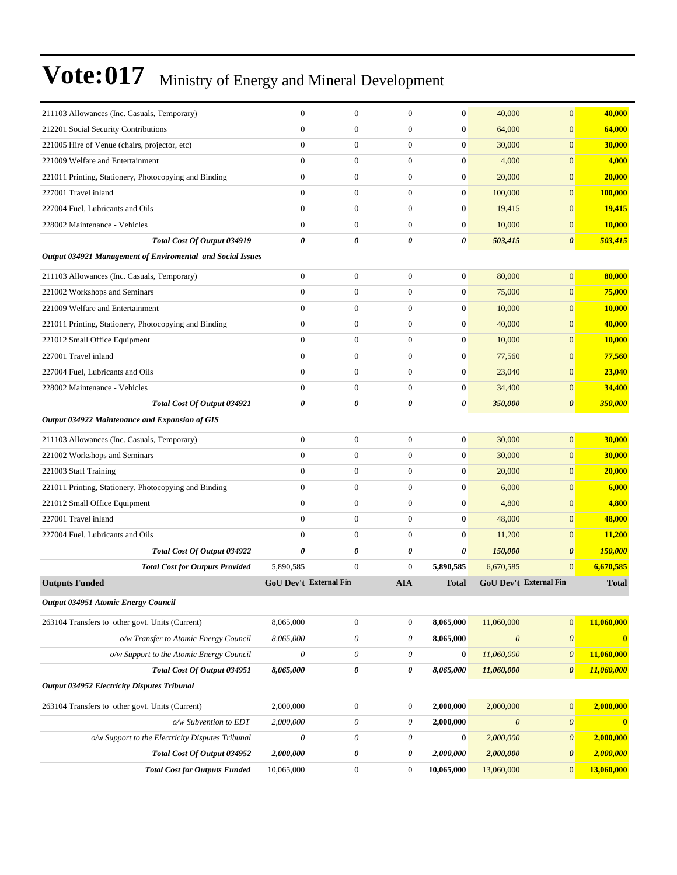| 211103 Allowances (Inc. Casuals, Temporary)                | $\boldsymbol{0}$              | $\boldsymbol{0}$          | $\boldsymbol{0}$      | $\bf{0}$     | 40,000                | $\mathbf{0}$                  | 40,000                  |
|------------------------------------------------------------|-------------------------------|---------------------------|-----------------------|--------------|-----------------------|-------------------------------|-------------------------|
| 212201 Social Security Contributions                       | $\overline{0}$                | $\boldsymbol{0}$          | $\mathbf{0}$          | $\bf{0}$     | 64,000                | $\overline{0}$                | 64,000                  |
| 221005 Hire of Venue (chairs, projector, etc)              | $\overline{0}$                | $\boldsymbol{0}$          | $\mathbf{0}$          | $\bf{0}$     | 30,000                | $\overline{0}$                | 30,000                  |
| 221009 Welfare and Entertainment                           | $\overline{0}$                | $\boldsymbol{0}$          | $\boldsymbol{0}$      | $\bf{0}$     | 4,000                 | $\overline{0}$                | 4,000                   |
| 221011 Printing, Stationery, Photocopying and Binding      | $\overline{0}$                | $\boldsymbol{0}$          | $\mathbf{0}$          | $\bf{0}$     | 20,000                | $\overline{0}$                | 20,000                  |
| 227001 Travel inland                                       | $\overline{0}$                | $\boldsymbol{0}$          | $\mathbf{0}$          | $\bf{0}$     | 100,000               | $\overline{0}$                | 100,000                 |
| 227004 Fuel, Lubricants and Oils                           | $\overline{0}$                | $\boldsymbol{0}$          | $\mathbf{0}$          | $\bf{0}$     | 19,415                | $\overline{0}$                | 19,415                  |
| 228002 Maintenance - Vehicles                              | $\overline{0}$                | $\boldsymbol{0}$          | $\mathbf{0}$          | $\bf{0}$     | 10,000                | $\overline{0}$                | 10,000                  |
| Total Cost Of Output 034919                                | 0                             | 0                         | $\boldsymbol{\theta}$ | 0            | 503,415               | $\boldsymbol{\theta}$         | 503,415                 |
| Output 034921 Management of Enviromental and Social Issues |                               |                           |                       |              |                       |                               |                         |
| 211103 Allowances (Inc. Casuals, Temporary)                | $\boldsymbol{0}$              | $\boldsymbol{0}$          | $\mathbf{0}$          | $\bf{0}$     | 80,000                | $\overline{0}$                | 80,000                  |
| 221002 Workshops and Seminars                              | $\overline{0}$                | $\boldsymbol{0}$          | $\mathbf{0}$          | $\bf{0}$     | 75,000                | $\overline{0}$                | 75,000                  |
| 221009 Welfare and Entertainment                           | $\overline{0}$                | $\boldsymbol{0}$          | $\mathbf{0}$          | $\bf{0}$     | 10,000                | $\overline{0}$                | 10,000                  |
| 221011 Printing, Stationery, Photocopying and Binding      | $\overline{0}$                | $\boldsymbol{0}$          | $\mathbf{0}$          | $\bf{0}$     | 40,000                | $\overline{0}$                | 40,000                  |
| 221012 Small Office Equipment                              | $\overline{0}$                | $\boldsymbol{0}$          | $\mathbf{0}$          | $\bf{0}$     | 10,000                | $\overline{0}$                | 10,000                  |
| 227001 Travel inland                                       | $\overline{0}$                | $\boldsymbol{0}$          | $\mathbf{0}$          | $\bf{0}$     | 77,560                | $\overline{0}$                | 77,560                  |
| 227004 Fuel, Lubricants and Oils                           | $\overline{0}$                | $\boldsymbol{0}$          | $\mathbf{0}$          | $\bf{0}$     | 23,040                | $\overline{0}$                | 23,040                  |
| 228002 Maintenance - Vehicles                              | $\boldsymbol{0}$              | $\boldsymbol{0}$          | $\mathbf{0}$          | $\bf{0}$     | 34,400                | $\overline{0}$                | 34,400                  |
| Total Cost Of Output 034921                                | 0                             | 0                         | 0                     | 0            | 350,000               | $\boldsymbol{\theta}$         | 350,000                 |
| Output 034922 Maintenance and Expansion of GIS             |                               |                           |                       |              |                       |                               |                         |
| 211103 Allowances (Inc. Casuals, Temporary)                | $\overline{0}$                | $\boldsymbol{0}$          | $\boldsymbol{0}$      | $\bf{0}$     | 30,000                | $\overline{0}$                | 30,000                  |
| 221002 Workshops and Seminars                              | $\overline{0}$                | $\boldsymbol{0}$          | $\mathbf{0}$          | $\bf{0}$     | 30,000                | $\overline{0}$                | 30,000                  |
| 221003 Staff Training                                      | $\overline{0}$                | $\boldsymbol{0}$          | $\mathbf{0}$          | $\bf{0}$     | 20,000                | $\overline{0}$                | 20,000                  |
| 221011 Printing, Stationery, Photocopying and Binding      | $\overline{0}$                | $\boldsymbol{0}$          | $\mathbf{0}$          | $\bf{0}$     | 6,000                 | $\overline{0}$                | 6,000                   |
| 221012 Small Office Equipment                              | $\overline{0}$                | $\boldsymbol{0}$          | $\mathbf{0}$          | $\bf{0}$     | 4,800                 | $\overline{0}$                | 4,800                   |
| 227001 Travel inland                                       | $\overline{0}$                | $\boldsymbol{0}$          | $\mathbf{0}$          | $\bf{0}$     | 48,000                | $\overline{0}$                | 48,000                  |
| 227004 Fuel, Lubricants and Oils                           | $\overline{0}$                | $\boldsymbol{0}$          | $\mathbf{0}$          | $\bf{0}$     | 11,200                | $\overline{0}$                | 11,200                  |
| Total Cost Of Output 034922                                | 0                             | 0                         | 0                     | 0            | 150,000               | 0                             | 150,000                 |
| <b>Total Cost for Outputs Provided</b>                     | 5,890,585                     | $\boldsymbol{0}$          | $\mathbf{0}$          | 5,890,585    | 6,670,585             | $\overline{0}$                | 6,670,585               |
| <b>Outputs Funded</b>                                      | <b>GoU Dev't External Fin</b> |                           | <b>AIA</b>            | <b>Total</b> |                       | <b>GoU Dev't External Fin</b> | <b>Total</b>            |
| Output 034951 Atomic Energy Council                        |                               |                           |                       |              |                       |                               |                         |
| 263104 Transfers to other govt. Units (Current)            | 8,065,000                     | $\boldsymbol{0}$          | $\boldsymbol{0}$      | 8,065,000    | 11,060,000            | $\boldsymbol{0}$              | 11,060,000              |
| o/w Transfer to Atomic Energy Council                      | 8,065,000                     | 0                         | $\boldsymbol{\theta}$ | 8,065,000    | $\theta$              | $\boldsymbol{\mathit{0}}$     | $\overline{\mathbf{0}}$ |
| o/w Support to the Atomic Energy Council                   | $\boldsymbol{\theta}$         | $\boldsymbol{\mathit{0}}$ | $\boldsymbol{\theta}$ | $\bf{0}$     | 11,060,000            | $\boldsymbol{\mathit{0}}$     | 11,060,000              |
| Total Cost Of Output 034951                                | 8,065,000                     | 0                         | 0                     | 8,065,000    | 11,060,000            | $\boldsymbol{\theta}$         | 11,060,000              |
| <b>Output 034952 Electricity Disputes Tribunal</b>         |                               |                           |                       |              |                       |                               |                         |
| 263104 Transfers to other govt. Units (Current)            | 2,000,000                     | $\boldsymbol{0}$          | $\boldsymbol{0}$      | 2,000,000    | 2,000,000             | $\boldsymbol{0}$              | 2,000,000               |
| $o/w$ Subvention to EDT                                    | 2,000,000                     | 0                         | $\theta$              | 2,000,000    | $\boldsymbol{\theta}$ | $\boldsymbol{\theta}$         | $\bf{0}$                |
| o/w Support to the Electricity Disputes Tribunal           | $\boldsymbol{\mathit{0}}$     | 0                         | $\theta$              | $\bf{0}$     | 2,000,000             | $\boldsymbol{\mathit{0}}$     | 2,000,000               |
| Total Cost Of Output 034952                                | 2,000,000                     | 0                         | 0                     | 2,000,000    | 2,000,000             | 0                             | 2,000,000               |
| <b>Total Cost for Outputs Funded</b>                       | 10,065,000                    | $\boldsymbol{0}$          | $\boldsymbol{0}$      | 10,065,000   | 13,060,000            | $\mathbf{0}$                  | 13,060,000              |
|                                                            |                               |                           |                       |              |                       |                               |                         |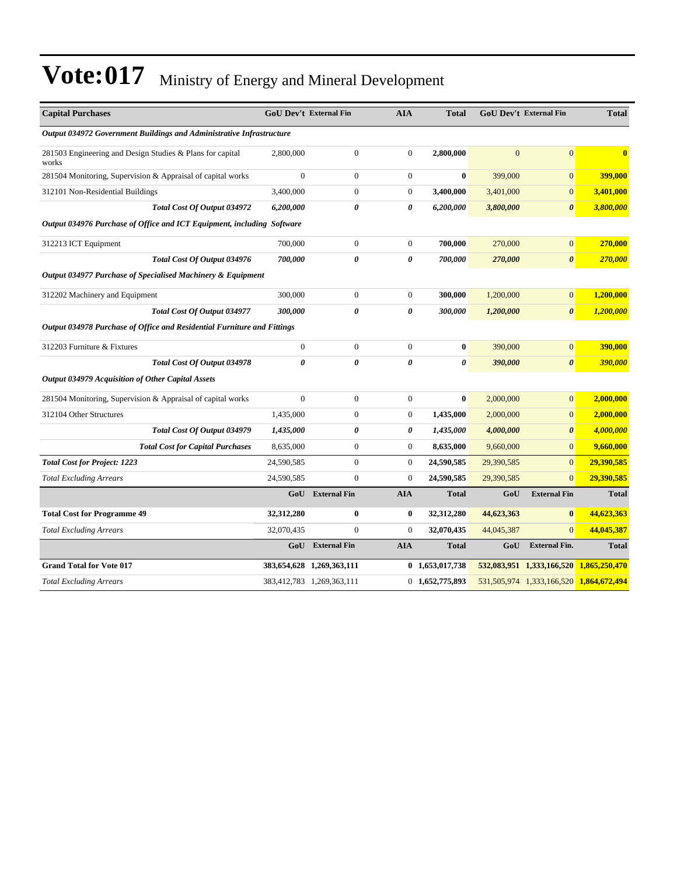| <b>Capital Purchases</b>                                                | <b>GoU Dev't External Fin</b> |                           | <b>AIA</b>       | <b>Total</b>          |                | <b>GoU Dev't External Fin</b>           | <b>Total</b> |  |  |
|-------------------------------------------------------------------------|-------------------------------|---------------------------|------------------|-----------------------|----------------|-----------------------------------------|--------------|--|--|
| Output 034972 Government Buildings and Administrative Infrastructure    |                               |                           |                  |                       |                |                                         |              |  |  |
| 281503 Engineering and Design Studies & Plans for capital<br>works      | 2,800,000                     | $\boldsymbol{0}$          | $\mathbf{0}$     | 2,800,000             | $\overline{0}$ | $\overline{0}$                          | $\mathbf{0}$ |  |  |
| 281504 Monitoring, Supervision & Appraisal of capital works             | $\overline{0}$                | $\boldsymbol{0}$          | $\mathbf{0}$     | $\bf{0}$              | 399,000        | $\overline{0}$                          | 399,000      |  |  |
| 312101 Non-Residential Buildings                                        | 3,400,000                     | $\boldsymbol{0}$          | $\mathbf{0}$     | 3,400,000             | 3,401,000      | $\overline{0}$                          | 3,401,000    |  |  |
| Total Cost Of Output 034972                                             | 6,200,000                     | 0                         | 0                | 6,200,000             | 3,800,000      | $\boldsymbol{\theta}$                   | 3,800,000    |  |  |
| Output 034976 Purchase of Office and ICT Equipment, including Software  |                               |                           |                  |                       |                |                                         |              |  |  |
| 312213 ICT Equipment                                                    | 700,000                       | $\boldsymbol{0}$          | $\mathbf{0}$     | 700,000               | 270,000        | $\overline{0}$                          | 270,000      |  |  |
| Total Cost Of Output 034976                                             | 700,000                       | 0                         | 0                | 700,000               | 270,000        | $\pmb{\theta}$                          | 270,000      |  |  |
| Output 034977 Purchase of Specialised Machinery & Equipment             |                               |                           |                  |                       |                |                                         |              |  |  |
| 312202 Machinery and Equipment                                          | 300,000                       | $\boldsymbol{0}$          | $\mathbf{0}$     | 300,000               | 1,200,000      | $\overline{0}$                          | 1,200,000    |  |  |
| Total Cost Of Output 034977                                             | 300,000                       | 0                         | 0                | 300,000               | 1,200,000      | $\boldsymbol{\theta}$                   | 1,200,000    |  |  |
| Output 034978 Purchase of Office and Residential Furniture and Fittings |                               |                           |                  |                       |                |                                         |              |  |  |
| 312203 Furniture & Fixtures                                             | $\boldsymbol{0}$              | $\boldsymbol{0}$          | $\boldsymbol{0}$ | $\bf{0}$              | 390,000        | $\boldsymbol{0}$                        | 390,000      |  |  |
| Total Cost Of Output 034978                                             | $\boldsymbol{\theta}$         | 0                         | $\pmb{\theta}$   | $\boldsymbol{\theta}$ | 390,000        | $\boldsymbol{\theta}$                   | 390,000      |  |  |
| Output 034979 Acquisition of Other Capital Assets                       |                               |                           |                  |                       |                |                                         |              |  |  |
| 281504 Monitoring, Supervision & Appraisal of capital works             | $\boldsymbol{0}$              | $\boldsymbol{0}$          | $\mathbf{0}$     | $\bf{0}$              | 2,000,000      | $\boldsymbol{0}$                        | 2,000,000    |  |  |
| 312104 Other Structures                                                 | 1,435,000                     | $\boldsymbol{0}$          | $\boldsymbol{0}$ | 1,435,000             | 2,000,000      | $\overline{0}$                          | 2,000,000    |  |  |
| Total Cost Of Output 034979                                             | 1,435,000                     | 0                         | 0                | 1,435,000             | 4,000,000      | $\boldsymbol{\theta}$                   | 4,000,000    |  |  |
| <b>Total Cost for Capital Purchases</b>                                 | 8,635,000                     | $\boldsymbol{0}$          | $\mathbf{0}$     | 8,635,000             | 9,660,000      | $\overline{0}$                          | 9,660,000    |  |  |
| <b>Total Cost for Project: 1223</b>                                     | 24,590,585                    | $\boldsymbol{0}$          | $\mathbf{0}$     | 24,590,585            | 29,390,585     | $\overline{0}$                          | 29,390,585   |  |  |
| <b>Total Excluding Arrears</b>                                          | 24,590,585                    | $\overline{0}$            | $\boldsymbol{0}$ | 24,590,585            | 29,390,585     | $\overline{0}$                          | 29,390,585   |  |  |
|                                                                         |                               | <b>GoU</b> External Fin   | <b>AIA</b>       | <b>Total</b>          | GoU            | <b>External Fin</b>                     | <b>Total</b> |  |  |
| <b>Total Cost for Programme 49</b>                                      | 32,312,280                    | $\bf{0}$                  | $\bf{0}$         | 32,312,280            | 44,623,363     | $\bf{0}$                                | 44,623,363   |  |  |
| <b>Total Excluding Arrears</b>                                          | 32,070,435                    | $\boldsymbol{0}$          | $\boldsymbol{0}$ | 32,070,435            | 44,045,387     | $\overline{0}$                          | 44,045,387   |  |  |
|                                                                         |                               | <b>GoU</b> External Fin   | <b>AIA</b>       | <b>Total</b>          | GoU            | <b>External Fin.</b>                    | <b>Total</b> |  |  |
| <b>Grand Total for Vote 017</b>                                         |                               | 383,654,628 1,269,363,111 |                  | 0 1,653,017,738       |                | 532,083,951 1,333,166,520 1,865,250,470 |              |  |  |
| <b>Total Excluding Arrears</b>                                          |                               | 383,412,783 1,269,363,111 |                  | 0 1,652,775,893       |                | 531,505,974 1,333,166,520 1,864,672,494 |              |  |  |